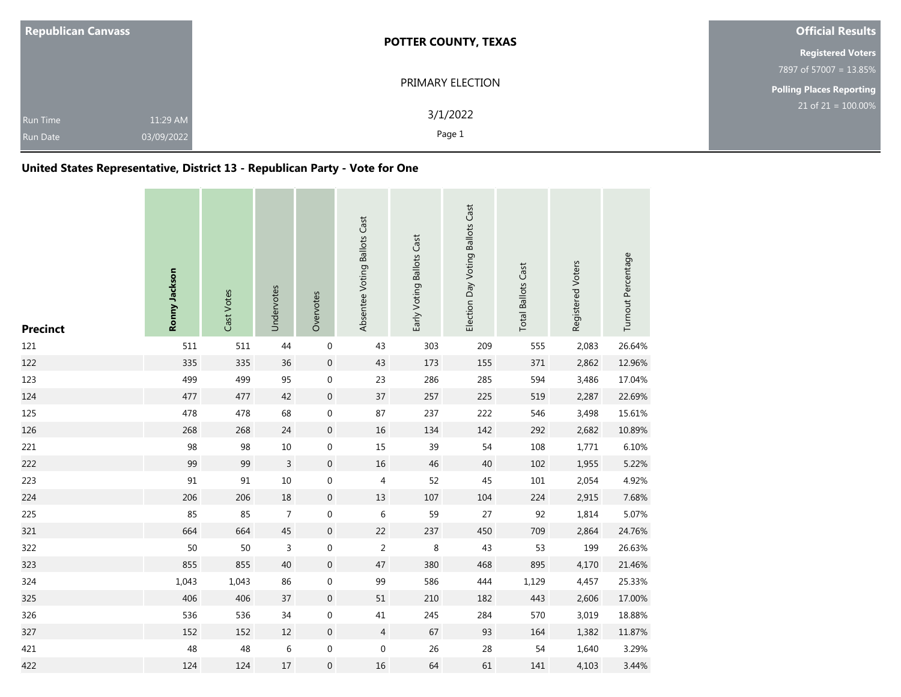| <b>Republican Canvass</b>          |                        | <b>POTTER COUNTY, TEXAS</b> | <b>Official Results</b>         |
|------------------------------------|------------------------|-----------------------------|---------------------------------|
|                                    |                        |                             | <b>Registered Voters</b>        |
|                                    |                        |                             | 7897 of 57007 = 13.85%          |
|                                    |                        | PRIMARY ELECTION            | <b>Polling Places Reporting</b> |
| <b>Run Time</b><br><b>Run Date</b> | 11:29 AM<br>03/09/2022 | 3/1/2022<br>Page 1          | $21$ of $21 = 100.00\%$         |

## **United States Representative, District 13 - Republican Party - Vote for One**

| <b>Precinct</b> | Ronny Jackson | Cast Votes | Undervotes     | Overvotes        | Absentee Voting Ballots Cast | Early Voting Ballots Cast | Election Day Voting Ballots Cast | <b>Total Ballots Cast</b> | Registered Voters | Turnout Percentage |
|-----------------|---------------|------------|----------------|------------------|------------------------------|---------------------------|----------------------------------|---------------------------|-------------------|--------------------|
| 121             | 511           | 511        | 44             | $\boldsymbol{0}$ | 43                           | 303                       | 209                              | 555                       | 2,083             | 26.64%             |
| 122             | 335           | 335        | 36             | $\,0\,$          | 43                           | 173                       | 155                              | 371                       | 2,862             | 12.96%             |
| 123             | 499           | 499        | 95             | $\boldsymbol{0}$ | 23                           | 286                       | 285                              | 594                       | 3,486             | 17.04%             |
| 124             | 477           | 477        | 42             | $\boldsymbol{0}$ | 37                           | 257                       | 225                              | 519                       | 2,287             | 22.69%             |
| 125             | 478           | 478        | 68             | $\boldsymbol{0}$ | 87                           | 237                       | 222                              | 546                       | 3,498             | 15.61%             |
| 126             | 268           | 268        | 24             | $\boldsymbol{0}$ | $16\,$                       | 134                       | 142                              | 292                       | 2,682             | 10.89%             |
| 221             | 98            | 98         | $10\,$         | $\boldsymbol{0}$ | 15                           | 39                        | 54                               | 108                       | 1,771             | 6.10%              |
| 222             | 99            | 99         | $\mathsf{3}$   | $\boldsymbol{0}$ | 16                           | 46                        | 40                               | 102                       | 1,955             | 5.22%              |
| 223             | 91            | 91         | $10\,$         | $\boldsymbol{0}$ | $\overline{4}$               | 52                        | 45                               | 101                       | 2,054             | 4.92%              |
| 224             | 206           | 206        | 18             | $\boldsymbol{0}$ | $13\,$                       | 107                       | 104                              | 224                       | 2,915             | 7.68%              |
| 225             | 85            | 85         | $\overline{7}$ | $\mathbf 0$      | 6                            | 59                        | 27                               | 92                        | 1,814             | 5.07%              |
| 321             | 664           | 664        | 45             | $\mathbf 0$      | 22                           | 237                       | 450                              | 709                       | 2,864             | 24.76%             |
| 322             | 50            | 50         | 3              | $\mathbf 0$      | $\overline{2}$               | 8                         | 43                               | 53                        | 199               | 26.63%             |
| 323             | 855           | 855        | 40             | $\boldsymbol{0}$ | 47                           | 380                       | 468                              | 895                       | 4,170             | 21.46%             |
| 324             | 1,043         | 1,043      | 86             | $\mathbf 0$      | 99                           | 586                       | 444                              | 1,129                     | 4,457             | 25.33%             |
| 325             | 406           | 406        | 37             | $\boldsymbol{0}$ | 51                           | 210                       | 182                              | 443                       | 2,606             | 17.00%             |
| 326             | 536           | 536        | 34             | $\mathbf 0$      | 41                           | 245                       | 284                              | 570                       | 3,019             | 18.88%             |
| 327             | 152           | 152        | $12\,$         | $\,0\,$          | $\overline{4}$               | 67                        | 93                               | 164                       | 1,382             | 11.87%             |
| 421             | 48            | 48         | 6              | $\boldsymbol{0}$ | $\boldsymbol{0}$             | 26                        | 28                               | 54                        | 1,640             | 3.29%              |
| 422             | 124           | 124        | 17             | $\boldsymbol{0}$ | 16                           | 64                        | 61                               | 141                       | 4,103             | 3.44%              |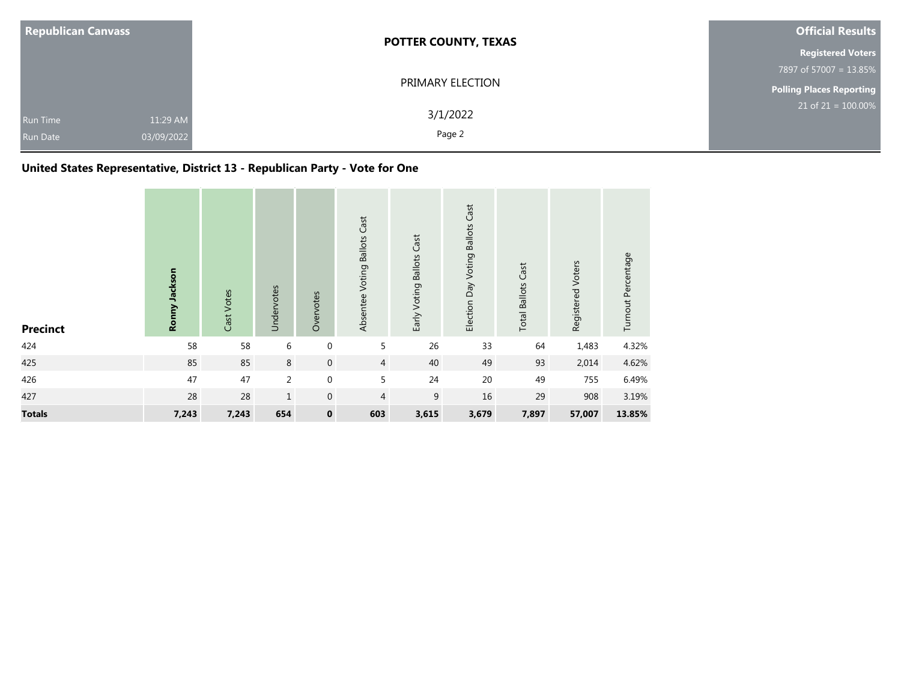| <b>Republican Canvass</b> |            | <b>POTTER COUNTY, TEXAS</b> | <b>Official Results</b>         |
|---------------------------|------------|-----------------------------|---------------------------------|
|                           |            |                             | <b>Registered Voters</b>        |
|                           |            |                             | 7897 of 57007 = 13.85%          |
|                           |            | PRIMARY ELECTION            | <b>Polling Places Reporting</b> |
| <b>Run Time</b>           | 11:29 AM   | 3/1/2022                    | $21$ of 21 = 100.00%            |
| Run Date                  | 03/09/2022 | Page 2                      |                                 |

## **United States Representative, District 13 - Republican Party - Vote for One**

| <b>Precinct</b> | Ronny Jackson | Cast Votes | Undervotes     | Overvotes        | Absentee Voting Ballots Cast | Early Voting Ballots Cast | Election Day Voting Ballots Cast | <b>Total Ballots Cast</b> | Registered Voters | Turnout Percentage |
|-----------------|---------------|------------|----------------|------------------|------------------------------|---------------------------|----------------------------------|---------------------------|-------------------|--------------------|
| 424             | 58            | 58         | 6              | $\boldsymbol{0}$ | 5                            | 26                        | 33                               | 64                        | 1,483             | 4.32%              |
| 425             | 85            | 85         | 8              | $\mathbf 0$      | $\overline{4}$               | 40                        | 49                               | 93                        | 2,014             | 4.62%              |
| 426             | 47            | 47         | $\overline{2}$ | $\mathbf 0$      | 5                            | 24                        | 20                               | 49                        | 755               | 6.49%              |
| 427             | 28            | 28         | $\mathbf{1}$   | $\mathbf{0}$     | $\overline{4}$               | 9                         | 16                               | 29                        | 908               | 3.19%              |
| <b>Totals</b>   | 7,243         | 7,243      | 654            | $\pmb{0}$        | 603                          | 3,615                     | 3,679                            | 7,897                     | 57,007            | 13.85%             |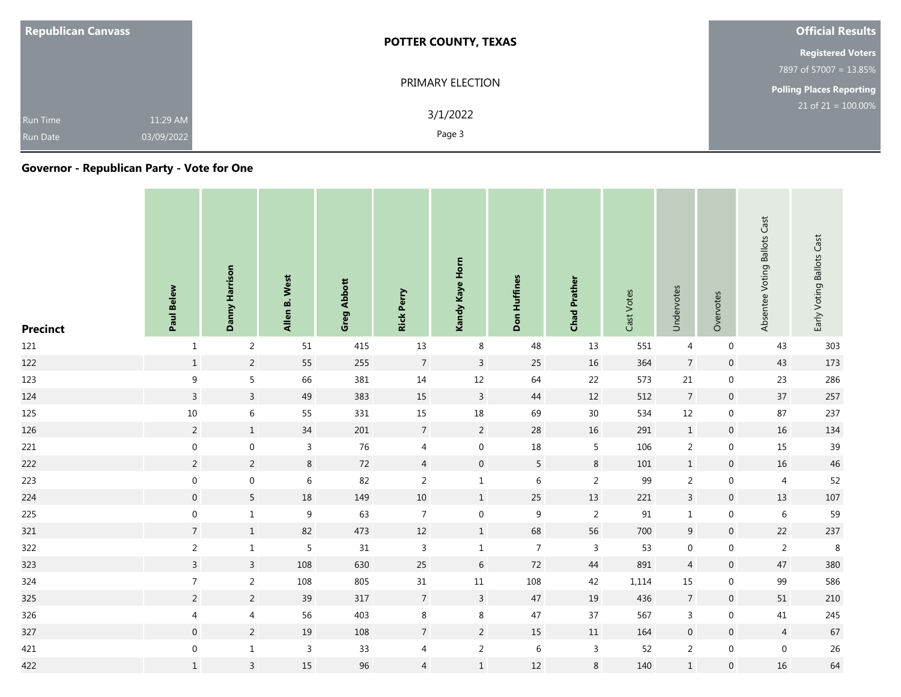| <b>Republican Canvass</b>                                    | <b>POTTER COUNTY, TEXAS</b> | <b>Official Results</b>         |
|--------------------------------------------------------------|-----------------------------|---------------------------------|
|                                                              |                             | <b>Registered Voters</b>        |
|                                                              |                             | 7897 of 57007 = 13.85%          |
|                                                              | PRIMARY ELECTION            | <b>Polling Places Reporting</b> |
| 11:29 AM<br><b>Run Time</b><br>03/09/2022<br><b>Run Date</b> | 3/1/2022<br>Page 3          | $21$ of $21 = 100.00\%$         |

| <b>Precinct</b> | Paul Belew              | Danny Harrison   | Allen B. West    | <b>Greg Abbott</b> | <b>Rick Perry</b> | Kandy Kaye Horn  | Don Huffines   | <b>Chad Prather</b> | Cast Votes | Undervotes       | Overvotes           | Absentee Voting Ballots Cast | Early Voting Ballots Cast |
|-----------------|-------------------------|------------------|------------------|--------------------|-------------------|------------------|----------------|---------------------|------------|------------------|---------------------|------------------------------|---------------------------|
| 121             | $\mathbf{1}$            | $\overline{2}$   | 51               | 415                | $13\,$            | 8                | 48             | 13                  | 551        | 4                | $\boldsymbol{0}$    | 43                           | 303                       |
| 122             | $1\,$                   | $\overline{2}$   | 55               | 255                | $\overline{7}$    | $\overline{3}$   | 25             | 16                  | 364        | $\overline{7}$   | $\mathsf{O}\xspace$ | 43                           | 173                       |
| 123             | 9                       | 5                | 66               | 381                | $14\,$            | $12\,$           | 64             | 22                  | 573        | 21               | $\boldsymbol{0}$    | 23                           | 286                       |
| 124             | $\overline{3}$          | $\overline{3}$   | 49               | 383                | $15\,$            | $\mathsf{3}$     | $44\,$         | 12                  | 512        | $\overline{7}$   | $\boldsymbol{0}$    | 37                           | 257                       |
| 125             | $10\,$                  | 6                | 55               | 331                | 15                | $18\,$           | 69             | 30 <sup>°</sup>     | 534        | $12\,$           | $\boldsymbol{0}$    | 87                           | 237                       |
| 126             | $\overline{2}$          | $1\,$            | $34\,$           | $201\,$            | $\overline{7}$    | $\overline{2}$   | $28\,$         | $16\,$              | 291        | $\mathbf{1}$     | $\boldsymbol{0}$    | $16\,$                       | 134                       |
| 221             | $\boldsymbol{0}$        | $\boldsymbol{0}$ | $\overline{3}$   | 76                 | $\overline{4}$    | $\boldsymbol{0}$ | $18\,$         | $5\phantom{a}$      | 106        | $\overline{2}$   | $\boldsymbol{0}$    | 15                           | 39                        |
| 222             | $\overline{2}$          | $\overline{2}$   | $\bf 8$          | 72                 | $\overline{4}$    | $\mathbf 0$      | 5              | $\,8\,$             | 101        | $\mathbf{1}$     | $\mathsf{O}\xspace$ | $16\,$                       | 46                        |
| 223             | $\boldsymbol{0}$        | $\boldsymbol{0}$ | $\sqrt{6}$       | 82                 | $\sqrt{2}$        | $\mathbf{1}$     | $\,6\,$        | $\overline{2}$      | 99         | $\overline{2}$   | $\boldsymbol{0}$    | $\overline{4}$               | 52                        |
| 224             | $\overline{0}$          | 5                | $18\,$           | 149                | 10                | $\mathbf{1}$     | 25             | 13                  | 221        | $\mathbf{3}$     | $\mathbf 0$         | 13                           | $107\,$                   |
| 225             | $\boldsymbol{0}$        | $1\,$            | $\boldsymbol{9}$ | 63                 | $\overline{7}$    | $\boldsymbol{0}$ | $9\,$          | $\overline{2}$      | 91         | $\mathbf{1}$     | $\boldsymbol{0}$    | $\,6\,$                      | 59                        |
| 321             | $7\overline{ }$         | $1\,$            | 82               | 473                | $12\,$            | $\mathbf{1}$     | 68             | 56                  | 700        | $9\,$            | $\mathbf 0$         | 22                           | 237                       |
| 322             | $\overline{2}$          | $\mathbf{1}$     | $\sqrt{5}$       | 31                 | $\mathsf 3$       | $\mathbf{1}$     | $\overline{7}$ | $\mathsf 3$         | 53         | $\boldsymbol{0}$ | $\boldsymbol{0}$    | $\overline{2}$               | $\,8\,$                   |
| 323             | $\overline{\mathbf{3}}$ | $\overline{3}$   | 108              | 630                | 25                | $6\phantom{.}6$  | 72             | 44                  | 891        | $\overline{4}$   | $\boldsymbol{0}$    | 47                           | 380                       |
| 324             | $7\overline{ }$         | $\overline{2}$   | 108              | 805                | $31\,$            | $11\,$           | 108            | 42                  | 1,114      | 15               | $\boldsymbol{0}$    | 99                           | 586                       |
| 325             | $\overline{2}$          | $\overline{2}$   | 39               | 317                | $\overline{7}$    | $\mathsf{3}$     | 47             | 19                  | 436        | $\overline{7}$   | $\boldsymbol{0}$    | 51                           | 210                       |
| 326             | 4                       | $\overline{4}$   | 56               | 403                | $\,8\,$           | $\,8\,$          | 47             | 37                  | 567        | $\mathsf{3}$     | $\boldsymbol{0}$    | 41                           | 245                       |
| 327             | $\boldsymbol{0}$        | $\overline{2}$   | 19               | 108                | $\overline{7}$    | $\overline{2}$   | 15             | $11\,$              | 164        | $\mathbf 0$      | $\boldsymbol{0}$    | $\overline{4}$               | 67                        |
| 421             | $\boldsymbol{0}$        | $\mathbf{1}$     | $\overline{3}$   | 33                 | $\overline{4}$    | $\overline{2}$   | $\,6\,$        | $\mathsf{3}$        | 52         | $\overline{2}$   | $\overline{0}$      | $\boldsymbol{0}$             | 26                        |
| 422             | $\mathbf{1}$            | $\mathsf{3}$     | $15\,$           | 96                 | $\overline{4}$    | $\mathbf{1}$     | $12\,$         | $\,8\,$             | 140        | $1\,$            | $\boldsymbol{0}$    | $16\,$                       | 64                        |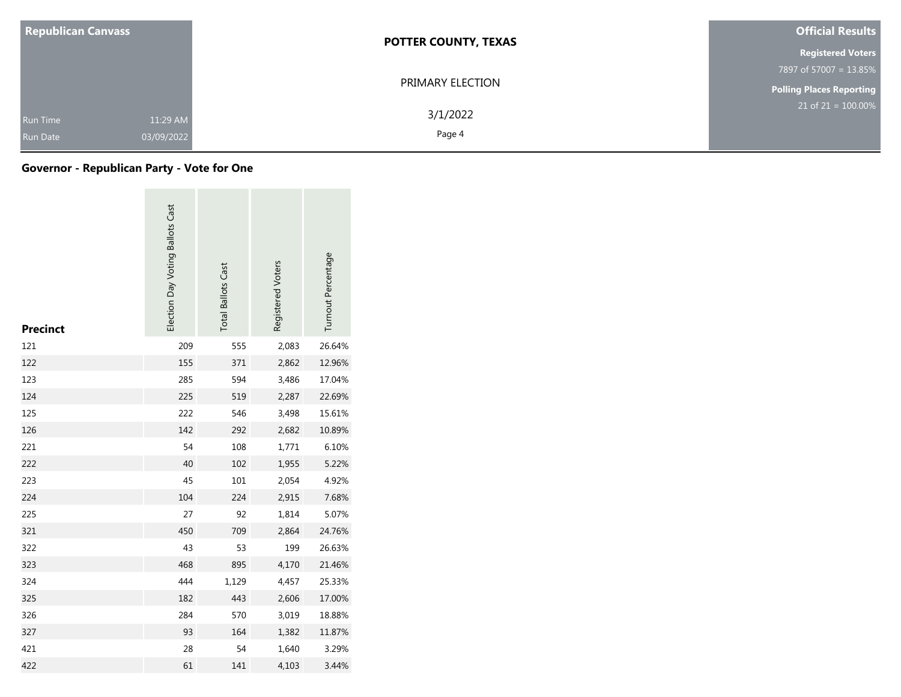| <b>Republican Canvass</b>                                    | <b>POTTER COUNTY, TEXAS</b> | <b>Official Results</b>  |
|--------------------------------------------------------------|-----------------------------|--------------------------|
|                                                              |                             | <b>Registered Voters</b> |
|                                                              |                             | 7897 of 57007 = 13.85%   |
|                                                              | PRIMARY ELECTION            | Polling Places Reporting |
| 11:29 AM<br><b>Run Time</b><br>03/09/2022<br><b>Run Date</b> | 3/1/2022<br>Page 4          | $21$ of 21 = 100.00%     |

| <b>Precinct</b> | Election Day Voting Ballots Cast | <b>Total Ballots Cast</b> | Registered Voters | Turnout Percentage |
|-----------------|----------------------------------|---------------------------|-------------------|--------------------|
| 121             | 209                              | 555                       | 2,083             | 26.64%             |
| 122             | 155                              | 371                       | 2,862             | 12.96%             |
| 123             | 285                              | 594                       | 3,486             | 17.04%             |
| 124             | 225                              | 519                       | 2,287             | 22.69%             |
| 125             | 222                              | 546                       | 3,498             | 15.61%             |
| 126             | 142                              | 292                       | 2,682             | 10.89%             |
| 221             | 54                               | 108                       | 1,771             | 6.10%              |
| 222             | 40                               | 102                       | 1,955             | 5.22%              |
| 223             | 45                               | 101                       | 2,054             | 4.92%              |
| 224             | 104                              | 224                       | 2,915             | 7.68%              |
| 225             | 27                               | 92                        | 1,814             | 5.07%              |
| 321             | 450                              | 709                       | 2,864             | 24.76%             |
| 322             | 43                               | 53                        | 199               | 26.63%             |
| 323             | 468                              | 895                       | 4,170             | 21.46%             |
| 324             | 444                              | 1,129                     | 4,457             | 25.33%             |
| 325             | 182                              | 443                       | 2,606             | 17.00%             |
| 326             | 284                              | 570                       | 3,019             | 18.88%             |
| 327             | 93                               | 164                       | 1,382             | 11.87%             |
| 421             | 28                               | 54                        | 1,640             | 3.29%              |
| 422             | 61                               | 141                       | 4,103             | 3.44%              |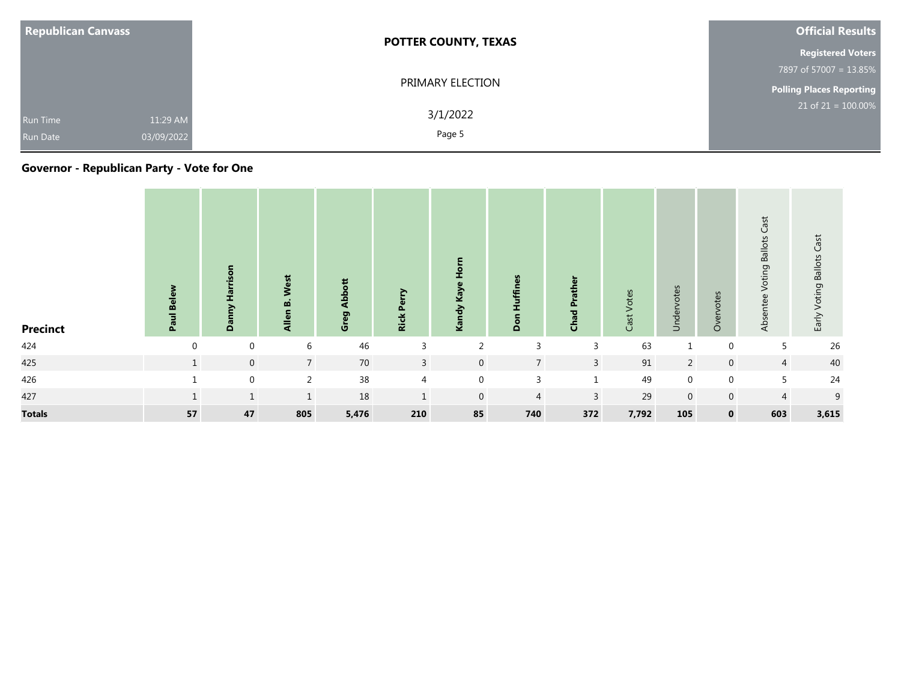| <b>Republican Canvass</b>                                    | <b>POTTER COUNTY, TEXAS</b> | Official Results         |
|--------------------------------------------------------------|-----------------------------|--------------------------|
|                                                              |                             | <b>Registered Voters</b> |
|                                                              |                             | 7897 of 57007 = 13.85%   |
|                                                              | PRIMARY ELECTION            | Polling Places Reporting |
| 11:29 AM<br><b>Run Time</b><br>03/09/2022<br><b>Run Date</b> | 3/1/2022<br>Page 5          | $21$ of 21 = 100.00%     |

| <b>Precinct</b> | Paul Belew   | Danny Harrison | West<br>. .<br>m<br>Allen | z<br>⋖<br>Ō<br>Grei | <b>Rick Perry</b> | Hom<br>Kandy Kaye | <b>Huffines</b><br>Don | <b>Chad Prather</b> | Votes<br>Cast <sup>-</sup> | otes<br>$\omega$<br>Ě<br>ラ | Overvotes      | Cast<br><b>Ballots</b><br>Voting<br>entee<br><b>Absi</b> | Early Voting Ballots Cast |
|-----------------|--------------|----------------|---------------------------|---------------------|-------------------|-------------------|------------------------|---------------------|----------------------------|----------------------------|----------------|----------------------------------------------------------|---------------------------|
| 424             | $\Omega$     | $\mathbf 0$    | 6                         | 46                  | 3                 | $\mathcal{D}$     | 3                      | 3                   | 63                         | $\mathbf{1}$               | $\mathbf 0$    | 5                                                        | 26                        |
| 425             | $\mathbf{1}$ | $\mathbf{0}$   | $7^{\circ}$               | 70                  | $\overline{3}$    | $\mathbf{0}$      | $7^{\circ}$            | $\overline{3}$      | 91                         | $\overline{2}$             | $\mathbf 0$    | $\overline{4}$                                           | 40                        |
| 426             |              | $\mathbf{0}$   | 2                         | 38                  | $\overline{4}$    | $\mathbf{0}$      | $\overline{3}$         | $\mathbf{1}$        | 49                         | $\mathbf 0$                | $\mathbf 0$    | 5                                                        | 24                        |
| 427             |              | $\mathbf{1}$   |                           | 18                  | $\mathbf{1}$      | $\overline{0}$    | $\overline{4}$         | $\mathbf{3}$        | 29                         | $\mathbf 0$                | $\overline{0}$ | $\overline{4}$                                           | 9                         |
| <b>Totals</b>   | 57           | 47             | 805                       | 5,476               | 210               | 85                | 740                    | 372                 | 7,792                      | 105                        | $\mathbf 0$    | 603                                                      | 3,615                     |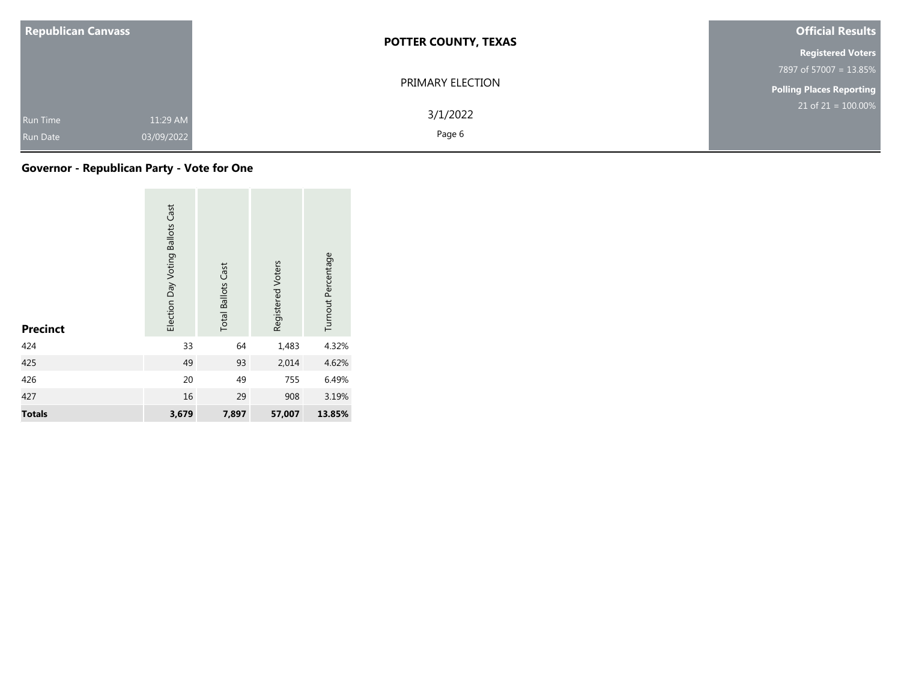| <b>Republican Canvass</b>                                    | <b>POTTER COUNTY, TEXAS</b> | <b>Official Results</b>         |
|--------------------------------------------------------------|-----------------------------|---------------------------------|
|                                                              |                             | <b>Registered Voters</b>        |
|                                                              |                             | 7897 of 57007 = 13.85%          |
|                                                              | PRIMARY ELECTION            | <b>Polling Places Reporting</b> |
| 11:29 AM<br><b>Run Time</b><br>03/09/2022<br><b>Run Date</b> | 3/1/2022<br>Page 6          | $21$ of $21 = 100.00\%$         |

| <b>Precinct</b> | Election Day Voting Ballots Cast | <b>Total Ballots Cast</b> | Registered Voters | Turnout Percentage |
|-----------------|----------------------------------|---------------------------|-------------------|--------------------|
| 424             | 33                               | 64                        | 1,483             | 4.32%              |
| 425             | 49                               | 93                        | 2,014             | 4.62%              |
| 426             | 20                               | 49                        | 755               | 6.49%              |
| 427             | 16                               | 29                        | 908               | 3.19%              |
| <b>Totals</b>   | 3,679                            | 7,897                     | 57,007            | 13.85%             |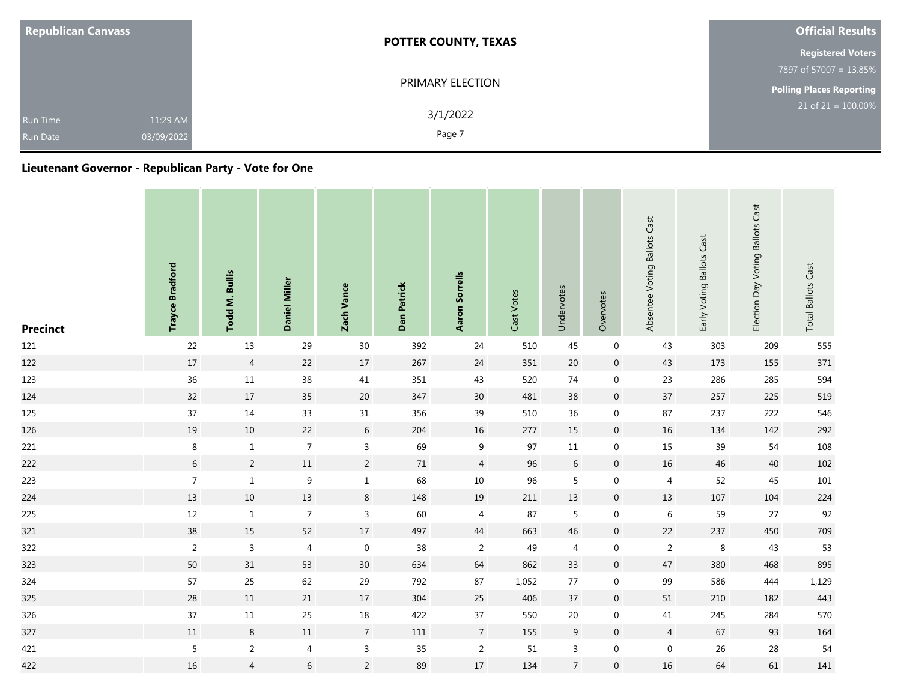| <b>Republican Canvass</b>                                    | <b>POTTER COUNTY, TEXAS</b> | <b>Official Results</b>         |
|--------------------------------------------------------------|-----------------------------|---------------------------------|
|                                                              |                             | <b>Registered Voters</b>        |
|                                                              |                             | 7897 of 57007 = 13.85%          |
|                                                              | PRIMARY ELECTION            | <b>Polling Places Reporting</b> |
| 11:29 AM<br><b>Run Time</b><br>03/09/2022<br><b>Run Date</b> | 3/1/2022<br>Page 7          | $21$ of $21 = 100.00\%$         |

| <b>Precinct</b> | <b>Trayce Bradford</b> | Todd M. Bullis | Daniel Miller    | Zach Vance       | Dan Patrick | <b>Aaron Sorrells</b> | Cast Votes | Undervotes     | Overvotes        | Absentee Voting Ballots Cast | Early Voting Ballots Cast | Election Day Voting Ballots Cast | <b>Total Ballots Cast</b> |
|-----------------|------------------------|----------------|------------------|------------------|-------------|-----------------------|------------|----------------|------------------|------------------------------|---------------------------|----------------------------------|---------------------------|
| 121             | 22                     | 13             | 29               | 30               | 392         | 24                    | 510        | 45             | $\boldsymbol{0}$ | 43                           | 303                       | 209                              | 555                       |
| 122             | $17\,$                 | $\overline{4}$ | 22               | 17               | 267         | 24                    | 351        | 20             | $\mathbf 0$      | 43                           | 173                       | 155                              | $371\,$                   |
| 123             | 36                     | $11\,$         | 38               | 41               | 351         | 43                    | 520        | 74             | $\boldsymbol{0}$ | 23                           | 286                       | 285                              | 594                       |
| 124             | 32                     | $17$           | 35               | $20\,$           | 347         | $30\,$                | 481        | $38\,$         | $\overline{0}$   | 37                           | 257                       | 225                              | 519                       |
| 125             | 37                     | 14             | 33               | $31\,$           | 356         | 39                    | 510        | $36\,$         | $\mathbf 0$      | 87                           | 237                       | 222                              | 546                       |
| 126             | 19                     | $10\,$         | 22               | 6                | 204         | $16\,$                | 277        | 15             | $\overline{0}$   | 16                           | 134                       | 142                              | 292                       |
| 221             | $\bf 8$                | $\,1\,$        | $\overline{7}$   | $\overline{3}$   | 69          | $\boldsymbol{9}$      | 97         | $11\,$         | $\boldsymbol{0}$ | 15                           | 39                        | 54                               | 108                       |
| 222             | $6\phantom{.}6$        | $\overline{2}$ | $11\,$           | $\overline{2}$   | 71          | $\overline{4}$        | 96         | $6\,$          | $\,0\,$          | 16                           | 46                        | 40                               | 102                       |
| 223             | $\overline{7}$         | $\,1\,$        | $\boldsymbol{9}$ | $\mathbf 1$      | 68          | $10\,$                | 96         | 5              | $\boldsymbol{0}$ | $\overline{4}$               | 52                        | 45                               | $101\,$                   |
| 224             | 13                     | $10\,$         | 13               | $\,8\,$          | 148         | 19                    | 211        | 13             | $\mathbf 0$      | 13                           | 107                       | 104                              | 224                       |
| 225             | 12                     | $\mathbf{1}$   | $\overline{7}$   | $\overline{3}$   | 60          | 4                     | 87         | 5              | $\mathbf 0$      | $\,6\,$                      | 59                        | 27                               | 92                        |
| 321             | 38                     | 15             | 52               | $17\,$           | 497         | 44                    | 663        | 46             | $\boldsymbol{0}$ | 22                           | 237                       | 450                              | 709                       |
| 322             | $\overline{c}$         | $\mathsf 3$    | $\overline{4}$   | $\boldsymbol{0}$ | $38\,$      | $\overline{2}$        | 49         | $\overline{4}$ | $\mathbf 0$      | $\overline{2}$               | $\,8\,$                   | 43                               | 53                        |
| 323             | $50\,$                 | 31             | 53               | 30               | 634         | 64                    | 862        | 33             | $\,0\,$          | 47                           | 380                       | 468                              | 895                       |
| 324             | 57                     | 25             | 62               | 29               | 792         | 87                    | 1,052      | $77$           | $\mathbf 0$      | 99                           | 586                       | 444                              | 1,129                     |
| 325             | $28\,$                 | $11\,$         | 21               | $17\,$           | 304         | 25                    | 406        | 37             | $\mathbf 0$      | 51                           | 210                       | 182                              | 443                       |
| 326             | 37                     | $11\,$         | 25               | 18               | 422         | 37                    | 550        | $20\,$         | $\mathbf 0$      | 41                           | 245                       | 284                              | 570                       |
| 327             | $11\,$                 | $\bf 8$        | $11\,$           | $\overline{7}$   | 111         | $\overline{7}$        | 155        | 9              | $\overline{0}$   | $\overline{4}$               | 67                        | 93                               | 164                       |
| 421             | 5                      | $\overline{2}$ | 4                | $\mathsf{3}$     | 35          | $\overline{2}$        | 51         | 3              | $\mathbf 0$      | $\boldsymbol{0}$             | $26\,$                    | 28                               | 54                        |
| 422             | $16\,$                 | $\overline{4}$ | $\sqrt{6}$       | $\overline{2}$   | 89          | $17\,$                | 134        | $\overline{7}$ | $\boldsymbol{0}$ | 16                           | 64                        | 61                               | 141                       |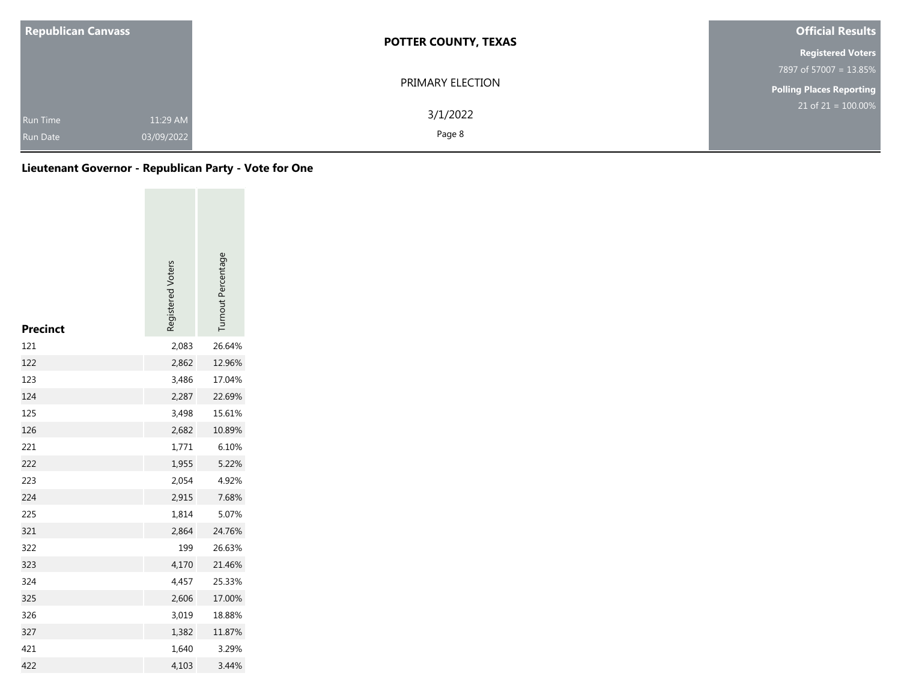| <b>Republican Canvass</b>          |                        | <b>POTTER COUNTY, TEXAS</b> | <b>Official Results</b>         |  |  |
|------------------------------------|------------------------|-----------------------------|---------------------------------|--|--|
|                                    |                        |                             | <b>Registered Voters</b>        |  |  |
|                                    |                        |                             | 7897 of 57007 = 13.85%          |  |  |
|                                    |                        | PRIMARY ELECTION            | <b>Polling Places Reporting</b> |  |  |
| <b>Run Time</b><br><b>Run Date</b> | 11:29 AM<br>03/09/2022 | 3/1/2022<br>Page 8          | $21$ of 21 = 100.00%            |  |  |

| Precinct | Registered Voters | Turnout Percentage |
|----------|-------------------|--------------------|
| 121      | 2,083             | 26.64%             |
| 122      | 2,862             | 12.96%             |
| 123      | 3,486             | 17.04%             |
| 124      | 2,287             | 22.69%             |
| 125      | 3,498             | 15.61%             |
| 126      | 2,682             | 10.89%             |
| 221      | 1,771             | 6.10%              |
| 222      | 1,955             | 5.22%              |
| 223      | 2,054             | 4.92%              |
| 224      | 2,915             | 7.68%              |
| 225      | 1,814             | 5.07%              |
| 321      | 2,864             | 24.76%             |
| 322      | 199               | 26.63%             |
| 323      | 4,170             | 21.46%             |
| 324      | 4,457             | 25.33%             |
| 325      | 2,606             | 17.00%             |
| 326      | 3,019             | 18.88%             |
| 327      | 1,382             | 11.87%             |
| 421      | 1,640             | 3.29%              |
| 422      | 4,103             | 3.44%              |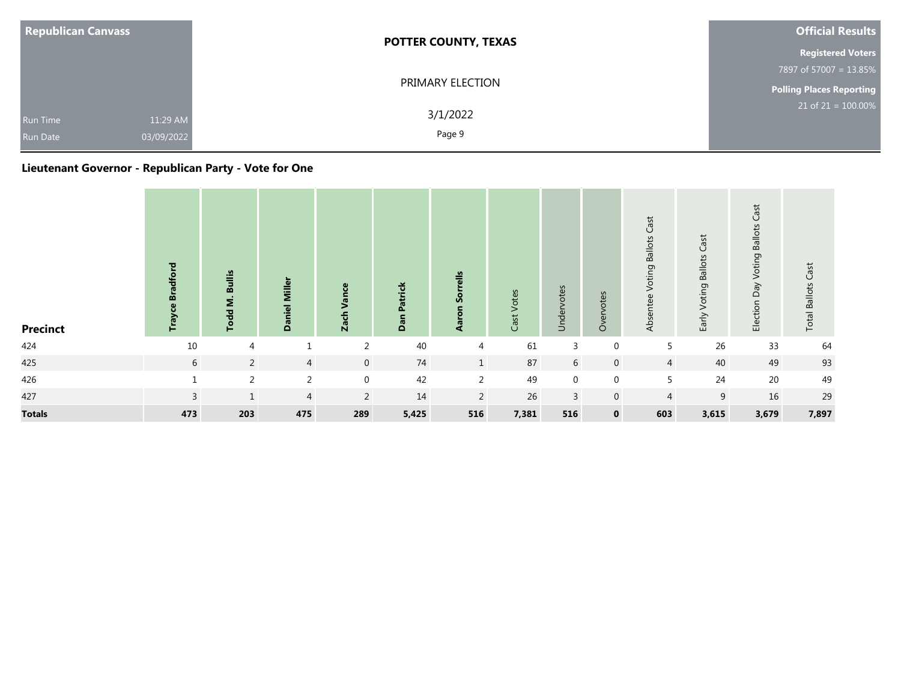| <b>Republican Canvass</b>          |                        | <b>POTTER COUNTY, TEXAS</b> | <b>Official Results</b>         |  |  |
|------------------------------------|------------------------|-----------------------------|---------------------------------|--|--|
|                                    |                        | <b>Registered Voters</b>    |                                 |  |  |
|                                    |                        |                             | 7897 of 57007 = 13.85%          |  |  |
|                                    |                        | PRIMARY ELECTION            | <b>Polling Places Reporting</b> |  |  |
| <b>Run Time</b><br><b>Run Date</b> | 11:29 AM<br>03/09/2022 | 3/1/2022<br>Page 9          | $21$ of $21 = 100.00\%$         |  |  |

| <b>Precinct</b> | <b>Bradford</b><br><b>Trayce</b> | <b>Bullis</b><br>Todd M. | Daniel Miller  | Vance<br><b>Zach</b> | Patrick<br>Dan | rells<br>န္တ<br>$\overline{\mathbf{a}}$<br>⋖ | Votes<br>Cast <sup>-</sup> | Undervotes     | otes<br>$\omega$<br>$\delta$ | Cast<br>Voting Ballots<br>Absentee | <b>Voting Ballots Cast</b><br>Early | Cast<br>Voting Ballots<br>Ved<br>Election | <b>Total Ballots Cast</b> |
|-----------------|----------------------------------|--------------------------|----------------|----------------------|----------------|----------------------------------------------|----------------------------|----------------|------------------------------|------------------------------------|-------------------------------------|-------------------------------------------|---------------------------|
| 424             | 10                               | $\overline{4}$           |                | $\overline{2}$       | 40             | 4                                            | 61                         | 3              | $\mathbf 0$                  | 5                                  | 26                                  | 33                                        | 64                        |
| 425             | 6                                | $\overline{2}$           | $\overline{4}$ | $\overline{0}$       | 74             | $\mathbf{1}$                                 | 87                         | 6              | $\mathbf{0}$                 | $\overline{4}$                     | 40                                  | 49                                        | 93                        |
| 426             |                                  | 2                        | 2              | $\mathbf{0}$         | 42             | 2                                            | 49                         | $\overline{0}$ | $\mathbf{0}$                 | 5                                  | 24                                  | 20                                        | 49                        |
| 427             | 3                                | $1\,$                    | $\overline{4}$ | 2                    | 14             | 2                                            | 26                         | 3              | $\mathbf 0$                  | $\overline{4}$                     | 9                                   | 16                                        | 29                        |
| <b>Totals</b>   | 473                              | 203                      | 475            | 289                  | 5,425          | 516                                          | 7,381                      | 516            | $\mathbf 0$                  | 603                                | 3,615                               | 3,679                                     | 7,897                     |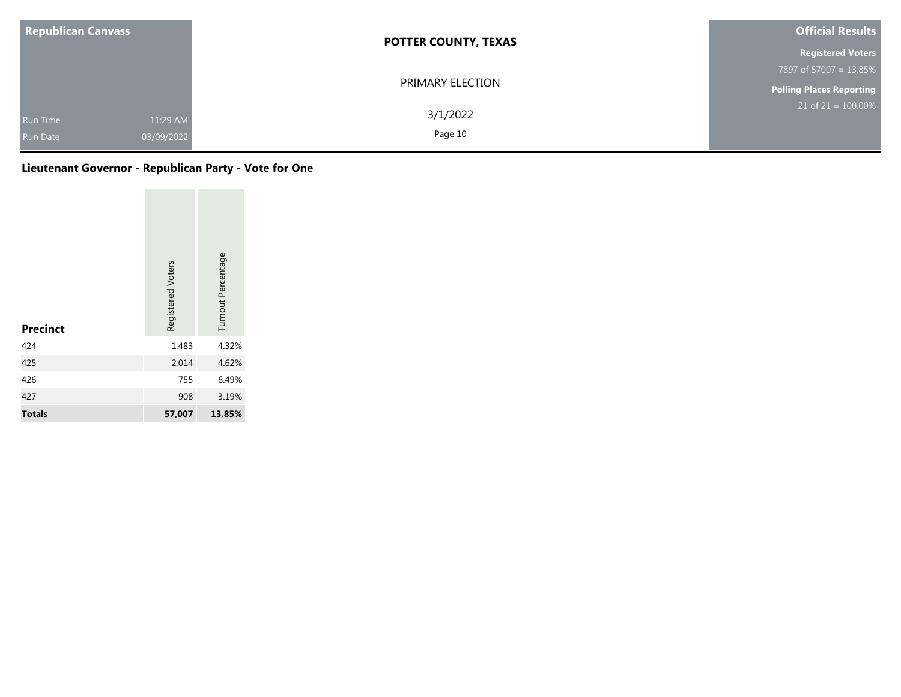| <b>Republican Canvass</b>                 | <b>POTTER COUNTY, TEXAS</b>     | <b>Official Results</b>  |  |  |
|-------------------------------------------|---------------------------------|--------------------------|--|--|
|                                           |                                 | <b>Registered Voters</b> |  |  |
|                                           |                                 | 7897 of 57007 = 13.85%   |  |  |
|                                           | PRIMARY ELECTION                | Polling Places Reporting |  |  |
| Run Time<br>03/09/2022<br><b>Run Date</b> | 3/1/2022<br>11:29 AM<br>Page 10 | $21$ of $21 = 100.00\%$  |  |  |

| <b>Precinct</b> | Registered Voters | Turnout Percentage |  |
|-----------------|-------------------|--------------------|--|
| 424             | 1,483             | 4.32%              |  |
| 425             | 2,014             | 4.62%              |  |
| 426             | 755               | 6.49%              |  |
| 427             | 908               | 3.19%              |  |
| <b>Totals</b>   | 57,007            | 13.85%             |  |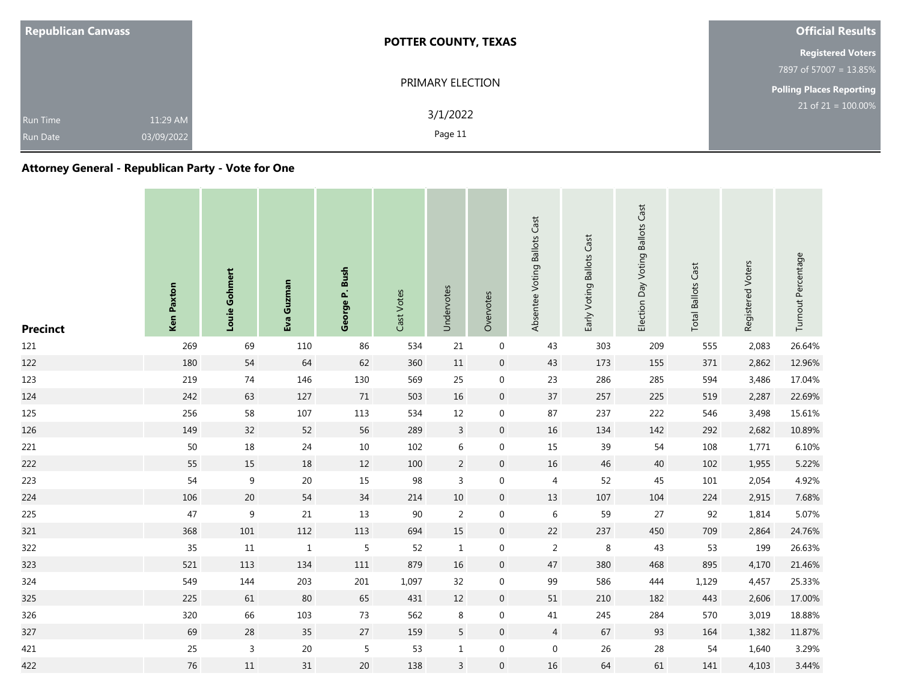| <b>Republican Canvass</b>          |                        | <b>POTTER COUNTY, TEXAS</b> | <b>Official Results</b>            |  |  |
|------------------------------------|------------------------|-----------------------------|------------------------------------|--|--|
|                                    |                        |                             | <b>Registered Voters</b>           |  |  |
|                                    |                        |                             | 7897 of 57007 = 13.85%             |  |  |
|                                    |                        | PRIMARY ELECTION            | Polling Places Reporting           |  |  |
| <b>Run Time</b><br><b>Run Date</b> | 11:29 AM<br>03/09/2022 | 3/1/2022<br>Page 11         | $21$ of 21 = $\overline{100.00\%}$ |  |  |

## **Attorney General - Republican Party - Vote for One**

| <b>Precinct</b> | <b>Ken Paxton</b> | Louie Gohmert    | Eva Guzman   | George P. Bush | Cast Votes | Undervotes     | Overvotes        | Absentee Voting Ballots Cast | Early Voting Ballots Cast | Election Day Voting Ballots Cast | <b>Total Ballots Cast</b> | Registered Voters | Turnout Percentage |
|-----------------|-------------------|------------------|--------------|----------------|------------|----------------|------------------|------------------------------|---------------------------|----------------------------------|---------------------------|-------------------|--------------------|
| 121             | 269               | 69               | 110          | 86             | 534        | 21             | $\boldsymbol{0}$ | 43                           | 303                       | 209                              | 555                       | 2,083             | 26.64%             |
| 122             | 180               | 54               | 64           | 62             | 360        | 11             | $\overline{0}$   | 43                           | 173                       | 155                              | 371                       | 2,862             | 12.96%             |
| 123             | 219               | $74\,$           | 146          | 130            | 569        | 25             | $\boldsymbol{0}$ | 23                           | 286                       | 285                              | 594                       | 3,486             | 17.04%             |
| 124             | 242               | 63               | 127          | $71\,$         | 503        | 16             | $\,0\,$          | 37                           | 257                       | 225                              | 519                       | 2,287             | 22.69%             |
| 125             | 256               | 58               | 107          | 113            | 534        | 12             | $\boldsymbol{0}$ | 87                           | 237                       | 222                              | 546                       | 3,498             | 15.61%             |
| 126             | 149               | $32\,$           | 52           | 56             | 289        | $\mathsf{3}$   | $\overline{0}$   | 16                           | 134                       | 142                              | 292                       | 2,682             | 10.89%             |
| 221             | $50\,$            | $18\,$           | 24           | $10\,$         | 102        | $\,6\,$        | $\mathbf 0$      | 15                           | 39                        | 54                               | 108                       | 1,771             | 6.10%              |
| 222             | 55                | 15               | $18\,$       | 12             | 100        | $\overline{2}$ | $\overline{0}$   | $16\,$                       | 46                        | $40\,$                           | 102                       | 1,955             | 5.22%              |
| 223             | 54                | $\boldsymbol{9}$ | $20\,$       | 15             | 98         | 3              | $\mathbf 0$      | $\overline{4}$               | 52                        | 45                               | 101                       | 2,054             | 4.92%              |
| 224             | 106               | 20               | 54           | 34             | 214        | $10\,$         | $\overline{0}$   | 13                           | 107                       | 104                              | 224                       | 2,915             | 7.68%              |
| 225             | 47                | $\overline{9}$   | 21           | 13             | 90         | $\overline{2}$ | $\mathbf 0$      | $\,6\,$                      | 59                        | 27                               | 92                        | 1,814             | 5.07%              |
| 321             | 368               | 101              | 112          | 113            | 694        | 15             | $\overline{0}$   | $22\,$                       | 237                       | 450                              | 709                       | 2,864             | 24.76%             |
| 322             | 35                | $11\,$           | $\mathbf{1}$ | $\overline{5}$ | 52         | $\mathbf{1}$   | $\mathbf 0$      | $\overline{2}$               | 8                         | 43                               | 53                        | 199               | 26.63%             |
| 323             | 521               | 113              | 134          | $111\,$        | 879        | 16             | $\overline{0}$   | 47                           | 380                       | 468                              | 895                       | 4,170             | 21.46%             |
| 324             | 549               | 144              | 203          | 201            | 1,097      | 32             | $\boldsymbol{0}$ | 99                           | 586                       | 444                              | 1,129                     | 4,457             | 25.33%             |
| 325             | 225               | 61               | 80           | 65             | 431        | 12             | $\overline{0}$   | 51                           | 210                       | 182                              | 443                       | 2,606             | 17.00%             |
| 326             | 320               | 66               | 103          | 73             | 562        | 8              | $\mathbf 0$      | 41                           | 245                       | 284                              | 570                       | 3,019             | 18.88%             |
| 327             | 69                | 28               | 35           | 27             | 159        | 5              | $\overline{0}$   | $\overline{4}$               | 67                        | 93                               | 164                       | 1,382             | 11.87%             |
| 421             | 25                | $\mathsf{3}$     | $20\,$       | $\overline{5}$ | 53         | $\mathbf{1}$   | 0                | $\boldsymbol{0}$             | 26                        | 28                               | 54                        | 1,640             | 3.29%              |
| 422             | 76                | $11\,$           | 31           | $20\,$         | 138        | $\overline{3}$ | $\boldsymbol{0}$ | 16                           | 64                        | 61                               | 141                       | 4,103             | 3.44%              |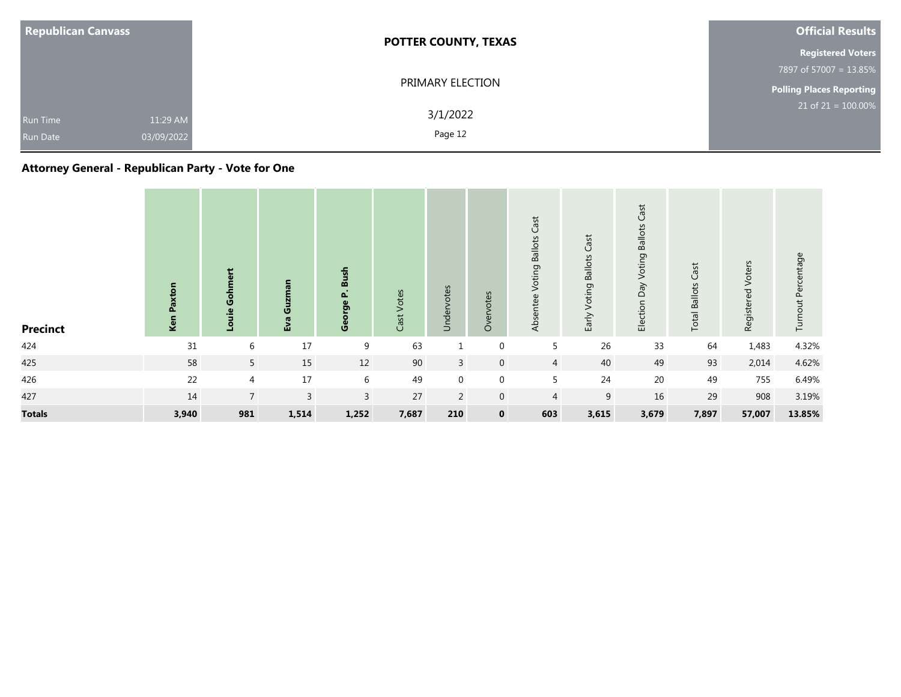| <b>Republican Canvass</b>                                    | <b>POTTER COUNTY, TEXAS</b> | <b>Official Results</b><br><b>Registered Voters</b> |  |  |  |  |
|--------------------------------------------------------------|-----------------------------|-----------------------------------------------------|--|--|--|--|
|                                                              |                             |                                                     |  |  |  |  |
|                                                              |                             | 7897 of 57007 = 13.85%                              |  |  |  |  |
|                                                              | PRIMARY ELECTION            | <b>Polling Places Reporting</b>                     |  |  |  |  |
| 11:29 AM<br><b>Run Time</b><br>03/09/2022<br><b>Run Date</b> | 3/1/2022<br>Page 12         | $21$ of $21 = 100.00\%$                             |  |  |  |  |

## **Attorney General - Republican Party - Vote for One**

| <b>Precinct</b> | Paxton<br>Ken | Gohmert<br>Louie | Guzman<br>Eva | Bush<br>$\cdot$<br>Δ.<br><b>ge</b><br><b>Geo</b> | Votes<br>Cast | Undervotes     | Overvotes    | Cast<br>Voting Ballots<br>Absentee | Voting Ballots Cast<br>Early | <b>Ballots Cast</b><br>Election Day Voting | <b>Total Ballots Cast</b> | Registered Voters | Turnout Percentage |
|-----------------|---------------|------------------|---------------|--------------------------------------------------|---------------|----------------|--------------|------------------------------------|------------------------------|--------------------------------------------|---------------------------|-------------------|--------------------|
| 424             | 31            | 6                | $17\,$        | 9                                                | 63            |                | $\mathbf 0$  | 5                                  | 26                           | 33                                         | 64                        | 1,483             | 4.32%              |
| 425             | 58            | $5\overline{)}$  | 15            | 12                                               | 90            | $\overline{3}$ | $\mathbf 0$  | $\overline{4}$                     | 40                           | 49                                         | 93                        | 2,014             | 4.62%              |
| 426             | 22            | $\overline{4}$   | 17            | 6                                                | 49            | $\mathbf{0}$   | $\mathbf 0$  | 5                                  | 24                           | 20                                         | 49                        | 755               | 6.49%              |
| 427             | 14            | $\overline{7}$   | $\mathbf{3}$  | $\mathbf{3}$                                     | 27            | $\overline{2}$ | $\mathbf 0$  | 4                                  | $\boldsymbol{9}$             | 16                                         | 29                        | 908               | 3.19%              |
| <b>Totals</b>   | 3,940         | 981              | 1,514         | 1,252                                            | 7,687         | 210            | $\mathbf{0}$ | 603                                | 3,615                        | 3,679                                      | 7,897                     | 57,007            | 13.85%             |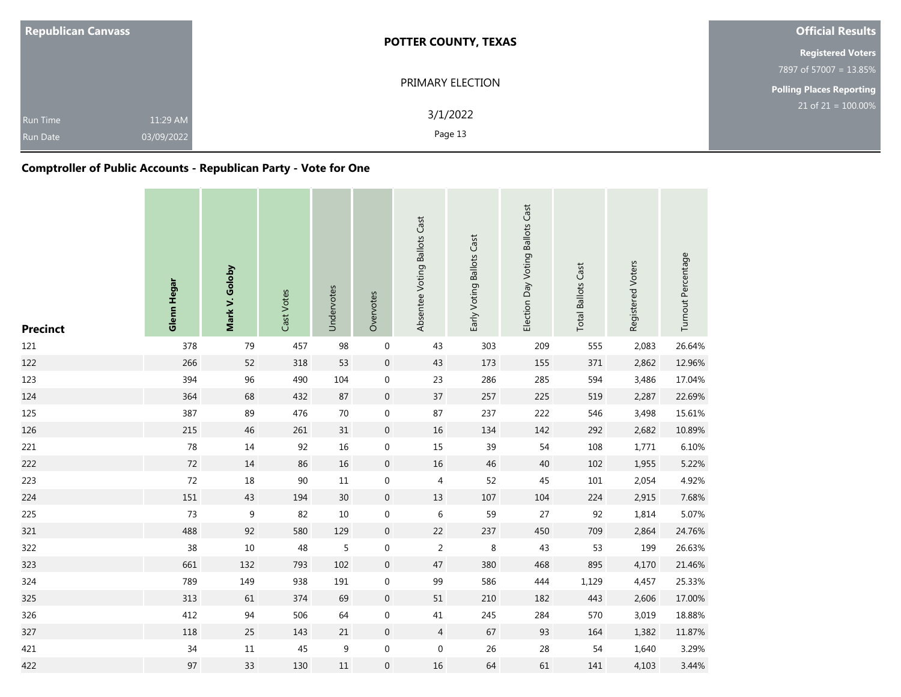| <b>Republican Canvass</b>                             | <b>POTTER COUNTY, TEXAS</b> | <b>Official Results</b>            |
|-------------------------------------------------------|-----------------------------|------------------------------------|
|                                                       |                             | <b>Registered Voters</b>           |
|                                                       |                             | 7897 of 57007 = 13.85%             |
|                                                       | PRIMARY ELECTION            | <b>Polling Places Reporting</b>    |
| 11:29 AM<br><b>Run Time</b><br>03/09/2022<br>Run Date | 3/1/2022<br>Page 13         | $21$ of 21 = $\overline{100.00\%}$ |

## **Comptroller of Public Accounts - Republican Party - Vote for One**

| <b>Precinct</b> | Glenn Hegar | Mark V. Goloby | Cast Votes | Undervotes | Overvotes        | Absentee Voting Ballots Cast | Early Voting Ballots Cast | Election Day Voting Ballots Cast | Cast<br><b>Total Ballots</b> | Registered Voters | Turnout Percentage |
|-----------------|-------------|----------------|------------|------------|------------------|------------------------------|---------------------------|----------------------------------|------------------------------|-------------------|--------------------|
| 121             | 378         | 79             | 457        | 98         | $\boldsymbol{0}$ | 43                           | 303                       | 209                              | 555                          | 2,083             | 26.64%             |
| 122             | 266         | 52             | 318        | 53         | $\boldsymbol{0}$ | 43                           | 173                       | 155                              | 371                          | 2,862             | 12.96%             |
| 123             | 394         | 96             | 490        | 104        | $\boldsymbol{0}$ | 23                           | 286                       | 285                              | 594                          | 3,486             | 17.04%             |
| 124             | 364         | 68             | 432        | 87         | $\boldsymbol{0}$ | 37                           | 257                       | 225                              | 519                          | 2,287             | 22.69%             |
| 125             | 387         | 89             | 476        | 70         | $\mathbf 0$      | 87                           | 237                       | 222                              | 546                          | 3,498             | 15.61%             |
| 126             | 215         | 46             | 261        | 31         | $\boldsymbol{0}$ | 16                           | 134                       | 142                              | 292                          | 2,682             | 10.89%             |
| 221             | 78          | 14             | 92         | 16         | $\boldsymbol{0}$ | $15\,$                       | 39                        | 54                               | 108                          | 1,771             | 6.10%              |
| 222             | 72          | 14             | 86         | 16         | $\mathbf 0$      | 16                           | 46                        | 40                               | 102                          | 1,955             | 5.22%              |
| 223             | 72          | $18\,$         | 90         | $11\,$     | $\boldsymbol{0}$ | $\overline{4}$               | 52                        | 45                               | $101\,$                      | 2,054             | 4.92%              |
| 224             | 151         | 43             | 194        | 30         | $\boldsymbol{0}$ | 13                           | 107                       | 104                              | 224                          | 2,915             | 7.68%              |
| 225             | 73          | 9              | 82         | 10         | $\boldsymbol{0}$ | $\,6\,$                      | 59                        | 27                               | 92                           | 1,814             | 5.07%              |
| 321             | 488         | 92             | 580        | 129        | $\mathbf 0$      | 22                           | 237                       | 450                              | 709                          | 2,864             | 24.76%             |
| 322             | 38          | $10\,$         | 48         | 5          | 0                | $\sqrt{2}$                   | $\,8\,$                   | 43                               | 53                           | 199               | 26.63%             |
| 323             | 661         | 132            | 793        | 102        | $\boldsymbol{0}$ | 47                           | 380                       | 468                              | 895                          | 4,170             | 21.46%             |
| 324             | 789         | 149            | 938        | 191        | $\boldsymbol{0}$ | 99                           | 586                       | 444                              | 1,129                        | 4,457             | 25.33%             |
| 325             | 313         | 61             | 374        | 69         | $\mathbf 0$      | 51                           | 210                       | 182                              | 443                          | 2,606             | 17.00%             |
| 326             | 412         | 94             | 506        | 64         | 0                | $41\,$                       | 245                       | 284                              | 570                          | 3,019             | 18.88%             |
| 327             | 118         | 25             | 143        | 21         | $\mathbf 0$      | $\overline{4}$               | 67                        | 93                               | 164                          | 1,382             | 11.87%             |
| 421             | 34          | $11\,$         | 45         | 9          | 0                | $\boldsymbol{0}$             | 26                        | 28                               | 54                           | 1,640             | 3.29%              |
| 422             | 97          | 33             | 130        | $11\,$     | $\mathbf 0$      | 16                           | 64                        | 61                               | 141                          | 4,103             | 3.44%              |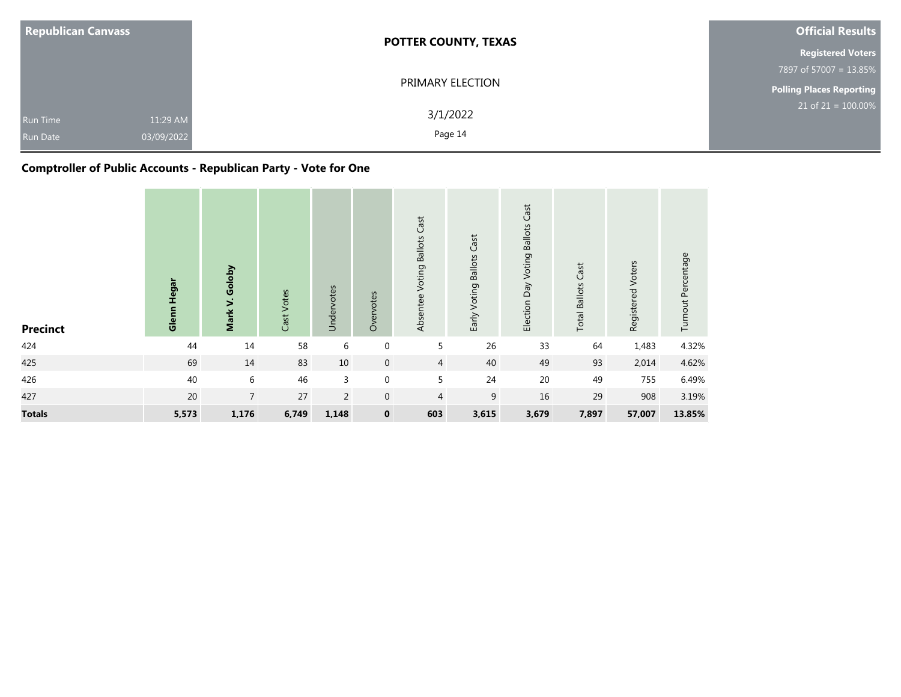| <b>Republican Canvass</b>                                    | <b>POTTER COUNTY, TEXAS</b> | <b>Official Results</b>            |  |  |
|--------------------------------------------------------------|-----------------------------|------------------------------------|--|--|
|                                                              |                             | <b>Registered Voters</b>           |  |  |
|                                                              |                             | 7897 of 57007 = 13.85%             |  |  |
|                                                              | PRIMARY ELECTION            | <b>Polling Places Reporting</b>    |  |  |
| 11:29 AM<br><b>Run Time</b><br>03/09/2022<br><b>Run Date</b> | 3/1/2022<br>Page 14         | $21$ of 21 = $\overline{100.00\%}$ |  |  |

# **Comptroller of Public Accounts - Republican Party - Vote for One**

| <b>Precinct</b> | Glenn Hegar | Mark V. Goloby | Cast Votes | Undervotes     | Overvotes        | Cast<br>Absentee Voting Ballots | Early Voting Ballots Cast | Voting Ballots Cast<br>Election Day | <b>Total Ballots Cast</b> | Registered Voters | Turnout Percentage |
|-----------------|-------------|----------------|------------|----------------|------------------|---------------------------------|---------------------------|-------------------------------------|---------------------------|-------------------|--------------------|
| 424             | 44          | 14             | 58         | 6              | 0                | 5                               | 26                        | 33                                  | 64                        | 1,483             | 4.32%              |
| 425             | 69          | 14             | 83         | 10             | $\mathbf 0$      | $\overline{4}$                  | 40                        | 49                                  | 93                        | 2,014             | 4.62%              |
| 426             | 40          | 6              | 46         | 3              | $\boldsymbol{0}$ | 5                               | 24                        | 20                                  | 49                        | 755               | 6.49%              |
| 427             | 20          | $\overline{7}$ | 27         | $\overline{2}$ | $\mathbf{0}$     | 4                               | 9                         | 16                                  | 29                        | 908               | 3.19%              |
| <b>Totals</b>   | 5,573       | 1,176          | 6,749      | 1,148          | $\mathbf 0$      | 603                             | 3,615                     | 3,679                               | 7,897                     | 57,007            | 13.85%             |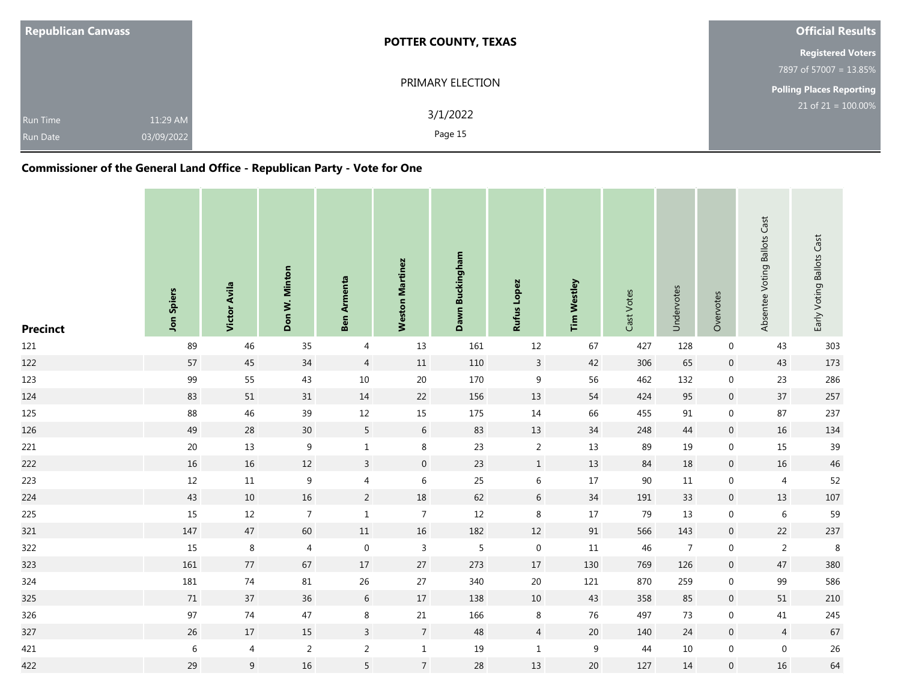| <b>Republican Canvass</b>                                    | <b>POTTER COUNTY, TEXAS</b> | <b>Official Results</b>  |
|--------------------------------------------------------------|-----------------------------|--------------------------|
|                                                              |                             | <b>Registered Voters</b> |
|                                                              |                             | 7897 of 57007 = 13.85%   |
|                                                              | PRIMARY ELECTION            | Polling Places Reporting |
| 11:29 AM<br><b>Run Time</b><br>03/09/2022<br><b>Run Date</b> | 3/1/2022<br>Page 15         | $21$ of $21 = 100.00\%$  |

| <b>Precinct</b> | Jon Spiers  | Victor Avila   | Don W. Minton    | Ben Armenta      | <b>Weston Martinez</b> | Dawn Buckingham | Rufus Lopez      | <b>Tim Westley</b> | Cast Votes | Undervotes     | Overvotes        | Absentee Voting Ballots Cast | Early Voting Ballots Cast |
|-----------------|-------------|----------------|------------------|------------------|------------------------|-----------------|------------------|--------------------|------------|----------------|------------------|------------------------------|---------------------------|
| 121             | 89          | 46             | 35               | 4                | 13                     | 161             | 12               | 67                 | 427        | 128            | $\boldsymbol{0}$ | 43                           | 303                       |
| 122             | 57          | 45             | $34\,$           | $\overline{4}$   | $11\,$                 | 110             | $\overline{3}$   | 42                 | 306        | 65             | $\boldsymbol{0}$ | 43                           | 173                       |
| 123             | 99          | 55             | 43               | $10\,$           | 20                     | 170             | $\boldsymbol{9}$ | 56                 | 462        | 132            | $\boldsymbol{0}$ | 23                           | 286                       |
| 124             | 83          | 51             | $31\,$           | 14               | $22\,$                 | 156             | 13               | 54                 | 424        | 95             | $\boldsymbol{0}$ | 37                           | 257                       |
| 125             | 88          | 46             | $39\,$           | 12               | 15                     | 175             | 14               | 66                 | 455        | $91\,$         | $\boldsymbol{0}$ | 87                           | 237                       |
| 126             | 49          | $28\,$         | $30\,$           | $\overline{5}$   | $\sqrt{6}$             | 83              | 13               | $34\,$             | 248        | 44             | $\boldsymbol{0}$ | 16                           | 134                       |
| 221             | $20\,$      | $13\,$         | $\boldsymbol{9}$ | $1\,$            | $\,8\,$                | 23              | $\overline{2}$   | 13                 | 89         | 19             | $\overline{0}$   | 15                           | 39                        |
| 222             | 16          | 16             | 12               | $\mathbf{3}$     | $\mathbf 0$            | 23              | $1\,$            | 13                 | 84         | 18             | $\overline{0}$   | 16                           | $46\,$                    |
| 223             | $12\,$      | 11             | $\boldsymbol{9}$ | $\overline{4}$   | $\,6\,$                | 25              | $6\,$            | 17                 | 90         | 11             | $\overline{0}$   | $\overline{4}$               | 52                        |
| 224             | 43          | $10\,$         | 16               | $\overline{2}$   | 18                     | 62              | $6\phantom{.}6$  | 34                 | 191        | 33             | $\boldsymbol{0}$ | 13                           | 107                       |
| 225             | 15          | $12\,$         | $\overline{7}$   | $\,1\,$          | $\overline{7}$         | $12\,$          | $\,8\,$          | 17                 | 79         | 13             | $\boldsymbol{0}$ | $\,6\,$                      | 59                        |
| 321             | 147         | $47\,$         | 60               | $11\,$           | 16                     | 182             | 12               | 91                 | 566        | 143            | $\boldsymbol{0}$ | 22                           | 237                       |
| 322             | 15          | $\,8\,$        | 4                | $\boldsymbol{0}$ | $\overline{3}$         | 5               | $\overline{0}$   | $11\,$             | 46         | $\overline{7}$ | $\boldsymbol{0}$ | $\overline{2}$               | $\,8\,$                   |
| 323             | 161         | 77             | 67               | 17               | 27                     | 273             | 17               | 130                | 769        | 126            | $\pmb{0}$        | 47                           | 380                       |
| 324             | 181         | $74$           | $81\,$           | 26               | $27\,$                 | 340             | 20               | 121                | 870        | 259            | $\boldsymbol{0}$ | 99                           | 586                       |
| 325             | $71\,$      | 37             | 36               | $\sqrt{6}$       | $17\,$                 | 138             | $10\,$           | 43                 | 358        | 85             | $\boldsymbol{0}$ | 51                           | $210\,$                   |
| 326             | 97          | 74             | $47\,$           | $\bf 8$          | $21\,$                 | 166             | $\bf 8$          | 76                 | 497        | 73             | $\boldsymbol{0}$ | 41                           | 245                       |
| 327             | $26\,$      | $17\,$         | 15               | $\overline{3}$   | $\overline{7}$         | 48              | $\overline{4}$   | $20\,$             | 140        | 24             | $\overline{0}$   | $\overline{4}$               | 67                        |
| 421             | $\,$ 6 $\,$ | 4              | $\overline{2}$   | $\overline{2}$   | $\mathbf{1}$           | 19              | $\mathbf{1}$     | $\boldsymbol{9}$   | 44         | 10             | $\boldsymbol{0}$ | $\boldsymbol{0}$             | $26\,$                    |
| 422             | 29          | $\overline{9}$ | $16\,$           | 5                | $\overline{7}$         | $28\,$          | 13               | 20                 | 127        | $14\,$         | $\boldsymbol{0}$ | 16                           | 64                        |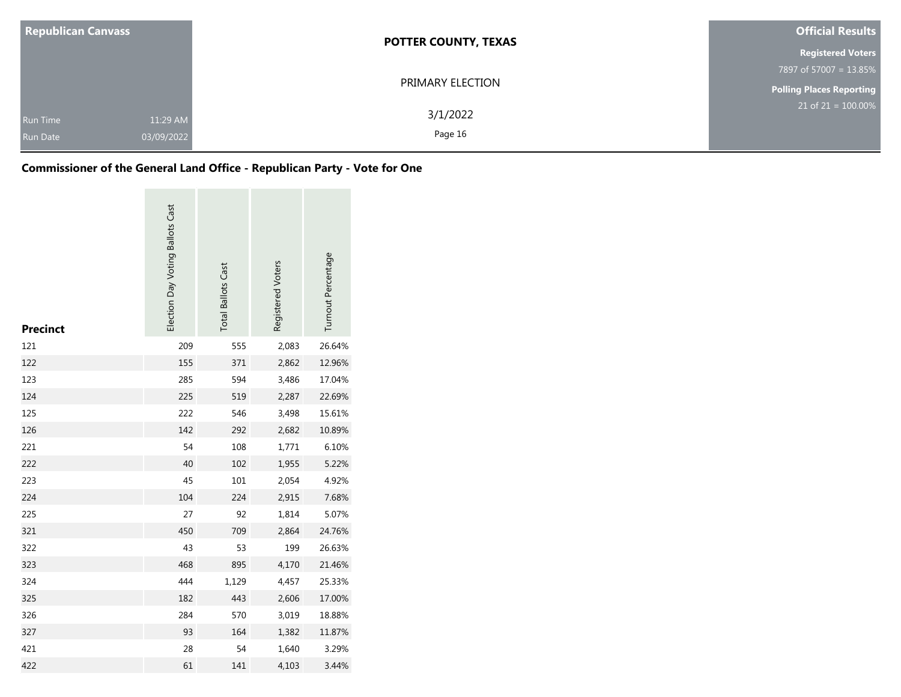| <b>Republican Canvass</b>          |                        | <b>POTTER COUNTY, TEXAS</b> | <b>Official Results</b>  |  |  |
|------------------------------------|------------------------|-----------------------------|--------------------------|--|--|
|                                    |                        |                             | <b>Registered Voters</b> |  |  |
|                                    |                        |                             | 7897 of 57007 = 13.85%   |  |  |
|                                    |                        | PRIMARY ELECTION            | Polling Places Reporting |  |  |
| <b>Run Time</b><br><b>Run Date</b> | 11:29 AM<br>03/09/2022 | 3/1/2022<br>Page 16         | $21$ of 21 = 100.00%     |  |  |

| <b>Precinct</b> | Election Day Voting Ballots Cast | <b>Total Ballots Cast</b> | Registered Voters | Turnout Percentage |
|-----------------|----------------------------------|---------------------------|-------------------|--------------------|
| 121             | 209                              | 555                       | 2,083             | 26.64%             |
| 122             | 155                              | 371                       | 2,862             | 12.96%             |
| 123             | 285                              | 594                       | 3,486             | 17.04%             |
| 124             | 225                              | 519                       | 2,287             | 22.69%             |
| 125             | 222                              | 546                       | 3,498             | 15.61%             |
| 126             | 142                              | 292                       | 2,682             | 10.89%             |
| 221             | 54                               | 108                       | 1,771             | 6.10%              |
| 222             | 40                               | 102                       | 1,955             | 5.22%              |
| 223             | 45                               | 101                       | 2,054             | 4.92%              |
| 224             | 104                              | 224                       | 2,915             | 7.68%              |
| 225             | 27                               | 92                        | 1,814             | 5.07%              |
| 321             | 450                              | 709                       | 2,864             | 24.76%             |
| 322             | 43                               | 53                        | 199               | 26.63%             |
| 323             | 468                              | 895                       | 4,170             | 21.46%             |
| 324             | 444                              | 1,129                     | 4,457             | 25.33%             |
| 325             | 182                              | 443                       | 2,606             | 17.00%             |
| 326             | 284                              | 570                       | 3,019             | 18.88%             |
| 327             | 93                               | 164                       | 1,382             | 11.87%             |
| 421             | 28                               | 54                        | 1,640             | 3.29%              |
| 422             | 61                               | 141                       | 4,103             | 3.44%              |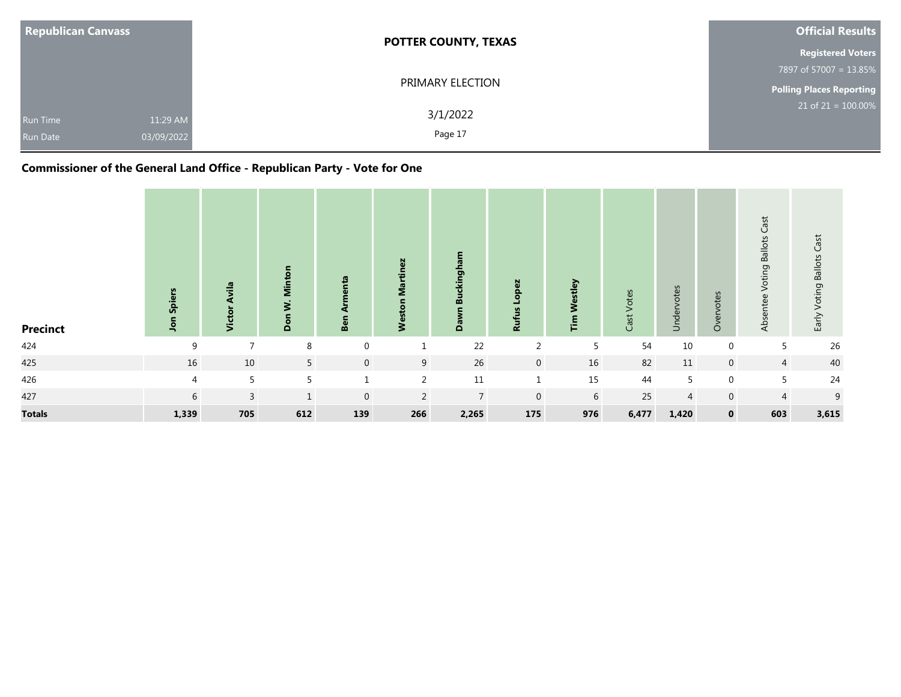| <b>Republican Canvass</b> |            | <b>POTTER COUNTY, TEXAS</b> | Official Results                |  |  |
|---------------------------|------------|-----------------------------|---------------------------------|--|--|
|                           |            |                             | <b>Registered Voters</b>        |  |  |
|                           |            |                             | 7897 of 57007 = 13.85%          |  |  |
|                           |            | PRIMARY ELECTION            | <b>Polling Places Reporting</b> |  |  |
| <b>Run Time</b>           | 11:29 AM   | 3/1/2022                    | $21$ of $21 = 100.00\%$         |  |  |
| <b>Run Date</b>           | 03/09/2022 | Page 17                     |                                 |  |  |

| <b>Precinct</b> | Spiers<br>Jon  | Avila<br>Victor | Minton<br>$\dot{\mathbf{z}}$<br>Don | 으<br>Ben     | <b>Weston Martinez</b> | kingham<br>⋒<br>Dawn | Lopez<br><b>Rufus</b> | Westley<br>$\mathbf{E}$ | Votes<br>Cast <sup>-</sup> | otes<br>Undervo | Overvotes   | Cast<br><b>Ballots</b><br>oting<br>$\geq$<br>ntee<br><b>Abso</b> | Early Voting Ballots Cast |
|-----------------|----------------|-----------------|-------------------------------------|--------------|------------------------|----------------------|-----------------------|-------------------------|----------------------------|-----------------|-------------|------------------------------------------------------------------|---------------------------|
| 424             | 9              | $\overline{ }$  | 8                                   | $\mathbf 0$  | 1                      | 22                   | $\overline{2}$        | 5                       | 54                         | 10              | $\mathbf 0$ | 5                                                                | 26                        |
| 425             | 16             | 10              | 5                                   | $\mathbf 0$  | 9                      | 26                   | $\overline{0}$        | 16                      | 82                         | 11              | $\mathbf 0$ | $\overline{4}$                                                   | 40                        |
| 426             | $\overline{4}$ | 5               | 5                                   | $\mathbf{1}$ | 2                      | 11                   | $\mathbf{1}$          | 15                      | 44                         | 5               | $\mathbf 0$ | 5                                                                | 24                        |
| 427             | 6              | $\mathbf{3}$    | $\mathbf{1}$                        | $\mathbf{0}$ | $\overline{2}$         | $\overline{7}$       | $\mathbf 0$           | 6                       | 25                         | $\overline{4}$  | $\mathbf 0$ | $\overline{4}$                                                   | 9                         |
| <b>Totals</b>   | 1,339          | 705             | 612                                 | 139          | 266                    | 2,265                | 175                   | 976                     | 6,477                      | 1,420           | $\mathbf 0$ | 603                                                              | 3,615                     |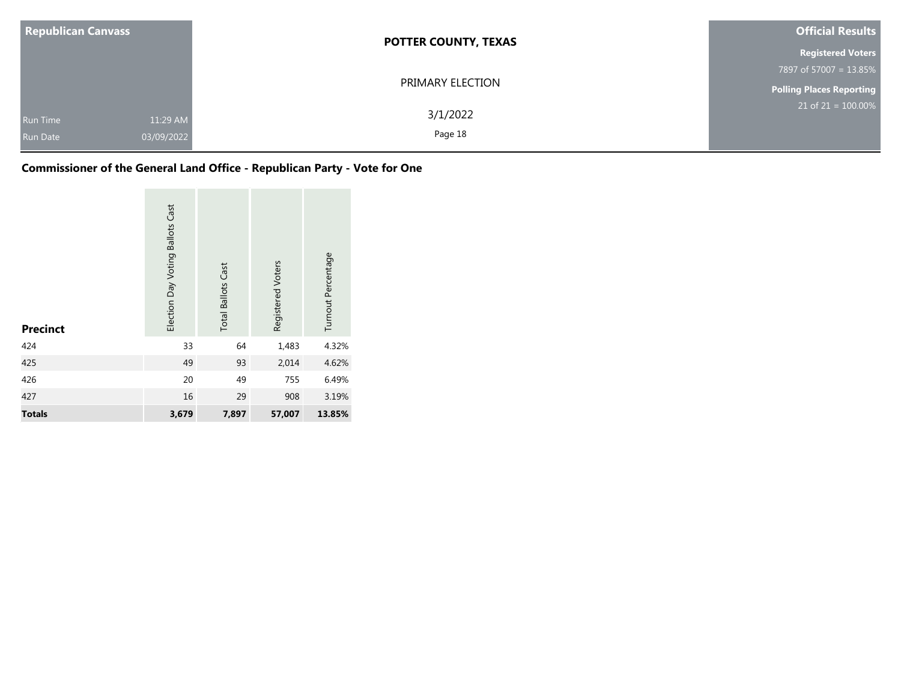| <b>Republican Canvass</b>   |                        | <b>POTTER COUNTY, TEXAS</b> | <b>Official Results</b>  |  |  |
|-----------------------------|------------------------|-----------------------------|--------------------------|--|--|
|                             |                        |                             | <b>Registered Voters</b> |  |  |
|                             |                        |                             | 7897 of 57007 = 13.85%   |  |  |
|                             |                        | PRIMARY ELECTION            | Polling Places Reporting |  |  |
| Run Time<br><b>Run Date</b> | 11:29 AM<br>03/09/2022 | 3/1/2022<br>Page 18         | $21$ of 21 = 100.00%     |  |  |

| <b>Precinct</b> | <b>Ballots Cast</b><br>Election Day Voting | <b>Total Ballots Cast</b> | Registered Voters | Turnout Percentage |
|-----------------|--------------------------------------------|---------------------------|-------------------|--------------------|
| 424             | 33                                         | 64                        | 1,483             | 4.32%              |
| 425             | 49                                         | 93                        | 2,014             | 4.62%              |
| 426             | 20                                         | 49                        | 755               | 6.49%              |
| 427             | 16                                         | 29                        | 908               | 3.19%              |
| <b>Totals</b>   | 3,679                                      | 7,897                     | 57,007            | 13.85%             |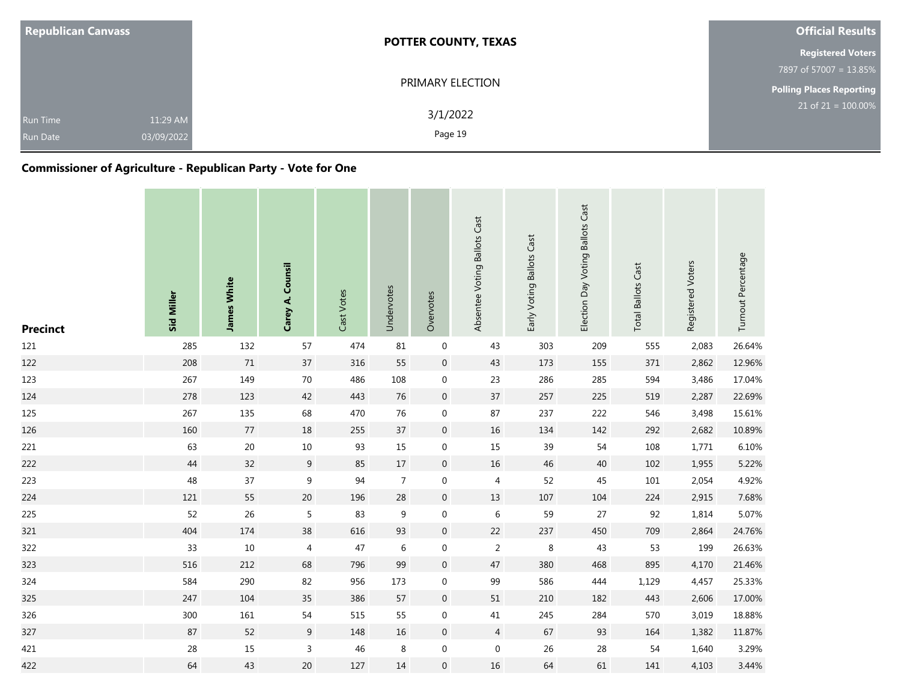| <b>Republican Canvass</b>          |                        | <b>POTTER COUNTY, TEXAS</b> | <b>Official Results</b>            |
|------------------------------------|------------------------|-----------------------------|------------------------------------|
|                                    |                        |                             | <b>Registered Voters</b>           |
|                                    |                        |                             | 7897 of 57007 = 13.85%             |
|                                    |                        | PRIMARY ELECTION            | Polling Places Reporting           |
| <b>Run Time</b><br><b>Run Date</b> | 11:29 AM<br>03/09/2022 | 3/1/2022<br>Page 19         | $21$ of 21 = $\overline{100.00\%}$ |

# **Commissioner of Agriculture - Republican Party - Vote for One**

| <b>Precinct</b> | Sid Miller | <b>James White</b> | Counsil<br>Carey A. | Cast Votes | Undervotes     | Overvotes        | Absentee Voting Ballots Cast | Early Voting Ballots Cast | Election Day Voting Ballots Cast | <b>Total Ballots Cast</b> | Registered Voters | Turnout Percentage |
|-----------------|------------|--------------------|---------------------|------------|----------------|------------------|------------------------------|---------------------------|----------------------------------|---------------------------|-------------------|--------------------|
| 121             | 285        | 132                | 57                  | 474        | 81             | $\boldsymbol{0}$ | 43                           | 303                       | 209                              | 555                       | 2,083             | 26.64%             |
| 122             | 208        | $71\,$             | 37                  | 316        | 55             | $\boldsymbol{0}$ | 43                           | 173                       | 155                              | 371                       | 2,862             | 12.96%             |
| 123             | 267        | 149                | 70                  | 486        | 108            | $\boldsymbol{0}$ | 23                           | 286                       | 285                              | 594                       | 3,486             | 17.04%             |
| 124             | 278        | 123                | 42                  | 443        | $76\,$         | $\boldsymbol{0}$ | $37\,$                       | 257                       | 225                              | 519                       | 2,287             | 22.69%             |
| 125             | 267        | 135                | 68                  | 470        | 76             | $\boldsymbol{0}$ | 87                           | 237                       | 222                              | 546                       | 3,498             | 15.61%             |
| 126             | 160        | $77$               | 18                  | 255        | 37             | $\boldsymbol{0}$ | 16                           | 134                       | 142                              | 292                       | 2,682             | 10.89%             |
| 221             | 63         | $20\,$             | $10\,$              | 93         | $15\,$         | $\boldsymbol{0}$ | 15                           | 39                        | 54                               | 108                       | 1,771             | 6.10%              |
| 222             | 44         | 32                 | 9                   | 85         | 17             | $\boldsymbol{0}$ | 16                           | 46                        | 40                               | 102                       | 1,955             | 5.22%              |
| 223             | 48         | 37                 | $9\,$               | 94         | $\overline{7}$ | $\boldsymbol{0}$ | 4                            | 52                        | 45                               | 101                       | 2,054             | 4.92%              |
| 224             | 121        | 55                 | $20\,$              | 196        | 28             | $\boldsymbol{0}$ | 13                           | $107\,$                   | 104                              | 224                       | 2,915             | 7.68%              |
| 225             | 52         | 26                 | 5                   | 83         | 9              | $\boldsymbol{0}$ | $\,6\,$                      | 59                        | 27                               | 92                        | 1,814             | 5.07%              |
| 321             | 404        | 174                | 38                  | 616        | 93             | $\boldsymbol{0}$ | $22\,$                       | 237                       | 450                              | 709                       | 2,864             | 24.76%             |
| 322             | 33         | $10\,$             | 4                   | 47         | 6              | $\boldsymbol{0}$ | $\overline{2}$               | 8                         | 43                               | 53                        | 199               | 26.63%             |
| 323             | 516        | 212                | 68                  | 796        | 99             | $\boldsymbol{0}$ | 47                           | 380                       | 468                              | 895                       | 4,170             | 21.46%             |
| 324             | 584        | 290                | 82                  | 956        | 173            | $\boldsymbol{0}$ | 99                           | 586                       | 444                              | 1,129                     | 4,457             | 25.33%             |
| 325             | 247        | 104                | 35                  | 386        | 57             | $\boldsymbol{0}$ | $51\,$                       | 210                       | 182                              | 443                       | 2,606             | 17.00%             |
| 326             | 300        | 161                | 54                  | 515        | 55             | $\boldsymbol{0}$ | $41\,$                       | 245                       | 284                              | 570                       | 3,019             | 18.88%             |
| 327             | 87         | 52                 | $9\,$               | 148        | 16             | $\boldsymbol{0}$ | $\overline{4}$               | 67                        | 93                               | 164                       | 1,382             | 11.87%             |
| 421             | 28         | 15                 | 3                   | 46         | 8              | $\boldsymbol{0}$ | $\boldsymbol{0}$             | 26                        | 28                               | 54                        | 1,640             | 3.29%              |
| 422             | 64         | 43                 | 20                  | 127        | $14\,$         | $\boldsymbol{0}$ | 16                           | 64                        | 61                               | 141                       | 4,103             | 3.44%              |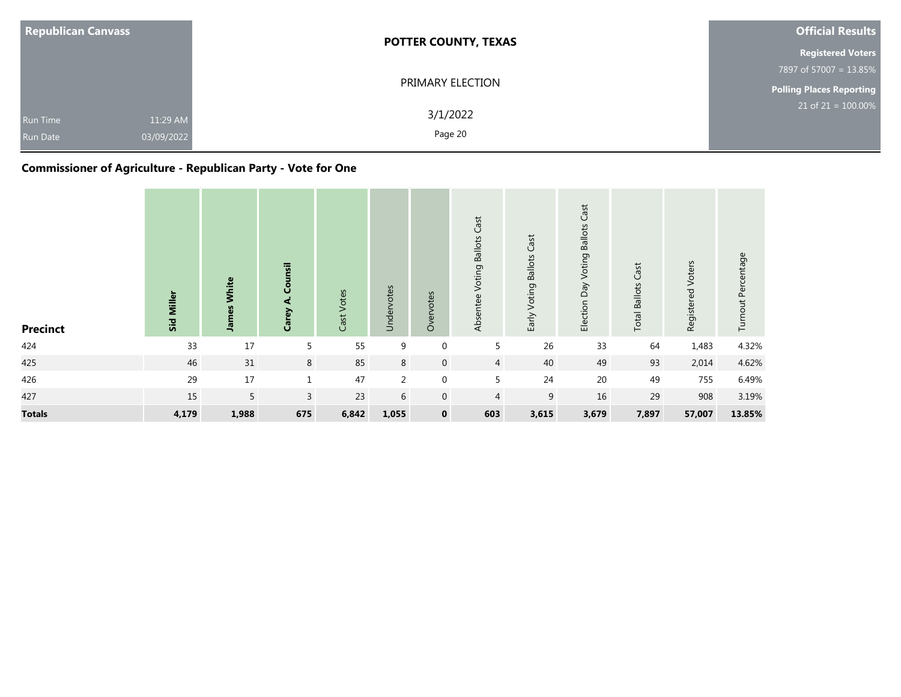| <b>Republican Canvass</b>          |                        | <b>POTTER COUNTY, TEXAS</b> | <b>Official Results</b>         |
|------------------------------------|------------------------|-----------------------------|---------------------------------|
|                                    |                        |                             | <b>Registered Voters</b>        |
|                                    |                        |                             | 7897 of 57007 = 13.85%          |
|                                    |                        | PRIMARY ELECTION            | <b>Polling Places Reporting</b> |
| <b>Run Time</b><br><b>Run Date</b> | 11:29 AM<br>03/09/2022 | 3/1/2022<br>Page 20         | $21$ of 21 = 100.00%            |

## **Commissioner of Agriculture - Republican Party - Vote for One**

| <b>Precinct</b> | Miller<br>Sid | <b>James White</b> | Counsil<br>दं<br>Carey | Cast Votes | Undervotes     | Overvotes        | Absentee Voting Ballots Cast | Early Voting Ballots Cast | <b>Voting Ballots Cast</b><br>Election Day | <b>Total Ballots Cast</b> | Registered Voters | Turnout Percentage |
|-----------------|---------------|--------------------|------------------------|------------|----------------|------------------|------------------------------|---------------------------|--------------------------------------------|---------------------------|-------------------|--------------------|
| 424             | 33            | 17                 | 5                      | 55         | 9              | $\mathbf 0$      | 5                            | 26                        | 33                                         | 64                        | 1,483             | 4.32%              |
| 425             | 46            | 31                 | 8                      | 85         | 8              | $\mathbf{0}$     | $\overline{4}$               | 40                        | 49                                         | 93                        | 2,014             | 4.62%              |
| 426             | 29            | 17                 | $\mathbf{1}$           | 47         | $\overline{2}$ | $\boldsymbol{0}$ | 5                            | 24                        | $20\,$                                     | 49                        | 755               | 6.49%              |
| 427             | 15            | 5                  | $\overline{3}$         | 23         | 6              | $\mathbf 0$      | $\overline{4}$               | 9                         | 16                                         | 29                        | 908               | 3.19%              |
| <b>Totals</b>   | 4,179         | 1,988              | 675                    | 6,842      | 1,055          | $\mathbf 0$      | 603                          | 3,615                     | 3,679                                      | 7,897                     | 57,007            | 13.85%             |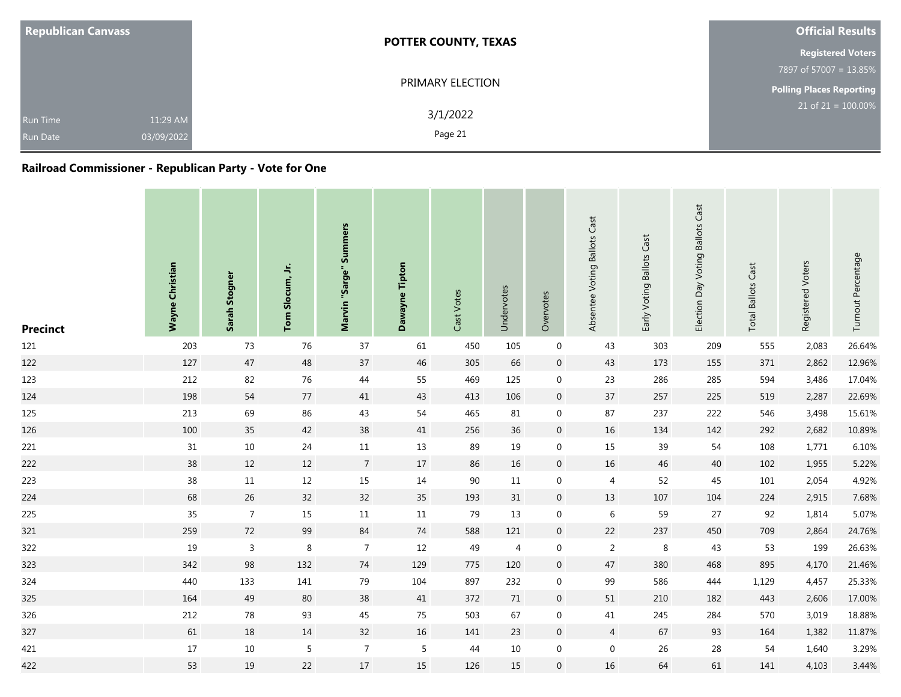| <b>Republican Canvass</b>          |                        | <b>POTTER COUNTY, TEXAS</b> | <b>Official Results</b>            |
|------------------------------------|------------------------|-----------------------------|------------------------------------|
|                                    |                        |                             | <b>Registered Voters</b>           |
|                                    |                        |                             | 7897 of 57007 = 13.85%             |
|                                    |                        | PRIMARY ELECTION            | <b>Polling Places Reporting</b>    |
| <b>Run Time</b><br><b>Run Date</b> | 11:29 AM<br>03/09/2022 | 3/1/2022<br>Page 21         | $21$ of 21 = $\overline{100.00\%}$ |

## **Railroad Commissioner - Republican Party - Vote for One**

| <b>Precinct</b> | Wayne Christian | Stogner<br>Sarah | ≒<br>Slocum,<br>Tom | <b>Summers</b><br>"Sarge"<br>Marvin | Dawayne Tipton | Cast Votes | Undervotes | Overvotes      | Absentee Voting Ballots Cast | Early Voting Ballots Cast | <b>Ballots Cast</b><br>Election Day Voting | Cast<br><b>Total Ballots</b> | Registered Voters | Turnout Percentage |
|-----------------|-----------------|------------------|---------------------|-------------------------------------|----------------|------------|------------|----------------|------------------------------|---------------------------|--------------------------------------------|------------------------------|-------------------|--------------------|
| 121             | 203             | 73               | 76                  | 37                                  | 61             | 450        | 105        | $\mathbf 0$    | 43                           | 303                       | 209                                        | 555                          | 2,083             | 26.64%             |
| 122             | 127             | 47               | 48                  | 37                                  | 46             | 305        | 66         | $\mathbf 0$    | 43                           | 173                       | 155                                        | 371                          | 2,862             | 12.96%             |
| 123             | 212             | 82               | 76                  | $44\,$                              | 55             | 469        | 125        | $\mathbf 0$    | 23                           | 286                       | 285                                        | 594                          | 3,486             | 17.04%             |
| 124             | 198             | 54               | 77                  | 41                                  | 43             | 413        | 106        | $\overline{0}$ | 37                           | 257                       | 225                                        | 519                          | 2,287             | 22.69%             |
| 125             | 213             | 69               | 86                  | 43                                  | 54             | 465        | 81         | $\mathbf 0$    | 87                           | 237                       | 222                                        | 546                          | 3,498             | 15.61%             |
| 126             | 100             | 35               | 42                  | 38                                  | 41             | 256        | 36         | $\overline{0}$ | 16                           | 134                       | 142                                        | 292                          | 2,682             | 10.89%             |
| 221             | $31\,$          | 10               | 24                  | 11                                  | 13             | 89         | 19         | $\mathbf 0$    | 15                           | 39                        | 54                                         | 108                          | 1,771             | 6.10%              |
| 222             | 38              | 12               | 12                  | $\overline{7}$                      | 17             | 86         | 16         | $\mathbf 0$    | 16                           | 46                        | 40                                         | 102                          | 1,955             | 5.22%              |
| 223             | 38              | $11\,$           | $12\,$              | 15                                  | 14             | 90         | 11         | $\mathbf 0$    | $\overline{4}$               | 52                        | 45                                         | 101                          | 2,054             | 4.92%              |
| 224             | 68              | 26               | 32                  | 32                                  | 35             | 193        | 31         | $\mathbf 0$    | 13                           | 107                       | 104                                        | 224                          | 2,915             | 7.68%              |
| 225             | 35              | $\overline{7}$   | 15                  | 11                                  | 11             | 79         | 13         | $\mathbf 0$    | 6                            | 59                        | 27                                         | 92                           | 1,814             | 5.07%              |
| 321             | 259             | $72\,$           | 99                  | 84                                  | 74             | 588        | 121        | $\overline{0}$ | 22                           | 237                       | 450                                        | 709                          | 2,864             | 24.76%             |
| 322             | 19              | $\mathsf 3$      | 8                   | $\overline{7}$                      | 12             | 49         | 4          | $\mathbf 0$    | $\overline{2}$               | $\,8\,$                   | 43                                         | 53                           | 199               | 26.63%             |
| 323             | 342             | 98               | 132                 | 74                                  | 129            | 775        | 120        | $\overline{0}$ | 47                           | 380                       | 468                                        | 895                          | 4,170             | 21.46%             |
| 324             | 440             | 133              | 141                 | 79                                  | 104            | 897        | 232        | $\mathbf 0$    | 99                           | 586                       | 444                                        | 1,129                        | 4,457             | 25.33%             |
| 325             | 164             | 49               | 80                  | 38                                  | 41             | 372        | 71         | $\overline{0}$ | 51                           | 210                       | 182                                        | 443                          | 2,606             | 17.00%             |
| 326             | 212             | 78               | 93                  | 45                                  | 75             | 503        | 67         | $\mathbf 0$    | 41                           | 245                       | 284                                        | 570                          | 3,019             | 18.88%             |
| 327             | 61              | $18\,$           | 14                  | 32                                  | 16             | 141        | 23         | $\mathbf 0$    | $\overline{4}$               | 67                        | 93                                         | 164                          | 1,382             | 11.87%             |
| 421             | 17              | $10\,$           | 5                   | $\overline{7}$                      | 5              | 44         | 10         | $\mathbf 0$    | $\boldsymbol{0}$             | 26                        | 28                                         | 54                           | 1,640             | 3.29%              |
| 422             | 53              | 19               | 22                  | $17\,$                              | 15             | 126        | 15         | $\overline{0}$ | 16                           | 64                        | 61                                         | 141                          | 4,103             | 3.44%              |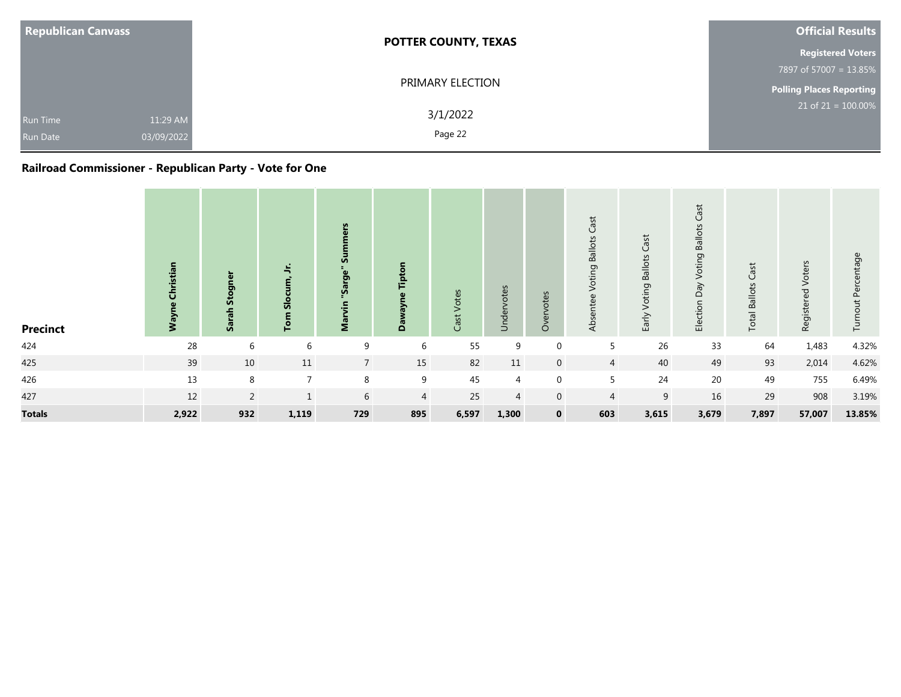| <b>Republican Canvass</b>                                    | <b>POTTER COUNTY, TEXAS</b> | <b>Official Results</b>         |
|--------------------------------------------------------------|-----------------------------|---------------------------------|
|                                                              |                             | <b>Registered Voters</b>        |
|                                                              |                             | 7897 of 57007 = 13.85%          |
|                                                              | PRIMARY ELECTION            | <b>Polling Places Reporting</b> |
| 11:29 AM<br><b>Run Time</b><br>03/09/2022<br><b>Run Date</b> | 3/1/2022<br>Page 22         | $21$ of $21 = 100.00\%$         |

## **Railroad Commissioner - Republican Party - Vote for One**

| <b>Precinct</b> | tian<br>ξ | ω<br>Stog<br>Sar | ÷.<br>あ<br>흔   | Ū,<br>Sarge<br>g | പ്പ            | Votes<br>Cast <sup>-</sup> | Undervotes     | Overvotes      | Cast<br>Voting Ballots<br>Absentee | Cast<br><b>Voting Ballots</b><br>Early | Cast<br><b>Ballots</b><br>oting<br>><br>$\gamma$<br>$\Omega$<br>Election | Cast<br><b>Total Ballots</b> | Registered Voters | Percentage<br>out<br>Turn |
|-----------------|-----------|------------------|----------------|------------------|----------------|----------------------------|----------------|----------------|------------------------------------|----------------------------------------|--------------------------------------------------------------------------|------------------------------|-------------------|---------------------------|
| 424             | 28        | 6                | 6              | 9                | 6              | 55                         | 9              | 0              | 5                                  | 26                                     | 33                                                                       | 64                           | 1,483             | 4.32%                     |
| 425             | 39        | 10               | 11             | $7\overline{ }$  | 15             | 82                         | 11             | $\overline{0}$ | $\overline{4}$                     | 40                                     | 49                                                                       | 93                           | 2,014             | 4.62%                     |
| 426             | 13        | 8                | $\overline{7}$ | 8                | 9              | 45                         | $\overline{4}$ | $\mathbf{0}$   | 5                                  | 24                                     | 20                                                                       | 49                           | 755               | 6.49%                     |
| 427             | 12        | $\overline{2}$   | $\mathbf{1}$   | 6                | $\overline{4}$ | 25                         | 4              | $\overline{0}$ | $\overline{4}$                     | 9                                      | 16                                                                       | 29                           | 908               | 3.19%                     |
| <b>Totals</b>   | 2,922     | 932              | 1,119          | 729              | 895            | 6,597                      | 1,300          | $\mathbf 0$    | 603                                | 3,615                                  | 3,679                                                                    | 7,897                        | 57,007            | 13.85%                    |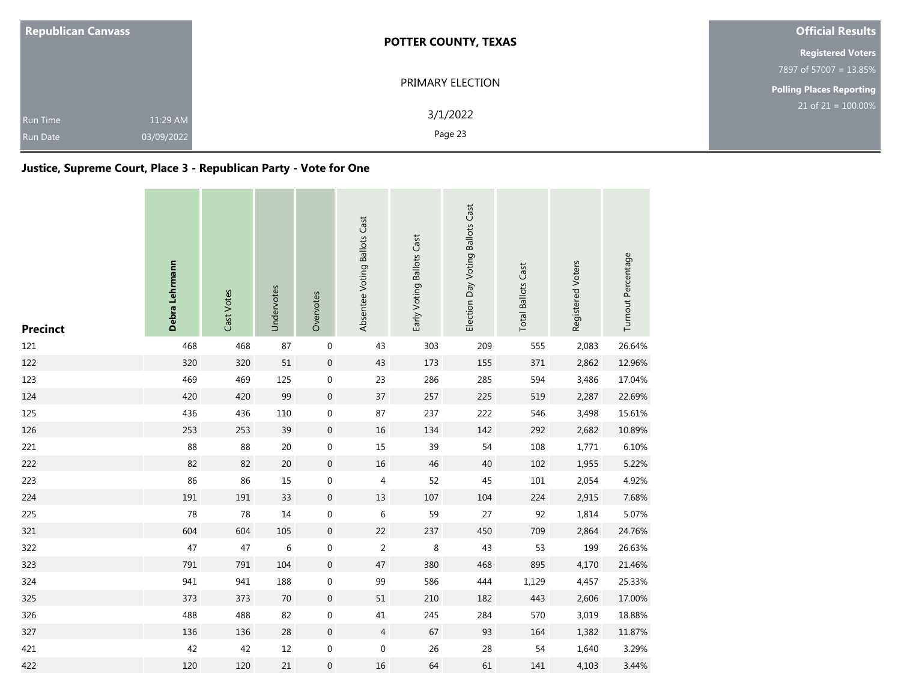| <b>Republican Canvass</b>                                    | <b>POTTER COUNTY, TEXAS</b> | <b>Official Results</b>         |
|--------------------------------------------------------------|-----------------------------|---------------------------------|
|                                                              |                             | <b>Registered Voters</b>        |
|                                                              |                             | 7897 of 57007 = 13.85%          |
|                                                              | PRIMARY ELECTION            | <b>Polling Places Reporting</b> |
| 11:29 AM<br><b>Run Time</b><br>03/09/2022<br><b>Run Date</b> | 3/1/2022<br>Page 23         | $21$ of 21 = 100.00%            |

## **Justice, Supreme Court, Place 3 - Republican Party - Vote for One**

| <b>Precinct</b> | Debra Lehrmann | Cast Votes | Undervotes | Overvotes        | Absentee Voting Ballots Cast | Early Voting Ballots Cast | Election Day Voting Ballots Cast | <b>Total Ballots Cast</b> | Registered Voters | Turnout Percentage |
|-----------------|----------------|------------|------------|------------------|------------------------------|---------------------------|----------------------------------|---------------------------|-------------------|--------------------|
| 121             | 468            | 468        | 87         | $\boldsymbol{0}$ | 43                           | 303                       | 209                              | 555                       | 2,083             | 26.64%             |
| 122             | 320            | 320        | 51         | $\,0\,$          | 43                           | 173                       | 155                              | 371                       | 2,862             | 12.96%             |
| 123             | 469            | 469        | 125        | $\boldsymbol{0}$ | 23                           | 286                       | 285                              | 594                       | 3,486             | 17.04%             |
| 124             | 420            | 420        | 99         | $\,0\,$          | 37                           | 257                       | 225                              | 519                       | 2,287             | 22.69%             |
| 125             | 436            | 436        | 110        | $\boldsymbol{0}$ | 87                           | 237                       | 222                              | 546                       | 3,498             | 15.61%             |
| 126             | 253            | 253        | 39         | $\,0\,$          | 16                           | 134                       | 142                              | 292                       | 2,682             | 10.89%             |
| 221             | 88             | 88         | 20         | $\boldsymbol{0}$ | 15                           | 39                        | 54                               | 108                       | 1,771             | 6.10%              |
| 222             | 82             | 82         | 20         | $\boldsymbol{0}$ | $16\,$                       | 46                        | 40                               | 102                       | 1,955             | 5.22%              |
| 223             | 86             | 86         | 15         | $\boldsymbol{0}$ | 4                            | 52                        | 45                               | 101                       | 2,054             | 4.92%              |
| 224             | 191            | 191        | 33         | $\,0\,$          | $13\,$                       | 107                       | 104                              | 224                       | 2,915             | 7.68%              |
| 225             | 78             | 78         | 14         | $\boldsymbol{0}$ | $\,6\,$                      | 59                        | 27                               | 92                        | 1,814             | 5.07%              |
| 321             | 604            | 604        | 105        | $\boldsymbol{0}$ | 22                           | 237                       | 450                              | 709                       | 2,864             | 24.76%             |
| 322             | 47             | 47         | 6          | $\boldsymbol{0}$ | $\overline{2}$               | 8                         | 43                               | 53                        | 199               | 26.63%             |
| 323             | 791            | 791        | 104        | $\,0\,$          | 47                           | 380                       | 468                              | 895                       | 4,170             | 21.46%             |
| 324             | 941            | 941        | 188        | $\boldsymbol{0}$ | 99                           | 586                       | 444                              | 1,129                     | 4,457             | 25.33%             |
| 325             | 373            | 373        | 70         | $\mathbf 0$      | 51                           | 210                       | 182                              | 443                       | 2,606             | 17.00%             |
| 326             | 488            | 488        | 82         | $\boldsymbol{0}$ | $41\,$                       | 245                       | 284                              | 570                       | 3,019             | 18.88%             |
| 327             | 136            | 136        | 28         | $\,0\,$          | $\overline{4}$               | 67                        | 93                               | 164                       | 1,382             | 11.87%             |
| 421             | 42             | 42         | $12\,$     | $\boldsymbol{0}$ | 0                            | 26                        | 28                               | 54                        | 1,640             | 3.29%              |
| 422             | 120            | 120        | 21         | $\boldsymbol{0}$ | $16\,$                       | 64                        | 61                               | 141                       | 4,103             | 3.44%              |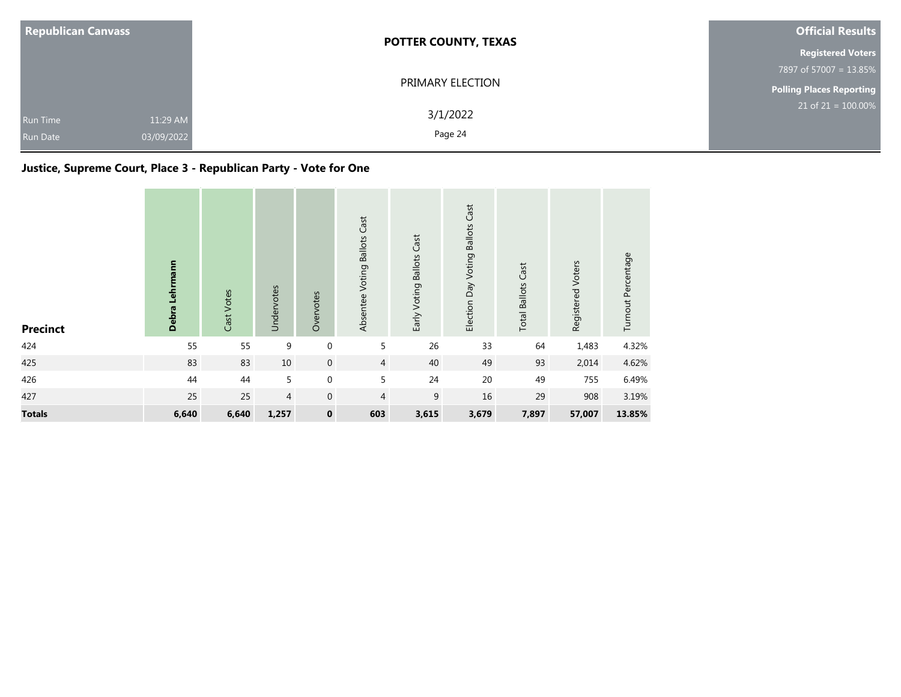| <b>Republican Canvass</b>                                    | <b>POTTER COUNTY, TEXAS</b> | <b>Official Results</b>         |
|--------------------------------------------------------------|-----------------------------|---------------------------------|
|                                                              |                             | <b>Registered Voters</b>        |
|                                                              |                             | 7897 of 57007 = 13.85%          |
|                                                              | PRIMARY ELECTION            | <b>Polling Places Reporting</b> |
| 11:29 AM<br><b>Run Time</b><br>03/09/2022<br><b>Run Date</b> | 3/1/2022<br>Page 24         | $21$ of $21 = 100.00\%$         |

## **Justice, Supreme Court, Place 3 - Republican Party - Vote for One**

| <b>Precinct</b> | Debra Lehrmann | Cast Votes | Undervotes | Overvotes        | Absentee Voting Ballots Cast | Early Voting Ballots Cast | Election Day Voting Ballots Cast | <b>Total Ballots Cast</b> | Registered Voters | Turnout Percentage |
|-----------------|----------------|------------|------------|------------------|------------------------------|---------------------------|----------------------------------|---------------------------|-------------------|--------------------|
| 424             | 55             | 55         | 9          | $\boldsymbol{0}$ | 5                            | 26                        | 33                               | 64                        | 1,483             | 4.32%              |
| 425             | 83             | 83         | 10         | $\boldsymbol{0}$ | $\overline{4}$               | 40                        | 49                               | 93                        | 2,014             | 4.62%              |
| 426             | 44             | 44         | 5          | $\boldsymbol{0}$ | 5                            | 24                        | 20                               | 49                        | 755               | 6.49%              |
| 427             | 25             | 25         | 4          | $\mathbf{0}$     | $\overline{4}$               | 9                         | 16                               | 29                        | 908               | 3.19%              |
| <b>Totals</b>   | 6,640          | 6,640      | 1,257      | $\pmb{0}$        | 603                          | 3,615                     | 3,679                            | 7,897                     | 57,007            | 13.85%             |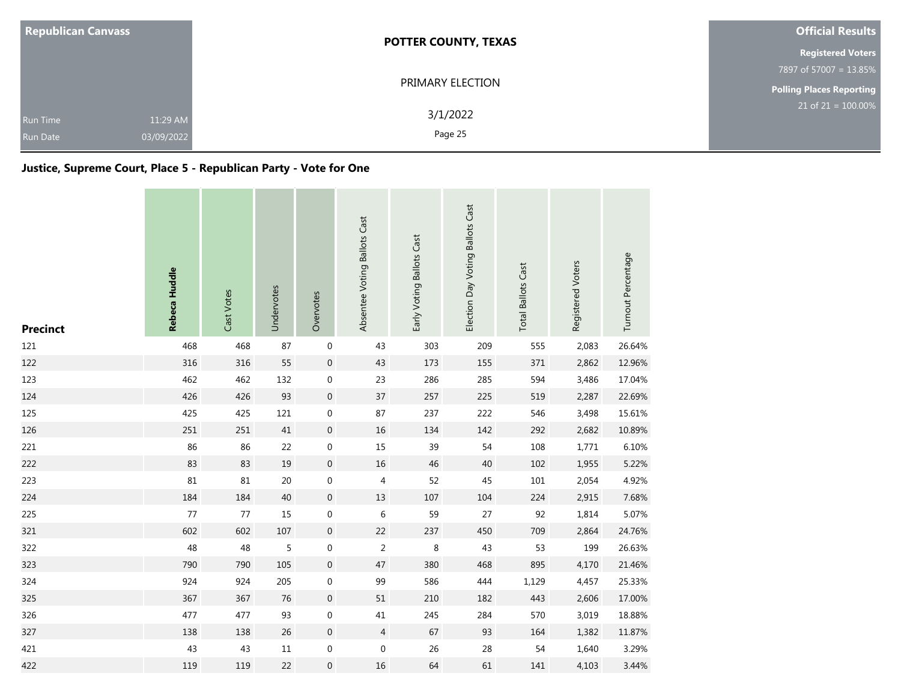| <b>Republican Canvass</b>                                    | <b>POTTER COUNTY, TEXAS</b> | <b>Official Results</b>         |  |  |
|--------------------------------------------------------------|-----------------------------|---------------------------------|--|--|
|                                                              |                             | <b>Registered Voters</b>        |  |  |
|                                                              |                             | 7897 of 57007 = 13.85%          |  |  |
|                                                              | PRIMARY ELECTION            | <b>Polling Places Reporting</b> |  |  |
| 11:29 AM<br><b>Run Time</b><br>03/09/2022<br><b>Run Date</b> | 3/1/2022<br>Page 25         | $21$ of 21 = 100.00%            |  |  |

## **Justice, Supreme Court, Place 5 - Republican Party - Vote for One**

| <b>Precinct</b> | Rebeca Huddle | Cast Votes | Undervotes | Overvotes        | Absentee Voting Ballots Cast | Early Voting Ballots Cast | Election Day Voting Ballots Cast | <b>Total Ballots Cast</b> | Registered Voters | Turnout Percentage |
|-----------------|---------------|------------|------------|------------------|------------------------------|---------------------------|----------------------------------|---------------------------|-------------------|--------------------|
| 121             | 468           | 468        | 87         | $\boldsymbol{0}$ | 43                           | 303                       | 209                              | 555                       | 2,083             | 26.64%             |
| 122             | 316           | 316        | 55         | $\,0\,$          | 43                           | 173                       | 155                              | 371                       | 2,862             | 12.96%             |
| 123             | 462           | 462        | 132        | 0                | 23                           | 286                       | 285                              | 594                       | 3,486             | 17.04%             |
| 124             | 426           | 426        | 93         | $\mathbf 0$      | 37                           | 257                       | 225                              | 519                       | 2,287             | 22.69%             |
| 125             | 425           | 425        | 121        | $\mathbf 0$      | 87                           | 237                       | 222                              | 546                       | 3,498             | 15.61%             |
| 126             | 251           | 251        | $41\,$     | $\boldsymbol{0}$ | $16\,$                       | 134                       | 142                              | 292                       | 2,682             | 10.89%             |
| 221             | 86            | 86         | 22         | $\boldsymbol{0}$ | 15                           | 39                        | 54                               | 108                       | 1,771             | 6.10%              |
| 222             | 83            | 83         | 19         | $\boldsymbol{0}$ | $16\,$                       | 46                        | 40                               | 102                       | 1,955             | 5.22%              |
| 223             | 81            | 81         | 20         | $\boldsymbol{0}$ | 4                            | 52                        | 45                               | $101\,$                   | 2,054             | 4.92%              |
| 224             | 184           | 184        | $40\,$     | $\boldsymbol{0}$ | 13                           | 107                       | 104                              | 224                       | 2,915             | 7.68%              |
| 225             | $77$          | 77         | 15         | $\boldsymbol{0}$ | $\,6\,$                      | 59                        | 27                               | 92                        | 1,814             | 5.07%              |
| 321             | 602           | 602        | 107        | $\mathbf{0}$     | 22                           | 237                       | 450                              | 709                       | 2,864             | 24.76%             |
| 322             | 48            | 48         | 5          | 0                | $\overline{2}$               | 8                         | 43                               | 53                        | 199               | 26.63%             |
| 323             | 790           | 790        | 105        | $\boldsymbol{0}$ | 47                           | 380                       | 468                              | 895                       | 4,170             | 21.46%             |
| 324             | 924           | 924        | 205        | $\boldsymbol{0}$ | 99                           | 586                       | 444                              | 1,129                     | 4,457             | 25.33%             |
| 325             | 367           | 367        | 76         | $\boldsymbol{0}$ | 51                           | 210                       | 182                              | 443                       | 2,606             | 17.00%             |
| 326             | 477           | 477        | 93         | $\boldsymbol{0}$ | $41\,$                       | 245                       | 284                              | 570                       | 3,019             | 18.88%             |
| 327             | 138           | 138        | 26         | $\boldsymbol{0}$ | $\overline{4}$               | 67                        | 93                               | 164                       | 1,382             | 11.87%             |
| 421             | 43            | 43         | $11\,$     | $\boldsymbol{0}$ | $\boldsymbol{0}$             | 26                        | 28                               | 54                        | 1,640             | 3.29%              |
| 422             | 119           | 119        | 22         | $\boldsymbol{0}$ | 16                           | 64                        | 61                               | 141                       | 4,103             | 3.44%              |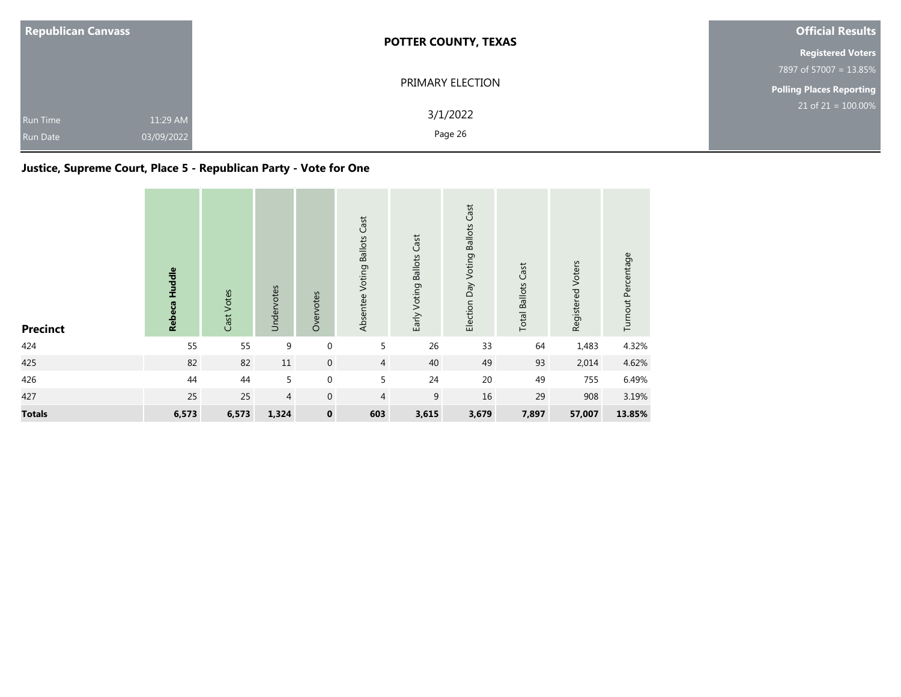| <b>Republican Canvass</b>          |                        | <b>POTTER COUNTY, TEXAS</b> | <b>Official Results</b>  |
|------------------------------------|------------------------|-----------------------------|--------------------------|
|                                    |                        |                             | <b>Registered Voters</b> |
|                                    |                        |                             | 7897 of 57007 = 13.85%   |
|                                    |                        | PRIMARY ELECTION            | Polling Places Reporting |
| <b>Run Time</b><br><b>Run Date</b> | 11:29 AM<br>03/09/2022 | 3/1/2022<br>Page 26         | $21$ of 21 = 100.00%     |

## **Justice, Supreme Court, Place 5 - Republican Party - Vote for One**

| <b>Precinct</b> | Rebeca Huddle | Cast Votes | Undervotes | Overvotes        | Absentee Voting Ballots Cast | Early Voting Ballots Cast | Election Day Voting Ballots Cast | <b>Total Ballots Cast</b> | Registered Voters | Turnout Percentage |
|-----------------|---------------|------------|------------|------------------|------------------------------|---------------------------|----------------------------------|---------------------------|-------------------|--------------------|
| 424             | 55            | 55         | 9          | $\boldsymbol{0}$ | 5                            | 26                        | 33                               | 64                        | 1,483             | 4.32%              |
| 425             | 82            | 82         | 11         | $\boldsymbol{0}$ | $\overline{4}$               | 40                        | 49                               | 93                        | 2,014             | 4.62%              |
| 426             | 44            | 44         | 5          | $\boldsymbol{0}$ | 5                            | 24                        | 20                               | 49                        | 755               | 6.49%              |
| 427             | 25            | 25         | 4          | $\mathbf 0$      | $\overline{4}$               | 9                         | 16                               | 29                        | 908               | 3.19%              |
| <b>Totals</b>   | 6,573         | 6,573      | 1,324      | $\pmb{0}$        | 603                          | 3,615                     | 3,679                            | 7,897                     | 57,007            | 13.85%             |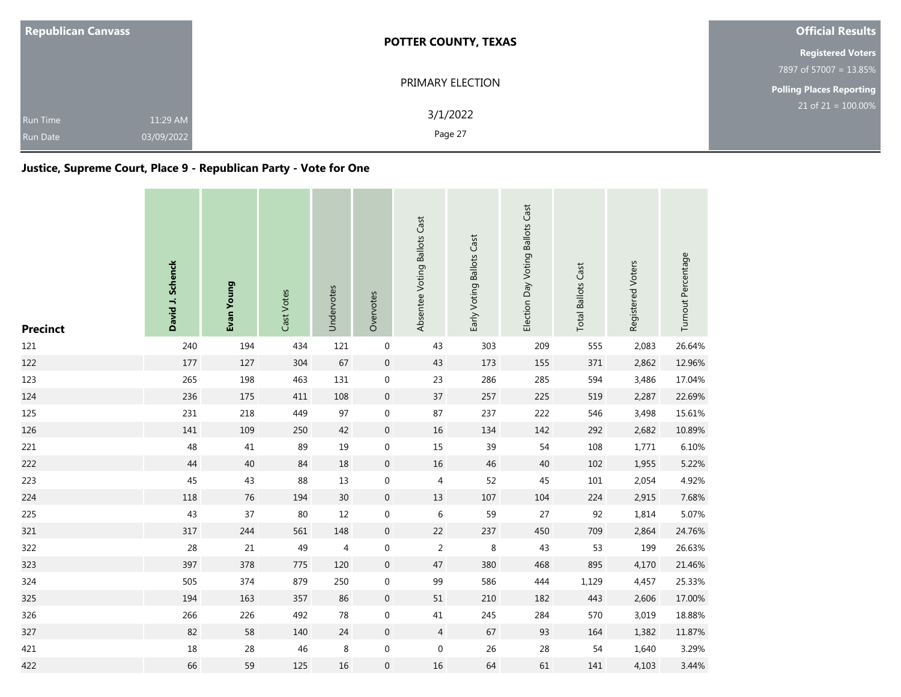| <b>Republican Canvass</b>                                    | <b>POTTER COUNTY, TEXAS</b> | <b>Official Results</b>         |  |  |
|--------------------------------------------------------------|-----------------------------|---------------------------------|--|--|
|                                                              |                             | <b>Registered Voters</b>        |  |  |
|                                                              |                             | 7897 of 57007 = 13.85%          |  |  |
|                                                              | PRIMARY ELECTION            | <b>Polling Places Reporting</b> |  |  |
| 11:29 AM<br><b>Run Time</b><br>03/09/2022<br><b>Run Date</b> | 3/1/2022<br>Page 27         | $21$ of $21 = 100.00\%$         |  |  |

## **Justice, Supreme Court, Place 9 - Republican Party - Vote for One**

| <b>Precinct</b> | David J. Schenck | Evan Young | Cast Votes | Undervotes | Overvotes        | Absentee Voting Ballots Cast | Early Voting Ballots Cast | Election Day Voting Ballots Cast | <b>Total Ballots Cast</b> | Registered Voters | Turnout Percentage |
|-----------------|------------------|------------|------------|------------|------------------|------------------------------|---------------------------|----------------------------------|---------------------------|-------------------|--------------------|
| 121             | 240              | 194        | 434        | 121        | $\boldsymbol{0}$ | 43                           | 303                       | 209                              | 555                       | 2,083             | 26.64%             |
| 122             | 177              | 127        | 304        | 67         | $\mathbf 0$      | 43                           | 173                       | 155                              | 371                       | 2,862             | 12.96%             |
| 123             | 265              | 198        | 463        | 131        | $\boldsymbol{0}$ | 23                           | 286                       | 285                              | 594                       | 3,486             | 17.04%             |
| 124             | 236              | 175        | 411        | 108        | $\boldsymbol{0}$ | $37\,$                       | 257                       | 225                              | 519                       | 2,287             | 22.69%             |
| 125             | 231              | 218        | 449        | 97         | $\mathbf 0$      | 87                           | 237                       | 222                              | 546                       | 3,498             | 15.61%             |
| 126             | 141              | 109        | 250        | 42         | $\boldsymbol{0}$ | 16                           | 134                       | 142                              | 292                       | 2,682             | 10.89%             |
| 221             | 48               | 41         | 89         | 19         | $\boldsymbol{0}$ | 15                           | 39                        | 54                               | 108                       | 1,771             | 6.10%              |
| 222             | 44               | 40         | 84         | 18         | $\mathbf 0$      | 16                           | 46                        | 40                               | 102                       | 1,955             | 5.22%              |
| 223             | 45               | 43         | 88         | $13$       | $\boldsymbol{0}$ | 4                            | 52                        | 45                               | 101                       | 2,054             | 4.92%              |
| 224             | 118              | 76         | 194        | 30         | $\mathbf 0$      | 13                           | 107                       | 104                              | 224                       | 2,915             | 7.68%              |
| 225             | 43               | 37         | 80         | 12         | $\boldsymbol{0}$ | $\,$ 6 $\,$                  | 59                        | 27                               | 92                        | 1,814             | 5.07%              |
| 321             | 317              | 244        | 561        | 148        | $\boldsymbol{0}$ | 22                           | 237                       | 450                              | 709                       | 2,864             | 24.76%             |
| 322             | 28               | 21         | 49         | 4          | $\boldsymbol{0}$ | $\overline{2}$               | 8                         | 43                               | 53                        | 199               | 26.63%             |
| 323             | 397              | 378        | 775        | 120        | $\boldsymbol{0}$ | $47\,$                       | 380                       | 468                              | 895                       | 4,170             | 21.46%             |
| 324             | 505              | 374        | 879        | 250        | $\boldsymbol{0}$ | 99                           | 586                       | 444                              | 1,129                     | 4,457             | 25.33%             |
| 325             | 194              | 163        | 357        | 86         | $\boldsymbol{0}$ | 51                           | 210                       | 182                              | 443                       | 2,606             | 17.00%             |
| 326             | 266              | 226        | 492        | 78         | $\boldsymbol{0}$ | $41\,$                       | 245                       | 284                              | 570                       | 3,019             | 18.88%             |
| 327             | 82               | 58         | 140        | 24         | $\mathbf 0$      | $\overline{4}$               | 67                        | 93                               | 164                       | 1,382             | 11.87%             |
| 421             | 18               | 28         | 46         | $\,8\,$    | $\boldsymbol{0}$ | $\boldsymbol{0}$             | 26                        | 28                               | 54                        | 1,640             | 3.29%              |
| 422             | 66               | 59         | 125        | 16         | $\mathbf 0$      | 16                           | 64                        | 61                               | 141                       | 4,103             | 3.44%              |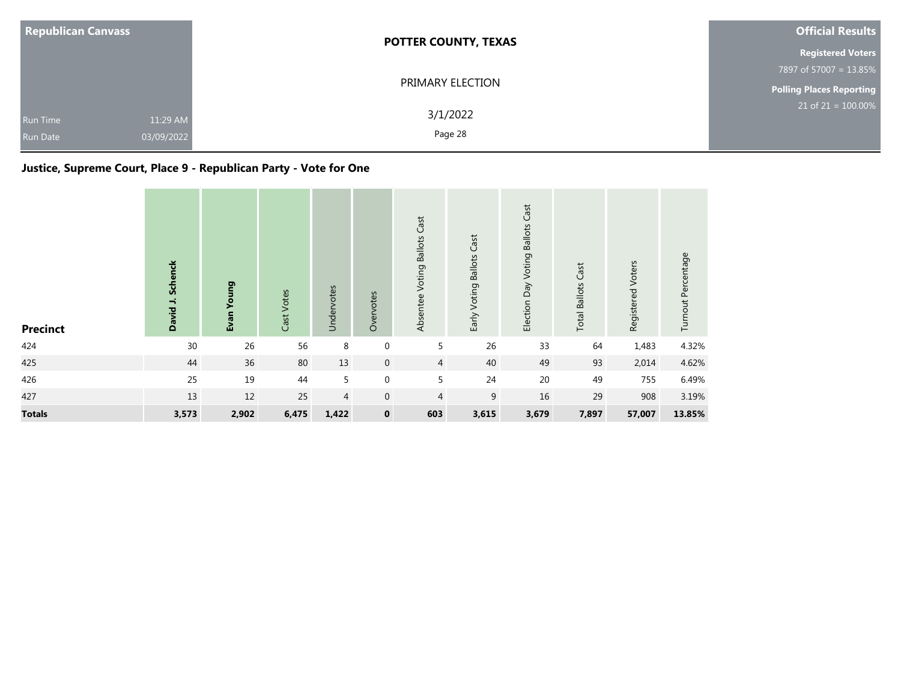| <b>Republican Canvass</b>                                    | <b>POTTER COUNTY, TEXAS</b> | <b>Official Results</b>            |  |  |
|--------------------------------------------------------------|-----------------------------|------------------------------------|--|--|
|                                                              |                             | <b>Registered Voters</b>           |  |  |
|                                                              |                             | 7897 of 57007 = 13.85%             |  |  |
|                                                              | PRIMARY ELECTION            | <b>Polling Places Reporting</b>    |  |  |
| 11:29 AM<br><b>Run Time</b><br>03/09/2022<br><b>Run Date</b> | 3/1/2022<br>Page 28         | $21$ of 21 = $\overline{100.00\%}$ |  |  |

# **Justice, Supreme Court, Place 9 - Republican Party - Vote for One**

| <b>Precinct</b> | David J. Schenck | Voung<br>Evan | Cast Votes | Undervotes     | Overvotes        | Absentee Voting Ballots Cast | Early Voting Ballots Cast | Election Day Voting Ballots Cast | <b>Total Ballots Cast</b> | Registered Voters | Turnout Percentage |
|-----------------|------------------|---------------|------------|----------------|------------------|------------------------------|---------------------------|----------------------------------|---------------------------|-------------------|--------------------|
| 424             | 30               | 26            | 56         | 8              | $\boldsymbol{0}$ | 5                            | 26                        | 33                               | 64                        | 1,483             | 4.32%              |
| 425             | 44               | 36            | 80         | 13             | $\mathbf 0$      | $\overline{4}$               | 40                        | 49                               | 93                        | 2,014             | 4.62%              |
| 426             | 25               | 19            | 44         | 5              | $\boldsymbol{0}$ | 5                            | 24                        | 20                               | 49                        | 755               | 6.49%              |
| 427             | 13               | 12            | 25         | $\overline{4}$ | $\mathbf 0$      | 4                            | 9                         | 16                               | 29                        | 908               | 3.19%              |
| <b>Totals</b>   | 3,573            | 2,902         | 6,475      | 1,422          | $\mathbf 0$      | 603                          | 3,615                     | 3,679                            | 7,897                     | 57,007            | 13.85%             |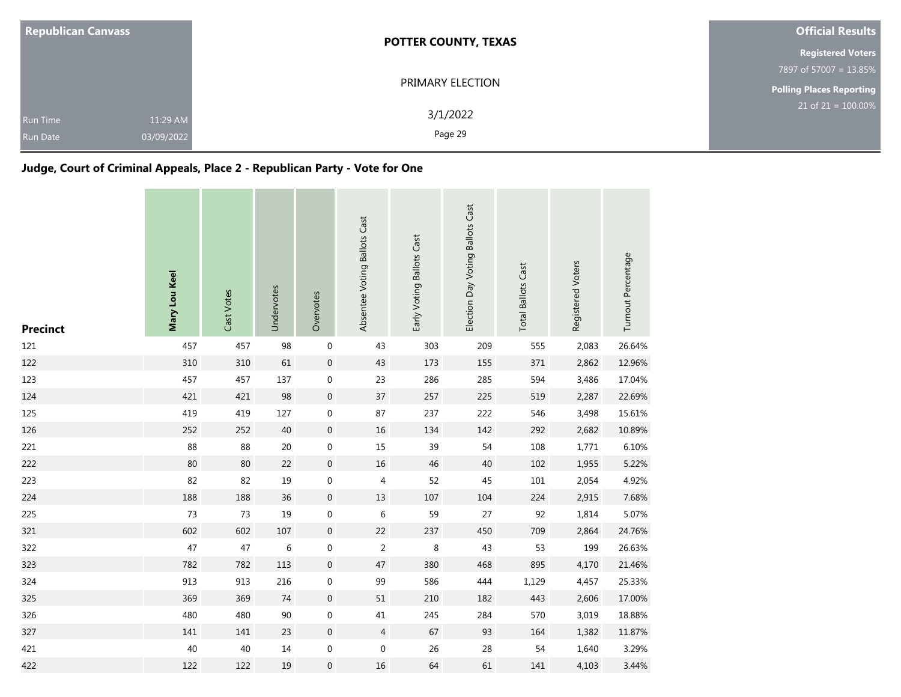| <b>Republican Canvass</b>          |                        | <b>POTTER COUNTY, TEXAS</b> | <b>Official Results</b>         |
|------------------------------------|------------------------|-----------------------------|---------------------------------|
|                                    |                        |                             | <b>Registered Voters</b>        |
|                                    |                        |                             | 7897 of 57007 = 13.85%          |
|                                    | PRIMARY ELECTION       |                             | <b>Polling Places Reporting</b> |
| <b>Run Time</b><br><b>Run Date</b> | 11:29 AM<br>03/09/2022 | 3/1/2022<br>Page 29         | $21$ of $21 = 100.00\%$         |

## **Judge, Court of Criminal Appeals, Place 2 - Republican Party - Vote for One**

| <b>Precinct</b> | Mary Lou Keel | Cast Votes | Undervotes | Overvotes        | Absentee Voting Ballots Cast | Early Voting Ballots Cast | Election Day Voting Ballots Cast | <b>Total Ballots Cast</b> | Registered Voters | Turnout Percentage |
|-----------------|---------------|------------|------------|------------------|------------------------------|---------------------------|----------------------------------|---------------------------|-------------------|--------------------|
| 121             | 457           | 457        | 98         | $\boldsymbol{0}$ | 43                           | 303                       | 209                              | 555                       | 2,083             | 26.64%             |
| 122             | 310           | 310        | 61         | $\boldsymbol{0}$ | 43                           | 173                       | 155                              | 371                       | 2,862             | 12.96%             |
| 123             | 457           | 457        | 137        | $\boldsymbol{0}$ | 23                           | 286                       | 285                              | 594                       | 3,486             | 17.04%             |
| 124             | 421           | 421        | 98         | $\mathbf 0$      | 37                           | 257                       | 225                              | 519                       | 2,287             | 22.69%             |
| 125             | 419           | 419        | 127        | $\mathbf 0$      | 87                           | 237                       | 222                              | 546                       | 3,498             | 15.61%             |
| 126             | 252           | 252        | 40         | $\boldsymbol{0}$ | $16\,$                       | 134                       | 142                              | 292                       | 2,682             | 10.89%             |
| 221             | 88            | 88         | 20         | $\boldsymbol{0}$ | 15                           | 39                        | 54                               | 108                       | 1,771             | 6.10%              |
| 222             | 80            | 80         | 22         | $\boldsymbol{0}$ | 16                           | 46                        | 40                               | 102                       | 1,955             | 5.22%              |
| 223             | 82            | 82         | 19         | $\boldsymbol{0}$ | 4                            | 52                        | 45                               | 101                       | 2,054             | 4.92%              |
| 224             | 188           | 188        | 36         | $\boldsymbol{0}$ | 13                           | 107                       | 104                              | 224                       | 2,915             | 7.68%              |
| 225             | 73            | 73         | 19         | $\boldsymbol{0}$ | 6                            | 59                        | 27                               | 92                        | 1,814             | 5.07%              |
| 321             | 602           | 602        | 107        | $\boldsymbol{0}$ | 22                           | 237                       | 450                              | 709                       | 2,864             | 24.76%             |
| 322             | 47            | 47         | $\,6$      | $\boldsymbol{0}$ | $\overline{2}$               | 8                         | 43                               | 53                        | 199               | 26.63%             |
| 323             | 782           | 782        | 113        | $\boldsymbol{0}$ | 47                           | 380                       | 468                              | 895                       | 4,170             | 21.46%             |
| 324             | 913           | 913        | 216        | $\boldsymbol{0}$ | 99                           | 586                       | 444                              | 1,129                     | 4,457             | 25.33%             |
| 325             | 369           | 369        | 74         | $\mathbf 0$      | 51                           | 210                       | 182                              | 443                       | 2,606             | 17.00%             |
| 326             | 480           | 480        | $90\,$     | $\boldsymbol{0}$ | 41                           | 245                       | 284                              | 570                       | 3,019             | 18.88%             |
| 327             | 141           | 141        | 23         | $\mathbf 0$      | $\overline{4}$               | 67                        | 93                               | 164                       | 1,382             | 11.87%             |
| 421             | 40            | 40         | $14\,$     | $\boldsymbol{0}$ | $\boldsymbol{0}$             | 26                        | 28                               | 54                        | 1,640             | 3.29%              |
| 422             | 122           | 122        | 19         | $\boldsymbol{0}$ | 16                           | 64                        | 61                               | 141                       | 4,103             | 3.44%              |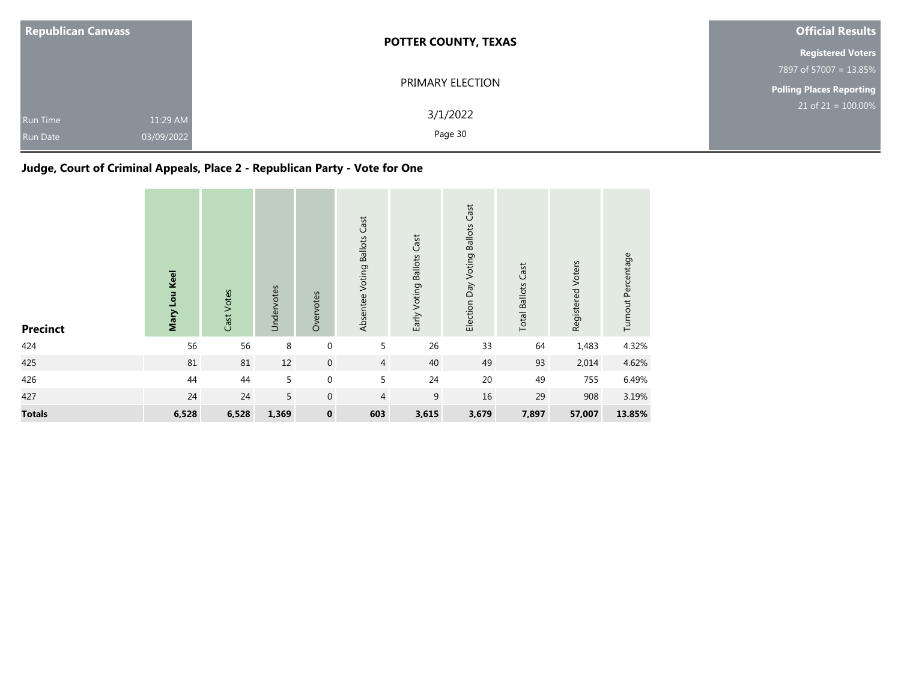| <b>Republican Canvass</b>   |                        | <b>POTTER COUNTY, TEXAS</b> | <b>Official Results</b>         |
|-----------------------------|------------------------|-----------------------------|---------------------------------|
|                             |                        |                             | <b>Registered Voters</b>        |
|                             |                        |                             | 7897 of 57007 = 13.85%          |
|                             |                        | PRIMARY ELECTION            | <b>Polling Places Reporting</b> |
| Run Time<br><b>Run Date</b> | 11:29 AM<br>03/09/2022 | 3/1/2022<br>Page 30         | $21$ of 21 = 100.00%            |

# **Judge, Court of Criminal Appeals, Place 2 - Republican Party - Vote for One**

| <b>Precinct</b> | Mary Lou Keel | Cast Votes | Undervotes | Overvotes           | Absentee Voting Ballots Cast | Early Voting Ballots Cast | Election Day Voting Ballots Cast | <b>Total Ballots Cast</b> | Registered Voters | Turnout Percentage |
|-----------------|---------------|------------|------------|---------------------|------------------------------|---------------------------|----------------------------------|---------------------------|-------------------|--------------------|
| 424             | 56            | 56         | 8          | $\boldsymbol{0}$    | 5                            | 26                        | 33                               | 64                        | 1,483             | 4.32%              |
| 425             | 81            | 81         | $12\,$     | $\mathsf{O}\xspace$ | $\overline{4}$               | 40                        | 49                               | 93                        | 2,014             | 4.62%              |
| 426             | 44            | 44         | 5          | $\mathbf 0$         | 5                            | 24                        | 20                               | 49                        | 755               | 6.49%              |
| 427             | 24            | 24         | 5          | $\mathbf 0$         | $\overline{4}$               | 9                         | 16                               | 29                        | 908               | 3.19%              |
| <b>Totals</b>   | 6,528         | 6,528      | 1,369      | $\pmb{0}$           | 603                          | 3,615                     | 3,679                            | 7,897                     | 57,007            | 13.85%             |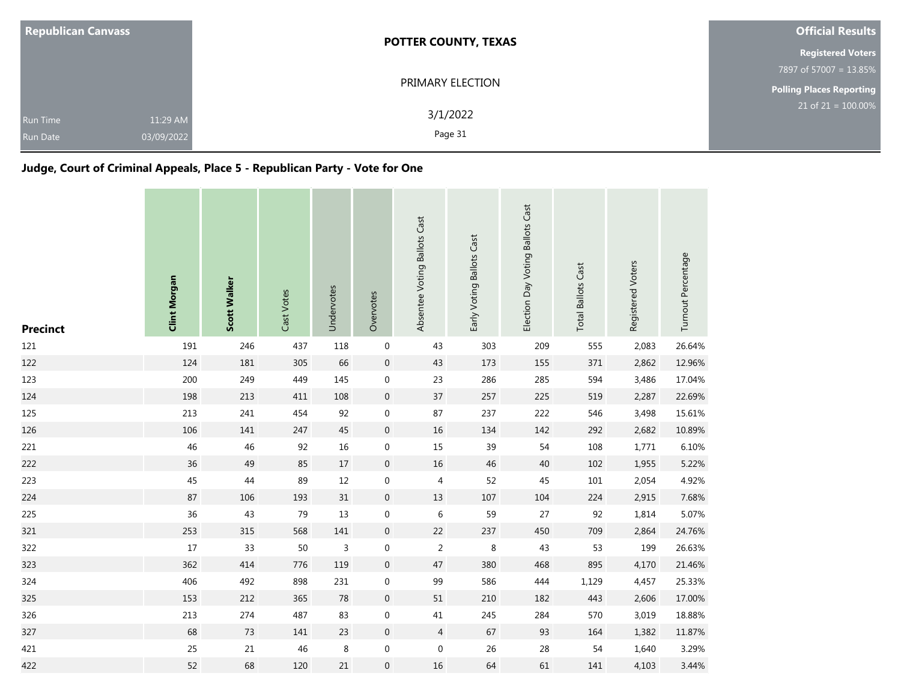| <b>Republican Canvass</b>          |                        | <b>POTTER COUNTY, TEXAS</b> | <b>Official Results</b>         |
|------------------------------------|------------------------|-----------------------------|---------------------------------|
|                                    |                        |                             | <b>Registered Voters</b>        |
|                                    |                        |                             | 7897 of 57007 = 13.85%          |
|                                    |                        | PRIMARY ELECTION            | <b>Polling Places Reporting</b> |
| <b>Run Time</b><br><b>Run Date</b> | 11:29 AM<br>03/09/2022 | 3/1/2022<br>Page 31         | $21$ of 21 = $100.00\%$         |

## **Judge, Court of Criminal Appeals, Place 5 - Republican Party - Vote for One**

| <b>Precinct</b> | <b>Clint Morgan</b> | Scott Walker | Cast Votes | Undervotes   | Overvotes           | Absentee Voting Ballots Cast | Early Voting Ballots Cast | Election Day Voting Ballots Cast | <b>Total Ballots Cast</b> | Registered Voters | Turnout Percentage |
|-----------------|---------------------|--------------|------------|--------------|---------------------|------------------------------|---------------------------|----------------------------------|---------------------------|-------------------|--------------------|
| 121             | 191                 | 246          | 437        | 118          | $\boldsymbol{0}$    | 43                           | 303                       | 209                              | 555                       | 2,083             | 26.64%             |
| 122             | 124                 | 181          | 305        | 66           | $\boldsymbol{0}$    | 43                           | 173                       | 155                              | 371                       | 2,862             | 12.96%             |
| 123             | 200                 | 249          | 449        | 145          | $\mathbf 0$         | 23                           | 286                       | 285                              | 594                       | 3,486             | 17.04%             |
| 124             | 198                 | 213          | 411        | 108          | $\mathsf{O}\xspace$ | $37\,$                       | 257                       | 225                              | 519                       | 2,287             | 22.69%             |
| 125             | 213                 | 241          | 454        | 92           | $\mathbf 0$         | 87                           | 237                       | 222                              | 546                       | 3,498             | 15.61%             |
| 126             | 106                 | 141          | 247        | 45           | $\mathsf{O}\xspace$ | 16                           | 134                       | 142                              | 292                       | 2,682             | 10.89%             |
| 221             | 46                  | 46           | 92         | 16           | $\boldsymbol{0}$    | 15                           | 39                        | 54                               | 108                       | 1,771             | 6.10%              |
| 222             | 36                  | 49           | 85         | 17           | $\mathsf{O}\xspace$ | 16                           | 46                        | 40                               | 102                       | 1,955             | 5.22%              |
| 223             | 45                  | 44           | 89         | 12           | $\mathbf 0$         | 4                            | 52                        | 45                               | 101                       | 2,054             | 4.92%              |
| 224             | 87                  | 106          | 193        | 31           | $\boldsymbol{0}$    | $13\,$                       | 107                       | 104                              | 224                       | 2,915             | 7.68%              |
| 225             | 36                  | 43           | 79         | 13           | $\mathbf 0$         | $\,$ 6 $\,$                  | 59                        | 27                               | 92                        | 1,814             | 5.07%              |
| 321             | 253                 | 315          | 568        | 141          | $\overline{0}$      | 22                           | 237                       | 450                              | 709                       | 2,864             | 24.76%             |
| 322             | $17$                | 33           | 50         | $\mathsf{3}$ | $\boldsymbol{0}$    | 2                            | 8                         | 43                               | 53                        | 199               | 26.63%             |
| 323             | 362                 | 414          | 776        | 119          | $\boldsymbol{0}$    | $47\,$                       | 380                       | 468                              | 895                       | 4,170             | 21.46%             |
| 324             | 406                 | 492          | 898        | 231          | $\mathbf 0$         | 99                           | 586                       | 444                              | 1,129                     | 4,457             | 25.33%             |
| 325             | 153                 | 212          | 365        | 78           | $\boldsymbol{0}$    | 51                           | 210                       | 182                              | 443                       | 2,606             | 17.00%             |
| 326             | 213                 | 274          | 487        | 83           | $\boldsymbol{0}$    | 41                           | 245                       | 284                              | 570                       | 3,019             | 18.88%             |
| 327             | 68                  | 73           | 141        | 23           | $\overline{0}$      | $\overline{4}$               | 67                        | 93                               | 164                       | 1,382             | 11.87%             |
| 421             | 25                  | 21           | 46         | 8            | $\boldsymbol{0}$    | $\mathbf 0$                  | 26                        | 28                               | 54                        | 1,640             | 3.29%              |
| 422             | 52                  | 68           | 120        | 21           | $\overline{0}$      | 16                           | 64                        | 61                               | 141                       | 4,103             | 3.44%              |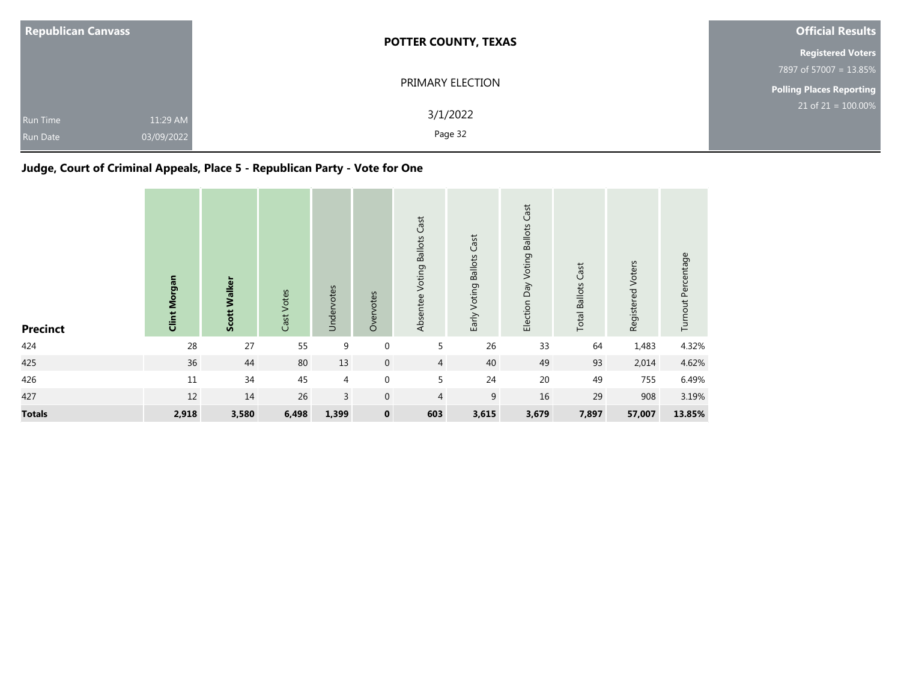| <b>Republican Canvass</b>          | <b>POTTER COUNTY, TEXAS</b>                   | <b>Official Results</b>            |
|------------------------------------|-----------------------------------------------|------------------------------------|
|                                    |                                               | <b>Registered Voters</b>           |
|                                    |                                               | 7897 of 57007 = 13.85%             |
|                                    | PRIMARY ELECTION                              | Polling Places Reporting           |
| <b>Run Time</b><br><b>Run Date</b> | 3/1/2022<br>11:29 AM<br>Page 32<br>03/09/2022 | $21$ of 21 = $\overline{100.00\%}$ |

# **Judge, Court of Criminal Appeals, Place 5 - Republican Party - Vote for One**

| <b>Precinct</b> | <b>Clint Morgan</b> | Scott Walker | Cast Votes | Undervotes     | Overvotes    | Absentee Voting Ballots Cast | Early Voting Ballots Cast | Election Day Voting Ballots Cast | <b>Total Ballots Cast</b> | Registered Voters | Turnout Percentage |
|-----------------|---------------------|--------------|------------|----------------|--------------|------------------------------|---------------------------|----------------------------------|---------------------------|-------------------|--------------------|
| 424             | 28                  | 27           | 55         | 9              | $\mathbf 0$  | 5                            | 26                        | 33                               | 64                        | 1,483             | 4.32%              |
| 425             | 36                  | 44           | 80         | 13             | $\mathbf 0$  | $\overline{4}$               | 40                        | 49                               | 93                        | 2,014             | 4.62%              |
| 426             | 11                  | 34           | 45         | $\overline{4}$ | $\mathbf 0$  | 5                            | 24                        | 20                               | 49                        | 755               | 6.49%              |
| 427             | 12                  | 14           | 26         | $\overline{3}$ | $\mathbf{0}$ | 4                            | 9                         | 16                               | 29                        | 908               | 3.19%              |
| <b>Totals</b>   | 2,918               | 3,580        | 6,498      | 1,399          | $\mathbf 0$  | 603                          | 3,615                     | 3,679                            | 7,897                     | 57,007            | 13.85%             |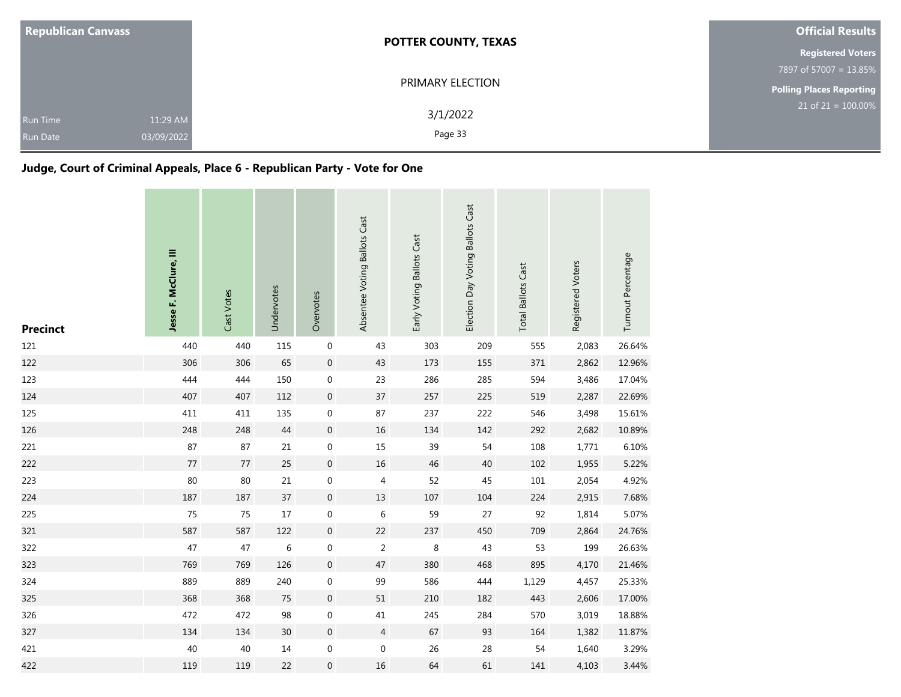| <b>Republican Canvass</b>          |                        | <b>POTTER COUNTY, TEXAS</b> | <b>Official Results</b>         |
|------------------------------------|------------------------|-----------------------------|---------------------------------|
|                                    |                        |                             | <b>Registered Voters</b>        |
|                                    |                        |                             | 7897 of 57007 = 13.85%          |
|                                    |                        | PRIMARY ELECTION            | <b>Polling Places Reporting</b> |
| <b>Run Time</b><br><b>Run Date</b> | 11:29 AM<br>03/09/2022 | 3/1/2022<br>Page 33         | $21$ of $21 = 100.00\%$         |

## **Judge, Court of Criminal Appeals, Place 6 - Republican Party - Vote for One**

| <b>Precinct</b> | Jesse F. McClure, III | Cast Votes | Undervotes      | Overvotes        | Absentee Voting Ballots Cast | Early Voting Ballots Cast | Election Day Voting Ballots Cast | <b>Total Ballots Cast</b> | Registered Voters | Turnout Percentage |
|-----------------|-----------------------|------------|-----------------|------------------|------------------------------|---------------------------|----------------------------------|---------------------------|-------------------|--------------------|
| 121             | 440                   | 440        | 115             | $\boldsymbol{0}$ | 43                           | 303                       | 209                              | 555                       | 2,083             | 26.64%             |
| 122             | 306                   | 306        | 65              | $\boldsymbol{0}$ | 43                           | 173                       | 155                              | 371                       | 2,862             | 12.96%             |
| 123             | 444                   | 444        | 150             | $\boldsymbol{0}$ | 23                           | 286                       | 285                              | 594                       | 3,486             | 17.04%             |
| 124             | 407                   | 407        | 112             | $\mathbf 0$      | 37                           | 257                       | 225                              | 519                       | 2,287             | 22.69%             |
| 125             | 411                   | 411        | 135             | $\boldsymbol{0}$ | 87                           | 237                       | 222                              | 546                       | 3,498             | 15.61%             |
| 126             | 248                   | 248        | $44\,$          | $\boldsymbol{0}$ | 16                           | 134                       | 142                              | 292                       | 2,682             | 10.89%             |
| 221             | 87                    | 87         | 21              | $\boldsymbol{0}$ | 15                           | 39                        | 54                               | 108                       | 1,771             | 6.10%              |
| 222             | 77                    | 77         | 25              | $\boldsymbol{0}$ | 16                           | 46                        | 40                               | 102                       | 1,955             | 5.22%              |
| 223             | 80                    | 80         | 21              | $\boldsymbol{0}$ | 4                            | 52                        | 45                               | 101                       | 2,054             | 4.92%              |
| 224             | 187                   | 187        | 37              | $\boldsymbol{0}$ | 13                           | 107                       | 104                              | 224                       | 2,915             | 7.68%              |
| 225             | 75                    | 75         | 17              | $\pmb{0}$        | 6                            | 59                        | 27                               | 92                        | 1,814             | 5.07%              |
| 321             | 587                   | 587        | 122             | $\mathbf 0$      | 22                           | 237                       | 450                              | 709                       | 2,864             | 24.76%             |
| 322             | 47                    | 47         | 6               | $\mathbf 0$      | $\overline{2}$               | 8                         | 43                               | 53                        | 199               | 26.63%             |
| 323             | 769                   | 769        | 126             | $\boldsymbol{0}$ | 47                           | 380                       | 468                              | 895                       | 4,170             | 21.46%             |
| 324             | 889                   | 889        | 240             | $\boldsymbol{0}$ | 99                           | 586                       | 444                              | 1,129                     | 4,457             | 25.33%             |
| 325             | 368                   | 368        | 75              | $\boldsymbol{0}$ | 51                           | 210                       | 182                              | 443                       | 2,606             | 17.00%             |
| 326             | 472                   | 472        | 98              | $\boldsymbol{0}$ | 41                           | 245                       | 284                              | 570                       | 3,019             | 18.88%             |
| 327             | 134                   | 134        | 30 <sup>°</sup> | $\mathbf 0$      | $\overline{4}$               | 67                        | 93                               | 164                       | 1,382             | 11.87%             |
| 421             | 40                    | $40\,$     | $14\,$          | $\boldsymbol{0}$ | $\boldsymbol{0}$             | 26                        | 28                               | 54                        | 1,640             | 3.29%              |
| 422             | 119                   | 119        | 22              | $\boldsymbol{0}$ | 16                           | 64                        | 61                               | 141                       | 4,103             | 3.44%              |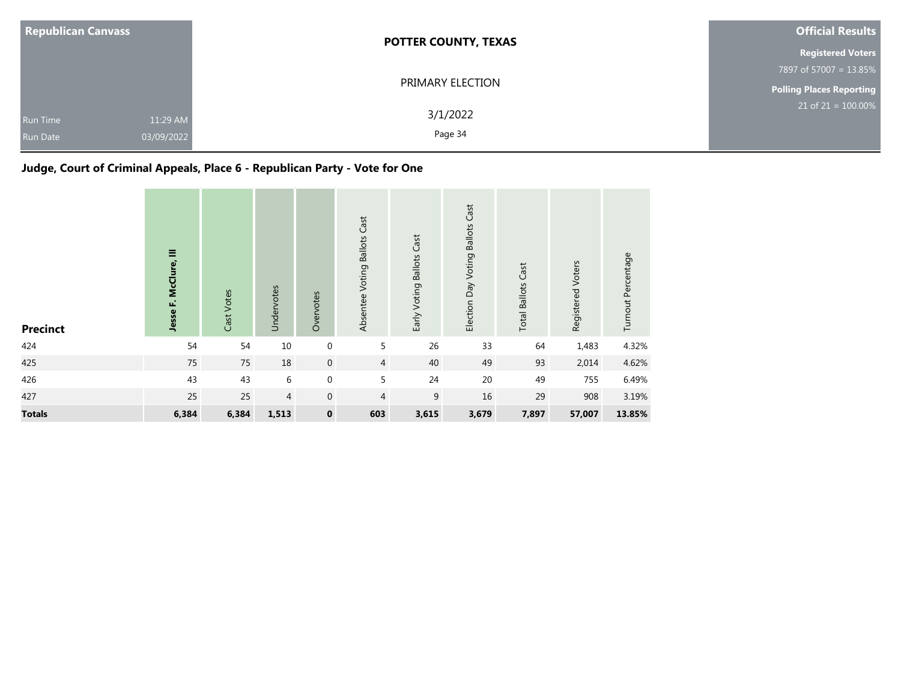| <b>Republican Canvass</b>   |                        | <b>POTTER COUNTY, TEXAS</b> | <b>Official Results</b>  |
|-----------------------------|------------------------|-----------------------------|--------------------------|
|                             |                        |                             | <b>Registered Voters</b> |
|                             |                        |                             | 7897 of 57007 = 13.85%   |
|                             |                        | PRIMARY ELECTION            | Polling Places Reporting |
| Run Time<br><b>Run Date</b> | 11:29 AM<br>03/09/2022 | 3/1/2022<br>Page 34         | $21$ of 21 = 100.00%     |

# **Judge, Court of Criminal Appeals, Place 6 - Republican Party - Vote for One**

| <b>Precinct</b> | Ξ<br>Jesse F. McClure, | Cast Votes | Undervotes     | Overvotes        | Absentee Voting Ballots Cast | Early Voting Ballots Cast | Election Day Voting Ballots Cast | <b>Total Ballots Cast</b> | Registered Voters | Turnout Percentage |
|-----------------|------------------------|------------|----------------|------------------|------------------------------|---------------------------|----------------------------------|---------------------------|-------------------|--------------------|
| 424             | 54                     | 54         | $10\,$         | $\boldsymbol{0}$ | 5                            | 26                        | 33                               | 64                        | 1,483             | 4.32%              |
| 425             | 75                     | 75         | 18             | $\boldsymbol{0}$ | $\overline{4}$               | 40                        | 49                               | 93                        | 2,014             | 4.62%              |
| 426             | 43                     | 43         | 6              | $\mathbf 0$      | 5                            | 24                        | 20                               | 49                        | 755               | 6.49%              |
| 427             | 25                     | 25         | $\overline{4}$ | $\mathbf 0$      | $\overline{4}$               | 9                         | 16                               | 29                        | 908               | 3.19%              |
| <b>Totals</b>   | 6,384                  | 6,384      | 1,513          | $\pmb{0}$        | 603                          | 3,615                     | 3,679                            | 7,897                     | 57,007            | 13.85%             |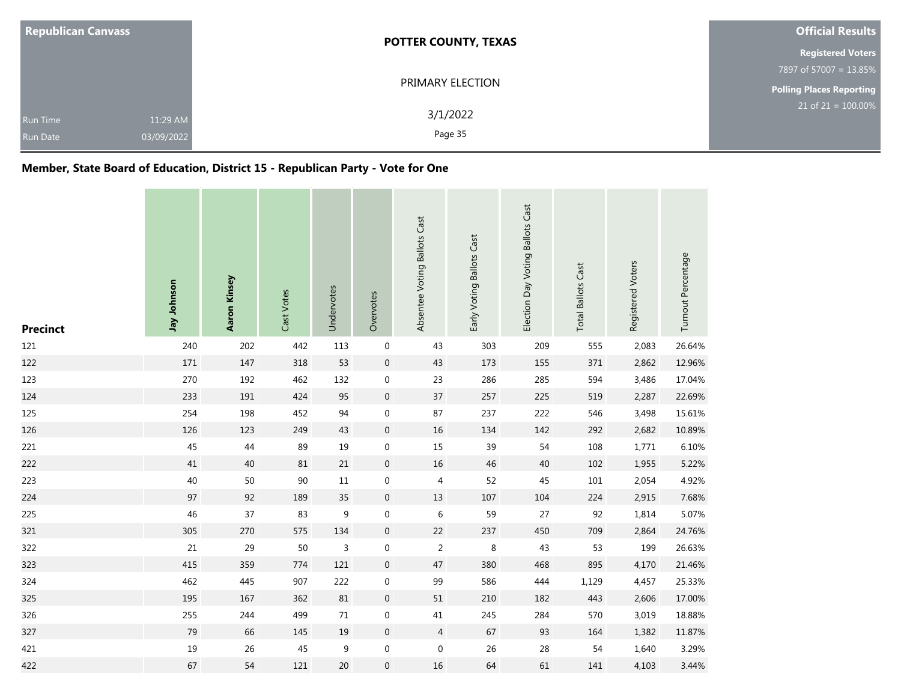| <b>Republican Canvass</b>                                    | <b>POTTER COUNTY, TEXAS</b> | <b>Official Results</b>         |  |  |
|--------------------------------------------------------------|-----------------------------|---------------------------------|--|--|
|                                                              |                             | <b>Registered Voters</b>        |  |  |
|                                                              |                             | 7897 of 57007 = 13.85%          |  |  |
|                                                              | PRIMARY ELECTION            | <b>Polling Places Reporting</b> |  |  |
| 11:29 AM<br><b>Run Time</b><br>03/09/2022<br><b>Run Date</b> | 3/1/2022<br>Page 35         | $21$ of $21 = 100.00\%$         |  |  |

## **Member, State Board of Education, District 15 - Republican Party - Vote for One**

| <b>Precinct</b> | Jay Johnson | Aaron Kinsey | Cast Votes | Undervotes       | Overvotes           | Absentee Voting Ballots Cast | Early Voting Ballots Cast | Election Day Voting Ballots Cast | <b>Total Ballots Cast</b> | Registered Voters | Turnout Percentage |
|-----------------|-------------|--------------|------------|------------------|---------------------|------------------------------|---------------------------|----------------------------------|---------------------------|-------------------|--------------------|
| 121             | 240         | 202          | 442        | 113              | $\boldsymbol{0}$    | 43                           | 303                       | 209                              | 555                       | 2,083             | 26.64%             |
| 122             | 171         | 147          | 318        | 53               | $\pmb{0}$           | 43                           | 173                       | 155                              | 371                       | 2,862             | 12.96%             |
| 123             | 270         | 192          | 462        | 132              | $\boldsymbol{0}$    | 23                           | 286                       | 285                              | 594                       | 3,486             | 17.04%             |
| 124             | 233         | 191          | 424        | 95               | $\mathsf{O}\xspace$ | $37\,$                       | 257                       | 225                              | 519                       | 2,287             | 22.69%             |
| 125             | 254         | 198          | 452        | 94               | $\mathbf 0$         | 87                           | 237                       | 222                              | 546                       | 3,498             | 15.61%             |
| 126             | 126         | 123          | 249        | 43               | $\mathsf{O}\xspace$ | $16\,$                       | 134                       | 142                              | 292                       | 2,682             | 10.89%             |
| 221             | 45          | 44           | 89         | 19               | $\boldsymbol{0}$    | 15                           | 39                        | 54                               | 108                       | 1,771             | 6.10%              |
| 222             | $41\,$      | 40           | $81\,$     | 21               | $\pmb{0}$           | $16\,$                       | 46                        | 40                               | 102                       | 1,955             | 5.22%              |
| 223             | 40          | 50           | 90         | 11               | $\boldsymbol{0}$    | 4                            | 52                        | 45                               | 101                       | 2,054             | 4.92%              |
| 224             | 97          | 92           | 189        | 35               | $\mathsf{O}\xspace$ | 13                           | 107                       | 104                              | 224                       | 2,915             | 7.68%              |
| 225             | 46          | 37           | 83         | $\boldsymbol{9}$ | $\boldsymbol{0}$    | $\,$ 6 $\,$                  | 59                        | 27                               | 92                        | 1,814             | 5.07%              |
| 321             | 305         | 270          | 575        | 134              | $\boldsymbol{0}$    | 22                           | 237                       | 450                              | 709                       | 2,864             | 24.76%             |
| 322             | 21          | 29           | 50         | $\mathsf{3}$     | $\boldsymbol{0}$    | $\overline{2}$               | 8                         | 43                               | 53                        | 199               | 26.63%             |
| 323             | 415         | 359          | 774        | 121              | $\mathbf 0$         | 47                           | 380                       | 468                              | 895                       | 4,170             | 21.46%             |
| 324             | 462         | 445          | 907        | 222              | $\boldsymbol{0}$    | 99                           | 586                       | 444                              | 1,129                     | 4,457             | 25.33%             |
| 325             | 195         | 167          | 362        | 81               | $\pmb{0}$           | 51                           | 210                       | 182                              | 443                       | 2,606             | 17.00%             |
| 326             | 255         | 244          | 499        | 71               | 0                   | $41\,$                       | 245                       | 284                              | 570                       | 3,019             | 18.88%             |
| 327             | 79          | 66           | 145        | 19               | $\mathbf 0$         | $\overline{4}$               | 67                        | 93                               | 164                       | 1,382             | 11.87%             |
| 421             | 19          | 26           | 45         | 9                | $\boldsymbol{0}$    | $\boldsymbol{0}$             | 26                        | 28                               | 54                        | 1,640             | 3.29%              |
| 422             | 67          | 54           | 121        | 20               | $\mathbf 0$         | 16                           | 64                        | 61                               | 141                       | 4,103             | 3.44%              |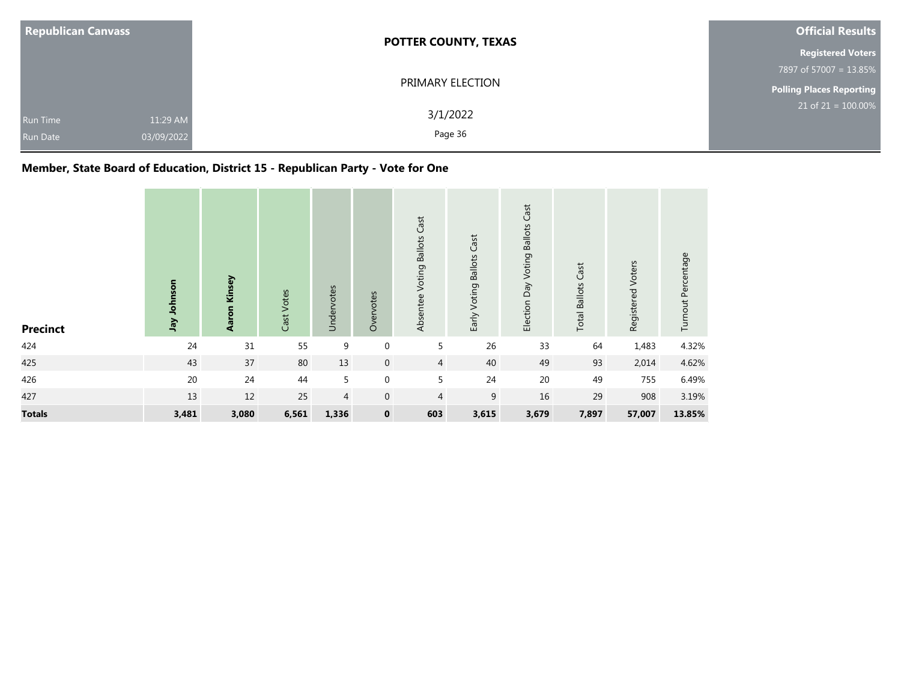| <b>Republican Canvass</b>          |                        | <b>POTTER COUNTY, TEXAS</b> | <b>Official Results</b>  |
|------------------------------------|------------------------|-----------------------------|--------------------------|
|                                    |                        |                             | <b>Registered Voters</b> |
|                                    |                        |                             | 7897 of 57007 = 13.85%   |
|                                    |                        | PRIMARY ELECTION            | Polling Places Reporting |
| <b>Run Time</b><br><b>Run Date</b> | 11:29 AM<br>03/09/2022 | 3/1/2022<br>Page 36         | $21$ of 21 = 100.00%     |

## **Member, State Board of Education, District 15 - Republican Party - Vote for One**

| <b>Precinct</b> | Jay Johnson | Aaron Kinsey | Cast Votes | Undervotes | Overvotes   | Absentee Voting Ballots Cast | Early Voting Ballots Cast | Election Day Voting Ballots Cast | <b>Total Ballots Cast</b> | Registered Voters | Turnout Percentage |
|-----------------|-------------|--------------|------------|------------|-------------|------------------------------|---------------------------|----------------------------------|---------------------------|-------------------|--------------------|
| 424             | 24          | 31           | 55         | 9          | $\mathbf 0$ | 5                            | 26                        | 33                               | 64                        | 1,483             | 4.32%              |
| 425             | 43          | 37           | 80         | 13         | $\mathbf 0$ | $\overline{4}$               | 40                        | 49                               | 93                        | 2,014             | 4.62%              |
| 426             | 20          | 24           | 44         | 5          | 0           | 5                            | 24                        | 20                               | 49                        | 755               | 6.49%              |
| 427             | 13          | 12           | 25         | 4          | $\mathbf 0$ | $\overline{4}$               | 9                         | 16                               | 29                        | 908               | 3.19%              |
| <b>Totals</b>   | 3,481       | 3,080        | 6,561      | 1,336      | $\mathbf 0$ | 603                          | 3,615                     | 3,679                            | 7,897                     | 57,007            | 13.85%             |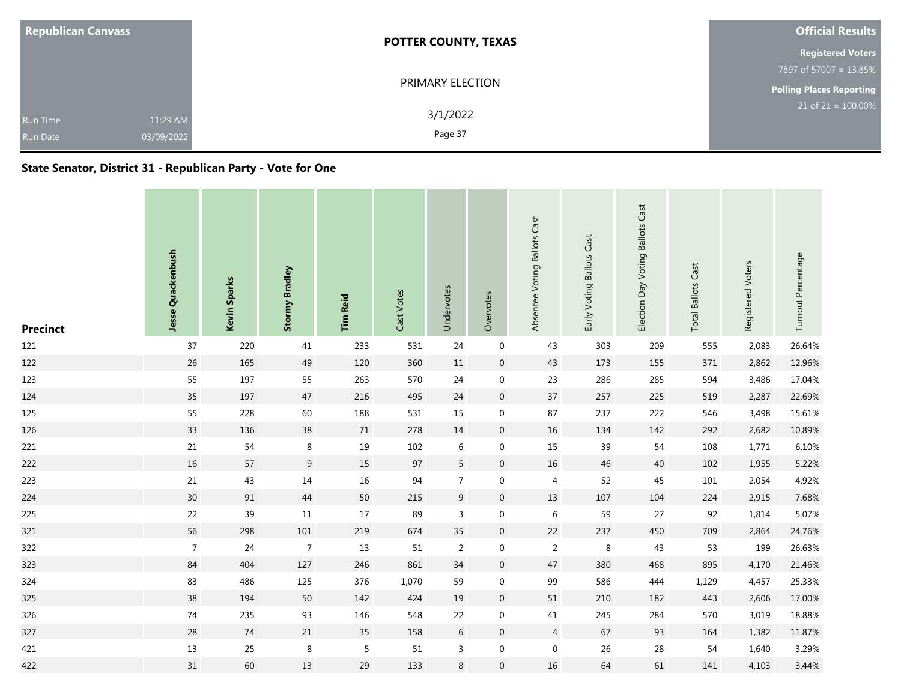| <b>Republican Canvass</b>          |                        | <b>POTTER COUNTY, TEXAS</b> | <b>Official Results</b>         |
|------------------------------------|------------------------|-----------------------------|---------------------------------|
|                                    |                        |                             | <b>Registered Voters</b>        |
|                                    |                        |                             | 7897 of 57007 = 13.85%          |
|                                    |                        | PRIMARY ELECTION            | <b>Polling Places Reporting</b> |
| <b>Run Time</b><br><b>Run Date</b> | 11:29 AM<br>03/09/2022 | 3/1/2022<br>Page 37         | $21$ of $21 = 100.00\%$         |

### **State Senator, District 31 - Republican Party - Vote for One**

| <b>Precinct</b> | Jesse Quackenbush | Kevin Sparks | <b>Stormy Bradley</b> | <b>Tim Reid</b> | Cast Votes | Undervotes     | Overvotes        | Absentee Voting Ballots Cast | Early Voting Ballots Cast | Election Day Voting Ballots Cast | <b>Total Ballots Cast</b> | Registered Voters | Turnout Percentage |
|-----------------|-------------------|--------------|-----------------------|-----------------|------------|----------------|------------------|------------------------------|---------------------------|----------------------------------|---------------------------|-------------------|--------------------|
| 121             | 37                | 220          | 41                    | 233             | 531        | 24             | $\boldsymbol{0}$ | 43                           | 303                       | 209                              | 555                       | 2,083             | 26.64%             |
| 122             | $26\,$            | 165          | 49                    | 120             | 360        | $11\,$         | $\,0\,$          | 43                           | 173                       | 155                              | 371                       | 2,862             | 12.96%             |
| 123             | 55                | 197          | 55                    | 263             | 570        | 24             | $\mathbf 0$      | 23                           | 286                       | 285                              | 594                       | 3,486             | 17.04%             |
| 124             | 35                | 197          | 47                    | 216             | 495        | 24             | $\mathbf 0$      | 37                           | 257                       | 225                              | 519                       | 2,287             | 22.69%             |
| 125             | 55                | 228          | 60                    | 188             | 531        | 15             | $\mathbf 0$      | 87                           | 237                       | 222                              | 546                       | 3,498             | 15.61%             |
| 126             | 33                | 136          | $38\,$                | 71              | 278        | 14             | $\overline{0}$   | $16\,$                       | 134                       | 142                              | 292                       | 2,682             | 10.89%             |
| 221             | $21\,$            | 54           | $\,8\,$               | 19              | 102        | 6              | $\mathbf 0$      | 15                           | 39                        | 54                               | 108                       | 1,771             | 6.10%              |
| 222             | $16\,$            | 57           | 9                     | 15              | 97         | $5\phantom{.}$ | $\mathbf 0$      | $16\,$                       | 46                        | 40                               | 102                       | 1,955             | 5.22%              |
| 223             | $21\,$            | 43           | 14                    | $16\,$          | 94         | $\overline{7}$ | $\mathbf 0$      | $\overline{4}$               | 52                        | 45                               | 101                       | 2,054             | 4.92%              |
| 224             | 30                | 91           | 44                    | $50\,$          | 215        | 9              | $\mathbf 0$      | $13\,$                       | 107                       | 104                              | 224                       | 2,915             | 7.68%              |
| 225             | 22                | 39           | 11                    | $17\,$          | 89         | 3              | $\boldsymbol{0}$ | $\,$ 6 $\,$                  | 59                        | 27                               | 92                        | 1,814             | 5.07%              |
| 321             | 56                | 298          | 101                   | $219\,$         | 674        | 35             | $\overline{0}$   | $22\,$                       | 237                       | 450                              | 709                       | 2,864             | 24.76%             |
| 322             | $\overline{7}$    | 24           | $\overline{7}$        | 13              | 51         | 2              | $\mathbf 0$      | $\overline{2}$               | 8                         | 43                               | 53                        | 199               | 26.63%             |
| 323             | 84                | 404          | 127                   | 246             | 861        | 34             | $\overline{0}$   | 47                           | 380                       | 468                              | 895                       | 4,170             | 21.46%             |
| 324             | 83                | 486          | 125                   | 376             | 1,070      | 59             | $\boldsymbol{0}$ | 99                           | 586                       | 444                              | 1,129                     | 4,457             | 25.33%             |
| 325             | 38                | 194          | 50                    | 142             | 424        | 19             | $\overline{0}$   | $51\,$                       | 210                       | 182                              | 443                       | 2,606             | 17.00%             |
| 326             | $74$              | 235          | 93                    | 146             | 548        | 22             | $\mathbf 0$      | 41                           | 245                       | 284                              | 570                       | 3,019             | 18.88%             |
| 327             | $28\,$            | $74$         | 21                    | 35              | 158        | 6              | $\mathbf 0$      | $\overline{4}$               | 67                        | 93                               | 164                       | 1,382             | 11.87%             |
| 421             | $13\,$            | 25           | $\,8\,$               | $\sqrt{5}$      | 51         | 3              | $\mathbf 0$      | $\boldsymbol{0}$             | 26                        | 28                               | 54                        | 1,640             | 3.29%              |
| 422             | 31                | 60           | 13                    | 29              | 133        | 8              | $\mathbf 0$      | 16                           | 64                        | 61                               | 141                       | 4,103             | 3.44%              |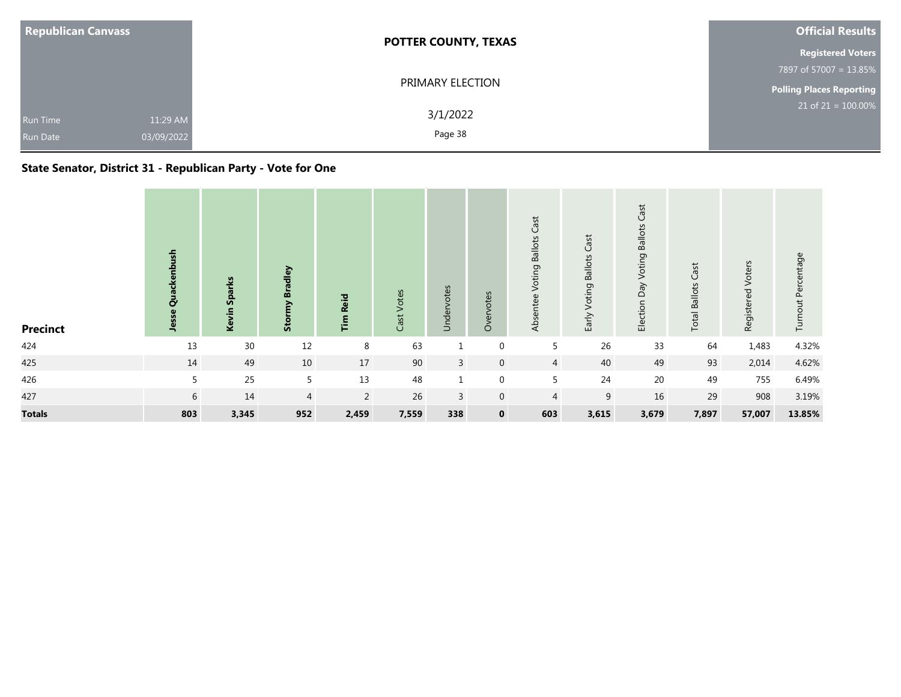| <b>Republican Canvass</b>          |                        | <b>POTTER COUNTY, TEXAS</b> | <b>Official Results</b>         |
|------------------------------------|------------------------|-----------------------------|---------------------------------|
|                                    |                        |                             | <b>Registered Voters</b>        |
|                                    |                        |                             | 7897 of 57007 = 13.85%          |
|                                    |                        | PRIMARY ELECTION            | <b>Polling Places Reporting</b> |
| <b>Run Time</b><br><b>Run Date</b> | 11:29 AM<br>03/09/2022 | 3/1/2022<br>Page 38         | $21$ of 21 = 100.00%            |

### **State Senator, District 31 - Republican Party - Vote for One**

| <b>Precinct</b> | ush<br>흗<br><b>Bug</b><br>Jesse | <b>Sparks</b><br>Kevin | <b>Stormy Bradley</b> | <b>Reid</b><br>$\overline{\mathbf{r}}$ | Votes<br>Cast <sup>-</sup> | Undervotes   | Overvotes        | Cast<br>Absentee Voting Ballots | Voting Ballots Cast<br>Early | Cast<br>Election Day Voting Ballots | <b>Total Ballots Cast</b> | Registered Voters | Turnout Percentage |
|-----------------|---------------------------------|------------------------|-----------------------|----------------------------------------|----------------------------|--------------|------------------|---------------------------------|------------------------------|-------------------------------------|---------------------------|-------------------|--------------------|
| 424             | 13                              | 30                     | 12                    | 8                                      | 63                         |              | $\boldsymbol{0}$ | 5                               | 26                           | 33                                  | 64                        | 1,483             | 4.32%              |
| 425             | 14                              | 49                     | 10                    | 17                                     | 90                         | $\mathbf{3}$ | $\mathbf 0$      | $\overline{4}$                  | 40                           | 49                                  | 93                        | 2,014             | 4.62%              |
| 426             | 5                               | 25                     | 5                     | 13                                     | 48                         | 1            | $\mathbf 0$      | 5                               | 24                           | $20\,$                              | 49                        | 755               | 6.49%              |
| 427             | 6                               | 14                     | $\overline{4}$        | $\overline{2}$                         | 26                         | 3            | $\mathbf 0$      | 4                               | 9                            | 16                                  | 29                        | 908               | 3.19%              |
| <b>Totals</b>   | 803                             | 3,345                  | 952                   | 2,459                                  | 7,559                      | 338          | $\mathbf 0$      | 603                             | 3,615                        | 3,679                               | 7,897                     | 57,007            | 13.85%             |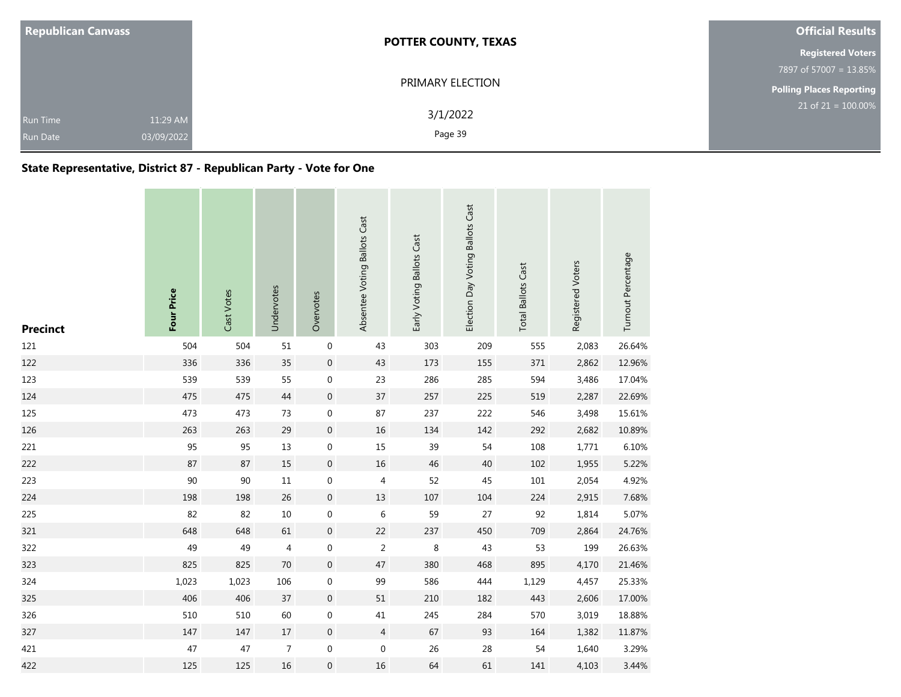| <b>Republican Canvass</b>                                    | <b>POTTER COUNTY, TEXAS</b> | <b>Official Results</b>         |
|--------------------------------------------------------------|-----------------------------|---------------------------------|
|                                                              |                             | <b>Registered Voters</b>        |
|                                                              |                             | 7897 of 57007 = 13.85%          |
|                                                              | PRIMARY ELECTION            | <b>Polling Places Reporting</b> |
| 11:29 AM<br><b>Run Time</b><br>03/09/2022<br><b>Run Date</b> | 3/1/2022<br>Page 39         | $21$ of 21 = 100.00%            |

### **State Representative, District 87 - Republican Party - Vote for One**

| <b>Precinct</b> | Four Price | Cast Votes | Undervotes     | Overvotes        | Absentee Voting Ballots Cast | Early Voting Ballots Cast | Election Day Voting Ballots Cast | <b>Total Ballots Cast</b> | Registered Voters | Turnout Percentage |
|-----------------|------------|------------|----------------|------------------|------------------------------|---------------------------|----------------------------------|---------------------------|-------------------|--------------------|
| 121             | 504        | 504        | 51             | $\boldsymbol{0}$ | 43                           | 303                       | 209                              | 555                       | 2,083             | 26.64%             |
| 122             | 336        | 336        | 35             | $\boldsymbol{0}$ | 43                           | 173                       | 155                              | 371                       | 2,862             | 12.96%             |
| 123             | 539        | 539        | 55             | $\boldsymbol{0}$ | 23                           | 286                       | 285                              | 594                       | 3,486             | 17.04%             |
| 124             | 475        | 475        | 44             | $\boldsymbol{0}$ | 37                           | 257                       | 225                              | 519                       | 2,287             | 22.69%             |
| 125             | 473        | 473        | 73             | $\mathbf 0$      | 87                           | 237                       | 222                              | 546                       | 3,498             | 15.61%             |
| 126             | 263        | 263        | 29             | $\boldsymbol{0}$ | 16                           | 134                       | 142                              | 292                       | 2,682             | 10.89%             |
| 221             | 95         | 95         | 13             | $\boldsymbol{0}$ | 15                           | 39                        | 54                               | 108                       | 1,771             | 6.10%              |
| 222             | 87         | 87         | 15             | $\boldsymbol{0}$ | 16                           | 46                        | 40                               | 102                       | 1,955             | 5.22%              |
| 223             | 90         | 90         | $11\,$         | $\boldsymbol{0}$ | 4                            | 52                        | 45                               | $101\,$                   | 2,054             | 4.92%              |
| 224             | 198        | 198        | 26             | $\mathbf 0$      | 13                           | 107                       | 104                              | 224                       | 2,915             | 7.68%              |
| 225             | 82         | 82         | $10\,$         | $\pmb{0}$        | $\,$ 6 $\,$                  | 59                        | 27                               | 92                        | 1,814             | 5.07%              |
| 321             | 648        | 648        | 61             | $\boldsymbol{0}$ | 22                           | 237                       | 450                              | 709                       | 2,864             | 24.76%             |
| 322             | 49         | 49         | 4              | $\mathbf 0$      | $\overline{2}$               | 8                         | 43                               | 53                        | 199               | 26.63%             |
| 323             | 825        | 825        | 70             | $\boldsymbol{0}$ | 47                           | 380                       | 468                              | 895                       | 4,170             | 21.46%             |
| 324             | 1,023      | 1,023      | 106            | $\boldsymbol{0}$ | 99                           | 586                       | 444                              | 1,129                     | 4,457             | 25.33%             |
| 325             | 406        | 406        | 37             | $\mathbf 0$      | 51                           | 210                       | 182                              | 443                       | 2,606             | 17.00%             |
| 326             | 510        | 510        | 60             | $\boldsymbol{0}$ | 41                           | 245                       | 284                              | 570                       | 3,019             | 18.88%             |
| 327             | 147        | 147        | 17             | $\mathbf 0$      | $\overline{4}$               | 67                        | 93                               | 164                       | 1,382             | 11.87%             |
| 421             | 47         | 47         | $\overline{7}$ | $\mathbf 0$      | 0                            | 26                        | 28                               | 54                        | 1,640             | 3.29%              |
| 422             | 125        | 125        | 16             | 0                | 16                           | 64                        | 61                               | 141                       | 4,103             | 3.44%              |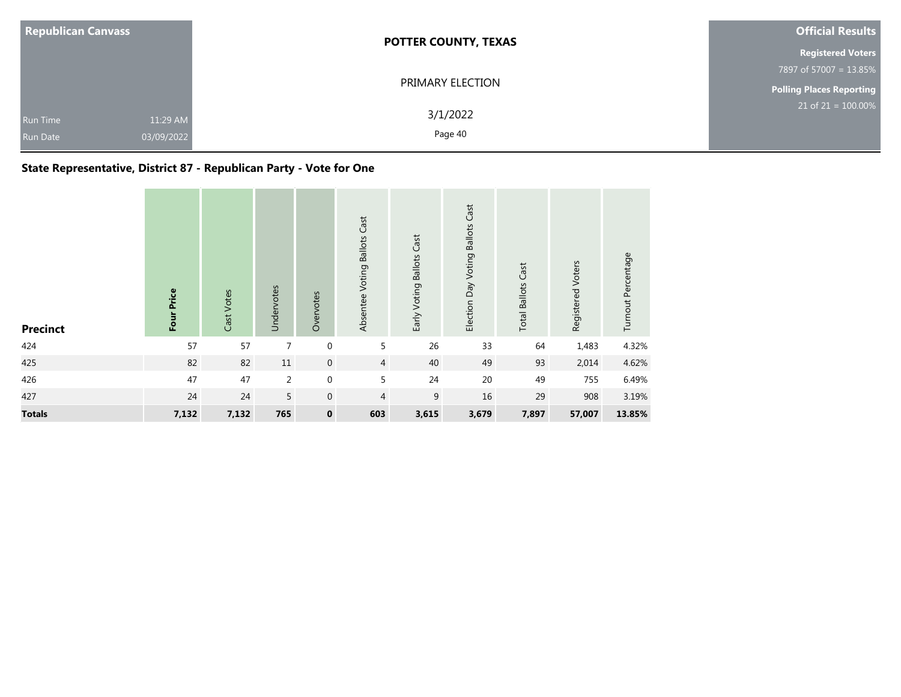| <b>Republican Canvass</b>   |                        | <b>POTTER COUNTY, TEXAS</b> | <b>Official Results</b>         |
|-----------------------------|------------------------|-----------------------------|---------------------------------|
|                             |                        |                             | <b>Registered Voters</b>        |
|                             |                        |                             | 7897 of 57007 = 13.85%          |
|                             |                        | PRIMARY ELECTION            | <b>Polling Places Reporting</b> |
| Run Time<br><b>Run Date</b> | 11:29 AM<br>03/09/2022 | 3/1/2022<br>Page 40         | $21$ of 21 = 100.00%            |

### **State Representative, District 87 - Republican Party - Vote for One**

| <b>Precinct</b> | Four Price | Cast Votes | Undervotes     | Overvotes        | Absentee Voting Ballots Cast | Early Voting Ballots Cast | Election Day Voting Ballots Cast | <b>Total Ballots Cast</b> | Registered Voters | Turnout Percentage |
|-----------------|------------|------------|----------------|------------------|------------------------------|---------------------------|----------------------------------|---------------------------|-------------------|--------------------|
| 424             | 57         | 57         | 7              | $\boldsymbol{0}$ | 5                            | 26                        | 33                               | 64                        | 1,483             | 4.32%              |
| 425             | 82         | 82         | 11             | $\boldsymbol{0}$ | $\overline{4}$               | 40                        | 49                               | 93                        | 2,014             | 4.62%              |
| 426             | 47         | 47         | $\overline{2}$ | $\mathbf 0$      | 5                            | 24                        | 20                               | 49                        | 755               | 6.49%              |
| 427             | 24         | 24         | 5              | $\boldsymbol{0}$ | $\overline{4}$               | 9                         | 16                               | 29                        | 908               | 3.19%              |
| <b>Totals</b>   | 7,132      | 7,132      | 765            | $\pmb{0}$        | 603                          | 3,615                     | 3,679                            | 7,897                     | 57,007            | 13.85%             |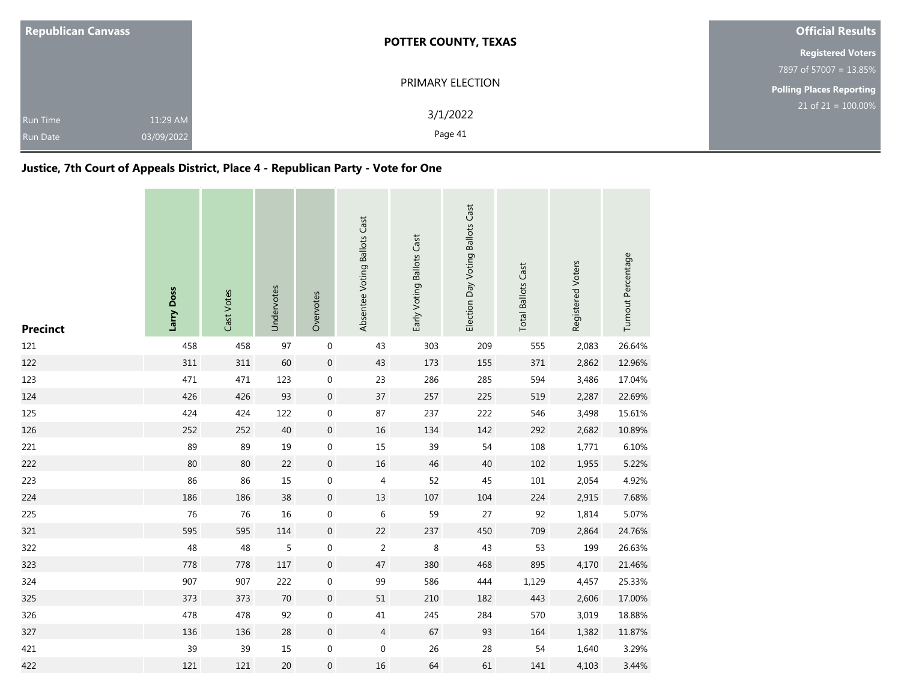| <b>Republican Canvass</b>          |                        | <b>POTTER COUNTY, TEXAS</b> | <b>Official Results</b>         |
|------------------------------------|------------------------|-----------------------------|---------------------------------|
|                                    |                        |                             | <b>Registered Voters</b>        |
|                                    |                        |                             | 7897 of 57007 = 13.85%          |
|                                    |                        | PRIMARY ELECTION            | <b>Polling Places Reporting</b> |
| <b>Run Time</b><br><b>Run Date</b> | 11:29 AM<br>03/09/2022 | 3/1/2022<br>Page 41         | $21$ of $21 = 100.00\%$         |

### **Justice, 7th Court of Appeals District, Place 4 - Republican Party - Vote for One**

| <b>Precinct</b> | Larry Doss | Cast Votes | Undervotes | Overvotes           | Absentee Voting Ballots Cast | Early Voting Ballots Cast | Election Day Voting Ballots Cast | <b>Total Ballots Cast</b> | Registered Voters | Turnout Percentage |
|-----------------|------------|------------|------------|---------------------|------------------------------|---------------------------|----------------------------------|---------------------------|-------------------|--------------------|
| 121             | 458        | 458        | 97         | $\boldsymbol{0}$    | 43                           | 303                       | 209                              | 555                       | 2,083             | 26.64%             |
| 122             | 311        | 311        | 60         | $\mathbf 0$         | 43                           | 173                       | 155                              | 371                       | 2,862             | 12.96%             |
| 123             | 471        | 471        | 123        | $\boldsymbol{0}$    | 23                           | 286                       | 285                              | 594                       | 3,486             | 17.04%             |
| 124             | 426        | 426        | 93         | $\mathbf 0$         | 37                           | 257                       | 225                              | 519                       | 2,287             | 22.69%             |
| 125             | 424        | 424        | 122        | 0                   | 87                           | 237                       | 222                              | 546                       | 3,498             | 15.61%             |
| 126             | 252        | 252        | 40         | $\mathbf 0$         | 16                           | 134                       | 142                              | 292                       | 2,682             | 10.89%             |
| 221             | 89         | 89         | 19         | $\boldsymbol{0}$    | 15                           | 39                        | 54                               | 108                       | 1,771             | 6.10%              |
| 222             | 80         | 80         | 22         | $\mathbf{0}$        | 16                           | 46                        | 40                               | 102                       | 1,955             | 5.22%              |
| 223             | 86         | 86         | $15\,$     | $\boldsymbol{0}$    | 4                            | 52                        | 45                               | $101\,$                   | 2,054             | 4.92%              |
| 224             | 186        | 186        | 38         | $\mathbf 0$         | 13                           | 107                       | 104                              | 224                       | 2,915             | 7.68%              |
| 225             | 76         | 76         | $16\,$     | $\boldsymbol{0}$    | 6                            | 59                        | 27                               | 92                        | 1,814             | 5.07%              |
| 321             | 595        | 595        | 114        | $\mathsf{O}\xspace$ | 22                           | 237                       | 450                              | 709                       | 2,864             | 24.76%             |
| 322             | 48         | 48         | 5          | 0                   | 2                            | 8                         | 43                               | 53                        | 199               | 26.63%             |
| 323             | 778        | 778        | 117        | $\mathsf{O}\xspace$ | 47                           | 380                       | 468                              | 895                       | 4,170             | 21.46%             |
| 324             | 907        | 907        | 222        | $\boldsymbol{0}$    | 99                           | 586                       | 444                              | 1,129                     | 4,457             | 25.33%             |
| 325             | 373        | 373        | 70         | $\mathbf{0}$        | 51                           | 210                       | 182                              | 443                       | 2,606             | 17.00%             |
| 326             | 478        | 478        | 92         | $\boldsymbol{0}$    | 41                           | 245                       | 284                              | 570                       | 3,019             | 18.88%             |
| 327             | 136        | 136        | 28         | $\mathbf 0$         | $\overline{4}$               | 67                        | 93                               | 164                       | 1,382             | 11.87%             |
| 421             | 39         | 39         | 15         | $\mathbf 0$         | 0                            | 26                        | 28                               | 54                        | 1,640             | 3.29%              |
| 422             | 121        | 121        | 20         | $\overline{0}$      | 16                           | 64                        | 61                               | 141                       | 4,103             | 3.44%              |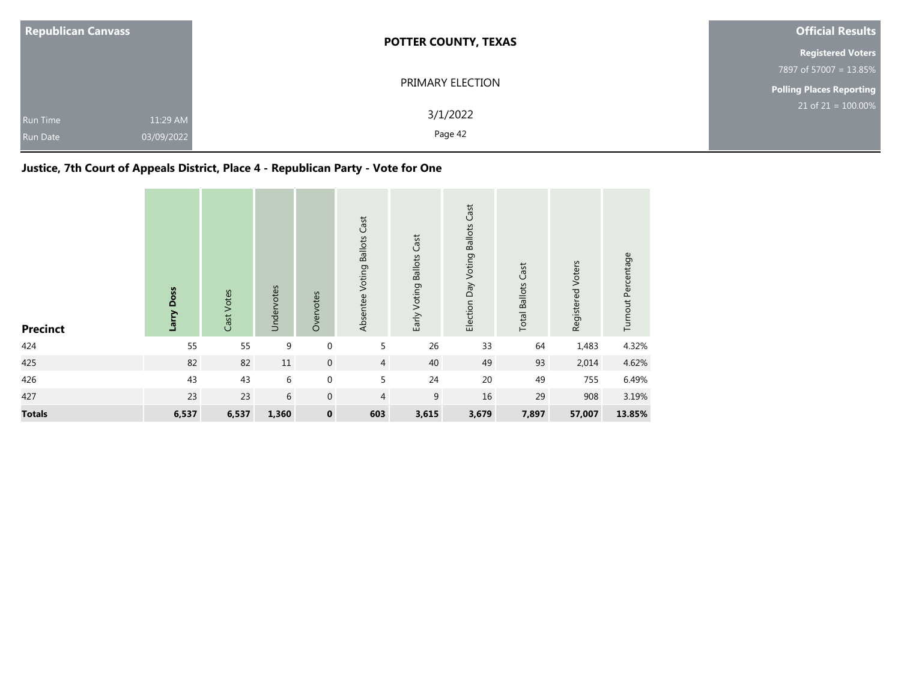| <b>Republican Canvass</b>                                    | <b>POTTER COUNTY, TEXAS</b> | <b>Official Results</b>         |
|--------------------------------------------------------------|-----------------------------|---------------------------------|
|                                                              |                             | <b>Registered Voters</b>        |
|                                                              |                             | 7897 of 57007 = 13.85%          |
|                                                              | PRIMARY ELECTION            | <b>Polling Places Reporting</b> |
| 11:29 AM<br><b>Run Time</b><br>03/09/2022<br><b>Run Date</b> | 3/1/2022<br>Page 42         | $21$ of $21 = 100.00\%$         |

# **Justice, 7th Court of Appeals District, Place 4 - Republican Party - Vote for One**

| <b>Precinct</b> | Larry Doss | Cast Votes | Undervotes | Overvotes   | Absentee Voting Ballots Cast | Early Voting Ballots Cast | Election Day Voting Ballots Cast | <b>Total Ballots Cast</b> | Registered Voters | Turnout Percentage |
|-----------------|------------|------------|------------|-------------|------------------------------|---------------------------|----------------------------------|---------------------------|-------------------|--------------------|
| 424             | 55         | 55         | 9          | $\mathbf 0$ | 5                            | 26                        | 33                               | 64                        | 1,483             | 4.32%              |
| 425             | 82         | 82         | $11\,$     | $\mathbf 0$ | $\overline{4}$               | 40                        | 49                               | 93                        | 2,014             | 4.62%              |
| 426             | 43         | 43         | 6          | $\mathbf 0$ | 5                            | 24                        | $20\,$                           | 49                        | 755               | 6.49%              |
| 427             | 23         | 23         | 6          | $\mathbf 0$ | $\overline{4}$               | 9                         | 16                               | 29                        | 908               | 3.19%              |
| <b>Totals</b>   | 6,537      | 6,537      | 1,360      | $\pmb{0}$   | 603                          | 3,615                     | 3,679                            | 7,897                     | 57,007            | 13.85%             |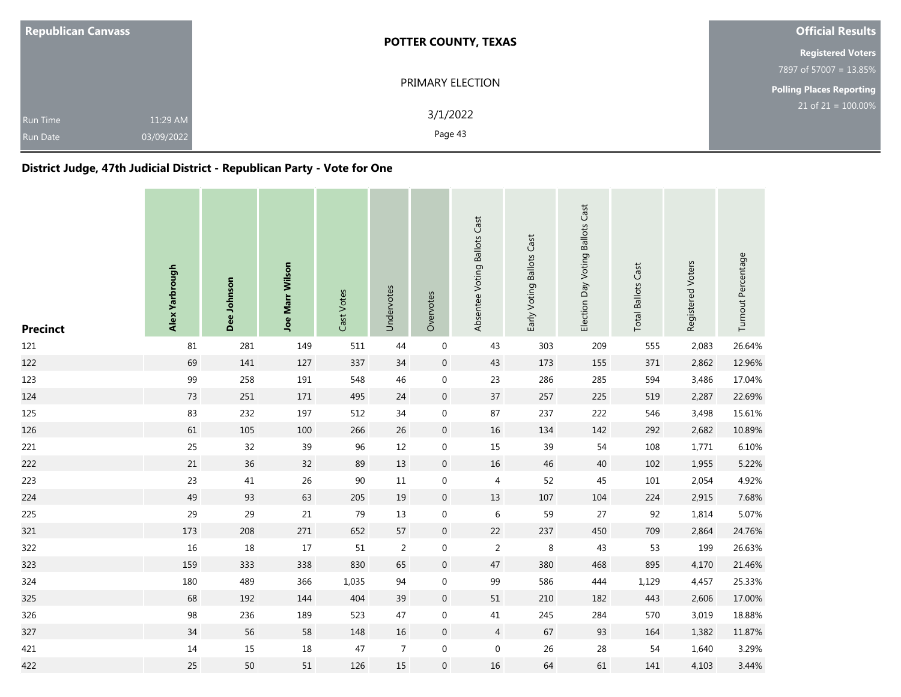| <b>Republican Canvass</b>   |                        | <b>POTTER COUNTY, TEXAS</b> | <b>Official Results</b>            |
|-----------------------------|------------------------|-----------------------------|------------------------------------|
|                             |                        |                             | <b>Registered Voters</b>           |
|                             |                        |                             | 7897 of 57007 = 13.85%             |
|                             |                        | PRIMARY ELECTION            | Polling Places Reporting           |
| Run Time<br><b>Run Date</b> | 11:29 AM<br>03/09/2022 | 3/1/2022<br>Page 43         | $21$ of 21 = $\overline{100.00\%}$ |

### **District Judge, 47th Judicial District - Republican Party - Vote for One**

| <b>Precinct</b> | Alex Yarbrough | Dee Johnson | <b>Joe Marr Wilson</b> | Cast Votes | Undervotes     | Overvotes        | Absentee Voting Ballots Cast | Early Voting Ballots Cast | Election Day Voting Ballots Cast | <b>Total Ballots Cast</b> | Registered Voters | Turnout Percentage |
|-----------------|----------------|-------------|------------------------|------------|----------------|------------------|------------------------------|---------------------------|----------------------------------|---------------------------|-------------------|--------------------|
| 121             | 81             | 281         | 149                    | 511        | 44             | $\boldsymbol{0}$ | 43                           | 303                       | 209                              | 555                       | 2,083             | 26.64%             |
| 122             | 69             | 141         | 127                    | 337        | 34             | $\mathbf 0$      | 43                           | 173                       | 155                              | 371                       | 2,862             | 12.96%             |
| 123             | 99             | 258         | 191                    | 548        | 46             | $\boldsymbol{0}$ | 23                           | 286                       | 285                              | 594                       | 3,486             | 17.04%             |
| 124             | 73             | 251         | 171                    | 495        | 24             | $\mathbf 0$      | 37                           | 257                       | 225                              | 519                       | 2,287             | 22.69%             |
| 125             | 83             | 232         | 197                    | 512        | 34             | $\boldsymbol{0}$ | 87                           | 237                       | 222                              | 546                       | 3,498             | 15.61%             |
| 126             | 61             | 105         | 100                    | 266        | $26\,$         | $\mathbf 0$      | 16                           | 134                       | 142                              | 292                       | 2,682             | 10.89%             |
| 221             | 25             | 32          | 39                     | 96         | 12             | $\boldsymbol{0}$ | 15                           | 39                        | 54                               | 108                       | 1,771             | 6.10%              |
| 222             | 21             | 36          | 32                     | 89         | $13\,$         | $\boldsymbol{0}$ | $16\,$                       | 46                        | 40                               | 102                       | 1,955             | 5.22%              |
| 223             | 23             | 41          | 26                     | $90\,$     | $11\,$         | $\boldsymbol{0}$ | 4                            | 52                        | 45                               | 101                       | 2,054             | 4.92%              |
| 224             | 49             | 93          | 63                     | 205        | $19\,$         | $\boldsymbol{0}$ | 13                           | $107\,$                   | 104                              | 224                       | 2,915             | 7.68%              |
| 225             | 29             | 29          | 21                     | 79         | 13             | $\mathbf 0$      | 6                            | 59                        | 27                               | 92                        | 1,814             | 5.07%              |
| 321             | 173            | 208         | $271\,$                | 652        | 57             | $\boldsymbol{0}$ | 22                           | 237                       | 450                              | 709                       | 2,864             | 24.76%             |
| 322             | 16             | $18\,$      | $17$                   | 51         | $\overline{2}$ | $\boldsymbol{0}$ | $\overline{2}$               | $\,8\,$                   | 43                               | 53                        | 199               | 26.63%             |
| 323             | 159            | 333         | 338                    | 830        | 65             | $\mathbf 0$      | 47                           | 380                       | 468                              | 895                       | 4,170             | 21.46%             |
| 324             | 180            | 489         | 366                    | 1,035      | 94             | $\boldsymbol{0}$ | 99                           | 586                       | 444                              | 1,129                     | 4,457             | 25.33%             |
| 325             | 68             | 192         | 144                    | 404        | 39             | $\mathbf 0$      | 51                           | 210                       | 182                              | 443                       | 2,606             | 17.00%             |
| 326             | 98             | 236         | 189                    | 523        | 47             | $\boldsymbol{0}$ | 41                           | 245                       | 284                              | 570                       | 3,019             | 18.88%             |
| 327             | 34             | 56          | 58                     | 148        | $16\,$         | $\boldsymbol{0}$ | $\overline{4}$               | 67                        | 93                               | 164                       | 1,382             | 11.87%             |
| 421             | $14\,$         | 15          | 18                     | 47         | $\overline{7}$ | $\boldsymbol{0}$ | $\mathbf 0$                  | 26                        | 28                               | 54                        | 1,640             | 3.29%              |
| 422             | 25             | 50          | $51\,$                 | 126        | 15             | $\boldsymbol{0}$ | 16                           | 64                        | 61                               | 141                       | 4,103             | 3.44%              |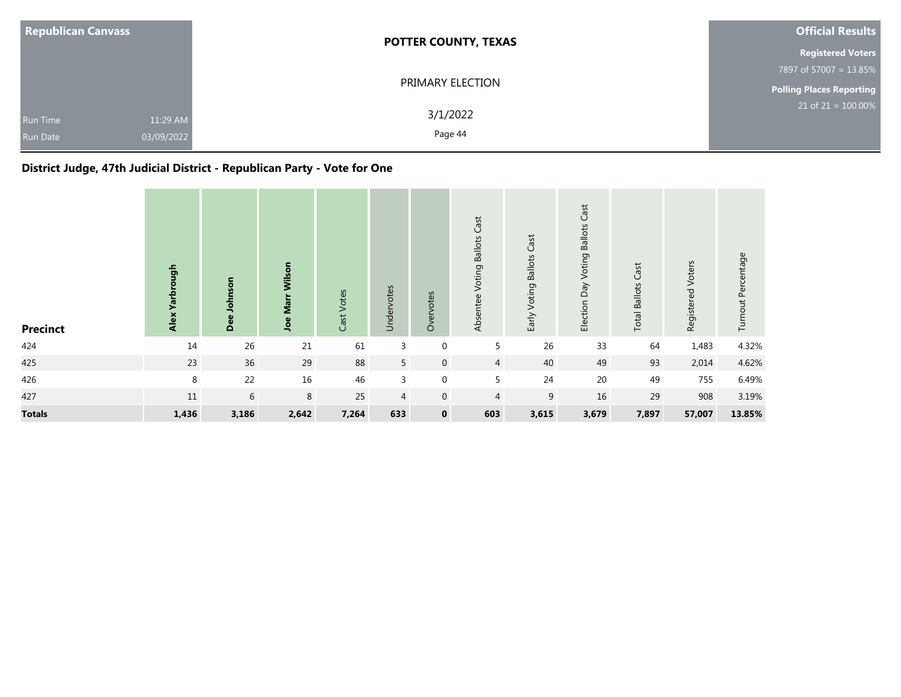| <b>Republican Canvass</b>                             | <b>POTTER COUNTY, TEXAS</b> | <b>Official Results</b>  |
|-------------------------------------------------------|-----------------------------|--------------------------|
|                                                       |                             | <b>Registered Voters</b> |
|                                                       |                             | 7897 of 57007 = 13.85%   |
|                                                       | PRIMARY ELECTION            | Polling Places Reporting |
| 11:29 AM<br>Run Time<br>03/09/2022<br><b>Run Date</b> | 3/1/2022<br>Page 44         | $21$ of 21 = 100.00%     |

### **District Judge, 47th Judicial District - Republican Party - Vote for One**

| <b>Precinct</b> | don<br>۸ā<br>Alex | Dee Johnson | Marr Wilson<br>Joe | Cast Votes | Undervotes     | Overvotes        | Voting Ballots Cast<br>Absentee | Early Voting Ballots Cast | Voting Ballots Cast<br>Election Day | <b>Total Ballots Cast</b> | Registered Voters | Turnout Percentage |
|-----------------|-------------------|-------------|--------------------|------------|----------------|------------------|---------------------------------|---------------------------|-------------------------------------|---------------------------|-------------------|--------------------|
| 424             | 14                | $26\,$      | 21                 | 61         | 3              | $\mathbf 0$      | 5                               | 26                        | 33                                  | 64                        | 1,483             | 4.32%              |
| 425             | 23                | 36          | 29                 | 88         | 5              | $\mathbf 0$      | $\overline{4}$                  | 40                        | 49                                  | 93                        | 2,014             | 4.62%              |
| 426             | 8                 | 22          | 16                 | 46         | $\mathbf{3}$   | $\mathbf 0$      | 5                               | 24                        | 20                                  | 49                        | 755               | 6.49%              |
| 427             | 11                | 6           | 8                  | 25         | $\overline{4}$ | $\boldsymbol{0}$ | $\overline{4}$                  | 9                         | 16                                  | 29                        | 908               | 3.19%              |
| <b>Totals</b>   | 1,436             | 3,186       | 2,642              | 7,264      | 633            | $\mathbf 0$      | 603                             | 3,615                     | 3,679                               | 7,897                     | 57,007            | 13.85%             |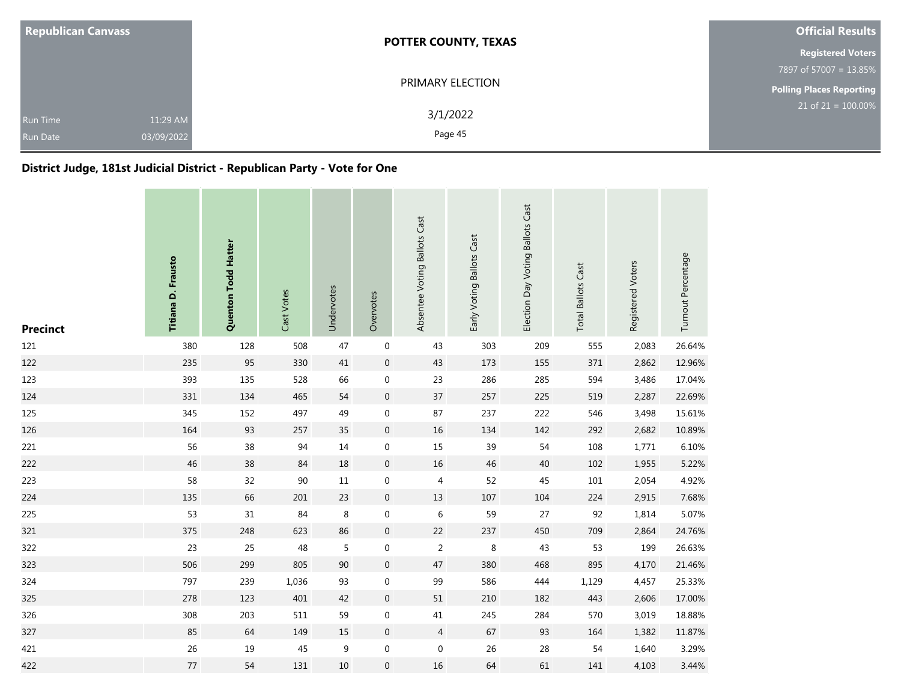| <b>Republican Canvass</b>   |                        | <b>POTTER COUNTY, TEXAS</b> | <b>Official Results</b>         |
|-----------------------------|------------------------|-----------------------------|---------------------------------|
|                             |                        |                             | <b>Registered Voters</b>        |
|                             |                        |                             | 7897 of 57007 = 13.85%          |
|                             |                        | PRIMARY ELECTION            | <b>Polling Places Reporting</b> |
| Run Time<br><b>Run Date</b> | 11:29 AM<br>03/09/2022 | 3/1/2022<br>Page 45         | $21$ of 21 = 100.00%            |

### **District Judge, 181st Judicial District - Republican Party - Vote for One**

| <b>Precinct</b> | Titiana D. Frausto | Quenton Todd Hatter | Cast Votes | Undervotes | Overvotes        | Absentee Voting Ballots Cast | Early Voting Ballots Cast | Election Day Voting Ballots Cast | <b>Total Ballots Cast</b> | Registered Voters | Turnout Percentage |
|-----------------|--------------------|---------------------|------------|------------|------------------|------------------------------|---------------------------|----------------------------------|---------------------------|-------------------|--------------------|
| 121             | 380                | 128                 | 508        | 47         | $\boldsymbol{0}$ | 43                           | 303                       | 209                              | 555                       | 2,083             | 26.64%             |
| 122             | 235                | 95                  | 330        | 41         | $\mathbf 0$      | 43                           | 173                       | 155                              | 371                       | 2,862             | 12.96%             |
| 123             | 393                | 135                 | 528        | 66         | $\boldsymbol{0}$ | 23                           | 286                       | 285                              | 594                       | 3,486             | 17.04%             |
| 124             | 331                | 134                 | 465        | 54         | $\boldsymbol{0}$ | 37                           | 257                       | 225                              | 519                       | 2,287             | 22.69%             |
| 125             | 345                | 152                 | 497        | 49         | 0                | 87                           | 237                       | 222                              | 546                       | 3,498             | 15.61%             |
| 126             | 164                | 93                  | 257        | 35         | $\boldsymbol{0}$ | 16                           | 134                       | 142                              | 292                       | 2,682             | 10.89%             |
| 221             | 56                 | 38                  | 94         | 14         | $\boldsymbol{0}$ | 15                           | 39                        | 54                               | 108                       | 1,771             | 6.10%              |
| 222             | 46                 | 38                  | 84         | 18         | $\boldsymbol{0}$ | 16                           | 46                        | 40                               | 102                       | 1,955             | 5.22%              |
| 223             | 58                 | 32                  | $90\,$     | $11\,$     | $\boldsymbol{0}$ | $\overline{4}$               | 52                        | 45                               | 101                       | 2,054             | 4.92%              |
| 224             | 135                | 66                  | 201        | 23         | $\mathbf 0$      | 13                           | 107                       | 104                              | 224                       | 2,915             | 7.68%              |
| 225             | 53                 | 31                  | 84         | 8          | 0                | $\,6\,$                      | 59                        | 27                               | 92                        | 1,814             | 5.07%              |
| 321             | 375                | 248                 | 623        | 86         | $\boldsymbol{0}$ | 22                           | 237                       | 450                              | 709                       | 2,864             | 24.76%             |
| 322             | 23                 | 25                  | 48         | 5          | 0                | $\sqrt{2}$                   | $\,8\,$                   | 43                               | 53                        | 199               | 26.63%             |
| 323             | 506                | 299                 | 805        | 90         | $\boldsymbol{0}$ | 47                           | 380                       | 468                              | 895                       | 4,170             | 21.46%             |
| 324             | 797                | 239                 | 1,036      | 93         | $\boldsymbol{0}$ | 99                           | 586                       | 444                              | 1,129                     | 4,457             | 25.33%             |
| 325             | 278                | 123                 | 401        | 42         | $\boldsymbol{0}$ | 51                           | 210                       | 182                              | 443                       | 2,606             | 17.00%             |
| 326             | 308                | 203                 | 511        | 59         | $\boldsymbol{0}$ | $41\,$                       | 245                       | 284                              | 570                       | 3,019             | 18.88%             |
| 327             | 85                 | 64                  | 149        | 15         | $\mathbf 0$      | 4                            | 67                        | 93                               | 164                       | 1,382             | 11.87%             |
| 421             | 26                 | 19                  | 45         | 9          | 0                | $\boldsymbol{0}$             | 26                        | 28                               | 54                        | 1,640             | 3.29%              |
| 422             | 77                 | 54                  | 131        | 10         | $\mathbf 0$      | 16                           | 64                        | 61                               | 141                       | 4,103             | 3.44%              |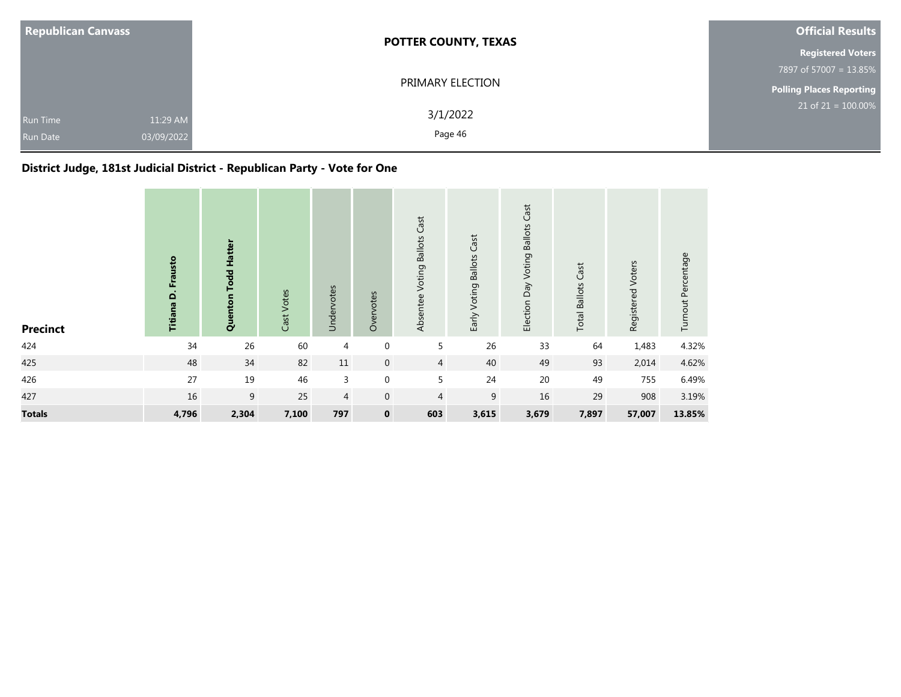| <b>Republican Canvass</b>                                    | <b>POTTER COUNTY, TEXAS</b> | <b>Official Results</b>            |
|--------------------------------------------------------------|-----------------------------|------------------------------------|
|                                                              |                             | <b>Registered Voters</b>           |
|                                                              |                             | 7897 of 57007 = 13.85%             |
|                                                              | PRIMARY ELECTION            | <b>Polling Places Reporting</b>    |
| 11:29 AM<br><b>Run Time</b><br>03/09/2022<br><b>Run Date</b> | 3/1/2022<br>Page 46         | $21$ of 21 = $\overline{100.00\%}$ |

## **District Judge, 181st Judicial District - Republican Party - Vote for One**

| <b>Precinct</b> | Frausto<br>Titiana D. | <b>Todd Hatter</b><br>Quenton | Cast Votes | Undervotes     | Overvotes        | Absentee Voting Ballots Cast | Early Voting Ballots Cast | Cast<br>Election Day Voting Ballots | <b>Total Ballots Cast</b> | Registered Voters | Turnout Percentage |
|-----------------|-----------------------|-------------------------------|------------|----------------|------------------|------------------------------|---------------------------|-------------------------------------|---------------------------|-------------------|--------------------|
| 424             | 34                    | 26                            | 60         | 4              | $\boldsymbol{0}$ | 5                            | 26                        | 33                                  | 64                        | 1,483             | 4.32%              |
| 425             | 48                    | 34                            | 82         | $11\,$         | $\mathbf 0$      | $\overline{4}$               | 40                        | 49                                  | 93                        | 2,014             | 4.62%              |
| 426             | 27                    | 19                            | 46         | 3              | $\boldsymbol{0}$ | 5                            | 24                        | 20                                  | 49                        | 755               | 6.49%              |
| 427             | 16                    | 9                             | 25         | $\overline{4}$ | $\mathbf 0$      | 4                            | 9                         | 16                                  | 29                        | 908               | 3.19%              |
| <b>Totals</b>   | 4,796                 | 2,304                         | 7,100      | 797            | $\mathbf 0$      | 603                          | 3,615                     | 3,679                               | 7,897                     | 57,007            | 13.85%             |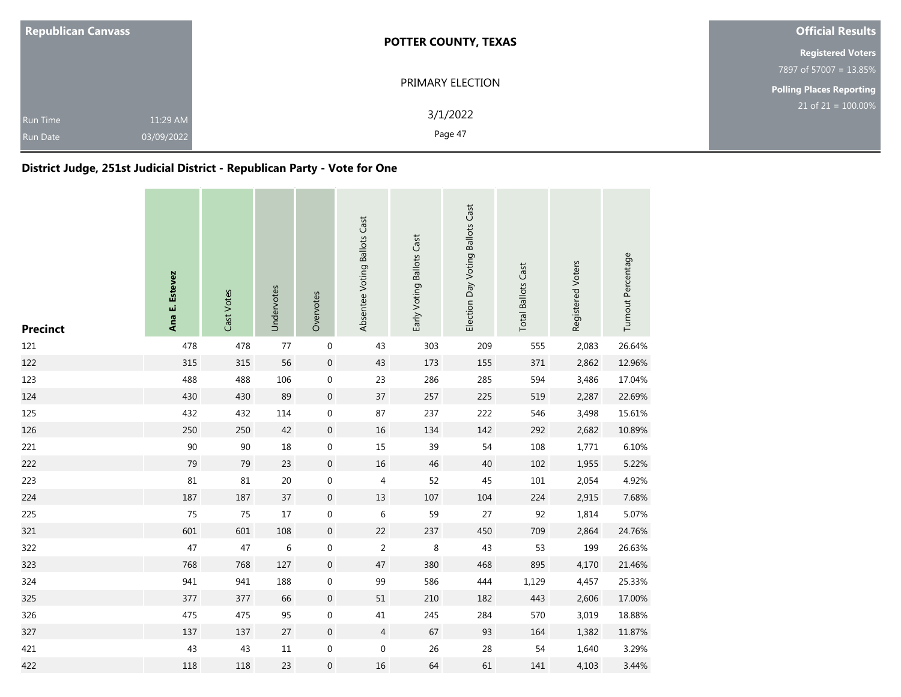| <b>Republican Canvass</b>                                    | <b>POTTER COUNTY, TEXAS</b> | <b>Official Results</b>         |
|--------------------------------------------------------------|-----------------------------|---------------------------------|
|                                                              |                             | <b>Registered Voters</b>        |
|                                                              |                             | 7897 of 57007 = 13.85%          |
|                                                              | PRIMARY ELECTION            | <b>Polling Places Reporting</b> |
| 11:29 AM<br><b>Run Time</b><br>03/09/2022<br><b>Run Date</b> | 3/1/2022<br>Page 47         | $21$ of 21 = 100.00%            |

### **District Judge, 251st Judicial District - Republican Party - Vote for One**

| <b>Precinct</b> | Ana E. Estevez | Cast Votes | Undervotes | Overvotes        | Absentee Voting Ballots Cast | Early Voting Ballots Cast | Election Day Voting Ballots Cast | <b>Total Ballots Cast</b> | Registered Voters | Turnout Percentage |
|-----------------|----------------|------------|------------|------------------|------------------------------|---------------------------|----------------------------------|---------------------------|-------------------|--------------------|
| 121             | 478            | 478        | $77$       | $\boldsymbol{0}$ | 43                           | 303                       | 209                              | 555                       | 2,083             | 26.64%             |
| 122             | 315            | 315        | 56         | $\,0\,$          | 43                           | 173                       | 155                              | 371                       | 2,862             | 12.96%             |
| 123             | 488            | 488        | 106        | $\boldsymbol{0}$ | 23                           | 286                       | 285                              | 594                       | 3,486             | 17.04%             |
| 124             | 430            | 430        | 89         | $\mathbf 0$      | 37                           | 257                       | 225                              | 519                       | 2,287             | 22.69%             |
| 125             | 432            | 432        | 114        | 0                | 87                           | 237                       | 222                              | 546                       | 3,498             | 15.61%             |
| 126             | 250            | 250        | 42         | $\boldsymbol{0}$ | 16                           | 134                       | 142                              | 292                       | 2,682             | 10.89%             |
| 221             | 90             | $90\,$     | 18         | $\boldsymbol{0}$ | 15                           | 39                        | 54                               | 108                       | 1,771             | 6.10%              |
| 222             | 79             | 79         | 23         | $\boldsymbol{0}$ | 16                           | 46                        | 40                               | 102                       | 1,955             | 5.22%              |
| 223             | 81             | 81         | 20         | $\boldsymbol{0}$ | 4                            | 52                        | 45                               | $101\,$                   | 2,054             | 4.92%              |
| 224             | 187            | 187        | 37         | $\boldsymbol{0}$ | 13                           | 107                       | 104                              | 224                       | 2,915             | 7.68%              |
| 225             | 75             | 75         | $17$       | $\boldsymbol{0}$ | 6                            | 59                        | 27                               | 92                        | 1,814             | 5.07%              |
| 321             | 601            | 601        | 108        | $\mathbf 0$      | 22                           | 237                       | 450                              | 709                       | 2,864             | 24.76%             |
| 322             | 47             | 47         | 6          | $\boldsymbol{0}$ | $\overline{2}$               | 8                         | 43                               | 53                        | 199               | 26.63%             |
| 323             | 768            | 768        | 127        | $\mathbf 0$      | 47                           | 380                       | 468                              | 895                       | 4,170             | 21.46%             |
| 324             | 941            | 941        | 188        | $\boldsymbol{0}$ | 99                           | 586                       | 444                              | 1,129                     | 4,457             | 25.33%             |
| 325             | 377            | 377        | 66         | $\boldsymbol{0}$ | 51                           | 210                       | 182                              | 443                       | 2,606             | 17.00%             |
| 326             | 475            | 475        | 95         | $\boldsymbol{0}$ | 41                           | 245                       | 284                              | 570                       | 3,019             | 18.88%             |
| 327             | 137            | 137        | $27\,$     | $\mathbf 0$      | $\overline{4}$               | 67                        | 93                               | 164                       | 1,382             | 11.87%             |
| 421             | 43             | 43         | $11\,$     | $\boldsymbol{0}$ | $\boldsymbol{0}$             | 26                        | 28                               | 54                        | 1,640             | 3.29%              |
| 422             | 118            | 118        | 23         | $\boldsymbol{0}$ | 16                           | 64                        | 61                               | 141                       | 4,103             | 3.44%              |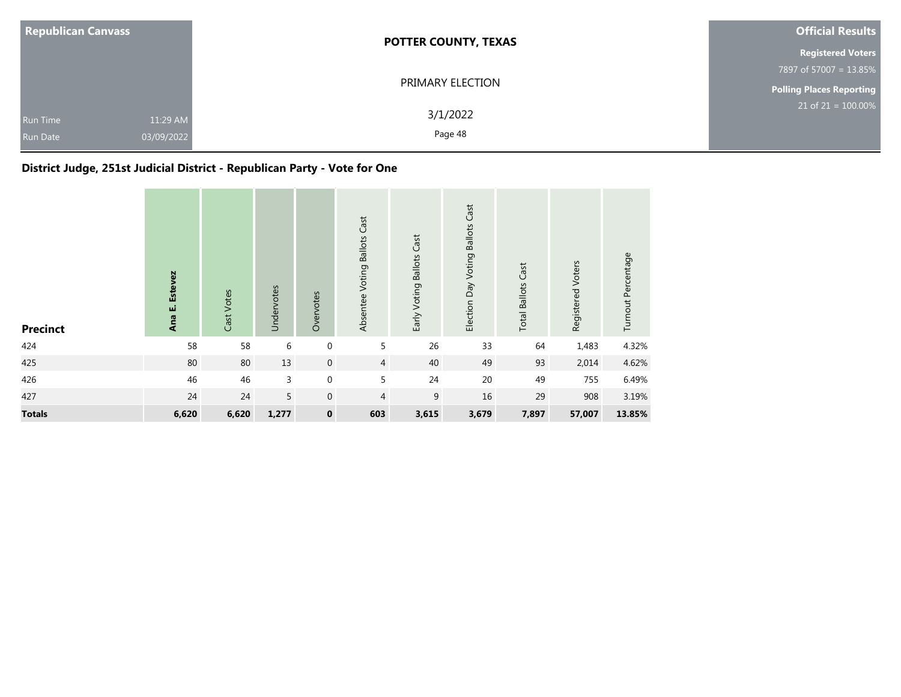| <b>Republican Canvass</b>   |                        | <b>POTTER COUNTY, TEXAS</b> | <b>Official Results</b>         |
|-----------------------------|------------------------|-----------------------------|---------------------------------|
|                             |                        |                             | <b>Registered Voters</b>        |
|                             |                        |                             | 7897 of 57007 = 13.85%          |
|                             |                        | PRIMARY ELECTION            | <b>Polling Places Reporting</b> |
| Run Time<br><b>Run Date</b> | 11:29 AM<br>03/09/2022 | 3/1/2022<br>Page 48         | $21$ of 21 = 100.00%            |

## **District Judge, 251st Judicial District - Republican Party - Vote for One**

| <b>Precinct</b> | Estevez<br>Ana E. | Cast Votes | Undervotes | Overvotes        | Absentee Voting Ballots Cast | Early Voting Ballots Cast | Election Day Voting Ballots Cast | <b>Total Ballots Cast</b> | Registered Voters | Turnout Percentage |
|-----------------|-------------------|------------|------------|------------------|------------------------------|---------------------------|----------------------------------|---------------------------|-------------------|--------------------|
| 424             | 58                | 58         | 6          | $\boldsymbol{0}$ | 5                            | 26                        | 33                               | 64                        | 1,483             | 4.32%              |
| 425             | $80\,$            | $80\,$     | 13         | $\boldsymbol{0}$ | $\overline{4}$               | 40                        | 49                               | 93                        | 2,014             | 4.62%              |
| 426             | 46                | 46         | 3          | $\boldsymbol{0}$ | 5                            | 24                        | $20\,$                           | 49                        | 755               | 6.49%              |
| 427             | 24                | 24         | 5          | $\mathbf 0$      | 4                            | 9                         | 16                               | 29                        | 908               | 3.19%              |
| <b>Totals</b>   | 6,620             | 6,620      | 1,277      | $\pmb{0}$        | 603                          | 3,615                     | 3,679                            | 7,897                     | 57,007            | 13.85%             |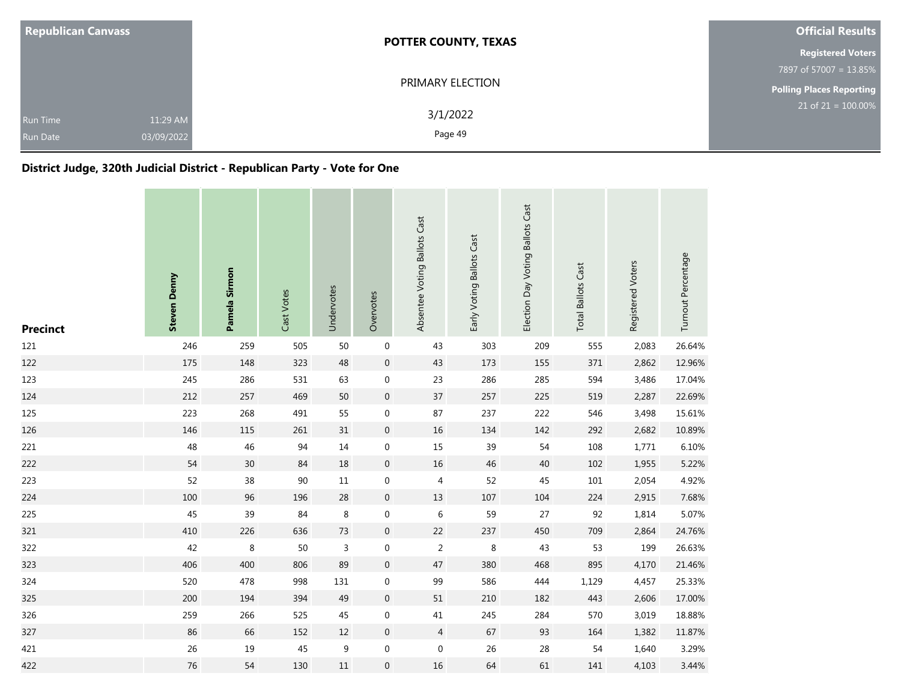| <b>Republican Canvass</b>          |                        | <b>POTTER COUNTY, TEXAS</b> | <b>Official Results</b>         |
|------------------------------------|------------------------|-----------------------------|---------------------------------|
|                                    |                        |                             | <b>Registered Voters</b>        |
|                                    |                        |                             | 7897 of 57007 = 13.85%          |
|                                    | PRIMARY ELECTION       |                             | <b>Polling Places Reporting</b> |
| <b>Run Time</b><br><b>Run Date</b> | 11:29 AM<br>03/09/2022 | 3/1/2022<br>Page 49         | $21$ of $21 = 100.00\%$         |

### **District Judge, 320th Judicial District - Republican Party - Vote for One**

| <b>Precinct</b> | <b>Steven Denny</b> | Pamela Sirmon | Cast Votes | Undervotes     | Overvotes        | Absentee Voting Ballots Cast | Early Voting Ballots Cast | Election Day Voting Ballots Cast | <b>Total Ballots Cast</b> | Registered Voters | Turnout Percentage |
|-----------------|---------------------|---------------|------------|----------------|------------------|------------------------------|---------------------------|----------------------------------|---------------------------|-------------------|--------------------|
| 121             | 246                 | 259           | 505        | 50             | $\boldsymbol{0}$ | 43                           | 303                       | 209                              | 555                       | 2,083             | 26.64%             |
| 122             | 175                 | 148           | 323        | 48             | $\mathbf 0$      | 43                           | 173                       | 155                              | 371                       | 2,862             | 12.96%             |
| 123             | 245                 | 286           | 531        | 63             | $\boldsymbol{0}$ | 23                           | 286                       | 285                              | 594                       | 3,486             | 17.04%             |
| 124             | 212                 | 257           | 469        | 50             | $\boldsymbol{0}$ | $37\,$                       | 257                       | 225                              | 519                       | 2,287             | 22.69%             |
| 125             | 223                 | 268           | 491        | 55             | $\mathbf 0$      | 87                           | 237                       | 222                              | 546                       | 3,498             | 15.61%             |
| 126             | 146                 | 115           | 261        | 31             | $\mathbf 0$      | 16                           | 134                       | 142                              | 292                       | 2,682             | 10.89%             |
| 221             | 48                  | 46            | 94         | 14             | $\boldsymbol{0}$ | 15                           | 39                        | 54                               | 108                       | 1,771             | 6.10%              |
| 222             | 54                  | 30            | 84         | 18             | $\mathbf 0$      | $16\,$                       | 46                        | 40                               | 102                       | 1,955             | 5.22%              |
| 223             | 52                  | 38            | 90         | $11\,$         | $\boldsymbol{0}$ | $\overline{4}$               | 52                        | 45                               | 101                       | 2,054             | 4.92%              |
| 224             | 100                 | 96            | 196        | 28             | $\mathbf 0$      | 13                           | 107                       | 104                              | 224                       | 2,915             | 7.68%              |
| 225             | 45                  | 39            | 84         | 8              | $\boldsymbol{0}$ | 6                            | 59                        | 27                               | 92                        | 1,814             | 5.07%              |
| 321             | 410                 | 226           | 636        | 73             | $\mathbf 0$      | 22                           | 237                       | 450                              | 709                       | 2,864             | 24.76%             |
| 322             | 42                  | $\,8\,$       | 50         | $\overline{3}$ | $\boldsymbol{0}$ | $\sqrt{2}$                   | $\,8\,$                   | 43                               | 53                        | 199               | 26.63%             |
| 323             | 406                 | 400           | 806        | 89             | $\mathbf 0$      | 47                           | 380                       | 468                              | 895                       | 4,170             | 21.46%             |
| 324             | 520                 | 478           | 998        | 131            | $\boldsymbol{0}$ | 99                           | 586                       | 444                              | 1,129                     | 4,457             | 25.33%             |
| 325             | 200                 | 194           | 394        | 49             | $\mathbf 0$      | $51\,$                       | 210                       | 182                              | 443                       | 2,606             | 17.00%             |
| 326             | 259                 | 266           | 525        | 45             | $\boldsymbol{0}$ | $41\,$                       | 245                       | 284                              | 570                       | 3,019             | 18.88%             |
| 327             | 86                  | 66            | 152        | 12             | $\mathbf 0$      | $\overline{4}$               | 67                        | 93                               | 164                       | 1,382             | 11.87%             |
| 421             | 26                  | 19            | 45         | 9              | $\boldsymbol{0}$ | $\boldsymbol{0}$             | 26                        | 28                               | 54                        | 1,640             | 3.29%              |
| 422             | 76                  | 54            | 130        | $11\,$         | $\mathbf 0$      | 16                           | 64                        | 61                               | 141                       | 4,103             | 3.44%              |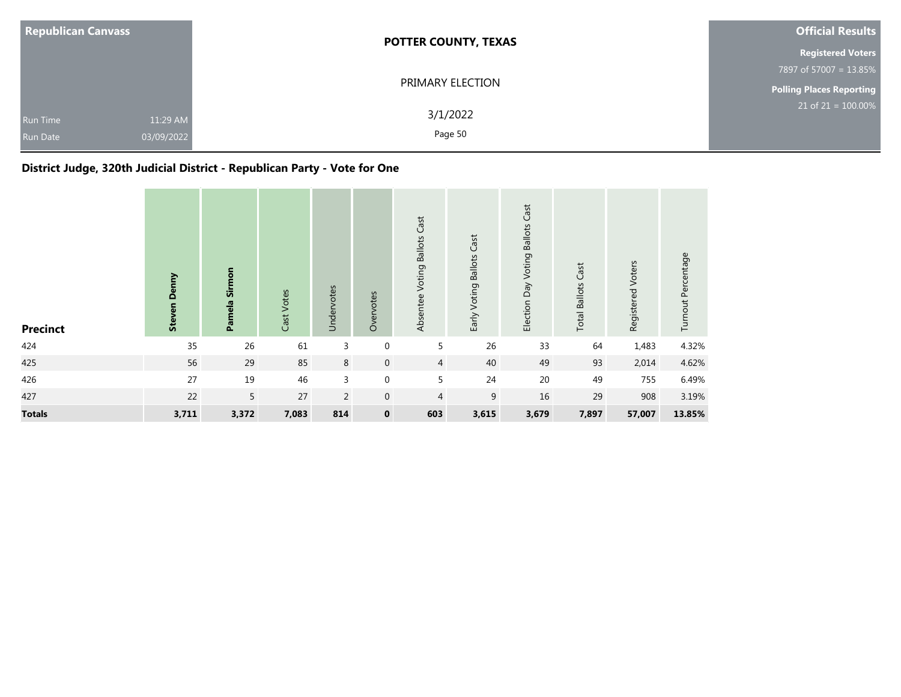| <b>Republican Canvass</b>          |                        | <b>POTTER COUNTY, TEXAS</b> | <b>Official Results</b>            |  |  |
|------------------------------------|------------------------|-----------------------------|------------------------------------|--|--|
|                                    |                        |                             | <b>Registered Voters</b>           |  |  |
|                                    |                        |                             | 7897 of 57007 = 13.85%             |  |  |
|                                    |                        | PRIMARY ELECTION            | <b>Polling Places Reporting</b>    |  |  |
| <b>Run Time</b><br><b>Run Date</b> | 11:29 AM<br>03/09/2022 | 3/1/2022<br>Page 50         | $21$ of 21 = $\overline{100.00\%}$ |  |  |

### **District Judge, 320th Judicial District - Republican Party - Vote for One**

| <b>Precinct</b> | Denny<br><b>Steven</b> | Sirmon<br>Pamela | Cast Votes | Undervotes     | Overvotes      | Absentee Voting Ballots Cast | Early Voting Ballots Cast | Cast<br>Election Day Voting Ballots | <b>Total Ballots Cast</b> | Registered Voters | Turnout Percentage |
|-----------------|------------------------|------------------|------------|----------------|----------------|------------------------------|---------------------------|-------------------------------------|---------------------------|-------------------|--------------------|
| 424             | 35                     | 26               | 61         | 3              | 0              | 5                            | 26                        | 33                                  | 64                        | 1,483             | 4.32%              |
| 425             | 56                     | 29               | 85         | 8              | $\overline{0}$ | $\overline{4}$               | 40                        | 49                                  | 93                        | 2,014             | 4.62%              |
| 426             | 27                     | 19               | 46         | 3              | 0              | 5                            | 24                        | 20                                  | 49                        | 755               | 6.49%              |
| 427             | 22                     | 5                | 27         | $\overline{2}$ | $\mathbf{0}$   | $\overline{4}$               | 9                         | 16                                  | 29                        | 908               | 3.19%              |
| <b>Totals</b>   | 3,711                  | 3,372            | 7,083      | 814            | $\mathbf 0$    | 603                          | 3,615                     | 3,679                               | 7,897                     | 57,007            | 13.85%             |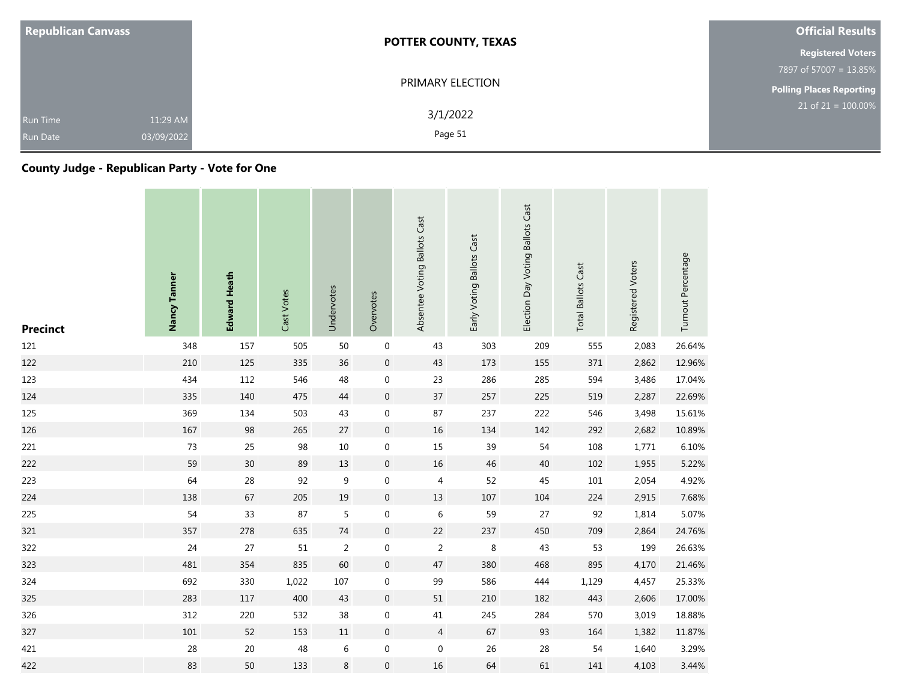| <b>Republican Canvass</b>                             | <b>POTTER COUNTY, TEXAS</b> | <b>Official Results</b>         |
|-------------------------------------------------------|-----------------------------|---------------------------------|
|                                                       |                             | <b>Registered Voters</b>        |
|                                                       |                             | 7897 of 57007 = 13.85%          |
|                                                       | PRIMARY ELECTION            | <b>Polling Places Reporting</b> |
| 11:29 AM<br>Run Time<br>03/09/2022<br><b>Run Date</b> | 3/1/2022<br>Page 51         | $21$ of $21 = 100.00\%$         |

### **County Judge - Republican Party - Vote for One**

| <b>Precinct</b> | Nancy Tanner | <b>Edward Heath</b> | Cast Votes | Undervotes     | Overvotes           | Absentee Voting Ballots Cast | Early Voting Ballots Cast | Election Day Voting Ballots Cast | <b>Total Ballots Cast</b> | Registered Voters | Turnout Percentage |
|-----------------|--------------|---------------------|------------|----------------|---------------------|------------------------------|---------------------------|----------------------------------|---------------------------|-------------------|--------------------|
| 121             | 348          | 157                 | 505        | 50             | $\boldsymbol{0}$    | 43                           | 303                       | 209                              | 555                       | 2,083             | 26.64%             |
| 122             | 210          | 125                 | 335        | 36             | $\mathsf{O}\xspace$ | 43                           | 173                       | 155                              | 371                       | 2,862             | 12.96%             |
| 123             | 434          | 112                 | 546        | 48             | 0                   | 23                           | 286                       | 285                              | 594                       | 3,486             | 17.04%             |
| 124             | 335          | 140                 | 475        | 44             | $\boldsymbol{0}$    | $37\,$                       | 257                       | 225                              | 519                       | 2,287             | 22.69%             |
| 125             | 369          | 134                 | 503        | 43             | 0                   | 87                           | 237                       | 222                              | 546                       | 3,498             | 15.61%             |
| 126             | 167          | 98                  | 265        | 27             | $\boldsymbol{0}$    | $16\,$                       | 134                       | 142                              | 292                       | 2,682             | 10.89%             |
| 221             | 73           | 25                  | 98         | 10             | $\boldsymbol{0}$    | 15                           | 39                        | 54                               | 108                       | 1,771             | 6.10%              |
| 222             | 59           | 30 <sup>°</sup>     | 89         | 13             | $\boldsymbol{0}$    | 16                           | 46                        | 40                               | 102                       | 1,955             | 5.22%              |
| 223             | 64           | 28                  | 92         | 9              | $\boldsymbol{0}$    | 4                            | 52                        | 45                               | 101                       | 2,054             | 4.92%              |
| 224             | 138          | 67                  | 205        | 19             | $\mathsf{O}\xspace$ | 13                           | 107                       | 104                              | 224                       | 2,915             | 7.68%              |
| 225             | 54           | 33                  | 87         | 5              | 0                   | $\,$ 6 $\,$                  | 59                        | 27                               | 92                        | 1,814             | 5.07%              |
| 321             | 357          | 278                 | 635        | 74             | $\mathsf{O}\xspace$ | 22                           | 237                       | 450                              | 709                       | 2,864             | 24.76%             |
| 322             | 24           | 27                  | 51         | $\overline{2}$ | 0                   | $\overline{2}$               | 8                         | 43                               | 53                        | 199               | 26.63%             |
| 323             | 481          | 354                 | 835        | 60             | $\mathsf{O}\xspace$ | 47                           | 380                       | 468                              | 895                       | 4,170             | 21.46%             |
| 324             | 692          | 330                 | 1,022      | 107            | 0                   | 99                           | 586                       | 444                              | 1,129                     | 4,457             | 25.33%             |
| 325             | 283          | 117                 | 400        | 43             | $\overline{0}$      | 51                           | 210                       | 182                              | 443                       | 2,606             | 17.00%             |
| 326             | 312          | 220                 | 532        | 38             | $\boldsymbol{0}$    | $41\,$                       | 245                       | 284                              | 570                       | 3,019             | 18.88%             |
| 327             | 101          | 52                  | 153        | $11\,$         | $\mathsf{O}\xspace$ | $\overline{4}$               | 67                        | 93                               | 164                       | 1,382             | 11.87%             |
| 421             | 28           | $20\,$              | 48         | $\,$ 6 $\,$    | $\boldsymbol{0}$    | $\mathbf 0$                  | 26                        | 28                               | 54                        | 1,640             | 3.29%              |
| 422             | 83           | 50                  | 133        | $\,8\,$        | $\overline{0}$      | 16                           | 64                        | 61                               | 141                       | 4,103             | 3.44%              |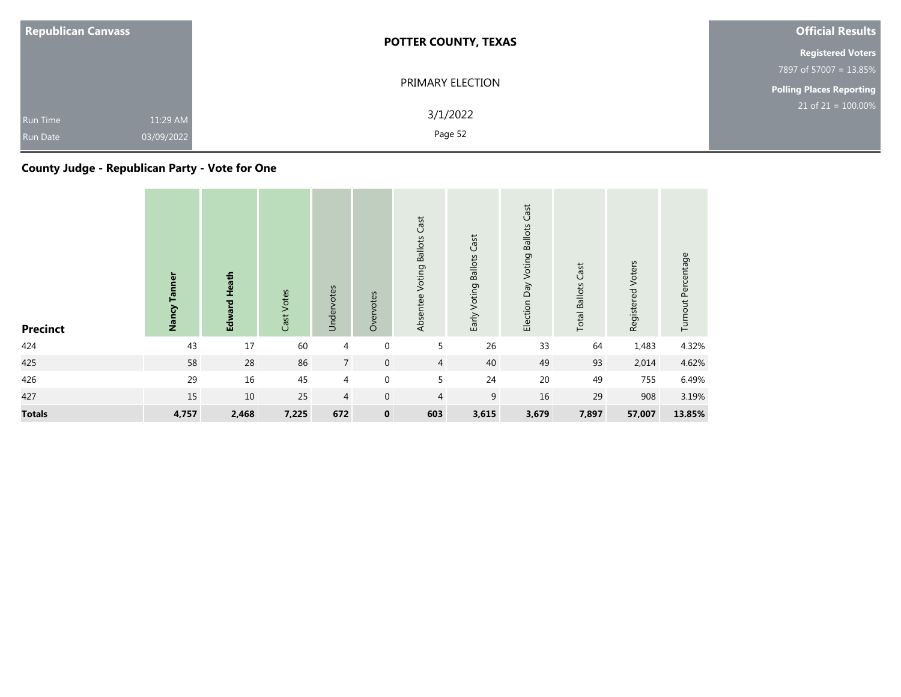| <b>Republican Canvass</b>          |                        | <b>POTTER COUNTY, TEXAS</b> | <b>Official Results</b>         |
|------------------------------------|------------------------|-----------------------------|---------------------------------|
|                                    |                        |                             | <b>Registered Voters</b>        |
|                                    |                        |                             | 7897 of 57007 = 13.85%          |
|                                    |                        | PRIMARY ELECTION            | <b>Polling Places Reporting</b> |
| <b>Run Time</b><br><b>Run Date</b> | 11:29 AM<br>03/09/2022 | 3/1/2022<br>Page 52         | $21$ of $21 = 100.00\%$         |

# **County Judge - Republican Party - Vote for One**

| <b>Precinct</b> | Nancy Tanner | Edward Heath | Cast Votes | Undervotes      | Overvotes    | Absentee Voting Ballots Cast | Early Voting Ballots Cast | Election Day Voting Ballots Cast | Cast<br><b>Total Ballots</b> | Registered Voters | Turnout Percentage |
|-----------------|--------------|--------------|------------|-----------------|--------------|------------------------------|---------------------------|----------------------------------|------------------------------|-------------------|--------------------|
| 424             | 43           | 17           | 60         | $\overline{4}$  | $\mathbf 0$  | 5                            | 26                        | 33                               | 64                           | 1,483             | 4.32%              |
| 425             | 58           | 28           | 86         | $7\overline{ }$ | $\mathbf 0$  | $\overline{4}$               | 40                        | 49                               | 93                           | 2,014             | 4.62%              |
| 426             | 29           | 16           | 45         | $\overline{a}$  | $\mathbf 0$  | 5                            | 24                        | $20\,$                           | 49                           | 755               | 6.49%              |
| 427             | 15           | 10           | 25         | $\overline{4}$  | $\mathbf{0}$ | $\overline{4}$               | 9                         | 16                               | 29                           | 908               | 3.19%              |
| <b>Totals</b>   | 4,757        | 2,468        | 7,225      | 672             | $\mathbf 0$  | 603                          | 3,615                     | 3,679                            | 7,897                        | 57,007            | 13.85%             |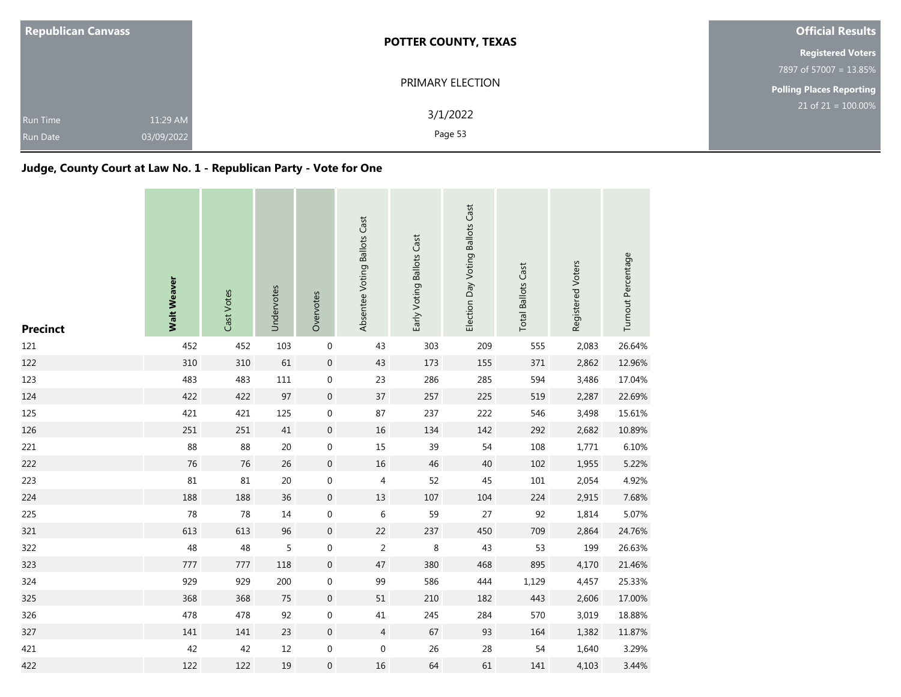| <b>Republican Canvass</b>                                    | <b>POTTER COUNTY, TEXAS</b> | <b>Official Results</b>         |  |  |
|--------------------------------------------------------------|-----------------------------|---------------------------------|--|--|
|                                                              |                             | <b>Registered Voters</b>        |  |  |
|                                                              |                             | 7897 of 57007 = 13.85%          |  |  |
|                                                              | PRIMARY ELECTION            | <b>Polling Places Reporting</b> |  |  |
| 11:29 AM<br><b>Run Time</b><br>03/09/2022<br><b>Run Date</b> | 3/1/2022<br>Page 53         | $21$ of 21 = 100.00%            |  |  |

### **Judge, County Court at Law No. 1 - Republican Party - Vote for One**

| <b>Precinct</b> | <b>Walt Weaver</b> | Cast Votes | Undervotes | Overvotes        | Absentee Voting Ballots Cast | Early Voting Ballots Cast | Election Day Voting Ballots Cast | <b>Total Ballots Cast</b> | Registered Voters | Turnout Percentage |
|-----------------|--------------------|------------|------------|------------------|------------------------------|---------------------------|----------------------------------|---------------------------|-------------------|--------------------|
| 121             | 452                | 452        | 103        | $\boldsymbol{0}$ | 43                           | 303                       | 209                              | 555                       | 2,083             | 26.64%             |
| 122             | 310                | 310        | 61         | $\,0\,$          | 43                           | 173                       | 155                              | 371                       | 2,862             | 12.96%             |
| 123             | 483                | 483        | 111        | $\boldsymbol{0}$ | 23                           | 286                       | 285                              | 594                       | 3,486             | 17.04%             |
| 124             | 422                | 422        | 97         | $\mathbf 0$      | 37                           | 257                       | 225                              | 519                       | 2,287             | 22.69%             |
| 125             | 421                | 421        | 125        | $\boldsymbol{0}$ | 87                           | 237                       | 222                              | 546                       | 3,498             | 15.61%             |
| 126             | 251                | 251        | $41\,$     | $\boldsymbol{0}$ | 16                           | 134                       | 142                              | 292                       | 2,682             | 10.89%             |
| 221             | 88                 | 88         | 20         | $\boldsymbol{0}$ | 15                           | 39                        | 54                               | 108                       | 1,771             | 6.10%              |
| 222             | 76                 | 76         | 26         | $\boldsymbol{0}$ | 16                           | 46                        | 40                               | 102                       | 1,955             | 5.22%              |
| 223             | 81                 | 81         | $20\,$     | $\boldsymbol{0}$ | 4                            | 52                        | 45                               | 101                       | 2,054             | 4.92%              |
| 224             | 188                | 188        | 36         | $\mathbf 0$      | 13                           | 107                       | 104                              | 224                       | 2,915             | 7.68%              |
| 225             | 78                 | 78         | $14\,$     | $\boldsymbol{0}$ | 6                            | 59                        | 27                               | 92                        | 1,814             | 5.07%              |
| 321             | 613                | 613        | 96         | $\mathbf 0$      | 22                           | 237                       | 450                              | 709                       | 2,864             | 24.76%             |
| 322             | 48                 | 48         | 5          | $\boldsymbol{0}$ | $\overline{2}$               | 8                         | 43                               | 53                        | 199               | 26.63%             |
| 323             | 777                | 777        | 118        | $\boldsymbol{0}$ | 47                           | 380                       | 468                              | 895                       | 4,170             | 21.46%             |
| 324             | 929                | 929        | 200        | $\boldsymbol{0}$ | 99                           | 586                       | 444                              | 1,129                     | 4,457             | 25.33%             |
| 325             | 368                | 368        | 75         | $\boldsymbol{0}$ | 51                           | 210                       | 182                              | 443                       | 2,606             | 17.00%             |
| 326             | 478                | 478        | 92         | $\boldsymbol{0}$ | $41\,$                       | 245                       | 284                              | 570                       | 3,019             | 18.88%             |
| 327             | 141                | 141        | 23         | $\boldsymbol{0}$ | $\overline{4}$               | 67                        | 93                               | 164                       | 1,382             | 11.87%             |
| 421             | 42                 | 42         | $12\,$     | $\boldsymbol{0}$ | $\boldsymbol{0}$             | 26                        | 28                               | 54                        | 1,640             | 3.29%              |
| 422             | 122                | 122        | 19         | $\boldsymbol{0}$ | 16                           | 64                        | 61                               | 141                       | 4,103             | 3.44%              |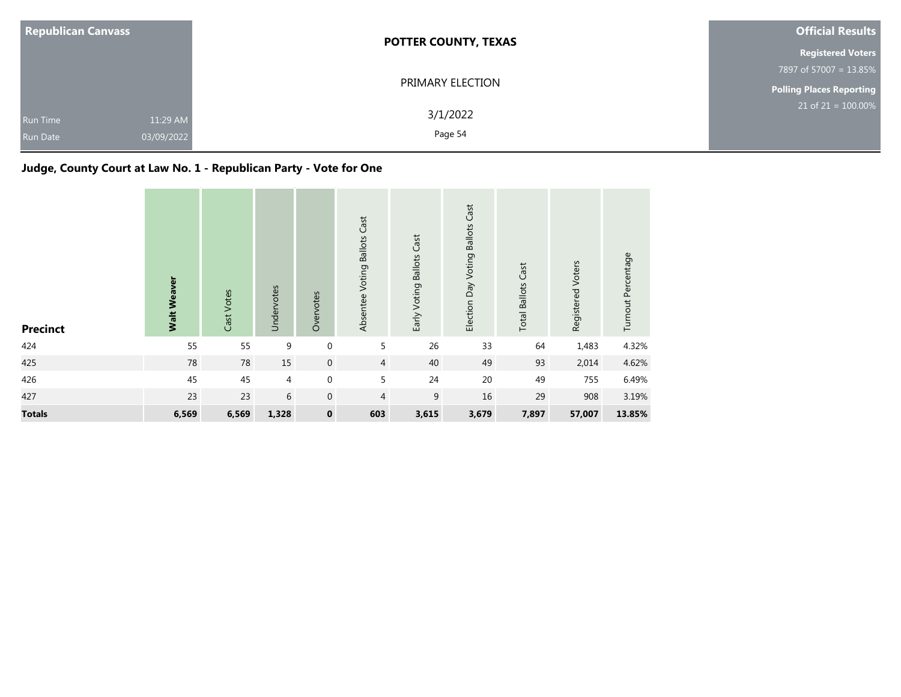| <b>Republican Canvass</b>          |                        | <b>POTTER COUNTY, TEXAS</b> | <b>Official Results</b>         |
|------------------------------------|------------------------|-----------------------------|---------------------------------|
|                                    |                        |                             | <b>Registered Voters</b>        |
|                                    |                        |                             | 7897 of 57007 = 13.85%          |
|                                    |                        | PRIMARY ELECTION            | <b>Polling Places Reporting</b> |
| <b>Run Time</b><br><b>Run Date</b> | 11:29 AM<br>03/09/2022 | 3/1/2022<br>Page 54         | $21$ of $21 = 100.00\%$         |

### **Judge, County Court at Law No. 1 - Republican Party - Vote for One**

| <b>Precinct</b> | <b>Walt Weaver</b> | Cast Votes | Undervotes | Overvotes        | Absentee Voting Ballots Cast | Early Voting Ballots Cast | Cast<br>Election Day Voting Ballots | <b>Total Ballots Cast</b> | Registered Voters | Turnout Percentage |
|-----------------|--------------------|------------|------------|------------------|------------------------------|---------------------------|-------------------------------------|---------------------------|-------------------|--------------------|
| 424             | 55                 | 55         | 9          | $\pmb{0}$        | 5                            | 26                        | 33                                  | 64                        | 1,483             | 4.32%              |
| 425             | 78                 | 78         | 15         | $\boldsymbol{0}$ | $\overline{4}$               | 40                        | 49                                  | 93                        | 2,014             | 4.62%              |
| 426             | 45                 | 45         | 4          | $\boldsymbol{0}$ | 5                            | 24                        | 20                                  | 49                        | 755               | 6.49%              |
| 427             | 23                 | 23         | 6          | $\boldsymbol{0}$ | 4                            | 9                         | 16                                  | 29                        | 908               | 3.19%              |
| <b>Totals</b>   | 6,569              | 6,569      | 1,328      | $\pmb{0}$        | 603                          | 3,615                     | 3,679                               | 7,897                     | 57,007            | 13.85%             |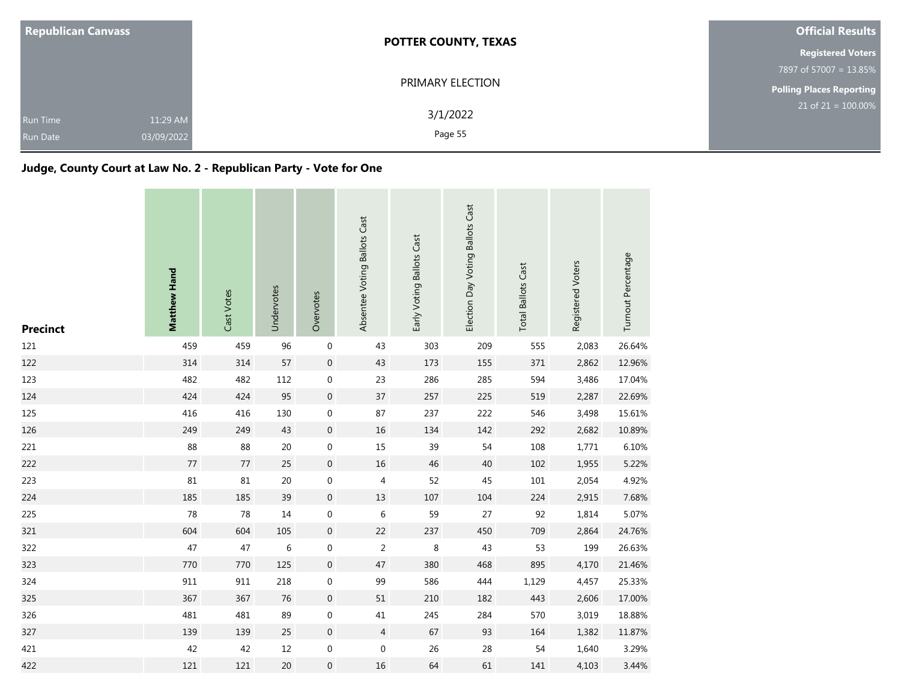| <b>Republican Canvass</b>                                    | <b>POTTER COUNTY, TEXAS</b> | <b>Official Results</b>         |  |  |
|--------------------------------------------------------------|-----------------------------|---------------------------------|--|--|
|                                                              |                             | <b>Registered Voters</b>        |  |  |
|                                                              |                             | 7897 of 57007 = 13.85%          |  |  |
|                                                              | PRIMARY ELECTION            | <b>Polling Places Reporting</b> |  |  |
| 11:29 AM<br><b>Run Time</b><br>03/09/2022<br><b>Run Date</b> | 3/1/2022<br>Page 55         | $21$ of 21 = 100.00%            |  |  |

### **Judge, County Court at Law No. 2 - Republican Party - Vote for One**

| <b>Precinct</b> | Matthew Hand | Cast Votes | Undervotes | Overvotes        | Absentee Voting Ballots Cast | Early Voting Ballots Cast | Election Day Voting Ballots Cast | <b>Total Ballots Cast</b> | Registered Voters | Turnout Percentage |
|-----------------|--------------|------------|------------|------------------|------------------------------|---------------------------|----------------------------------|---------------------------|-------------------|--------------------|
| 121             | 459          | 459        | 96         | $\boldsymbol{0}$ | 43                           | 303                       | 209                              | 555                       | 2,083             | 26.64%             |
| 122             | 314          | 314        | 57         | $\,0\,$          | 43                           | 173                       | 155                              | 371                       | 2,862             | 12.96%             |
| 123             | 482          | 482        | 112        | $\boldsymbol{0}$ | 23                           | 286                       | 285                              | 594                       | 3,486             | 17.04%             |
| 124             | 424          | 424        | 95         | $\mathbf 0$      | 37                           | 257                       | 225                              | 519                       | 2,287             | 22.69%             |
| 125             | 416          | 416        | 130        | 0                | 87                           | 237                       | 222                              | 546                       | 3,498             | 15.61%             |
| 126             | 249          | 249        | 43         | $\boldsymbol{0}$ | $16\,$                       | 134                       | 142                              | 292                       | 2,682             | 10.89%             |
| 221             | 88           | 88         | $20\,$     | $\boldsymbol{0}$ | 15                           | 39                        | 54                               | 108                       | 1,771             | 6.10%              |
| 222             | 77           | 77         | 25         | $\mathbf 0$      | 16                           | 46                        | 40                               | 102                       | 1,955             | 5.22%              |
| 223             | 81           | 81         | $20\,$     | $\boldsymbol{0}$ | 4                            | 52                        | 45                               | $101\,$                   | 2,054             | 4.92%              |
| 224             | 185          | 185        | 39         | $\boldsymbol{0}$ | 13                           | 107                       | 104                              | 224                       | 2,915             | 7.68%              |
| 225             | 78           | 78         | 14         | 0                | 6                            | 59                        | 27                               | 92                        | 1,814             | 5.07%              |
| 321             | 604          | 604        | 105        | $\mathbf 0$      | 22                           | 237                       | 450                              | 709                       | 2,864             | 24.76%             |
| 322             | 47           | 47         | 6          | 0                | $\overline{2}$               | 8                         | 43                               | 53                        | 199               | 26.63%             |
| 323             | 770          | 770        | 125        | $\boldsymbol{0}$ | 47                           | 380                       | 468                              | 895                       | 4,170             | 21.46%             |
| 324             | 911          | 911        | 218        | $\boldsymbol{0}$ | 99                           | 586                       | 444                              | 1,129                     | 4,457             | 25.33%             |
| 325             | 367          | 367        | 76         | $\mathbf 0$      | 51                           | 210                       | 182                              | 443                       | 2,606             | 17.00%             |
| 326             | 481          | 481        | 89         | $\boldsymbol{0}$ | 41                           | 245                       | 284                              | 570                       | 3,019             | 18.88%             |
| 327             | 139          | 139        | 25         | $\boldsymbol{0}$ | $\overline{4}$               | 67                        | 93                               | 164                       | 1,382             | 11.87%             |
| 421             | 42           | 42         | $12\,$     | 0                | $\mathbf 0$                  | 26                        | 28                               | 54                        | 1,640             | 3.29%              |
| 422             | 121          | 121        | 20         | $\boldsymbol{0}$ | 16                           | 64                        | 61                               | 141                       | 4,103             | 3.44%              |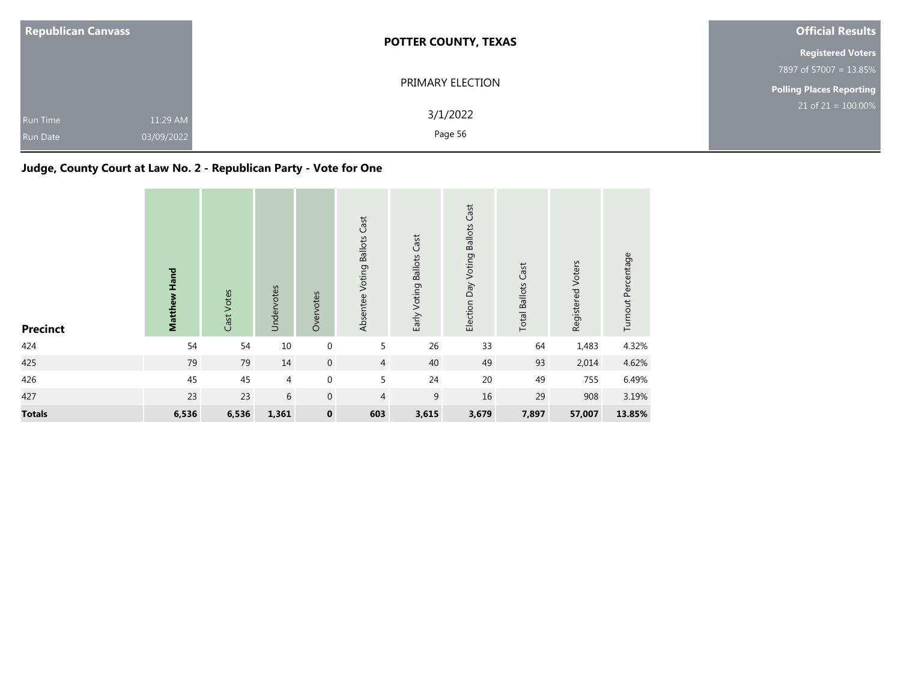| <b>Republican Canvass</b>          |                        | <b>POTTER COUNTY, TEXAS</b> | <b>Official Results</b>         |  |  |
|------------------------------------|------------------------|-----------------------------|---------------------------------|--|--|
|                                    |                        |                             | <b>Registered Voters</b>        |  |  |
|                                    |                        |                             | 7897 of 57007 = 13.85%          |  |  |
|                                    |                        | PRIMARY ELECTION            | <b>Polling Places Reporting</b> |  |  |
| <b>Run Time</b><br><b>Run Date</b> | 11:29 AM<br>03/09/2022 | 3/1/2022<br>Page 56         | $21$ of $21 = 100.00\%$         |  |  |

## **Judge, County Court at Law No. 2 - Republican Party - Vote for One**

| <b>Precinct</b> | Matthew Hand | Cast Votes | Undervotes | Overvotes        | Absentee Voting Ballots Cast | Early Voting Ballots Cast | Election Day Voting Ballots Cast | <b>Total Ballots Cast</b> | Registered Voters | Turnout Percentage |
|-----------------|--------------|------------|------------|------------------|------------------------------|---------------------------|----------------------------------|---------------------------|-------------------|--------------------|
| 424             | 54           | 54         | $10\,$     | $\boldsymbol{0}$ | 5                            | 26                        | 33                               | 64                        | 1,483             | 4.32%              |
| 425             | 79           | 79         | 14         | $\boldsymbol{0}$ | $\overline{4}$               | 40                        | 49                               | 93                        | 2,014             | 4.62%              |
| 426             | 45           | 45         | 4          | $\boldsymbol{0}$ | 5                            | 24                        | 20                               | 49                        | 755               | 6.49%              |
| 427             | 23           | 23         | 6          | $\mathbf 0$      | $\overline{4}$               | 9                         | 16                               | 29                        | 908               | 3.19%              |
| <b>Totals</b>   | 6,536        | 6,536      | 1,361      | $\pmb{0}$        | 603                          | 3,615                     | 3,679                            | 7,897                     | 57,007            | 13.85%             |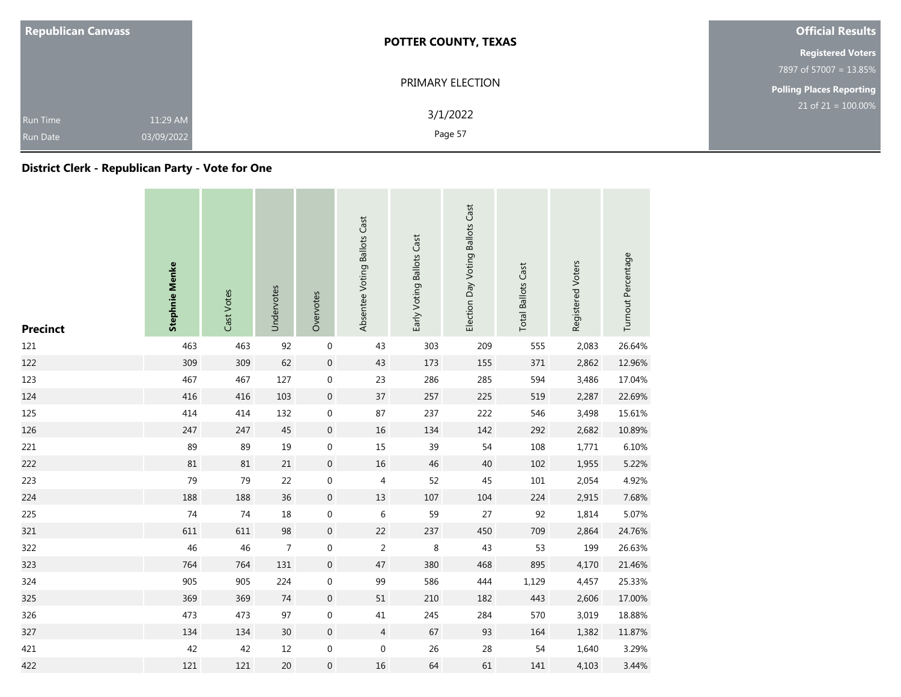| <b>Republican Canvass</b>          |                        | <b>POTTER COUNTY, TEXAS</b> | <b>Official Results</b>         |  |  |
|------------------------------------|------------------------|-----------------------------|---------------------------------|--|--|
|                                    |                        |                             | <b>Registered Voters</b>        |  |  |
|                                    |                        |                             | 7897 of 57007 = 13.85%          |  |  |
|                                    |                        | PRIMARY ELECTION            | <b>Polling Places Reporting</b> |  |  |
| <b>Run Time</b><br><b>Run Date</b> | 11:29 AM<br>03/09/2022 | 3/1/2022<br>Page 57         | $21$ of $21 = 100.00\%$         |  |  |

### **District Clerk - Republican Party - Vote for One**

| <b>Precinct</b> | <b>Stephnie Menke</b> | Cast Votes | Undervotes      | Overvotes        | Absentee Voting Ballots Cast | Early Voting Ballots Cast | Election Day Voting Ballots Cast | <b>Total Ballots Cast</b> | Registered Voters | Turnout Percentage |
|-----------------|-----------------------|------------|-----------------|------------------|------------------------------|---------------------------|----------------------------------|---------------------------|-------------------|--------------------|
| 121             | 463                   | 463        | 92              | $\boldsymbol{0}$ | 43                           | 303                       | 209                              | 555                       | 2,083             | 26.64%             |
| 122             | 309                   | 309        | 62              | $\boldsymbol{0}$ | 43                           | 173                       | 155                              | 371                       | 2,862             | 12.96%             |
| 123             | 467                   | 467        | 127             | $\boldsymbol{0}$ | 23                           | 286                       | 285                              | 594                       | 3,486             | 17.04%             |
| 124             | 416                   | 416        | 103             | $\boldsymbol{0}$ | 37                           | 257                       | 225                              | 519                       | 2,287             | 22.69%             |
| 125             | 414                   | 414        | 132             | $\boldsymbol{0}$ | 87                           | 237                       | 222                              | 546                       | 3,498             | 15.61%             |
| 126             | 247                   | 247        | 45              | $\boldsymbol{0}$ | 16                           | 134                       | 142                              | 292                       | 2,682             | 10.89%             |
| 221             | 89                    | 89         | 19              | $\boldsymbol{0}$ | 15                           | 39                        | 54                               | 108                       | 1,771             | 6.10%              |
| 222             | 81                    | 81         | $21\,$          | $\boldsymbol{0}$ | 16                           | 46                        | 40                               | 102                       | 1,955             | 5.22%              |
| 223             | 79                    | 79         | 22              | $\boldsymbol{0}$ | 4                            | 52                        | 45                               | 101                       | 2,054             | 4.92%              |
| 224             | 188                   | 188        | 36              | $\boldsymbol{0}$ | 13                           | 107                       | 104                              | 224                       | 2,915             | 7.68%              |
| 225             | 74                    | 74         | 18              | $\boldsymbol{0}$ | 6                            | 59                        | 27                               | 92                        | 1,814             | 5.07%              |
| 321             | 611                   | 611        | 98              | $\boldsymbol{0}$ | 22                           | 237                       | 450                              | 709                       | 2,864             | 24.76%             |
| 322             | 46                    | 46         | $\overline{7}$  | $\mathbf 0$      | $\overline{2}$               | 8                         | 43                               | 53                        | 199               | 26.63%             |
| 323             | 764                   | 764        | 131             | $\boldsymbol{0}$ | 47                           | 380                       | 468                              | 895                       | 4,170             | 21.46%             |
| 324             | 905                   | 905        | 224             | $\boldsymbol{0}$ | 99                           | 586                       | 444                              | 1,129                     | 4,457             | 25.33%             |
| 325             | 369                   | 369        | 74              | $\boldsymbol{0}$ | 51                           | 210                       | 182                              | 443                       | 2,606             | 17.00%             |
| 326             | 473                   | 473        | 97              | $\boldsymbol{0}$ | 41                           | 245                       | 284                              | 570                       | 3,019             | 18.88%             |
| 327             | 134                   | 134        | 30 <sup>°</sup> | $\boldsymbol{0}$ | $\overline{4}$               | 67                        | 93                               | 164                       | 1,382             | 11.87%             |
| 421             | 42                    | 42         | $12\,$          | $\boldsymbol{0}$ | $\boldsymbol{0}$             | 26                        | 28                               | 54                        | 1,640             | 3.29%              |
| 422             | 121                   | 121        | $20\,$          | $\boldsymbol{0}$ | 16                           | 64                        | 61                               | 141                       | 4,103             | 3.44%              |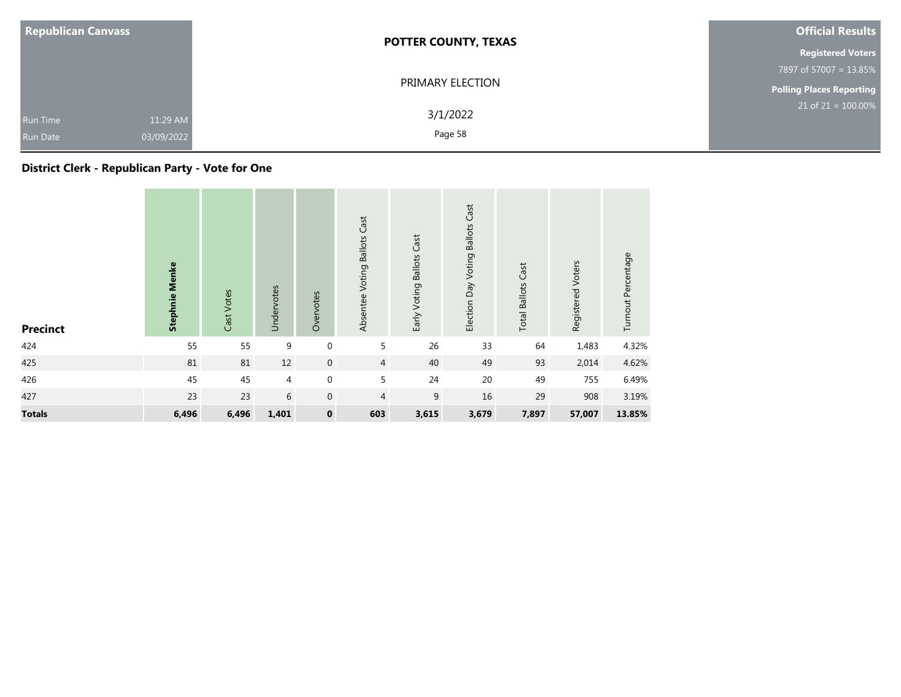| <b>Republican Canvass</b>          |                        | <b>POTTER COUNTY, TEXAS</b> | <b>Official Results</b>  |  |  |
|------------------------------------|------------------------|-----------------------------|--------------------------|--|--|
|                                    |                        |                             | <b>Registered Voters</b> |  |  |
|                                    |                        |                             | 7897 of 57007 = 13.85%   |  |  |
|                                    |                        | PRIMARY ELECTION            | Polling Places Reporting |  |  |
| <b>Run Time</b><br><b>Run Date</b> | 11:29 AM<br>03/09/2022 | 3/1/2022<br>Page 58         | $21$ of $21 = 100.00\%$  |  |  |

### **District Clerk - Republican Party - Vote for One**

| <b>Precinct</b> | <b>Stephnie Menke</b> | Cast Votes | Undervotes | Overvotes           | Absentee Voting Ballots Cast | Early Voting Ballots Cast | Cast<br><b>Ballots</b><br>Election Day Voting | <b>Total Ballots Cast</b> | Registered Voters | Turnout Percentage |
|-----------------|-----------------------|------------|------------|---------------------|------------------------------|---------------------------|-----------------------------------------------|---------------------------|-------------------|--------------------|
| 424             | 55                    | 55         | 9          | $\mathbf 0$         | 5                            | 26                        | 33                                            | 64                        | 1,483             | 4.32%              |
| 425             | $81\,$                | $81\,$     | 12         | $\mathsf{O}\xspace$ | $\overline{4}$               | 40                        | 49                                            | 93                        | 2,014             | 4.62%              |
| 426             | 45                    | 45         | 4          | $\mathbf 0$         | 5                            | 24                        | $20\,$                                        | 49                        | 755               | 6.49%              |
| 427             | 23                    | 23         | 6          | $\mathbf{0}$        | $\overline{4}$               | 9                         | 16                                            | 29                        | 908               | 3.19%              |
| <b>Totals</b>   | 6,496                 | 6,496      | 1,401      | $\pmb{0}$           | 603                          | 3,615                     | 3,679                                         | 7,897                     | 57,007            | 13.85%             |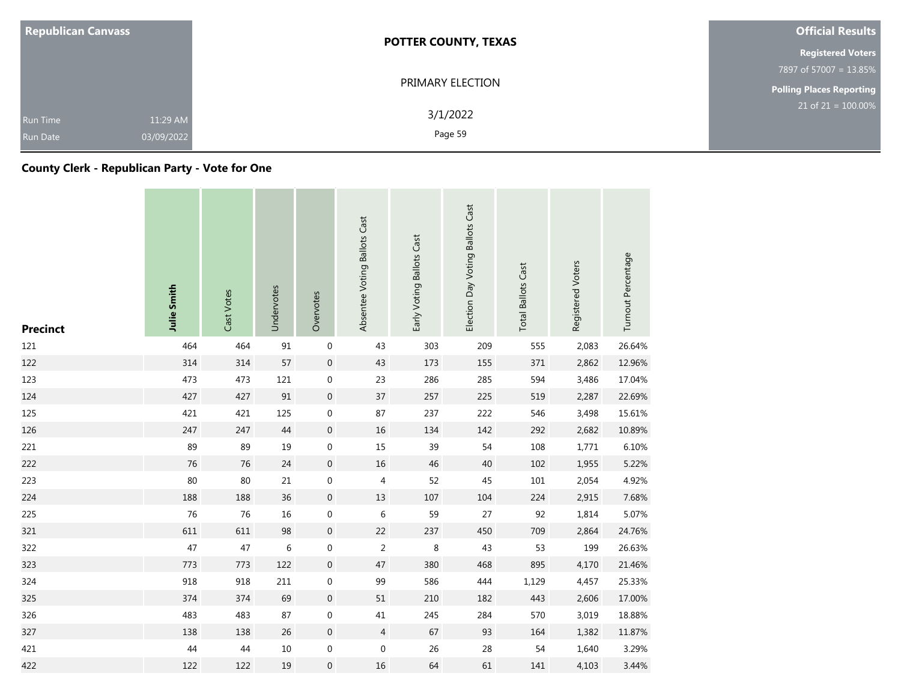| <b>Republican Canvass</b>          |                        | <b>POTTER COUNTY, TEXAS</b> | <b>Official Results</b>         |  |  |
|------------------------------------|------------------------|-----------------------------|---------------------------------|--|--|
|                                    |                        |                             | <b>Registered Voters</b>        |  |  |
|                                    |                        |                             | 7897 of 57007 = 13.85%          |  |  |
|                                    |                        | PRIMARY ELECTION            | <b>Polling Places Reporting</b> |  |  |
| <b>Run Time</b><br><b>Run Date</b> | 11:29 AM<br>03/09/2022 | 3/1/2022<br>Page 59         | $21$ of $21 = 100.00\%$         |  |  |

### **County Clerk - Republican Party - Vote for One**

| <b>Precinct</b> | <b>Julie Smith</b> | Cast Votes | Undervotes | Overvotes        | Absentee Voting Ballots Cast | Early Voting Ballots Cast | Election Day Voting Ballots Cast | <b>Total Ballots Cast</b> | Registered Voters | Turnout Percentage |
|-----------------|--------------------|------------|------------|------------------|------------------------------|---------------------------|----------------------------------|---------------------------|-------------------|--------------------|
| 121             | 464                | 464        | 91         | $\mathbf 0$      | 43                           | 303                       | 209                              | 555                       | 2,083             | 26.64%             |
| 122             | 314                | 314        | 57         | $\boldsymbol{0}$ | 43                           | 173                       | 155                              | 371                       | 2,862             | 12.96%             |
| 123             | 473                | 473        | 121        | $\boldsymbol{0}$ | 23                           | 286                       | 285                              | 594                       | 3,486             | 17.04%             |
| 124             | 427                | 427        | $91\,$     | $\boldsymbol{0}$ | 37                           | 257                       | 225                              | 519                       | 2,287             | 22.69%             |
| 125             | 421                | 421        | 125        | $\boldsymbol{0}$ | 87                           | 237                       | 222                              | 546                       | 3,498             | 15.61%             |
| 126             | 247                | 247        | $44$       | $\boldsymbol{0}$ | 16                           | 134                       | 142                              | 292                       | 2,682             | 10.89%             |
| 221             | 89                 | 89         | 19         | $\boldsymbol{0}$ | 15                           | 39                        | 54                               | 108                       | 1,771             | 6.10%              |
| 222             | 76                 | 76         | 24         | $\boldsymbol{0}$ | 16                           | 46                        | 40                               | 102                       | 1,955             | 5.22%              |
| 223             | 80                 | 80         | 21         | $\mathbf 0$      | 4                            | 52                        | 45                               | 101                       | 2,054             | 4.92%              |
| 224             | 188                | 188        | 36         | $\boldsymbol{0}$ | 13                           | 107                       | 104                              | 224                       | 2,915             | 7.68%              |
| 225             | 76                 | 76         | 16         | $\boldsymbol{0}$ | 6                            | 59                        | 27                               | 92                        | 1,814             | 5.07%              |
| 321             | 611                | 611        | 98         | $\boldsymbol{0}$ | 22                           | 237                       | 450                              | 709                       | 2,864             | 24.76%             |
| 322             | 47                 | 47         | $\,6\,$    | $\boldsymbol{0}$ | $\mathbf 2$                  | $\,8\,$                   | 43                               | 53                        | 199               | 26.63%             |
| 323             | 773                | 773        | 122        | $\boldsymbol{0}$ | 47                           | 380                       | 468                              | 895                       | 4,170             | 21.46%             |
| 324             | 918                | 918        | 211        | $\boldsymbol{0}$ | 99                           | 586                       | 444                              | 1,129                     | 4,457             | 25.33%             |
| 325             | 374                | 374        | 69         | $\boldsymbol{0}$ | 51                           | 210                       | 182                              | 443                       | 2,606             | 17.00%             |
| 326             | 483                | 483        | 87         | $\boldsymbol{0}$ | $41\,$                       | 245                       | 284                              | 570                       | 3,019             | 18.88%             |
| 327             | 138                | 138        | 26         | $\mathbf 0$      | $\overline{4}$               | 67                        | 93                               | 164                       | 1,382             | 11.87%             |
| 421             | 44                 | 44         | $10\,$     | $\boldsymbol{0}$ | $\boldsymbol{0}$             | 26                        | 28                               | 54                        | 1,640             | 3.29%              |
| 422             | 122                | 122        | 19         | $\boldsymbol{0}$ | 16                           | 64                        | 61                               | 141                       | 4,103             | 3.44%              |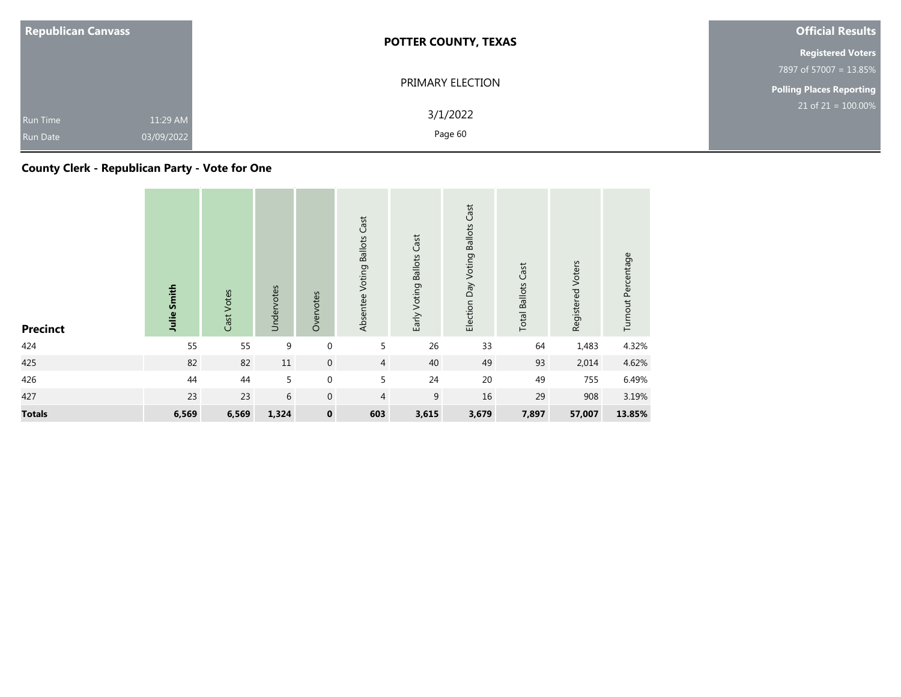| <b>Republican Canvass</b>          |                        | <b>POTTER COUNTY, TEXAS</b> | <b>Official Results</b>  |
|------------------------------------|------------------------|-----------------------------|--------------------------|
|                                    |                        |                             | <b>Registered Voters</b> |
|                                    |                        |                             | 7897 of 57007 = 13.85%   |
|                                    |                        | PRIMARY ELECTION            | Polling Places Reporting |
| <b>Run Time</b><br><b>Run Date</b> | 11:29 AM<br>03/09/2022 | 3/1/2022<br>Page 60         | $21$ of $21 = 100.00\%$  |

### **County Clerk - Republican Party - Vote for One**

| <b>Precinct</b> | Julie Smith | Cast Votes | Undervotes | Overvotes           | Absentee Voting Ballots Cast | Early Voting Ballots Cast | <b>Ballots Cast</b><br>Election Day Voting | <b>Total Ballots Cast</b> | Registered Voters | Turnout Percentage |
|-----------------|-------------|------------|------------|---------------------|------------------------------|---------------------------|--------------------------------------------|---------------------------|-------------------|--------------------|
| 424             | 55          | 55         | 9          | $\mathbf 0$         | 5                            | 26                        | 33                                         | 64                        | 1,483             | 4.32%              |
| 425             | 82          | 82         | $11\,$     | $\mathsf{O}\xspace$ | $\overline{4}$               | 40                        | 49                                         | 93                        | 2,014             | 4.62%              |
| 426             | 44          | 44         | 5          | $\mathbf 0$         | $\overline{5}$               | 24                        | 20                                         | 49                        | 755               | 6.49%              |
| 427             | 23          | 23         | 6          | $\mathbf 0$         | 4                            | 9                         | 16                                         | 29                        | 908               | 3.19%              |
| <b>Totals</b>   | 6,569       | 6,569      | 1,324      | $\pmb{0}$           | 603                          | 3,615                     | 3,679                                      | 7,897                     | 57,007            | 13.85%             |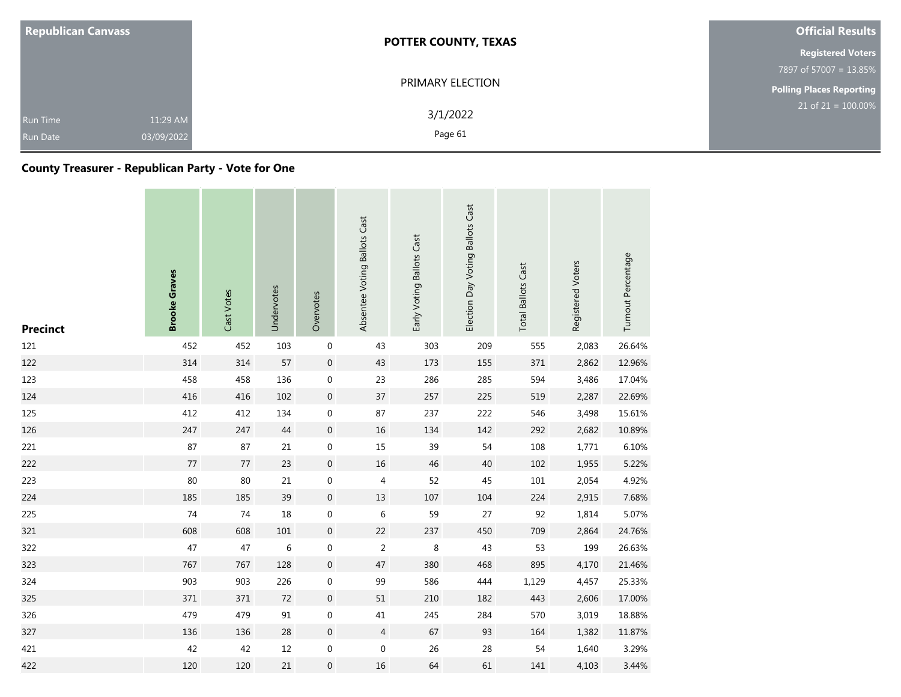| <b>Republican Canvass</b>          |                        | <b>POTTER COUNTY, TEXAS</b> | <b>Official Results</b>         |
|------------------------------------|------------------------|-----------------------------|---------------------------------|
|                                    |                        |                             | <b>Registered Voters</b>        |
|                                    |                        | 7897 of 57007 = 13.85%      |                                 |
|                                    |                        | PRIMARY ELECTION            | <b>Polling Places Reporting</b> |
| <b>Run Time</b><br><b>Run Date</b> | 11:29 AM<br>03/09/2022 | 3/1/2022<br>Page 61         | $21$ of 21 = 100.00%            |

### **County Treasurer - Republican Party - Vote for One**

| <b>Precinct</b> | <b>Brooke Graves</b> | Cast Votes | Undervotes | Overvotes        | Absentee Voting Ballots Cast | Early Voting Ballots Cast | Election Day Voting Ballots Cast | <b>Total Ballots Cast</b> | Registered Voters | Turnout Percentage |
|-----------------|----------------------|------------|------------|------------------|------------------------------|---------------------------|----------------------------------|---------------------------|-------------------|--------------------|
| 121             | 452                  | 452        | 103        | $\mathbf 0$      | 43                           | 303                       | 209                              | 555                       | 2,083             | 26.64%             |
| 122             | 314                  | 314        | 57         | $\boldsymbol{0}$ | 43                           | 173                       | 155                              | 371                       | 2,862             | 12.96%             |
| 123             | 458                  | 458        | 136        | $\boldsymbol{0}$ | 23                           | 286                       | 285                              | 594                       | 3,486             | 17.04%             |
| 124             | 416                  | 416        | 102        | $\boldsymbol{0}$ | 37                           | 257                       | 225                              | 519                       | 2,287             | 22.69%             |
| 125             | 412                  | 412        | 134        | $\pmb{0}$        | 87                           | 237                       | 222                              | 546                       | 3,498             | 15.61%             |
| 126             | 247                  | 247        | $44\,$     | $\boldsymbol{0}$ | $16\,$                       | 134                       | 142                              | 292                       | 2,682             | 10.89%             |
| 221             | 87                   | 87         | $21\,$     | $\boldsymbol{0}$ | 15                           | 39                        | 54                               | 108                       | 1,771             | 6.10%              |
| 222             | 77                   | 77         | 23         | $\mathbf 0$      | 16                           | 46                        | 40                               | 102                       | 1,955             | 5.22%              |
| 223             | 80                   | 80         | 21         | $\boldsymbol{0}$ | 4                            | 52                        | 45                               | 101                       | 2,054             | 4.92%              |
| 224             | 185                  | 185        | 39         | $\mathbf 0$      | 13                           | 107                       | 104                              | 224                       | 2,915             | 7.68%              |
| 225             | 74                   | 74         | 18         | $\boldsymbol{0}$ | 6                            | 59                        | 27                               | 92                        | 1,814             | 5.07%              |
| 321             | 608                  | 608        | 101        | $\boldsymbol{0}$ | 22                           | 237                       | 450                              | 709                       | 2,864             | 24.76%             |
| 322             | 47                   | 47         | 6          | $\boldsymbol{0}$ | $\overline{2}$               | 8                         | 43                               | 53                        | 199               | 26.63%             |
| 323             | 767                  | 767        | 128        | $\boldsymbol{0}$ | 47                           | 380                       | 468                              | 895                       | 4,170             | 21.46%             |
| 324             | 903                  | 903        | 226        | $\mathbf 0$      | 99                           | 586                       | 444                              | 1,129                     | 4,457             | 25.33%             |
| 325             | 371                  | 371        | 72         | $\boldsymbol{0}$ | 51                           | 210                       | 182                              | 443                       | 2,606             | 17.00%             |
| 326             | 479                  | 479        | 91         | $\boldsymbol{0}$ | 41                           | 245                       | 284                              | 570                       | 3,019             | 18.88%             |
| 327             | 136                  | 136        | 28         | $\boldsymbol{0}$ | $\overline{4}$               | 67                        | 93                               | 164                       | 1,382             | 11.87%             |
| 421             | 42                   | 42         | 12         | $\boldsymbol{0}$ | $\boldsymbol{0}$             | 26                        | 28                               | 54                        | 1,640             | 3.29%              |
| 422             | 120                  | 120        | $21\,$     | $\boldsymbol{0}$ | 16                           | 64                        | 61                               | 141                       | 4,103             | 3.44%              |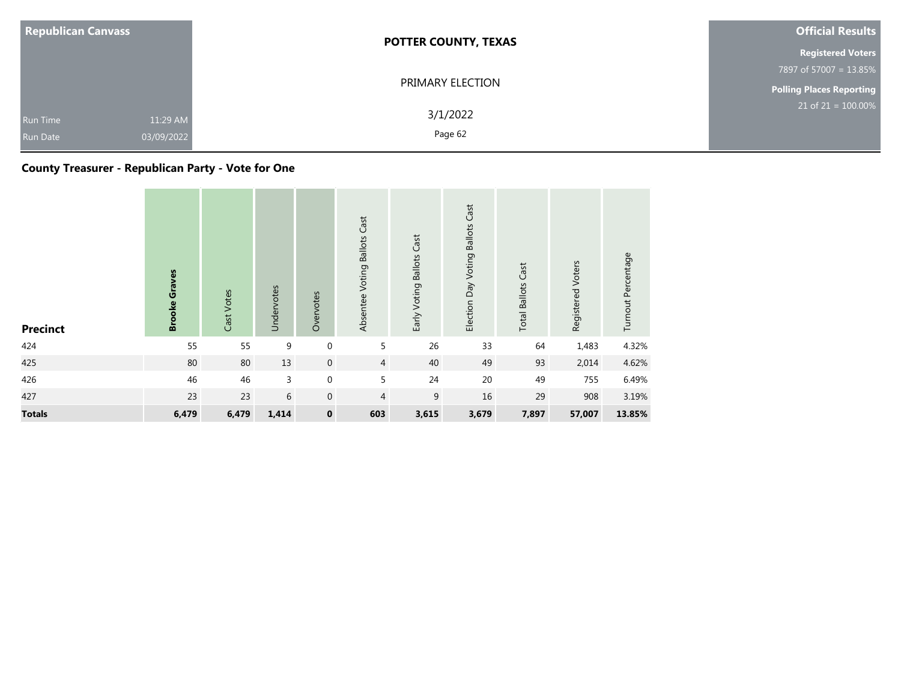| <b>Republican Canvass</b>          |                        | <b>POTTER COUNTY, TEXAS</b> | <b>Official Results</b>  |  |  |
|------------------------------------|------------------------|-----------------------------|--------------------------|--|--|
|                                    |                        |                             | <b>Registered Voters</b> |  |  |
|                                    |                        |                             | 7897 of 57007 = 13.85%   |  |  |
|                                    |                        | PRIMARY ELECTION            | Polling Places Reporting |  |  |
| <b>Run Time</b><br><b>Run Date</b> | 11:29 AM<br>03/09/2022 | 3/1/2022<br>Page 62         | $21$ of $21 = 100.00\%$  |  |  |

### **County Treasurer - Republican Party - Vote for One**

| <b>Precinct</b> | <b>Brooke Graves</b> | Cast Votes | Undervotes | Overvotes           | Absentee Voting Ballots Cast | Early Voting Ballots Cast | <b>Ballots Cast</b><br>Election Day Voting | <b>Total Ballots Cast</b> | Registered Voters | Turnout Percentage |
|-----------------|----------------------|------------|------------|---------------------|------------------------------|---------------------------|--------------------------------------------|---------------------------|-------------------|--------------------|
| 424             | 55                   | 55         | 9          | $\mathbf 0$         | 5                            | 26                        | 33                                         | 64                        | 1,483             | 4.32%              |
| 425             | 80                   | $80\,$     | 13         | $\mathsf{O}\xspace$ | $\overline{4}$               | 40                        | 49                                         | 93                        | 2,014             | 4.62%              |
| 426             | 46                   | 46         | 3          | $\mathbf 0$         | 5                            | 24                        | $20\,$                                     | 49                        | 755               | 6.49%              |
| 427             | 23                   | 23         | 6          | $\mathbf{0}$        | 4                            | 9                         | 16                                         | 29                        | 908               | 3.19%              |
| <b>Totals</b>   | 6,479                | 6,479      | 1,414      | $\pmb{0}$           | 603                          | 3,615                     | 3,679                                      | 7,897                     | 57,007            | 13.85%             |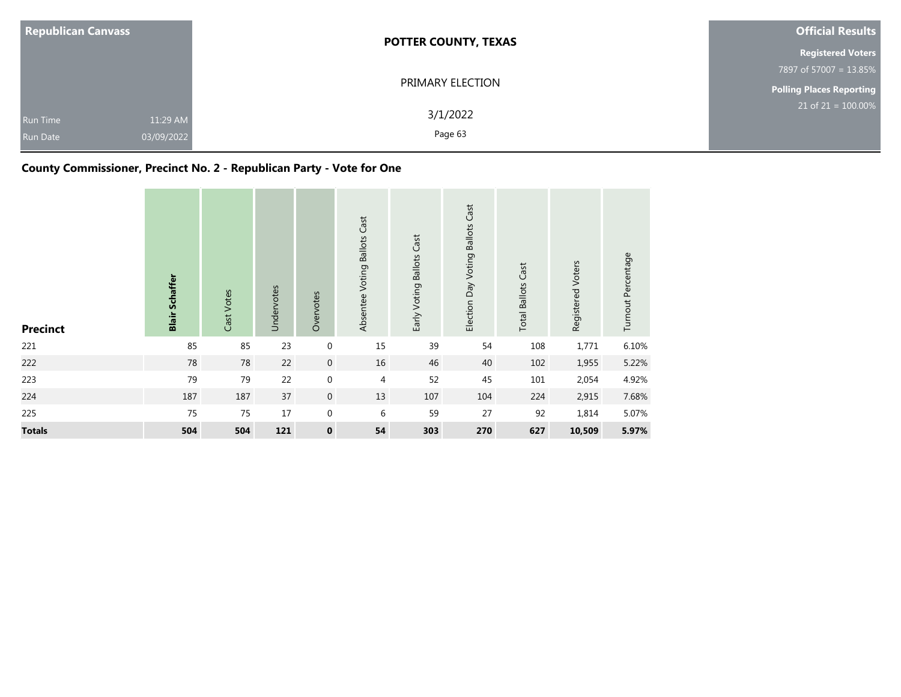| <b>Republican Canvass</b>   |                        | <b>POTTER COUNTY, TEXAS</b> | <b>Official Results</b>         |  |  |
|-----------------------------|------------------------|-----------------------------|---------------------------------|--|--|
|                             |                        |                             | <b>Registered Voters</b>        |  |  |
|                             |                        |                             | 7897 of 57007 = 13.85%          |  |  |
|                             |                        | PRIMARY ELECTION            | <b>Polling Places Reporting</b> |  |  |
| Run Time<br><b>Run Date</b> | 11:29 AM<br>03/09/2022 | 3/1/2022<br>Page 63         | $21$ of 21 = 100.00%            |  |  |

### **County Commissioner, Precinct No. 2 - Republican Party - Vote for One**

| <b>Precinct</b> | <b>Blair Schaffer</b> | Cast Votes | Undervotes | Overvotes          | Absentee Voting Ballots Cast | Early Voting Ballots Cast | Election Day Voting Ballots Cast | <b>Total Ballots Cast</b> | Registered Voters | Turnout Percentage |
|-----------------|-----------------------|------------|------------|--------------------|------------------------------|---------------------------|----------------------------------|---------------------------|-------------------|--------------------|
| 221             | 85                    | 85         | 23         | $\boldsymbol{0}$   | 15                           | 39                        | 54                               | 108                       | 1,771             | 6.10%              |
| 222             | $78\,$                | 78         | 22         | $\boldsymbol{0}$   | $16\,$                       | 46                        | 40                               | 102                       | 1,955             | 5.22%              |
| 223             | 79                    | 79         | 22         | $\boldsymbol{0}$   | $\overline{4}$               | 52                        | 45                               | 101                       | 2,054             | 4.92%              |
| 224             | 187                   | 187        | 37         | $\boldsymbol{0}$   | 13                           | $107\,$                   | 104                              | 224                       | 2,915             | 7.68%              |
| 225             | 75                    | 75         | 17         | $\boldsymbol{0}$   | 6                            | 59                        | 27                               | 92                        | 1,814             | 5.07%              |
| <b>Totals</b>   | 504                   | 504        | 121        | $\pmb{\mathsf{o}}$ | 54                           | 303                       | 270                              | 627                       | 10,509            | 5.97%              |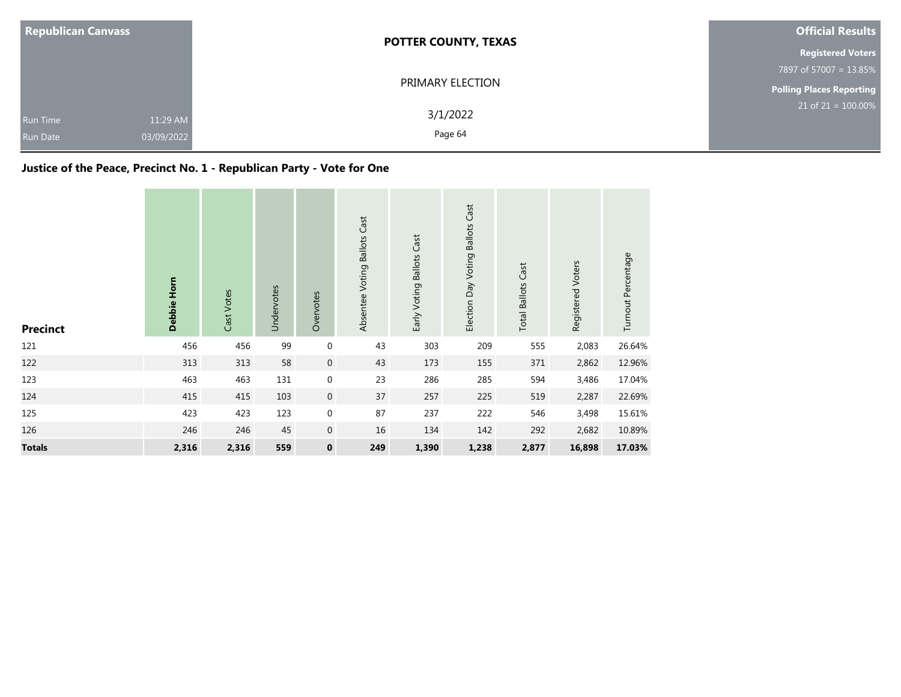| <b>Republican Canvass</b>                                    | <b>POTTER COUNTY, TEXAS</b> | <b>Official Results</b>         |  |  |  |
|--------------------------------------------------------------|-----------------------------|---------------------------------|--|--|--|
|                                                              |                             | <b>Registered Voters</b>        |  |  |  |
|                                                              |                             |                                 |  |  |  |
|                                                              | PRIMARY ELECTION            | <b>Polling Places Reporting</b> |  |  |  |
| 11:29 AM<br><b>Run Time</b><br>03/09/2022<br><b>Run Date</b> | 3/1/2022<br>Page 64         | $21$ of 21 = 100.00%            |  |  |  |

### **Justice of the Peace, Precinct No. 1 - Republican Party - Vote for One**

| <b>Precinct</b> | Debbie Horn | Cast Votes | Undervotes | Overvotes        | Absentee Voting Ballots Cast | Early Voting Ballots Cast | Election Day Voting Ballots Cast | <b>Total Ballots Cast</b> | Registered Voters | Turnout Percentage |
|-----------------|-------------|------------|------------|------------------|------------------------------|---------------------------|----------------------------------|---------------------------|-------------------|--------------------|
| 121             | 456         | 456        | 99         | $\boldsymbol{0}$ | 43                           | 303                       | 209                              | 555                       | 2,083             | 26.64%             |
| 122             | 313         | 313        | 58         | $\boldsymbol{0}$ | 43                           | 173                       | 155                              | 371                       | 2,862             | 12.96%             |
| 123             | 463         | 463        | 131        | $\boldsymbol{0}$ | 23                           | 286                       | 285                              | 594                       | 3,486             | 17.04%             |
| 124             | 415         | 415        | 103        | $\boldsymbol{0}$ | 37                           | 257                       | 225                              | 519                       | 2,287             | 22.69%             |
| 125             | 423         | 423        | 123        | $\boldsymbol{0}$ | 87                           | 237                       | 222                              | 546                       | 3,498             | 15.61%             |
| 126             | 246         | 246        | 45         | $\boldsymbol{0}$ | 16                           | 134                       | 142                              | 292                       | 2,682             | 10.89%             |
| <b>Totals</b>   | 2,316       | 2,316      | 559        | $\pmb{0}$        | 249                          | 1,390                     | 1,238                            | 2,877                     | 16,898            | 17.03%             |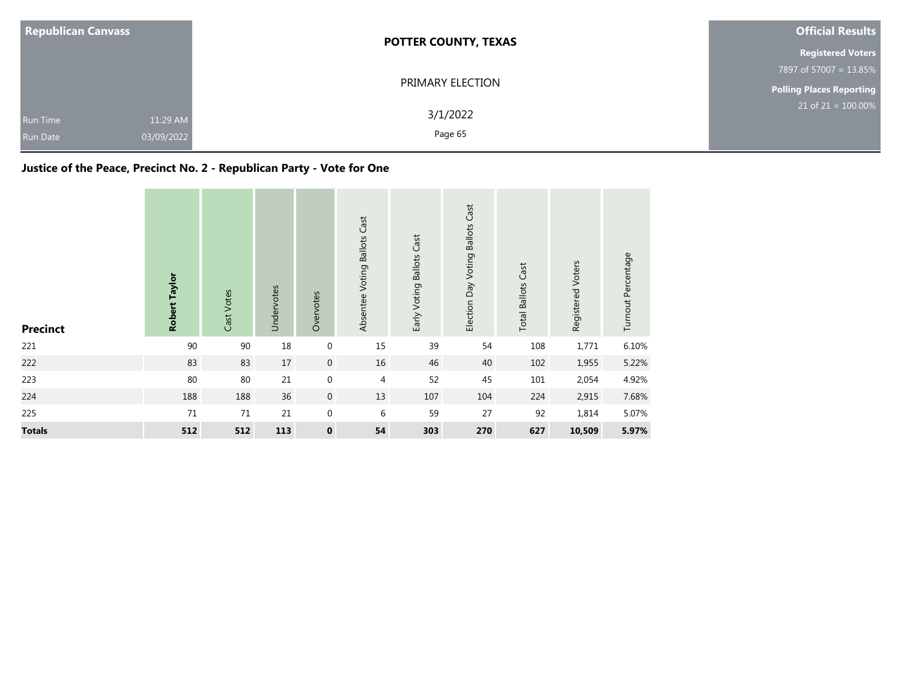| <b>Republican Canvass</b>                                    | <b>POTTER COUNTY, TEXAS</b> | <b>Official Results</b>         |  |  |
|--------------------------------------------------------------|-----------------------------|---------------------------------|--|--|
|                                                              |                             | <b>Registered Voters</b>        |  |  |
|                                                              |                             | 7897 of 57007 = 13.85%          |  |  |
|                                                              | PRIMARY ELECTION            | <b>Polling Places Reporting</b> |  |  |
| 11:29 AM<br><b>Run Time</b><br>03/09/2022<br><b>Run Date</b> | 3/1/2022<br>Page 65         | $21$ of $21 = 100.00\%$         |  |  |

### **Justice of the Peace, Precinct No. 2 - Republican Party - Vote for One**

| <b>Precinct</b> | Robert Taylor | Cast Votes | Undervotes | Overvotes        | Absentee Voting Ballots Cast | Early Voting Ballots Cast | Election Day Voting Ballots Cast | <b>Total Ballots Cast</b> | Registered Voters | Turnout Percentage |
|-----------------|---------------|------------|------------|------------------|------------------------------|---------------------------|----------------------------------|---------------------------|-------------------|--------------------|
| 221             | 90            | 90         | 18         | $\boldsymbol{0}$ | 15                           | 39                        | 54                               | 108                       | 1,771             | 6.10%              |
| 222             | 83            | 83         | 17         | $\boldsymbol{0}$ | 16                           | 46                        | 40                               | 102                       | 1,955             | 5.22%              |
| 223             | 80            | 80         | 21         | $\boldsymbol{0}$ | $\overline{4}$               | 52                        | 45                               | $101\,$                   | 2,054             | 4.92%              |
| 224             | 188           | 188        | 36         | $\boldsymbol{0}$ | 13                           | 107                       | 104                              | 224                       | 2,915             | 7.68%              |
| 225             | $71\,$        | $71\,$     | 21         | $\boldsymbol{0}$ | 6                            | 59                        | 27                               | 92                        | 1,814             | 5.07%              |
| <b>Totals</b>   | 512           | 512        | 113        | $\mathbf 0$      | 54                           | 303                       | 270                              | 627                       | 10,509            | 5.97%              |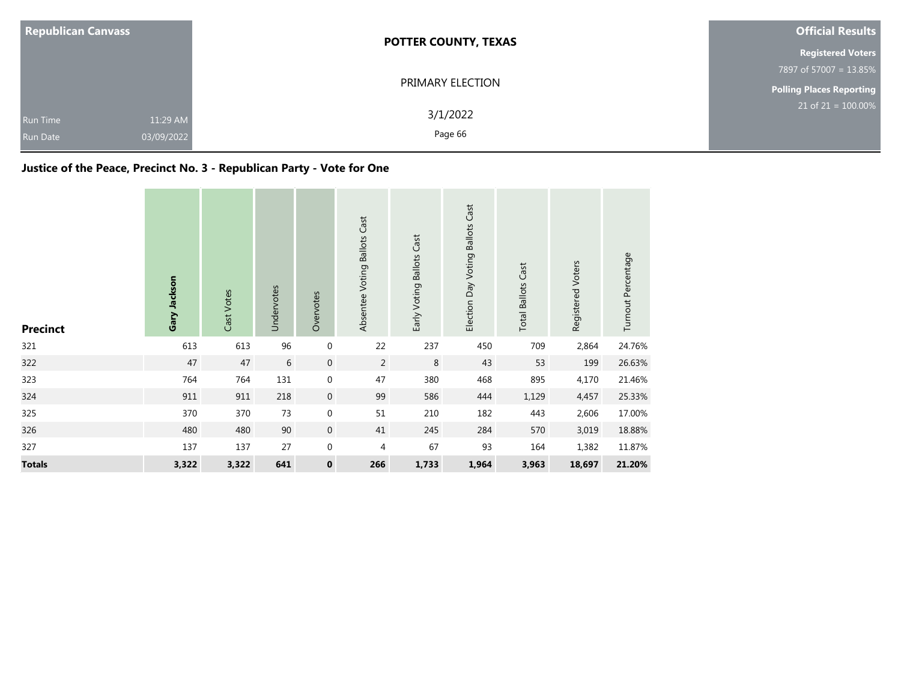| <b>Republican Canvass</b>          |                        | <b>POTTER COUNTY, TEXAS</b> | <b>Official Results</b>         |
|------------------------------------|------------------------|-----------------------------|---------------------------------|
|                                    |                        |                             | <b>Registered Voters</b>        |
|                                    |                        | 7897 of 57007 = 13.85%      |                                 |
|                                    |                        | PRIMARY ELECTION            | <b>Polling Places Reporting</b> |
| <b>Run Time</b><br><b>Run Date</b> | 11:29 AM<br>03/09/2022 | 3/1/2022<br>Page 66         | $21$ of $21 = 100.00\%$         |

### **Justice of the Peace, Precinct No. 3 - Republican Party - Vote for One**

| <b>Precinct</b> | Gary Jackson | Cast Votes | Undervotes | Overvotes        | Absentee Voting Ballots Cast | Early Voting Ballots Cast | Election Day Voting Ballots Cast | <b>Total Ballots Cast</b> | Registered Voters | Turnout Percentage |
|-----------------|--------------|------------|------------|------------------|------------------------------|---------------------------|----------------------------------|---------------------------|-------------------|--------------------|
| 321             | 613          | 613        | 96         | $\mathbf 0$      | 22                           | 237                       | 450                              | 709                       | 2,864             | 24.76%             |
| 322             | 47           | 47         | $6\,$      | $\mathbf 0$      | $\overline{2}$               | 8                         | 43                               | 53                        | 199               | 26.63%             |
| 323             | 764          | 764        | 131        | $\boldsymbol{0}$ | 47                           | 380                       | 468                              | 895                       | 4,170             | 21.46%             |
| 324             | 911          | 911        | 218        | $\boldsymbol{0}$ | 99                           | 586                       | 444                              | 1,129                     | 4,457             | 25.33%             |
| 325             | 370          | 370        | 73         | $\boldsymbol{0}$ | 51                           | 210                       | 182                              | 443                       | 2,606             | 17.00%             |
| 326             | 480          | 480        | 90         | $\boldsymbol{0}$ | 41                           | 245                       | 284                              | 570                       | 3,019             | 18.88%             |
| 327             | 137          | 137        | 27         | $\boldsymbol{0}$ | 4                            | 67                        | 93                               | 164                       | 1,382             | 11.87%             |
| <b>Totals</b>   | 3,322        | 3,322      | 641        | $\pmb{0}$        | 266                          | 1,733                     | 1,964                            | 3,963                     | 18,697            | 21.20%             |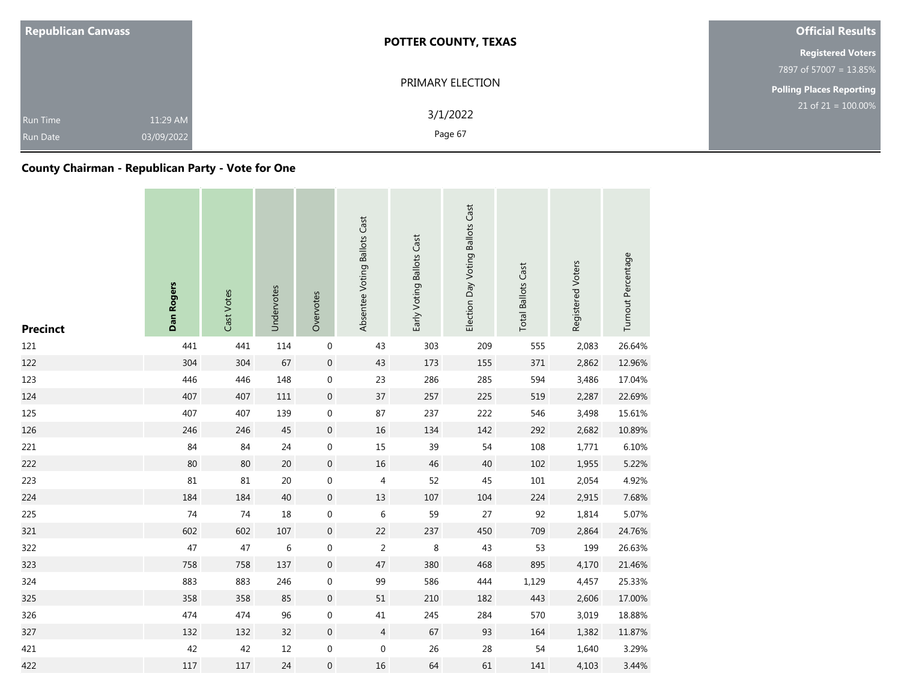| <b>Republican Canvass</b>          |                        | <b>POTTER COUNTY, TEXAS</b> | <b>Official Results</b>         |
|------------------------------------|------------------------|-----------------------------|---------------------------------|
|                                    |                        |                             | <b>Registered Voters</b>        |
|                                    |                        |                             | 7897 of 57007 = 13.85%          |
|                                    |                        | PRIMARY ELECTION            | <b>Polling Places Reporting</b> |
| <b>Run Time</b><br><b>Run Date</b> | 11:29 AM<br>03/09/2022 | 3/1/2022<br>Page 67         | $21$ of $21 = 100.00\%$         |

### **County Chairman - Republican Party - Vote for One**

| <b>Precinct</b> | Dan Rogers | Cast Votes | Undervotes | Overvotes        | Absentee Voting Ballots Cast | Early Voting Ballots Cast | Election Day Voting Ballots Cast | <b>Total Ballots Cast</b> | Registered Voters | Turnout Percentage |
|-----------------|------------|------------|------------|------------------|------------------------------|---------------------------|----------------------------------|---------------------------|-------------------|--------------------|
| 121             | 441        | 441        | 114        | $\boldsymbol{0}$ | 43                           | 303                       | 209                              | 555                       | 2,083             | 26.64%             |
| 122             | 304        | 304        | 67         | $\mathbf 0$      | 43                           | 173                       | 155                              | 371                       | 2,862             | 12.96%             |
| 123             | 446        | 446        | 148        | $\boldsymbol{0}$ | 23                           | 286                       | 285                              | 594                       | 3,486             | 17.04%             |
| 124             | 407        | 407        | 111        | $\mathbf 0$      | 37                           | 257                       | 225                              | 519                       | 2,287             | 22.69%             |
| 125             | 407        | 407        | 139        | $\boldsymbol{0}$ | 87                           | 237                       | 222                              | 546                       | 3,498             | 15.61%             |
| 126             | 246        | 246        | 45         | $\boldsymbol{0}$ | 16                           | 134                       | 142                              | 292                       | 2,682             | 10.89%             |
| 221             | 84         | 84         | 24         | $\boldsymbol{0}$ | 15                           | 39                        | 54                               | 108                       | 1,771             | 6.10%              |
| 222             | 80         | 80         | 20         | $\boldsymbol{0}$ | 16                           | 46                        | 40                               | 102                       | 1,955             | 5.22%              |
| 223             | 81         | 81         | 20         | $\boldsymbol{0}$ | 4                            | 52                        | 45                               | 101                       | 2,054             | 4.92%              |
| 224             | 184        | 184        | 40         | $\boldsymbol{0}$ | 13                           | 107                       | 104                              | 224                       | 2,915             | 7.68%              |
| 225             | 74         | 74         | 18         | $\boldsymbol{0}$ | 6                            | 59                        | 27                               | 92                        | 1,814             | 5.07%              |
| 321             | 602        | 602        | 107        | $\mathbf 0$      | 22                           | 237                       | 450                              | 709                       | 2,864             | 24.76%             |
| 322             | 47         | 47         | $\,6$      | $\boldsymbol{0}$ | $\overline{2}$               | 8                         | 43                               | 53                        | 199               | 26.63%             |
| 323             | 758        | 758        | 137        | $\boldsymbol{0}$ | 47                           | 380                       | 468                              | 895                       | 4,170             | 21.46%             |
| 324             | 883        | 883        | 246        | $\mathbf 0$      | 99                           | 586                       | 444                              | 1,129                     | 4,457             | 25.33%             |
| 325             | 358        | 358        | 85         | $\mathbf 0$      | 51                           | 210                       | 182                              | 443                       | 2,606             | 17.00%             |
| 326             | 474        | 474        | 96         | $\boldsymbol{0}$ | 41                           | 245                       | 284                              | 570                       | 3,019             | 18.88%             |
| 327             | 132        | 132        | 32         | $\boldsymbol{0}$ | $\overline{4}$               | 67                        | 93                               | 164                       | 1,382             | 11.87%             |
| 421             | 42         | 42         | 12         | $\boldsymbol{0}$ | $\boldsymbol{0}$             | 26                        | 28                               | 54                        | 1,640             | 3.29%              |
| 422             | 117        | 117        | 24         | $\boldsymbol{0}$ | 16                           | 64                        | 61                               | 141                       | 4,103             | 3.44%              |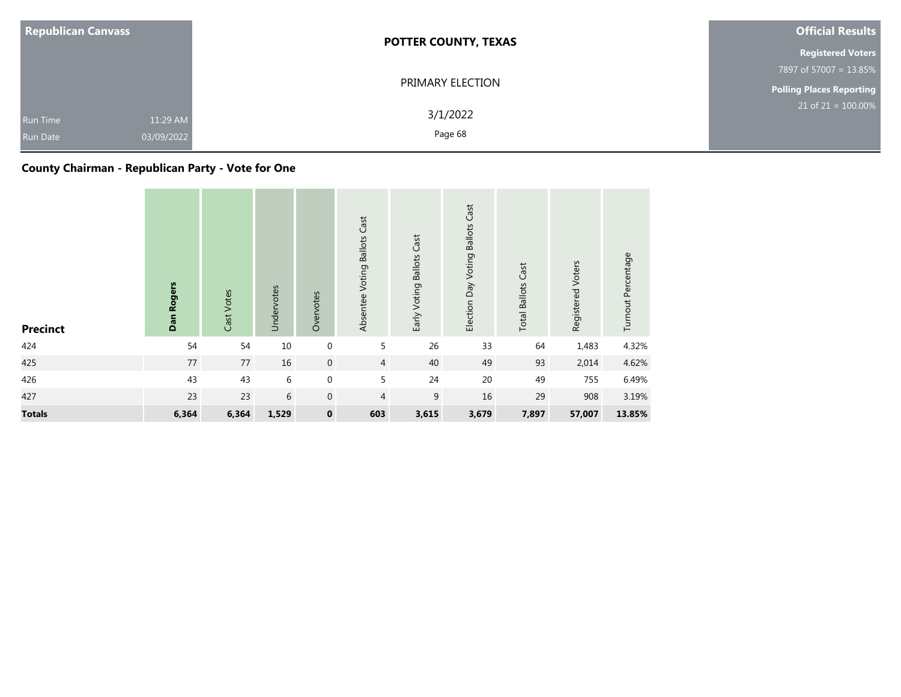| <b>Republican Canvass</b>          |                        | <b>POTTER COUNTY, TEXAS</b> | <b>Official Results</b>  |
|------------------------------------|------------------------|-----------------------------|--------------------------|
|                                    |                        |                             | <b>Registered Voters</b> |
|                                    |                        |                             | 7897 of 57007 = 13.85%   |
|                                    |                        | PRIMARY ELECTION            | Polling Places Reporting |
| <b>Run Time</b><br><b>Run Date</b> | 11:29 AM<br>03/09/2022 | 3/1/2022<br>Page 68         | $21$ of $21 = 100.00\%$  |

### **County Chairman - Republican Party - Vote for One**

| <b>Precinct</b> | Dan Rogers | Cast Votes | Undervotes | Overvotes        | Absentee Voting Ballots Cast | Early Voting Ballots Cast | <b>Ballots Cast</b><br>Election Day Voting | <b>Total Ballots Cast</b> | Registered Voters | Turnout Percentage |
|-----------------|------------|------------|------------|------------------|------------------------------|---------------------------|--------------------------------------------|---------------------------|-------------------|--------------------|
| 424             | 54         | 54         | 10         | $\mathbf 0$      | 5                            | 26                        | 33                                         | 64                        | 1,483             | 4.32%              |
| 425             | 77         | $77\,$     | 16         | $\boldsymbol{0}$ | $\overline{4}$               | 40                        | 49                                         | 93                        | 2,014             | 4.62%              |
| 426             | 43         | 43         | 6          | $\boldsymbol{0}$ | 5                            | 24                        | 20                                         | 49                        | 755               | 6.49%              |
| 427             | 23         | 23         | 6          | $\mathbf 0$      | 4                            | 9                         | 16                                         | 29                        | 908               | 3.19%              |
| <b>Totals</b>   | 6,364      | 6,364      | 1,529      | $\pmb{0}$        | 603                          | 3,615                     | 3,679                                      | 7,897                     | 57,007            | 13.85%             |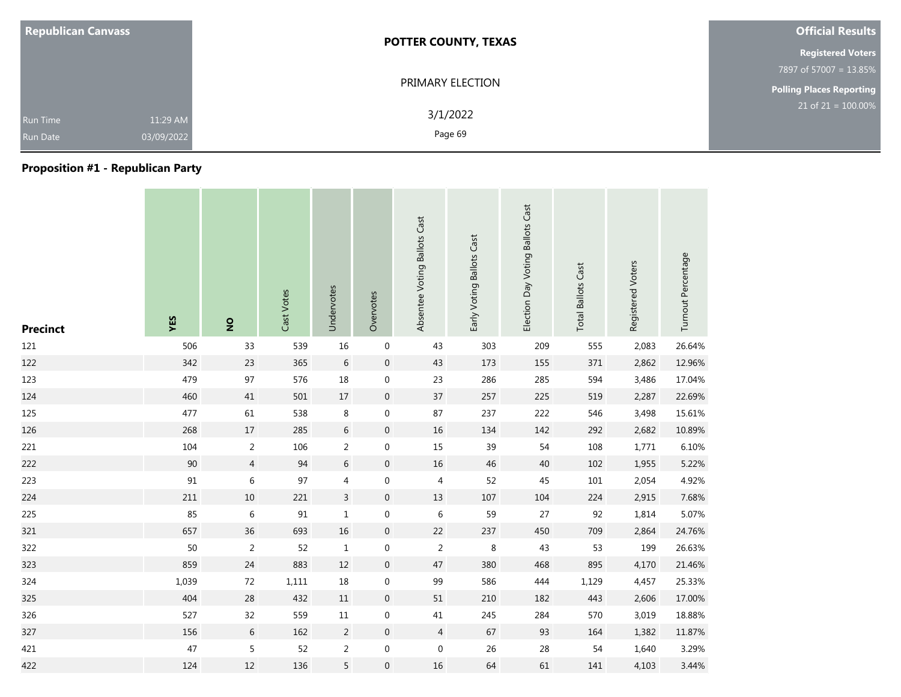| <b>Republican Canvass</b>                                    | <b>POTTER COUNTY, TEXAS</b> | <b>Official Results</b>  |
|--------------------------------------------------------------|-----------------------------|--------------------------|
|                                                              |                             | <b>Registered Voters</b> |
|                                                              |                             | 7897 of 57007 = 13.85%   |
|                                                              | PRIMARY ELECTION            | Polling Places Reporting |
| 11:29 AM<br><b>Run Time</b><br>03/09/2022<br><b>Run Date</b> | 3/1/2022<br>Page 69         | $21$ of $21 = 100.00\%$  |

### **Proposition #1 - Republican Party**

| <b>Precinct</b> | YES   | $\overline{2}$ | Cast Votes | Undervotes     | Overvotes           | Absentee Voting Ballots Cast | Early Voting Ballots Cast | Election Day Voting Ballots Cast | <b>Total Ballots Cast</b> | Registered Voters | Turnout Percentage |
|-----------------|-------|----------------|------------|----------------|---------------------|------------------------------|---------------------------|----------------------------------|---------------------------|-------------------|--------------------|
| 121             | 506   | 33             | 539        | 16             | $\boldsymbol{0}$    | 43                           | 303                       | 209                              | 555                       | 2,083             | 26.64%             |
| 122             | 342   | 23             | 365        | $\,$ 6 $\,$    | $\boldsymbol{0}$    | 43                           | 173                       | 155                              | 371                       | 2,862             | 12.96%             |
| 123             | 479   | 97             | 576        | 18             | $\mathbf 0$         | 23                           | 286                       | 285                              | 594                       | 3,486             | 17.04%             |
| 124             | 460   | 41             | 501        | $17\,$         | $\overline{0}$      | 37                           | 257                       | 225                              | 519                       | 2,287             | 22.69%             |
| 125             | 477   | 61             | 538        | 8              | $\mathbf 0$         | 87                           | 237                       | 222                              | 546                       | 3,498             | 15.61%             |
| 126             | 268   | 17             | 285        | $\sqrt{6}$     | $\mathsf{O}\xspace$ | 16                           | 134                       | 142                              | 292                       | 2,682             | 10.89%             |
| 221             | 104   | $\overline{2}$ | 106        | $\overline{c}$ | 0                   | $15\,$                       | 39                        | 54                               | 108                       | 1,771             | 6.10%              |
| 222             | 90    | $\overline{4}$ | 94         | $\sqrt{6}$     | $\boldsymbol{0}$    | 16                           | 46                        | 40                               | 102                       | 1,955             | 5.22%              |
| 223             | 91    | 6              | 97         | 4              | $\boldsymbol{0}$    | 4                            | 52                        | 45                               | 101                       | 2,054             | 4.92%              |
| 224             | 211   | 10             | 221        | $\mathsf{3}$   | $\boldsymbol{0}$    | 13                           | 107                       | 104                              | 224                       | 2,915             | 7.68%              |
| 225             | 85    | $\,6\,$        | 91         | $\mathbf 1$    | $\boldsymbol{0}$    | $\,6\,$                      | 59                        | 27                               | 92                        | 1,814             | 5.07%              |
| 321             | 657   | 36             | 693        | 16             | $\mathsf{O}\xspace$ | 22                           | 237                       | 450                              | 709                       | 2,864             | 24.76%             |
| 322             | 50    | $\overline{2}$ | 52         | $\mathbf{1}$   | 0                   | $\overline{c}$               | 8                         | 43                               | 53                        | 199               | 26.63%             |
| 323             | 859   | 24             | 883        | 12             | $\boldsymbol{0}$    | 47                           | 380                       | 468                              | 895                       | 4,170             | 21.46%             |
| 324             | 1,039 | 72             | 1,111      | 18             | 0                   | 99                           | 586                       | 444                              | 1,129                     | 4,457             | 25.33%             |
| 325             | 404   | 28             | 432        | 11             | $\mathbf 0$         | 51                           | 210                       | 182                              | 443                       | 2,606             | 17.00%             |
| 326             | 527   | 32             | 559        | $11\,$         | $\mathbf 0$         | $41\,$                       | 245                       | 284                              | 570                       | 3,019             | 18.88%             |
| 327             | 156   | 6              | 162        | 2              | $\mathbf 0$         | $\overline{4}$               | 67                        | 93                               | 164                       | 1,382             | 11.87%             |
| 421             | 47    | 5              | 52         | $\overline{c}$ | $\boldsymbol{0}$    | $\boldsymbol{0}$             | 26                        | 28                               | 54                        | 1,640             | 3.29%              |
| 422             | 124   | 12             | 136        | 5              | 0                   | 16                           | 64                        | 61                               | 141                       | 4,103             | 3.44%              |

**The Common** 

**Contract Contract** 

the control of the control of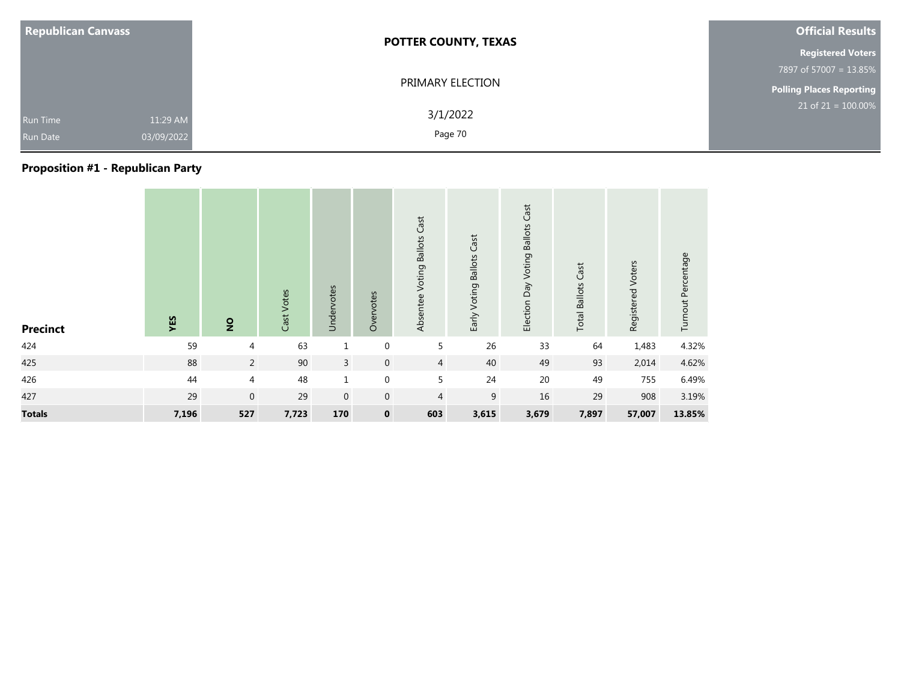| <b>Republican Canvass</b>                                    | <b>POTTER COUNTY, TEXAS</b> | <b>Official Results</b>         |
|--------------------------------------------------------------|-----------------------------|---------------------------------|
|                                                              |                             | <b>Registered Voters</b>        |
|                                                              |                             | 7897 of 57007 = 13.85%          |
|                                                              | PRIMARY ELECTION            | <b>Polling Places Reporting</b> |
| 11:29 AM<br><b>Run Time</b><br>03/09/2022<br><b>Run Date</b> | 3/1/2022<br>Page 70         | $21$ of $21 = 100.00\%$         |

### **Proposition #1 - Republican Party**

| <b>Precinct</b> | YES   | $\overline{2}$ | Cast Votes | Undervotes     | Overvotes      | Absentee Voting Ballots Cast | Early Voting Ballots Cast | Election Day Voting Ballots Cast | <b>Total Ballots Cast</b> | Registered Voters | Turnout Percentage |
|-----------------|-------|----------------|------------|----------------|----------------|------------------------------|---------------------------|----------------------------------|---------------------------|-------------------|--------------------|
| 424             | 59    | $\overline{4}$ | 63         | $\mathbf{1}$   | $\mathbf 0$    | 5                            | 26                        | 33                               | 64                        | 1,483             | 4.32%              |
| 425             | 88    | $\overline{2}$ | 90         | $\overline{3}$ | $\overline{0}$ | $\overline{4}$               | 40                        | 49                               | 93                        | 2,014             | 4.62%              |
| 426             | 44    | 4              | 48         | $\mathbf{1}$   | $\mathbf 0$    | 5                            | 24                        | 20                               | 49                        | 755               | 6.49%              |
| 427             | 29    | $\mathbf 0$    | 29         | $\mathbf 0$    | $\mathbf 0$    | $\overline{4}$               | $9\,$                     | 16                               | 29                        | 908               | 3.19%              |
| <b>Totals</b>   | 7,196 | 527            | 7,723      | 170            | $\mathbf 0$    | 603                          | 3,615                     | 3,679                            | 7,897                     | 57,007            | 13.85%             |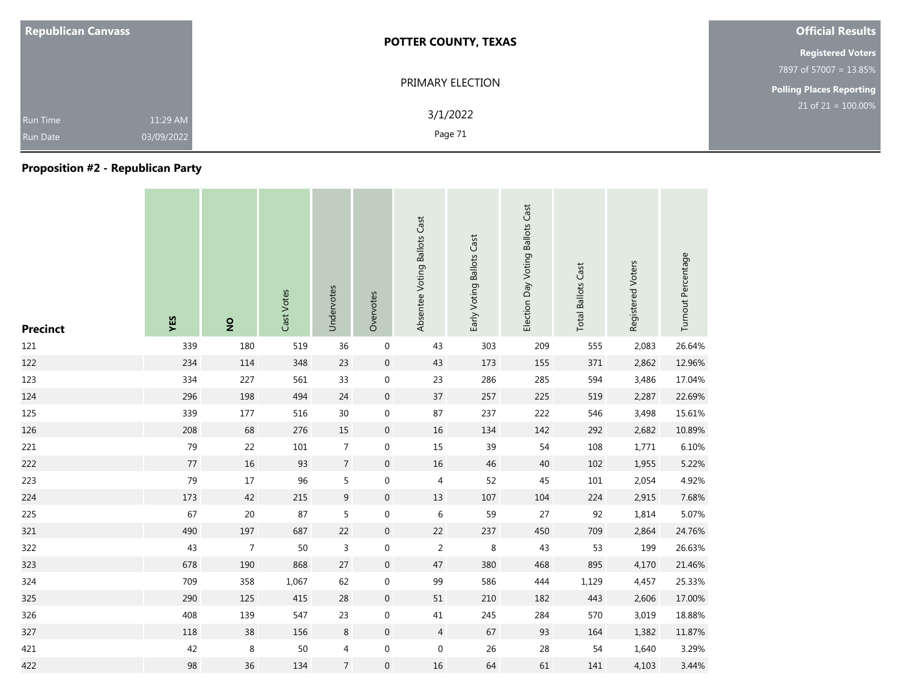| <b>Republican Canvass</b>          |                        | <b>POTTER COUNTY, TEXAS</b> | <b>Official Results</b>         |
|------------------------------------|------------------------|-----------------------------|---------------------------------|
|                                    |                        |                             | <b>Registered Voters</b>        |
|                                    |                        |                             | 7897 of 57007 = 13.85%          |
|                                    |                        | PRIMARY ELECTION            | <b>Polling Places Reporting</b> |
| <b>Run Time</b><br><b>Run Date</b> | 11:29 AM<br>03/09/2022 | 3/1/2022<br>Page 71         | $21$ of $21 = 100.00\%$         |

### **Proposition #2 - Republican Party**

| <b>Precinct</b> | YES | $\overline{2}$ | Cast Votes | Undervotes       | Overvotes        | Absentee Voting Ballots Cast | Early Voting Ballots Cast | Election Day Voting Ballots Cast | <b>Total Ballots Cast</b> | Registered Voters | Turnout Percentage |
|-----------------|-----|----------------|------------|------------------|------------------|------------------------------|---------------------------|----------------------------------|---------------------------|-------------------|--------------------|
| 121             | 339 | 180            | 519        | 36               | $\boldsymbol{0}$ | 43                           | 303                       | 209                              | 555                       | 2,083             | 26.64%             |
| 122             | 234 | 114            | 348        | 23               | $\mathbf 0$      | 43                           | 173                       | 155                              | 371                       | 2,862             | 12.96%             |
| 123             | 334 | 227            | 561        | 33               | $\mathbf 0$      | 23                           | 286                       | 285                              | 594                       | 3,486             | 17.04%             |
| 124             | 296 | 198            | 494        | 24               | $\boldsymbol{0}$ | 37                           | 257                       | 225                              | 519                       | 2,287             | 22.69%             |
| 125             | 339 | 177            | 516        | 30               | $\mathbf 0$      | 87                           | 237                       | 222                              | 546                       | 3,498             | 15.61%             |
| 126             | 208 | 68             | 276        | 15               | $\mathbf 0$      | 16                           | 134                       | 142                              | 292                       | 2,682             | 10.89%             |
| 221             | 79  | 22             | $101\,$    | $\boldsymbol{7}$ | $\mathbf 0$      | 15                           | 39                        | 54                               | 108                       | 1,771             | 6.10%              |
| 222             | 77  | 16             | 93         | $\boldsymbol{7}$ | $\boldsymbol{0}$ | 16                           | 46                        | 40                               | 102                       | 1,955             | 5.22%              |
| 223             | 79  | 17             | 96         | 5                | 0                | $\overline{4}$               | 52                        | 45                               | $101\,$                   | 2,054             | 4.92%              |
| 224             | 173 | 42             | 215        | $9\,$            | $\overline{0}$   | 13                           | 107                       | 104                              | 224                       | 2,915             | 7.68%              |
| 225             | 67  | $20\,$         | 87         | 5                | 0                | 6                            | 59                        | 27                               | 92                        | 1,814             | 5.07%              |
| 321             | 490 | 197            | 687        | 22               | $\mathbf 0$      | 22                           | 237                       | 450                              | 709                       | 2,864             | 24.76%             |
| 322             | 43  | $\overline{7}$ | 50         | 3                | 0                | $\overline{2}$               | 8                         | 43                               | 53                        | 199               | 26.63%             |
| 323             | 678 | 190            | 868        | 27               | $\boldsymbol{0}$ | 47                           | 380                       | 468                              | 895                       | 4,170             | 21.46%             |
| 324             | 709 | 358            | 1,067      | 62               | $\mathbf 0$      | 99                           | 586                       | 444                              | 1,129                     | 4,457             | 25.33%             |
| 325             | 290 | 125            | 415        | 28               | $\boldsymbol{0}$ | 51                           | 210                       | 182                              | 443                       | 2,606             | 17.00%             |
| 326             | 408 | 139            | 547        | 23               | $\mathbf 0$      | $41\,$                       | 245                       | 284                              | 570                       | 3,019             | 18.88%             |
| 327             | 118 | 38             | 156        | $\,8\,$          | $\overline{0}$   | $\overline{4}$               | 67                        | 93                               | 164                       | 1,382             | 11.87%             |
| 421             | 42  | 8              | 50         | $\overline{4}$   | $\boldsymbol{0}$ | $\boldsymbol{0}$             | 26                        | 28                               | 54                        | 1,640             | 3.29%              |
| 422             | 98  | 36             | 134        | $\overline{7}$   | $\mathbf 0$      | 16                           | 64                        | 61                               | 141                       | 4,103             | 3.44%              |

the company of the company of

the control of the con-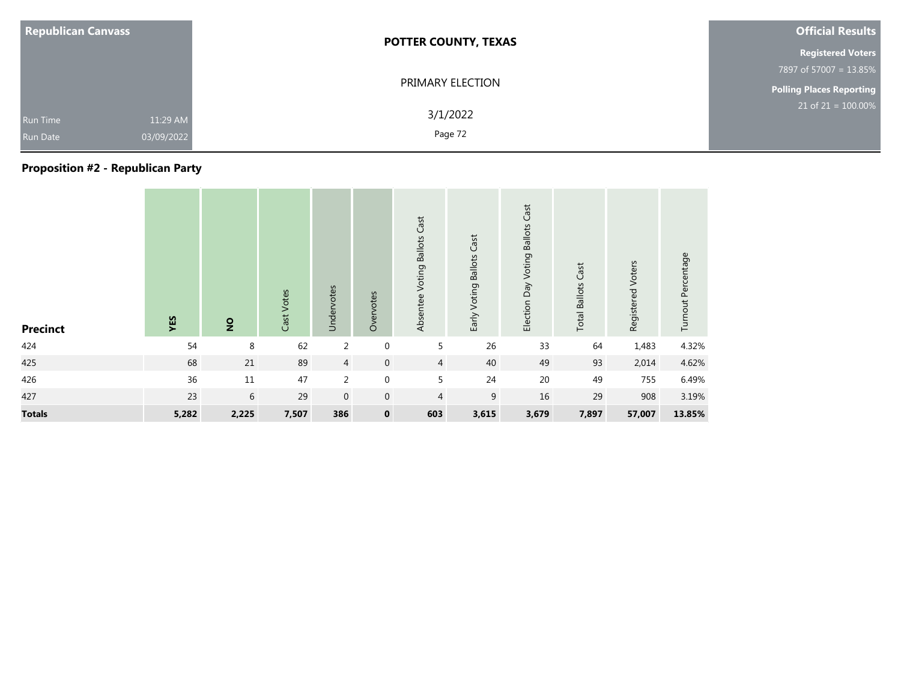| <b>Republican Canvass</b>          |                        | <b>POTTER COUNTY, TEXAS</b> | <b>Official Results</b>         |
|------------------------------------|------------------------|-----------------------------|---------------------------------|
|                                    |                        |                             | <b>Registered Voters</b>        |
|                                    |                        |                             | 7897 of 57007 = 13.85%          |
|                                    |                        | PRIMARY ELECTION            | <b>Polling Places Reporting</b> |
| <b>Run Time</b><br><b>Run Date</b> | 11:29 AM<br>03/09/2022 | 3/1/2022<br>Page 72         | $21$ of $21 = 100.00\%$         |

### **Proposition #2 - Republican Party**

| <b>Precinct</b> | YES   | $\overline{2}$ | Cast Votes | Undervotes     | Overvotes    | Absentee Voting Ballots Cast | Early Voting Ballots Cast | Election Day Voting Ballots Cast | <b>Total Ballots Cast</b> | Registered Voters | Turnout Percentage |
|-----------------|-------|----------------|------------|----------------|--------------|------------------------------|---------------------------|----------------------------------|---------------------------|-------------------|--------------------|
| 424             | 54    | 8              | 62         | $\overline{2}$ | $\mathbf 0$  | 5                            | 26                        | 33                               | 64                        | 1,483             | 4.32%              |
| 425             | 68    | 21             | 89         | $\overline{4}$ | $\mathbf 0$  | $\overline{4}$               | 40                        | 49                               | 93                        | 2,014             | 4.62%              |
| 426             | 36    | 11             | 47         | $\overline{2}$ | $\mathbf 0$  | 5                            | 24                        | 20                               | 49                        | 755               | 6.49%              |
| 427             | 23    | 6              | 29         | $\mathbf{0}$   | $\mathbf{0}$ | $\overline{4}$               | 9                         | 16                               | 29                        | 908               | 3.19%              |
| <b>Totals</b>   | 5,282 | 2,225          | 7,507      | 386            | $\mathbf 0$  | 603                          | 3,615                     | 3,679                            | 7,897                     | 57,007            | 13.85%             |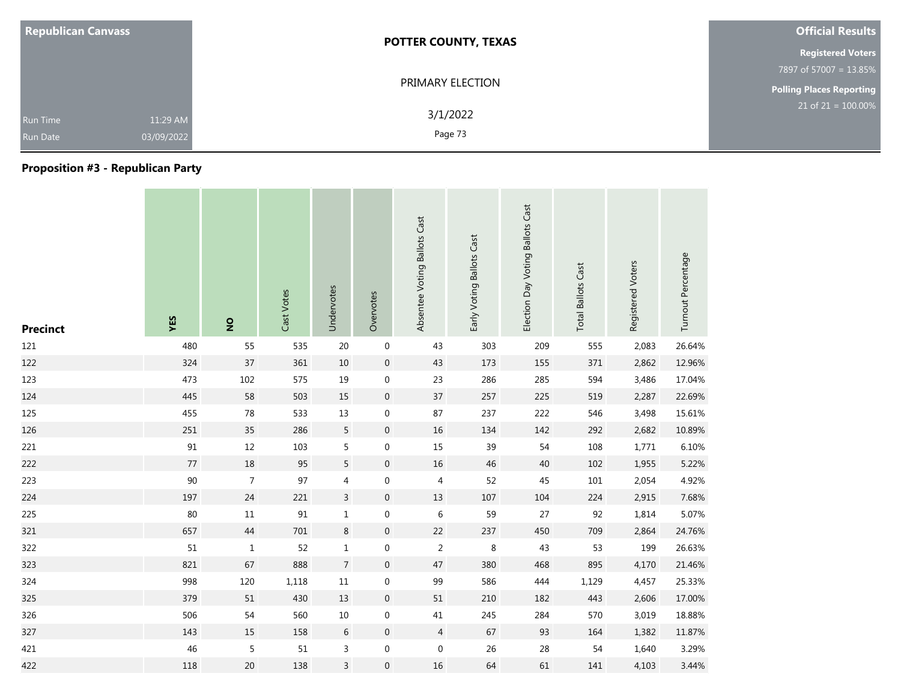|                                    | <b>Republican Canvass</b> | <b>POTTER COUNTY, TEXAS</b> | <b>Official Results</b>         |
|------------------------------------|---------------------------|-----------------------------|---------------------------------|
|                                    |                           |                             | <b>Registered Voters</b>        |
|                                    |                           |                             | 7897 of 57007 = 13.85%          |
|                                    |                           | PRIMARY ELECTION            | <b>Polling Places Reporting</b> |
| <b>Run Time</b><br><b>Run Date</b> | 11:29 AM<br>03/09/2022    | 3/1/2022<br>Page 73         | $21$ of $21 = 100.00\%$         |

### **Proposition #3 - Republican Party**

| <b>Precinct</b> | YES                        | $\overline{2}$ | Cast Votes | Undervotes     | Overvotes        | Absentee Voting Ballots Cast | Early Voting Ballots Cast | Election Day Voting Ballots Cast | <b>Total Ballots Cast</b> | Registered Voters | Turnout Percentage |
|-----------------|----------------------------|----------------|------------|----------------|------------------|------------------------------|---------------------------|----------------------------------|---------------------------|-------------------|--------------------|
| 121             | 480                        | 55             | 535        | 20             | $\boldsymbol{0}$ | 43                           | 303                       | 209                              | 555                       | 2,083             | 26.64%             |
| 122             | 324                        | 37             | 361        | $10\,$         | $\pmb{0}$        | 43                           | 173                       | 155                              | 371                       | 2,862             | 12.96%             |
| 123             | 473                        | 102            | 575        | 19             | $\mathbf 0$      | 23                           | 286                       | 285                              | 594                       | 3,486             | 17.04%             |
| 124             | 445                        | 58             | 503        | 15             | $\mathbf 0$      | 37                           | 257                       | 225                              | 519                       | 2,287             | 22.69%             |
| 125             | 455                        | 78             | 533        | 13             | $\mathbf 0$      | 87                           | 237                       | 222                              | 546                       | 3,498             | 15.61%             |
| 126             | 251                        | 35             | 286        | 5              | $\mathbf 0$      | 16                           | 134                       | 142                              | 292                       | 2,682             | 10.89%             |
| 221             | $\ensuremath{\mathsf{91}}$ | 12             | 103        | 5              | $\boldsymbol{0}$ | 15                           | 39                        | 54                               | 108                       | 1,771             | 6.10%              |
| 222             | 77                         | 18             | 95         | 5              | $\pmb{0}$        | 16                           | 46                        | 40                               | 102                       | 1,955             | 5.22%              |
| 223             | $90\,$                     | $\overline{7}$ | 97         | 4              | $\boldsymbol{0}$ | 4                            | 52                        | 45                               | 101                       | 2,054             | 4.92%              |
| 224             | 197                        | 24             | 221        | $\mathsf{3}$   | $\pmb{0}$        | 13                           | 107                       | 104                              | 224                       | 2,915             | 7.68%              |
| 225             | 80                         | $11\,$         | 91         | $\mathbf 1$    | $\boldsymbol{0}$ | $\,$ 6 $\,$                  | 59                        | 27                               | 92                        | 1,814             | 5.07%              |
| 321             | 657                        | 44             | 701        | 8              | $\mathbf 0$      | 22                           | 237                       | 450                              | 709                       | 2,864             | 24.76%             |
| 322             | $51\,$                     | $\mathbf{1}$   | 52         | $\mathbf{1}$   | $\boldsymbol{0}$ | $\overline{2}$               | 8                         | 43                               | 53                        | 199               | 26.63%             |
| 323             | 821                        | 67             | 888        | $\overline{7}$ | $\boldsymbol{0}$ | 47                           | 380                       | 468                              | 895                       | 4,170             | 21.46%             |
| 324             | 998                        | 120            | 1,118      | 11             | $\mathbf 0$      | 99                           | 586                       | 444                              | 1,129                     | 4,457             | 25.33%             |
| 325             | 379                        | 51             | 430        | 13             | $\pmb{0}$        | $51\,$                       | 210                       | 182                              | 443                       | 2,606             | 17.00%             |
| 326             | 506                        | 54             | 560        | $10\,$         | $\boldsymbol{0}$ | $41\,$                       | 245                       | 284                              | 570                       | 3,019             | 18.88%             |
| 327             | 143                        | 15             | 158        | 6              | $\mathbf 0$      | $\overline{4}$               | 67                        | 93                               | 164                       | 1,382             | 11.87%             |
| 421             | 46                         | 5              | 51         | 3              | $\boldsymbol{0}$ | $\mathbf 0$                  | 26                        | 28                               | 54                        | 1,640             | 3.29%              |
| 422             | 118                        | 20             | 138        | 3              | $\boldsymbol{0}$ | 16                           | 64                        | 61                               | 141                       | 4,103             | 3.44%              |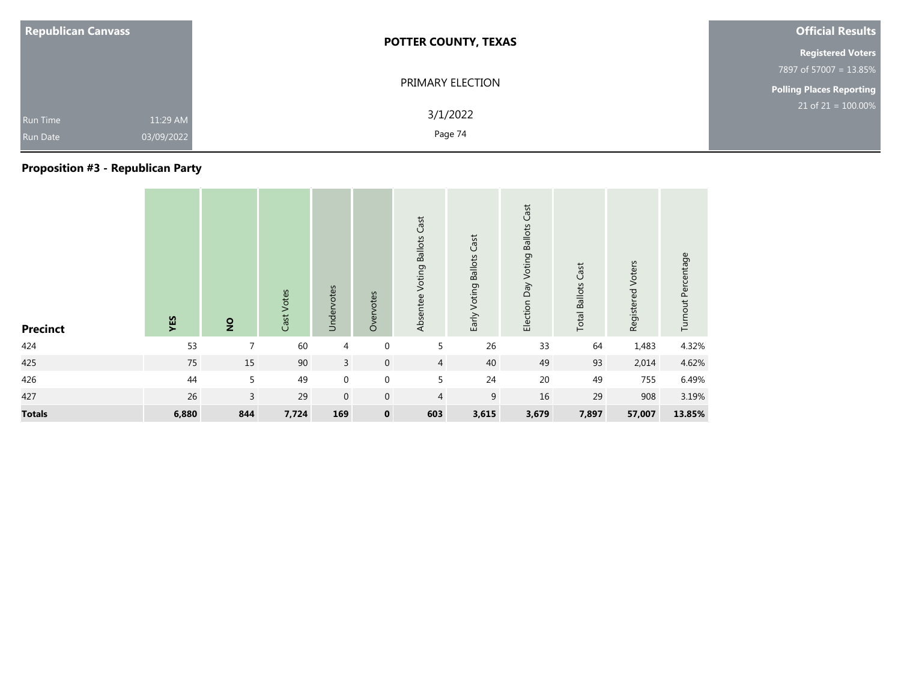| <b>Republican Canvass</b>          |                        | <b>POTTER COUNTY, TEXAS</b> | <b>Official Results</b>  |
|------------------------------------|------------------------|-----------------------------|--------------------------|
|                                    |                        |                             | <b>Registered Voters</b> |
|                                    |                        |                             | 7897 of 57007 = 13.85%   |
|                                    | PRIMARY ELECTION       |                             | Polling Places Reporting |
| <b>Run Time</b><br><b>Run Date</b> | 11:29 AM<br>03/09/2022 | 3/1/2022<br>Page 74         | $21$ of $21 = 100.00\%$  |

### **Proposition #3 - Republican Party**

| <b>Precinct</b> | YES   | $\overline{2}$ | Cast Votes | Undervotes  | Overvotes   | Absentee Voting Ballots Cast | Early Voting Ballots Cast | Cast<br>Election Day Voting Ballots | <b>Total Ballots Cast</b> | Registered Voters | Turnout Percentage |
|-----------------|-------|----------------|------------|-------------|-------------|------------------------------|---------------------------|-------------------------------------|---------------------------|-------------------|--------------------|
| 424             | 53    | $\overline{7}$ | 60         | 4           | $\mathbf 0$ | 5                            | 26                        | 33                                  | 64                        | 1,483             | 4.32%              |
| 425             | 75    | 15             | 90         | 3           | $\mathbf 0$ | $\overline{4}$               | 40                        | 49                                  | 93                        | 2,014             | 4.62%              |
| 426             | 44    | 5              | 49         | $\mathbf 0$ | $\mathbf 0$ | 5                            | 24                        | 20                                  | 49                        | 755               | 6.49%              |
| 427             | 26    | 3              | 29         | $\mathbf 0$ | $\mathbf 0$ | $\overline{4}$               | $\boldsymbol{9}$          | 16                                  | 29                        | 908               | 3.19%              |
| <b>Totals</b>   | 6,880 | 844            | 7,724      | 169         | $\mathbf 0$ | 603                          | 3,615                     | 3,679                               | 7,897                     | 57,007            | 13.85%             |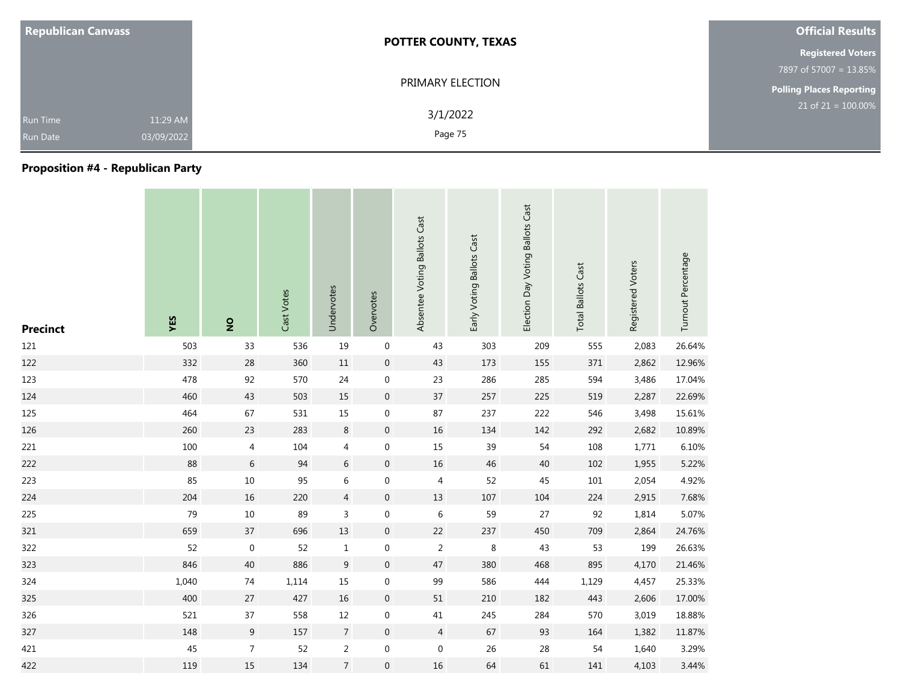| <b>Republican Canvass</b>                                    | <b>POTTER COUNTY, TEXAS</b> | <b>Official Results</b>         |
|--------------------------------------------------------------|-----------------------------|---------------------------------|
|                                                              |                             | <b>Registered Voters</b>        |
|                                                              |                             | 7897 of 57007 = 13.85%          |
|                                                              | PRIMARY ELECTION            | <b>Polling Places Reporting</b> |
| 11:29 AM<br><b>Run Time</b><br>03/09/2022<br><b>Run Date</b> | 3/1/2022<br>Page 75         | $21$ of $21 = 100.00\%$         |

### **Proposition #4 - Republican Party**

| <b>Precinct</b> | YES   | $\overline{2}$ | Cast Votes | Undervotes       | Overvotes        | Absentee Voting Ballots Cast | Early Voting Ballots Cast | Election Day Voting Ballots Cast | <b>Total Ballots Cast</b> | Registered Voters | Turnout Percentage |
|-----------------|-------|----------------|------------|------------------|------------------|------------------------------|---------------------------|----------------------------------|---------------------------|-------------------|--------------------|
| 121             | 503   | 33             | 536        | 19               | $\boldsymbol{0}$ | 43                           | 303                       | 209                              | 555                       | 2,083             | 26.64%             |
| 122             | 332   | 28             | 360        | 11               | $\boldsymbol{0}$ | 43                           | 173                       | 155                              | 371                       | 2,862             | 12.96%             |
| 123             | 478   | 92             | 570        | 24               | $\boldsymbol{0}$ | 23                           | 286                       | 285                              | 594                       | 3,486             | 17.04%             |
| 124             | 460   | 43             | 503        | 15               | $\overline{0}$   | 37                           | 257                       | 225                              | 519                       | 2,287             | 22.69%             |
| 125             | 464   | 67             | 531        | 15               | 0                | 87                           | 237                       | 222                              | 546                       | 3,498             | 15.61%             |
| 126             | 260   | 23             | 283        | $\,8\,$          | $\boldsymbol{0}$ | $16\,$                       | 134                       | 142                              | 292                       | 2,682             | 10.89%             |
| 221             | 100   | $\overline{4}$ | 104        | 4                | 0                | 15                           | 39                        | 54                               | 108                       | 1,771             | 6.10%              |
| 222             | 88    | $\sqrt{6}$     | 94         | 6                | $\mathbf 0$      | 16                           | 46                        | 40                               | 102                       | 1,955             | 5.22%              |
| 223             | 85    | $10\,$         | 95         | $\sqrt{6}$       | $\boldsymbol{0}$ | 4                            | 52                        | 45                               | 101                       | 2,054             | 4.92%              |
| 224             | 204   | 16             | 220        | $\overline{4}$   | $\mathbf 0$      | 13                           | 107                       | 104                              | 224                       | 2,915             | 7.68%              |
| 225             | 79    | 10             | 89         | 3                | 0                | 6                            | 59                        | 27                               | 92                        | 1,814             | 5.07%              |
| 321             | 659   | 37             | 696        | 13               | $\mathbf 0$      | 22                           | 237                       | 450                              | 709                       | 2,864             | 24.76%             |
| 322             | 52    | $\mathbf 0$    | 52         | $\mathbf{1}$     | 0                | $\overline{2}$               | 8                         | 43                               | 53                        | 199               | 26.63%             |
| 323             | 846   | 40             | 886        | $\boldsymbol{9}$ | $\mathbf 0$      | 47                           | 380                       | 468                              | 895                       | 4,170             | 21.46%             |
| 324             | 1,040 | 74             | 1,114      | 15               | 0                | 99                           | 586                       | 444                              | 1,129                     | 4,457             | 25.33%             |
| 325             | 400   | 27             | 427        | 16               | $\mathbf 0$      | 51                           | 210                       | 182                              | 443                       | 2,606             | 17.00%             |
| 326             | 521   | 37             | 558        | 12               | $\mathbf 0$      | 41                           | 245                       | 284                              | 570                       | 3,019             | 18.88%             |
| 327             | 148   | 9              | 157        | $\overline{7}$   | $\overline{0}$   | $\overline{4}$               | 67                        | 93                               | 164                       | 1,382             | 11.87%             |
| 421             | 45    | $\overline{7}$ | 52         | $\overline{2}$   | $\boldsymbol{0}$ | $\mathbf 0$                  | 26                        | 28                               | 54                        | 1,640             | 3.29%              |
| 422             | 119   | 15             | 134        | $\overline{7}$   | 0                | 16                           | 64                        | 61                               | 141                       | 4,103             | 3.44%              |

the control of the control of

**Contract Contract** 

**Contract**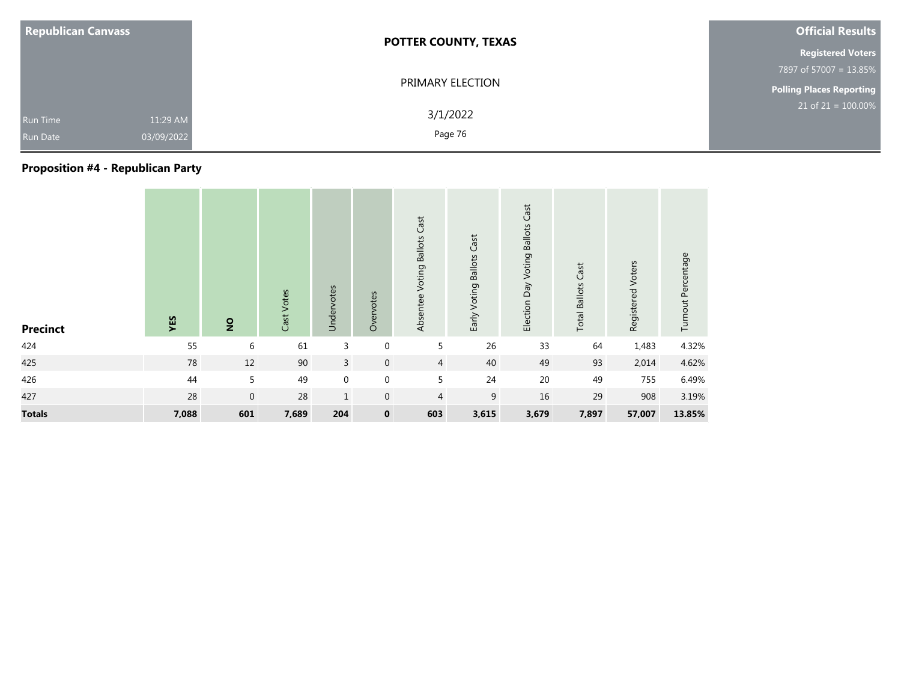| <b>Republican Canvass</b>                                    | <b>POTTER COUNTY, TEXAS</b> | <b>Official Results</b>         |
|--------------------------------------------------------------|-----------------------------|---------------------------------|
|                                                              |                             | <b>Registered Voters</b>        |
|                                                              |                             | 7897 of 57007 = 13.85%          |
|                                                              | PRIMARY ELECTION            | <b>Polling Places Reporting</b> |
| 11:29 AM<br><b>Run Time</b><br>03/09/2022<br><b>Run Date</b> | 3/1/2022<br>Page 76         | $21$ of $21 = 100.00\%$         |

### **Proposition #4 - Republican Party**

| <b>Precinct</b> | YES   | $\overline{2}$ | Cast Votes | Undervotes     | Overvotes      | Absentee Voting Ballots Cast | Early Voting Ballots Cast | Election Day Voting Ballots Cast | <b>Total Ballots Cast</b> | Registered Voters | Turnout Percentage |
|-----------------|-------|----------------|------------|----------------|----------------|------------------------------|---------------------------|----------------------------------|---------------------------|-------------------|--------------------|
| 424             | 55    | 6              | 61         | 3              | $\mathbf{0}$   | 5                            | 26                        | 33                               | 64                        | 1,483             | 4.32%              |
| 425             | 78    | 12             | 90         | $\overline{3}$ | $\overline{0}$ | $\overline{4}$               | 40                        | 49                               | 93                        | 2,014             | 4.62%              |
| 426             | 44    | 5              | 49         | $\mathbf 0$    | $\mathbf 0$    | 5                            | 24                        | 20                               | 49                        | 755               | 6.49%              |
| 427             | 28    | $\mathbf 0$    | 28         | $\mathbf{1}$   | $\mathbf{0}$   | $\overline{4}$               | 9                         | 16                               | 29                        | 908               | 3.19%              |
| <b>Totals</b>   | 7,088 | 601            | 7,689      | 204            | $\mathbf 0$    | 603                          | 3,615                     | 3,679                            | 7,897                     | 57,007            | 13.85%             |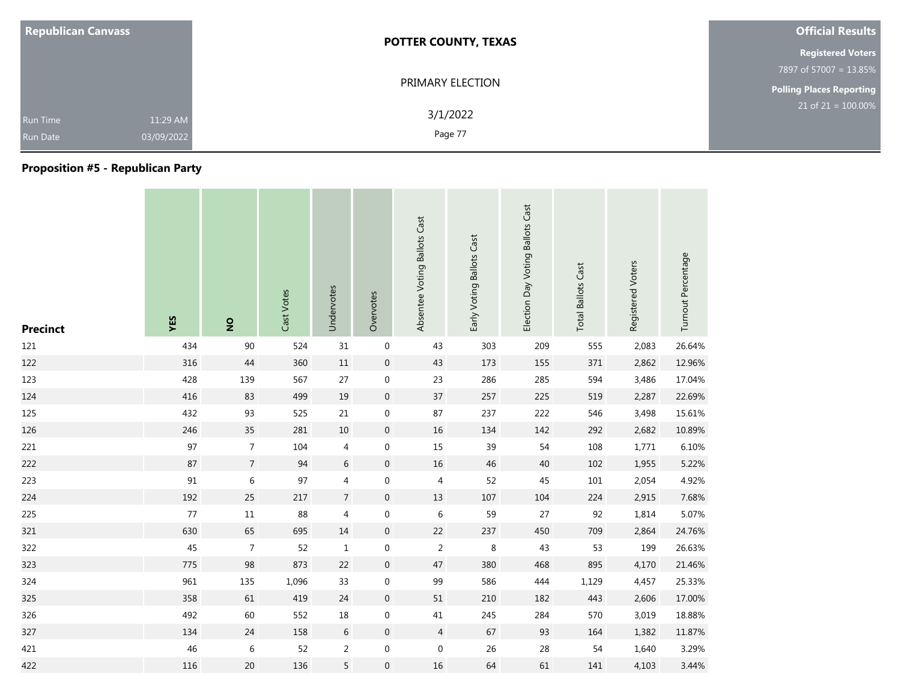| <b>Republican Canvass</b>                                    | <b>POTTER COUNTY, TEXAS</b> | <b>Official Results</b>         |
|--------------------------------------------------------------|-----------------------------|---------------------------------|
|                                                              |                             | <b>Registered Voters</b>        |
|                                                              |                             | 7897 of 57007 = 13.85%          |
|                                                              | PRIMARY ELECTION            | <b>Polling Places Reporting</b> |
| 11:29 AM<br><b>Run Time</b><br>03/09/2022<br><b>Run Date</b> | 3/1/2022<br>Page 77         | $21$ of $21 = 100.00\%$         |

### **Proposition #5 - Republican Party**

| <b>Precinct</b> | YES | $\overline{2}$ | Cast Votes | Undervotes     | Overvotes           | Absentee Voting Ballots Cast | Early Voting Ballots Cast | Election Day Voting Ballots Cast | <b>Total Ballots Cast</b> | Registered Voters | Turnout Percentage |
|-----------------|-----|----------------|------------|----------------|---------------------|------------------------------|---------------------------|----------------------------------|---------------------------|-------------------|--------------------|
| 121             | 434 | 90             | 524        | 31             | $\boldsymbol{0}$    | 43                           | 303                       | 209                              | 555                       | 2,083             | 26.64%             |
| 122             | 316 | 44             | 360        | 11             | $\mathsf{O}\xspace$ | 43                           | 173                       | 155                              | 371                       | 2,862             | 12.96%             |
| 123             | 428 | 139            | 567        | 27             | $\mathbf 0$         | 23                           | 286                       | 285                              | 594                       | 3,486             | 17.04%             |
| 124             | 416 | 83             | 499        | 19             | $\mathsf{O}\xspace$ | 37                           | 257                       | 225                              | 519                       | 2,287             | 22.69%             |
| 125             | 432 | 93             | 525        | 21             | $\mathbf 0$         | 87                           | 237                       | 222                              | 546                       | 3,498             | 15.61%             |
| 126             | 246 | 35             | 281        | 10             | $\mathbf 0$         | 16                           | 134                       | 142                              | 292                       | 2,682             | 10.89%             |
| 221             | 97  | $\overline{7}$ | 104        | 4              | $\mathbf 0$         | 15                           | 39                        | 54                               | 108                       | 1,771             | 6.10%              |
| 222             | 87  | $\overline{7}$ | 94         | $\sqrt{6}$     | $\boldsymbol{0}$    | 16                           | 46                        | 40                               | 102                       | 1,955             | 5.22%              |
| 223             | 91  | $\,$ 6 $\,$    | 97         | 4              | 0                   | 4                            | 52                        | 45                               | $101\,$                   | 2,054             | 4.92%              |
| 224             | 192 | 25             | 217        | $\overline{7}$ | $\mathbf 0$         | 13                           | 107                       | 104                              | 224                       | 2,915             | 7.68%              |
| 225             | 77  | $11\,$         | 88         | 4              | 0                   | 6                            | 59                        | 27                               | 92                        | 1,814             | 5.07%              |
| 321             | 630 | 65             | 695        | $14\,$         | $\boldsymbol{0}$    | 22                           | 237                       | 450                              | 709                       | 2,864             | 24.76%             |
| 322             | 45  | $\overline{7}$ | 52         | $\mathbf{1}$   | 0                   | $\overline{2}$               | 8                         | 43                               | 53                        | 199               | 26.63%             |
| 323             | 775 | 98             | 873        | 22             | $\boldsymbol{0}$    | 47                           | 380                       | 468                              | 895                       | 4,170             | 21.46%             |
| 324             | 961 | 135            | 1,096      | 33             | $\mathbf 0$         | 99                           | 586                       | 444                              | 1,129                     | 4,457             | 25.33%             |
| 325             | 358 | 61             | 419        | 24             | $\mathbf 0$         | 51                           | 210                       | 182                              | 443                       | 2,606             | 17.00%             |
| 326             | 492 | 60             | 552        | 18             | 0                   | $41\,$                       | 245                       | 284                              | 570                       | 3,019             | 18.88%             |
| 327             | 134 | 24             | 158        | $\sqrt{6}$     | $\overline{0}$      | $\overline{4}$               | 67                        | 93                               | 164                       | 1,382             | 11.87%             |
| 421             | 46  | 6              | 52         | $\overline{2}$ | $\boldsymbol{0}$    | $\boldsymbol{0}$             | 26                        | 28                               | 54                        | 1,640             | 3.29%              |
| 422             | 116 | 20             | 136        | 5              | $\mathbf 0$         | 16                           | 64                        | 61                               | 141                       | 4,103             | 3.44%              |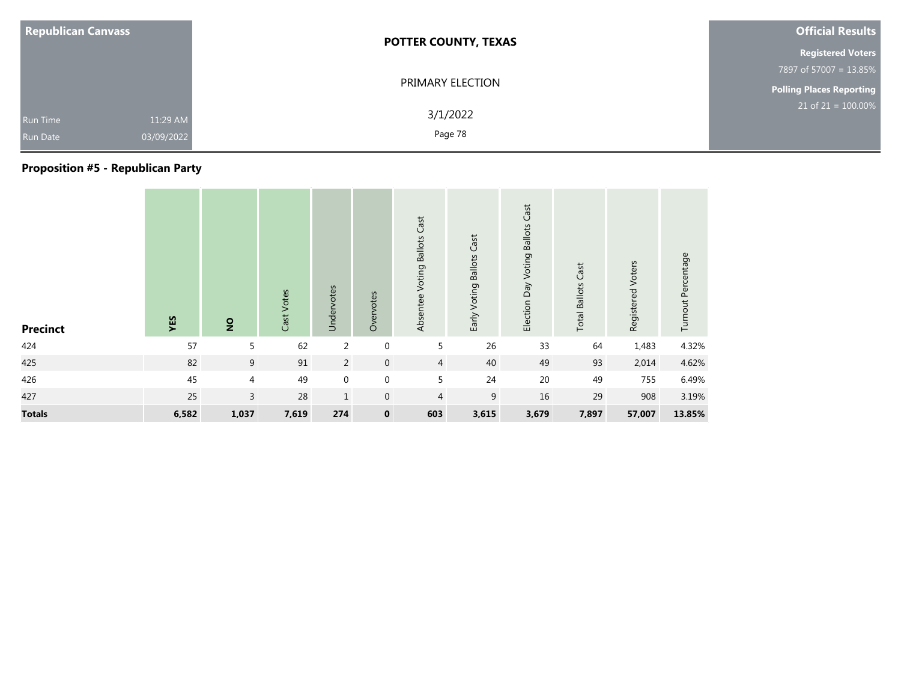| <b>Republican Canvass</b>          |                        | <b>POTTER COUNTY, TEXAS</b> | <b>Official Results</b>         |
|------------------------------------|------------------------|-----------------------------|---------------------------------|
|                                    |                        |                             | <b>Registered Voters</b>        |
|                                    |                        |                             | 7897 of 57007 = 13.85%          |
|                                    |                        | PRIMARY ELECTION            | <b>Polling Places Reporting</b> |
| <b>Run Time</b><br><b>Run Date</b> | 11:29 AM<br>03/09/2022 | 3/1/2022<br>Page 78         | $21$ of $21 = 100.00\%$         |

### **Proposition #5 - Republican Party**

| <b>Precinct</b> | YES   | $\overline{2}$ | Cast Votes | Undervotes     | Overvotes    | Absentee Voting Ballots Cast | Early Voting Ballots Cast | Election Day Voting Ballots Cast | <b>Total Ballots Cast</b> | Registered Voters | Turnout Percentage |
|-----------------|-------|----------------|------------|----------------|--------------|------------------------------|---------------------------|----------------------------------|---------------------------|-------------------|--------------------|
| 424             | 57    | 5              | 62         | $\overline{2}$ | $\mathbf 0$  | 5                            | 26                        | 33                               | 64                        | 1,483             | 4.32%              |
| 425             | 82    | 9              | 91         | $\overline{2}$ | $\mathbf 0$  | $\overline{4}$               | 40                        | 49                               | 93                        | 2,014             | 4.62%              |
| 426             | 45    | 4              | 49         | $\mathbf 0$    | $\mathbf 0$  | 5                            | 24                        | 20                               | 49                        | 755               | 6.49%              |
| 427             | 25    | 3              | 28         | $\mathbf{1}$   | $\mathbf{0}$ | $\overline{4}$               | 9                         | 16                               | 29                        | 908               | 3.19%              |
| <b>Totals</b>   | 6,582 | 1,037          | 7,619      | 274            | $\mathbf 0$  | 603                          | 3,615                     | 3,679                            | 7,897                     | 57,007            | 13.85%             |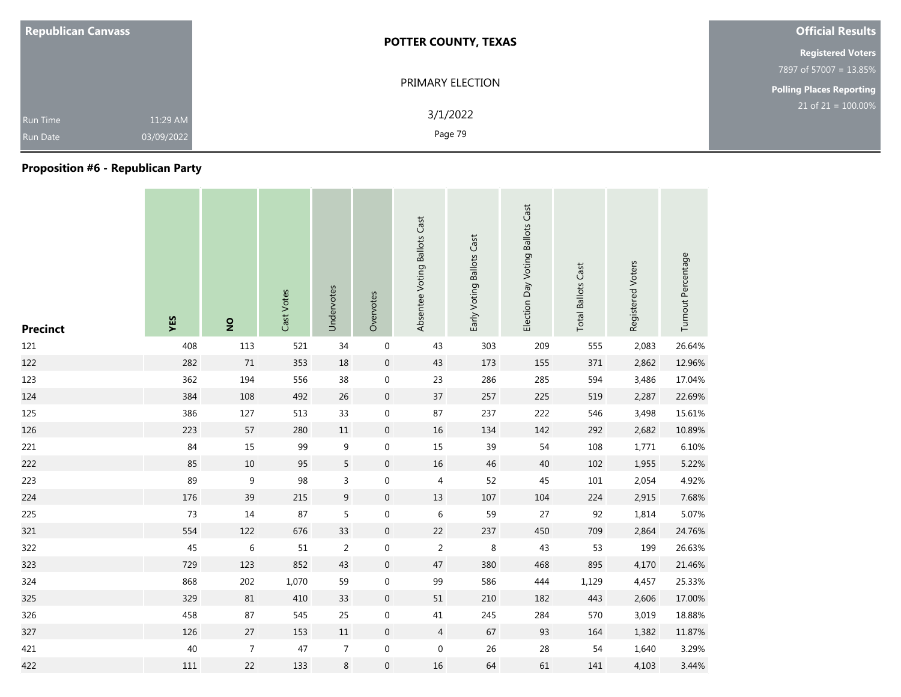| <b>Republican Canvass</b>                                    | <b>POTTER COUNTY, TEXAS</b> | <b>Official Results</b>         |
|--------------------------------------------------------------|-----------------------------|---------------------------------|
|                                                              |                             | <b>Registered Voters</b>        |
|                                                              |                             | 7897 of 57007 = 13.85%          |
|                                                              | PRIMARY ELECTION            | <b>Polling Places Reporting</b> |
| 11:29 AM<br><b>Run Time</b><br>03/09/2022<br><b>Run Date</b> | 3/1/2022<br>Page 79         | $21$ of $21 = 100.00\%$         |

### **Proposition #6 - Republican Party**

| <b>Precinct</b> | YES | $\overline{2}$   | Cast Votes | Undervotes       | Overvotes           | Absentee Voting Ballots Cast | Early Voting Ballots Cast | Election Day Voting Ballots Cast | <b>Total Ballots Cast</b> | Registered Voters | Turnout Percentage |
|-----------------|-----|------------------|------------|------------------|---------------------|------------------------------|---------------------------|----------------------------------|---------------------------|-------------------|--------------------|
| 121             | 408 | 113              | 521        | 34               | $\boldsymbol{0}$    | 43                           | 303                       | 209                              | 555                       | 2,083             | 26.64%             |
| 122             | 282 | 71               | 353        | 18               | $\boldsymbol{0}$    | 43                           | 173                       | 155                              | 371                       | 2,862             | 12.96%             |
| 123             | 362 | 194              | 556        | 38               | $\mathbf 0$         | 23                           | 286                       | 285                              | 594                       | 3,486             | 17.04%             |
| 124             | 384 | 108              | 492        | 26               | $\mathbf 0$         | $37\,$                       | 257                       | 225                              | 519                       | 2,287             | 22.69%             |
| 125             | 386 | 127              | 513        | 33               | 0                   | 87                           | 237                       | 222                              | 546                       | 3,498             | 15.61%             |
| 126             | 223 | 57               | 280        | 11               | $\mathbf 0$         | 16                           | 134                       | 142                              | 292                       | 2,682             | 10.89%             |
| 221             | 84  | 15               | 99         | 9                | $\boldsymbol{0}$    | 15                           | 39                        | 54                               | 108                       | 1,771             | 6.10%              |
| 222             | 85  | $10\,$           | 95         | 5                | $\boldsymbol{0}$    | 16                           | 46                        | 40                               | 102                       | 1,955             | 5.22%              |
| 223             | 89  | 9                | 98         | 3                | 0                   | 4                            | 52                        | 45                               | $101\,$                   | 2,054             | 4.92%              |
| 224             | 176 | 39               | 215        | $\boldsymbol{9}$ | $\boldsymbol{0}$    | 13                           | 107                       | 104                              | 224                       | 2,915             | 7.68%              |
| 225             | 73  | 14               | 87         | 5                | 0                   | $\,$ 6 $\,$                  | 59                        | 27                               | 92                        | 1,814             | 5.07%              |
| 321             | 554 | 122              | 676        | 33               | $\mathsf{O}\xspace$ | 22                           | 237                       | 450                              | 709                       | 2,864             | 24.76%             |
| 322             | 45  | $\,$ 6 $\,$      | 51         | $\overline{2}$   | 0                   | $\overline{c}$               | $\,8\,$                   | 43                               | 53                        | 199               | 26.63%             |
| 323             | 729 | 123              | 852        | 43               | $\boldsymbol{0}$    | 47                           | 380                       | 468                              | 895                       | 4,170             | 21.46%             |
| 324             | 868 | 202              | 1,070      | 59               | $\mathbf 0$         | 99                           | 586                       | 444                              | 1,129                     | 4,457             | 25.33%             |
| 325             | 329 | 81               | 410        | 33               | $\boldsymbol{0}$    | $51\,$                       | 210                       | 182                              | 443                       | 2,606             | 17.00%             |
| 326             | 458 | 87               | 545        | 25               | $\mathbf 0$         | $41\,$                       | 245                       | 284                              | 570                       | 3,019             | 18.88%             |
| 327             | 126 | $27\,$           | 153        | 11               | $\mathbf 0$         | $\overline{4}$               | 67                        | 93                               | 164                       | 1,382             | 11.87%             |
| 421             | 40  | $\boldsymbol{7}$ | 47         | $\overline{7}$   | $\boldsymbol{0}$    | $\boldsymbol{0}$             | 26                        | 28                               | 54                        | 1,640             | 3.29%              |
| 422             | 111 | 22               | 133        | 8                | 0                   | $16\,$                       | 64                        | 61                               | 141                       | 4,103             | 3.44%              |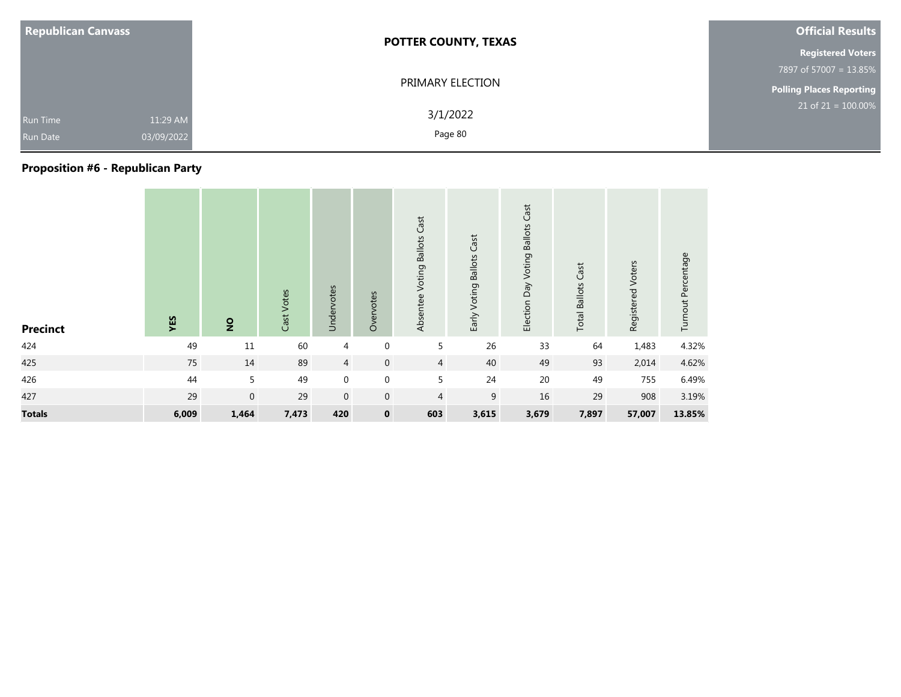| <b>Republican Canvass</b>                                    | <b>POTTER COUNTY, TEXAS</b> | <b>Official Results</b>         |
|--------------------------------------------------------------|-----------------------------|---------------------------------|
|                                                              |                             | <b>Registered Voters</b>        |
|                                                              |                             | 7897 of 57007 = 13.85%          |
|                                                              | PRIMARY ELECTION            | <b>Polling Places Reporting</b> |
| 11:29 AM<br><b>Run Time</b><br>03/09/2022<br><b>Run Date</b> | 3/1/2022<br>Page 80         | $21$ of $21 = 100.00\%$         |

### **Proposition #6 - Republican Party**

| <b>Precinct</b> | YES   | $\overline{2}$ | Cast Votes | Undervotes       | Overvotes   | Absentee Voting Ballots Cast | Early Voting Ballots Cast | Election Day Voting Ballots Cast | <b>Total Ballots Cast</b> | Registered Voters | Turnout Percentage |
|-----------------|-------|----------------|------------|------------------|-------------|------------------------------|---------------------------|----------------------------------|---------------------------|-------------------|--------------------|
| 424             | 49    | $11\,$         | 60         | 4                | $\mathbf 0$ | 5                            | 26                        | 33                               | 64                        | 1,483             | 4.32%              |
| 425             | 75    | 14             | 89         | $\overline{4}$   | $\mathbf 0$ | $\overline{4}$               | 40                        | 49                               | 93                        | 2,014             | 4.62%              |
| 426             | 44    | 5              | 49         | $\boldsymbol{0}$ | $\mathbf 0$ | 5                            | 24                        | 20                               | 49                        | 755               | 6.49%              |
| 427             | 29    | $\mathbf 0$    | 29         | $\mathbf 0$      | $\mathbf 0$ | $\overline{4}$               | 9                         | 16                               | 29                        | 908               | 3.19%              |
| <b>Totals</b>   | 6,009 | 1,464          | 7,473      | 420              | $\mathbf 0$ | 603                          | 3,615                     | 3,679                            | 7,897                     | 57,007            | 13.85%             |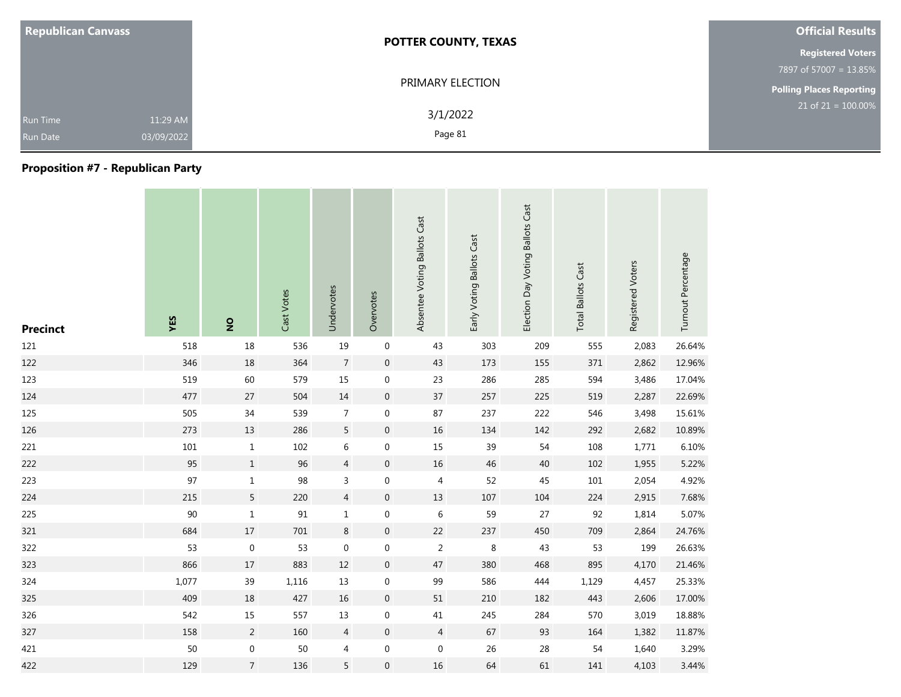| <b>Republican Canvass</b>                                    | <b>POTTER COUNTY, TEXAS</b> | <b>Official Results</b>         |
|--------------------------------------------------------------|-----------------------------|---------------------------------|
|                                                              |                             | <b>Registered Voters</b>        |
|                                                              |                             | 7897 of 57007 = 13.85%          |
|                                                              | PRIMARY ELECTION            | <b>Polling Places Reporting</b> |
| 11:29 AM<br><b>Run Time</b><br>03/09/2022<br><b>Run Date</b> | 3/1/2022<br>Page 81         | $21$ of $21 = 100.00\%$         |

### **Proposition #7 - Republican Party**

| <b>Precinct</b> | YES   | $\overline{2}$   | Cast Votes | Undervotes     | Overvotes        | Absentee Voting Ballots Cast | Early Voting Ballots Cast | Election Day Voting Ballots Cast | <b>Total Ballots Cast</b> | Registered Voters | Turnout Percentage |
|-----------------|-------|------------------|------------|----------------|------------------|------------------------------|---------------------------|----------------------------------|---------------------------|-------------------|--------------------|
| 121             | 518   | $18\,$           | 536        | 19             | $\boldsymbol{0}$ | 43                           | 303                       | 209                              | 555                       | 2,083             | 26.64%             |
| 122             | 346   | 18               | 364        | $\overline{7}$ | $\mathbf 0$      | 43                           | 173                       | 155                              | 371                       | 2,862             | 12.96%             |
| 123             | 519   | 60               | 579        | 15             | 0                | 23                           | 286                       | 285                              | 594                       | 3,486             | 17.04%             |
| 124             | 477   | $27\,$           | 504        | $14\,$         | $\pmb{0}$        | 37                           | 257                       | 225                              | 519                       | 2,287             | 22.69%             |
| 125             | 505   | 34               | 539        | $\overline{7}$ | 0                | 87                           | 237                       | 222                              | 546                       | 3,498             | 15.61%             |
| 126             | 273   | 13               | 286        | 5              | $\pmb{0}$        | $16\,$                       | 134                       | 142                              | 292                       | 2,682             | 10.89%             |
| 221             | 101   | $\mathbf{1}$     | 102        | 6              | $\boldsymbol{0}$ | 15                           | 39                        | 54                               | 108                       | 1,771             | 6.10%              |
| 222             | 95    | $\,1$            | 96         | 4              | $\boldsymbol{0}$ | $16\,$                       | 46                        | 40                               | 102                       | 1,955             | 5.22%              |
| 223             | 97    | $\mathbf 1$      | 98         | 3              | $\boldsymbol{0}$ | 4                            | 52                        | 45                               | 101                       | 2,054             | 4.92%              |
| 224             | 215   | 5                | 220        | $\overline{4}$ | $\mathbf 0$      | $13\,$                       | 107                       | 104                              | 224                       | 2,915             | 7.68%              |
| 225             | 90    | $1\,$            | 91         | $\mathbf{1}$   | $\boldsymbol{0}$ | 6                            | 59                        | 27                               | 92                        | 1,814             | 5.07%              |
| 321             | 684   | $17$             | 701        | $\,8\,$        | $\pmb{0}$        | 22                           | 237                       | 450                              | 709                       | 2,864             | 24.76%             |
| 322             | 53    | $\mathbf 0$      | 53         | $\mathbf 0$    | 0                | $\overline{2}$               | $\,8\,$                   | 43                               | 53                        | 199               | 26.63%             |
| 323             | 866   | 17               | 883        | $12\,$         | $\boldsymbol{0}$ | 47                           | 380                       | 468                              | 895                       | 4,170             | 21.46%             |
| 324             | 1,077 | 39               | 1,116      | 13             | $\boldsymbol{0}$ | 99                           | 586                       | 444                              | 1,129                     | 4,457             | 25.33%             |
| 325             | 409   | 18               | 427        | $16\,$         | $\boldsymbol{0}$ | $51\,$                       | 210                       | 182                              | 443                       | 2,606             | 17.00%             |
| 326             | 542   | 15               | 557        | 13             | 0                | 41                           | 245                       | 284                              | 570                       | 3,019             | 18.88%             |
| 327             | 158   | $\overline{2}$   | 160        | $\overline{4}$ | $\mathbf 0$      | $\overline{4}$               | 67                        | 93                               | 164                       | 1,382             | 11.87%             |
| 421             | 50    | $\boldsymbol{0}$ | 50         | 4              | 0                | $\boldsymbol{0}$             | 26                        | 28                               | 54                        | 1,640             | 3.29%              |
| 422             | 129   | $\overline{7}$   | 136        | 5              | $\mathbf 0$      | 16                           | 64                        | 61                               | 141                       | 4,103             | 3.44%              |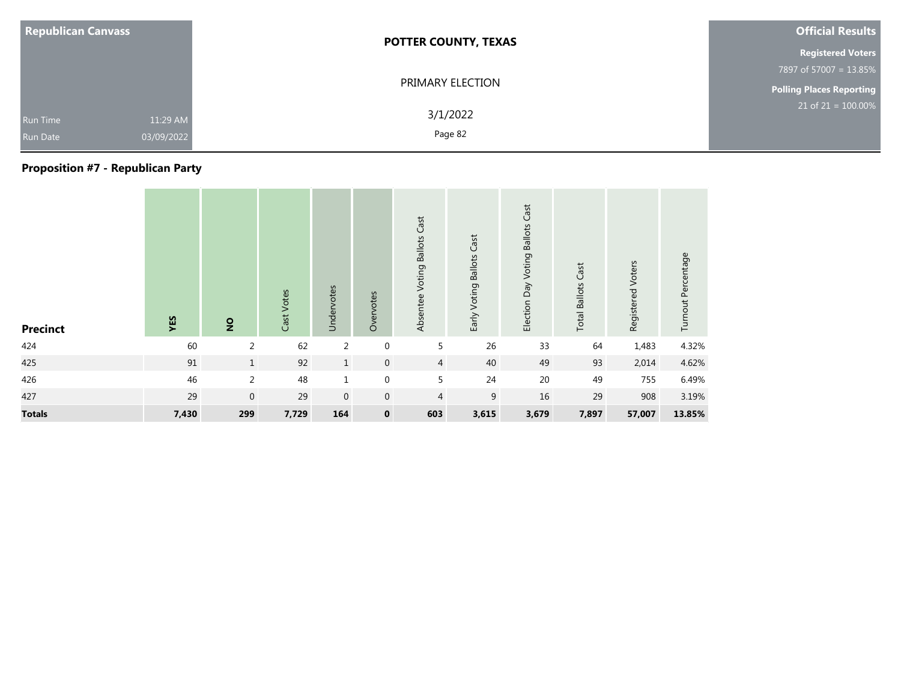| <b>Republican Canvass</b>                                    | <b>POTTER COUNTY, TEXAS</b> | <b>Official Results</b>         |
|--------------------------------------------------------------|-----------------------------|---------------------------------|
|                                                              |                             | <b>Registered Voters</b>        |
|                                                              |                             | 7897 of 57007 = 13.85%          |
|                                                              | PRIMARY ELECTION            | <b>Polling Places Reporting</b> |
| 11:29 AM<br><b>Run Time</b><br>03/09/2022<br><b>Run Date</b> | 3/1/2022<br>Page 82         | $21$ of $21 = 100.00\%$         |

### **Proposition #7 - Republican Party**

| <b>Precinct</b> | YES   | $\overline{2}$ | Cast Votes | Undervotes     | Overvotes        | Absentee Voting Ballots Cast | Early Voting Ballots Cast | Election Day Voting Ballots Cast | <b>Total Ballots Cast</b> | Registered Voters | Turnout Percentage |
|-----------------|-------|----------------|------------|----------------|------------------|------------------------------|---------------------------|----------------------------------|---------------------------|-------------------|--------------------|
| 424             | 60    | 2              | 62         | $\overline{2}$ | $\boldsymbol{0}$ | 5                            | 26                        | 33                               | 64                        | 1,483             | 4.32%              |
| 425             | 91    | $\mathbf{1}$   | 92         | $\mathbf{1}$   | $\mathbf 0$      | $\overline{4}$               | 40                        | 49                               | 93                        | 2,014             | 4.62%              |
| 426             | 46    | $\overline{2}$ | 48         | $\mathbf 1$    | $\mathbf 0$      | 5                            | 24                        | $20\,$                           | 49                        | 755               | 6.49%              |
| 427             | 29    | $\mathbf 0$    | 29         | $\mathbf{0}$   | $\mathbf 0$      | $\overline{4}$               | $\boldsymbol{9}$          | 16                               | 29                        | 908               | 3.19%              |
| <b>Totals</b>   | 7,430 | 299            | 7,729      | 164            | $\mathbf 0$      | 603                          | 3,615                     | 3,679                            | 7,897                     | 57,007            | 13.85%             |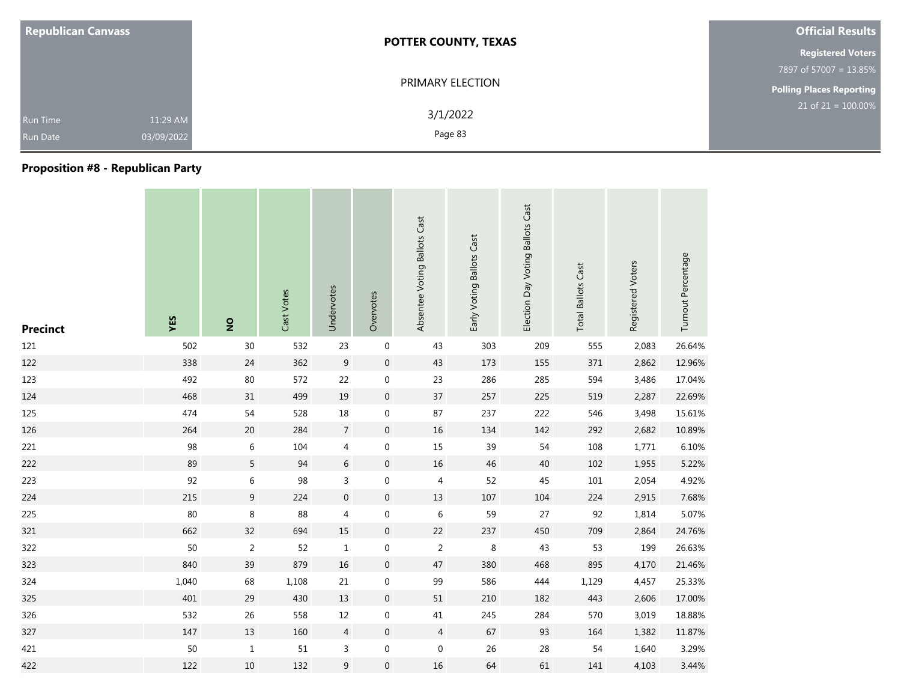| <b>Republican Canvass</b>          |                        | <b>POTTER COUNTY, TEXAS</b> | <b>Official Results</b>         |
|------------------------------------|------------------------|-----------------------------|---------------------------------|
|                                    |                        |                             | <b>Registered Voters</b>        |
|                                    |                        |                             | 7897 of 57007 = 13.85%          |
|                                    |                        | PRIMARY ELECTION            | <b>Polling Places Reporting</b> |
| <b>Run Time</b><br><b>Run Date</b> | 11:29 AM<br>03/09/2022 | 3/1/2022<br>Page 83         | $21$ of $21 = 100.00\%$         |

# **Proposition #8 - Republican Party**

| <b>Precinct</b> | YES   | $\overline{2}$ | Cast Votes | Undervotes       | Overvotes           | Absentee Voting Ballots Cast | Early Voting Ballots Cast | Election Day Voting Ballots Cast | <b>Total Ballots Cast</b> | Registered Voters | Turnout Percentage |
|-----------------|-------|----------------|------------|------------------|---------------------|------------------------------|---------------------------|----------------------------------|---------------------------|-------------------|--------------------|
| 121             | 502   | 30             | 532        | 23               | $\boldsymbol{0}$    | 43                           | 303                       | 209                              | 555                       | 2,083             | 26.64%             |
| 122             | 338   | 24             | 362        | 9                | $\mathbf 0$         | 43                           | 173                       | 155                              | 371                       | 2,862             | 12.96%             |
| 123             | 492   | $80\,$         | 572        | 22               | $\mathbf 0$         | 23                           | 286                       | 285                              | 594                       | 3,486             | 17.04%             |
| 124             | 468   | 31             | 499        | 19               | $\boldsymbol{0}$    | 37                           | 257                       | 225                              | 519                       | 2,287             | 22.69%             |
| 125             | 474   | 54             | 528        | $18\,$           | $\mathbf 0$         | 87                           | 237                       | 222                              | 546                       | 3,498             | 15.61%             |
| 126             | 264   | 20             | 284        | $\overline{7}$   | $\mathsf{O}\xspace$ | 16                           | 134                       | 142                              | 292                       | 2,682             | 10.89%             |
| 221             | 98    | $\,$ 6 $\,$    | 104        | 4                | $\boldsymbol{0}$    | $15\,$                       | 39                        | 54                               | 108                       | 1,771             | 6.10%              |
| 222             | 89    | 5              | 94         | $\,$ 6 $\,$      | $\boldsymbol{0}$    | 16                           | 46                        | 40                               | 102                       | 1,955             | 5.22%              |
| 223             | 92    | 6              | 98         | 3                | 0                   | 4                            | 52                        | 45                               | $101\,$                   | 2,054             | 4.92%              |
| 224             | 215   | 9              | 224        | $\boldsymbol{0}$ | $\overline{0}$      | 13                           | 107                       | 104                              | 224                       | 2,915             | 7.68%              |
| 225             | 80    | $\,8\,$        | 88         | 4                | $\boldsymbol{0}$    | $\,6\,$                      | 59                        | 27                               | 92                        | 1,814             | 5.07%              |
| 321             | 662   | 32             | 694        | 15               | $\mathbf 0$         | 22                           | 237                       | 450                              | 709                       | 2,864             | 24.76%             |
| 322             | 50    | $\overline{2}$ | 52         | $\mathbf{1}$     | 0                   | $\overline{c}$               | 8                         | 43                               | 53                        | 199               | 26.63%             |
| 323             | 840   | 39             | 879        | 16               | $\boldsymbol{0}$    | 47                           | 380                       | 468                              | 895                       | 4,170             | 21.46%             |
| 324             | 1,040 | 68             | 1,108      | 21               | $\mathbf 0$         | 99                           | 586                       | 444                              | 1,129                     | 4,457             | 25.33%             |
| 325             | 401   | 29             | 430        | 13               | $\boldsymbol{0}$    | $51\,$                       | 210                       | 182                              | 443                       | 2,606             | 17.00%             |
| 326             | 532   | 26             | 558        | 12               | $\mathbf 0$         | $41\,$                       | 245                       | 284                              | 570                       | 3,019             | 18.88%             |
| 327             | 147   | 13             | 160        | $\overline{4}$   | $\overline{0}$      | $\overline{4}$               | 67                        | 93                               | 164                       | 1,382             | 11.87%             |
| 421             | 50    | $\mathbf{1}$   | 51         | 3                | $\boldsymbol{0}$    | $\mathbf 0$                  | 26                        | 28                               | 54                        | 1,640             | 3.29%              |
| 422             | 122   | 10             | 132        | $\mathsf 9$      | $\mathbf 0$         | 16                           | 64                        | 61                               | 141                       | 4,103             | 3.44%              |

the control of the control of

the company of the company

**Contract**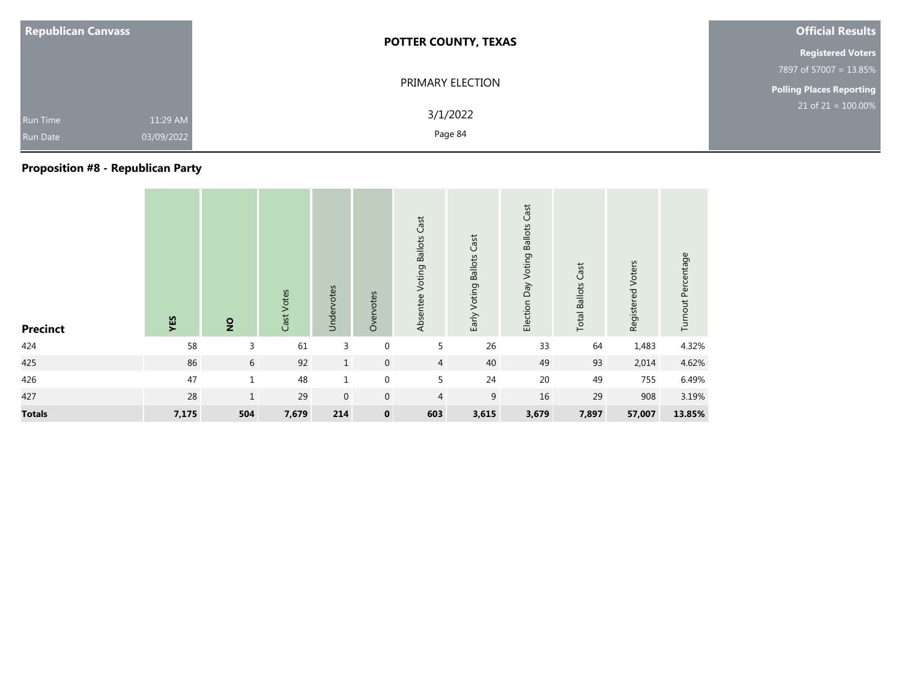| <b>Republican Canvass</b>          |                        | <b>POTTER COUNTY, TEXAS</b> | <b>Official Results</b>         |
|------------------------------------|------------------------|-----------------------------|---------------------------------|
|                                    |                        |                             | <b>Registered Voters</b>        |
|                                    |                        |                             | 7897 of 57007 = 13.85%          |
|                                    |                        | PRIMARY ELECTION            | <b>Polling Places Reporting</b> |
| <b>Run Time</b><br><b>Run Date</b> | 11:29 AM<br>03/09/2022 | 3/1/2022<br>Page 84         | $21$ of $21 = 100.00\%$         |

### **Proposition #8 - Republican Party**

| <b>Precinct</b> | YES   | $\overline{2}$ | Cast Votes | Undervotes  | Overvotes   | Absentee Voting Ballots Cast | Early Voting Ballots Cast | Cast<br>Election Day Voting Ballots | <b>Total Ballots Cast</b> | Registered Voters | Turnout Percentage |
|-----------------|-------|----------------|------------|-------------|-------------|------------------------------|---------------------------|-------------------------------------|---------------------------|-------------------|--------------------|
| 424             | 58    | 3              | 61         | 3           | $\mathbf 0$ | 5                            | 26                        | 33                                  | 64                        | 1,483             | 4.32%              |
| 425             | 86    | 6              | 92         | 1           | $\mathbf 0$ | $\overline{4}$               | 40                        | 49                                  | 93                        | 2,014             | 4.62%              |
| 426             | 47    | $\mathbf{1}$   | 48         | $\mathbf 1$ | $\mathbf 0$ | 5                            | 24                        | 20                                  | 49                        | 755               | 6.49%              |
| 427             | 28    | $\mathbf{1}$   | 29         | $\mathbf 0$ | $\mathbf 0$ | $\overline{4}$               | 9                         | 16                                  | 29                        | 908               | 3.19%              |
| <b>Totals</b>   | 7,175 | 504            | 7,679      | 214         | $\mathbf 0$ | 603                          | 3,615                     | 3,679                               | 7,897                     | 57,007            | 13.85%             |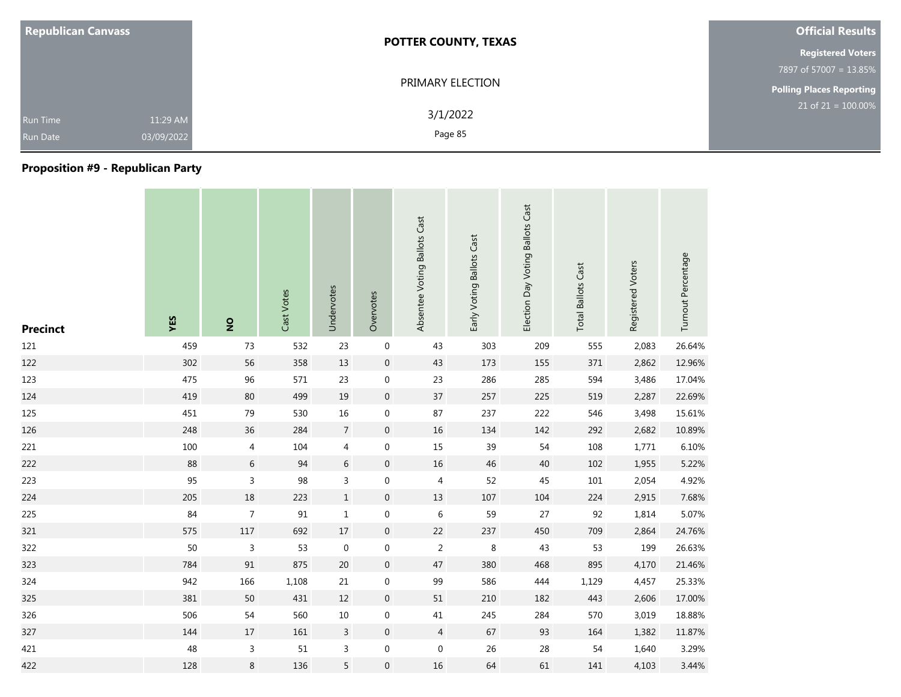| <b>Republican Canvass</b>          |                        | <b>POTTER COUNTY, TEXAS</b> | <b>Official Results</b>         |
|------------------------------------|------------------------|-----------------------------|---------------------------------|
|                                    |                        |                             | <b>Registered Voters</b>        |
|                                    |                        |                             | 7897 of 57007 = 13.85%          |
|                                    | PRIMARY ELECTION       |                             | <b>Polling Places Reporting</b> |
| <b>Run Time</b><br><b>Run Date</b> | 11:29 AM<br>03/09/2022 | 3/1/2022<br>Page 85         | $21$ of $21 = 100.00\%$         |

# **Proposition #9 - Republican Party**

| <b>Precinct</b> | YES | $\overline{2}$ | Cast Votes | Undervotes     | Overvotes        | Absentee Voting Ballots Cast | Early Voting Ballots Cast | Election Day Voting Ballots Cast | <b>Total Ballots Cast</b> | Registered Voters | Turnout Percentage |
|-----------------|-----|----------------|------------|----------------|------------------|------------------------------|---------------------------|----------------------------------|---------------------------|-------------------|--------------------|
| 121             | 459 | 73             | 532        | 23             | $\boldsymbol{0}$ | 43                           | 303                       | 209                              | 555                       | 2,083             | 26.64%             |
| 122             | 302 | 56             | 358        | 13             | $\boldsymbol{0}$ | 43                           | 173                       | 155                              | 371                       | 2,862             | 12.96%             |
| 123             | 475 | 96             | 571        | 23             | $\boldsymbol{0}$ | 23                           | 286                       | 285                              | 594                       | 3,486             | 17.04%             |
| 124             | 419 | 80             | 499        | 19             | $\overline{0}$   | 37                           | 257                       | 225                              | 519                       | 2,287             | 22.69%             |
| 125             | 451 | 79             | 530        | 16             | 0                | 87                           | 237                       | 222                              | 546                       | 3,498             | 15.61%             |
| 126             | 248 | 36             | 284        | $\overline{7}$ | $\boldsymbol{0}$ | $16\,$                       | 134                       | 142                              | 292                       | 2,682             | 10.89%             |
| 221             | 100 | $\overline{4}$ | 104        | 4              | 0                | 15                           | 39                        | 54                               | 108                       | 1,771             | 6.10%              |
| 222             | 88  | 6              | 94         | 6              | $\mathbf 0$      | 16                           | 46                        | 40                               | 102                       | 1,955             | 5.22%              |
| 223             | 95  | 3              | 98         | 3              | 0                | 4                            | 52                        | 45                               | 101                       | 2,054             | 4.92%              |
| 224             | 205 | 18             | 223        | $\,1$          | $\mathbf 0$      | 13                           | 107                       | 104                              | 224                       | 2,915             | 7.68%              |
| 225             | 84  | $\overline{7}$ | 91         | $\mathbf{1}$   | $\mathbf 0$      | 6                            | 59                        | 27                               | 92                        | 1,814             | 5.07%              |
| 321             | 575 | $117\,$        | 692        | $17\,$         | $\boldsymbol{0}$ | 22                           | 237                       | 450                              | 709                       | 2,864             | 24.76%             |
| 322             | 50  | 3              | 53         | $\mathbf 0$    | 0                | $\overline{c}$               | 8                         | 43                               | 53                        | 199               | 26.63%             |
| 323             | 784 | 91             | 875        | 20             | $\boldsymbol{0}$ | 47                           | 380                       | 468                              | 895                       | 4,170             | 21.46%             |
| 324             | 942 | 166            | 1,108      | 21             | 0                | 99                           | 586                       | 444                              | 1,129                     | 4,457             | 25.33%             |
| 325             | 381 | 50             | 431        | 12             | $\boldsymbol{0}$ | 51                           | 210                       | 182                              | 443                       | 2,606             | 17.00%             |
| 326             | 506 | 54             | 560        | 10             | $\mathbf 0$      | 41                           | 245                       | 284                              | 570                       | 3,019             | 18.88%             |
| 327             | 144 | 17             | 161        | 3              | $\overline{0}$   | $\overline{4}$               | 67                        | 93                               | 164                       | 1,382             | 11.87%             |
| 421             | 48  | $\mathsf{3}$   | 51         | $\mathsf{3}$   | $\boldsymbol{0}$ | $\mathbf 0$                  | 26                        | 28                               | 54                        | 1,640             | 3.29%              |
| 422             | 128 | 8              | 136        | 5              | 0                | 16                           | 64                        | 61                               | 141                       | 4,103             | 3.44%              |

**Contract Contract** 

**Contractor** 

the control of the control of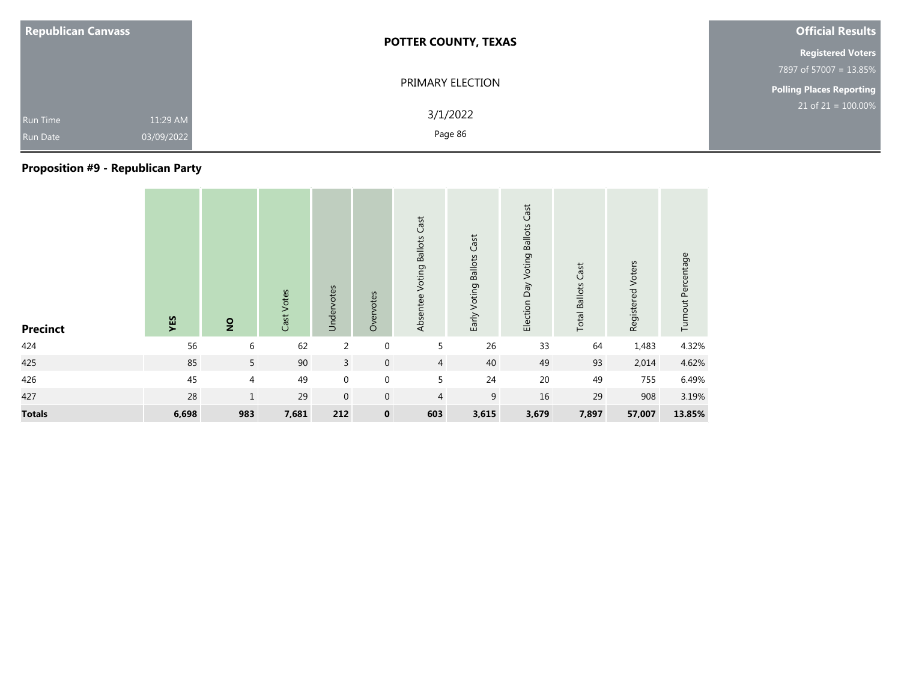| <b>Republican Canvass</b>                                    | <b>POTTER COUNTY, TEXAS</b> | <b>Official Results</b>         |
|--------------------------------------------------------------|-----------------------------|---------------------------------|
|                                                              |                             | <b>Registered Voters</b>        |
|                                                              |                             | 7897 of 57007 = 13.85%          |
|                                                              | PRIMARY ELECTION            | <b>Polling Places Reporting</b> |
| 11:29 AM<br><b>Run Time</b><br>03/09/2022<br><b>Run Date</b> | 3/1/2022<br>Page 86         | $21$ of $21 = 100.00\%$         |

### **Proposition #9 - Republican Party**

| <b>Precinct</b> | YES   | $\overline{2}$ | Cast Votes | Undervotes       | Overvotes      | Absentee Voting Ballots Cast | Early Voting Ballots Cast | Election Day Voting Ballots Cast | <b>Total Ballots Cast</b> | Registered Voters | Turnout Percentage |
|-----------------|-------|----------------|------------|------------------|----------------|------------------------------|---------------------------|----------------------------------|---------------------------|-------------------|--------------------|
| 424             | 56    | 6              | 62         | 2                | $\mathbf{0}$   | 5                            | 26                        | 33                               | 64                        | 1,483             | 4.32%              |
| 425             | 85    | 5              | 90         | $\overline{3}$   | $\overline{0}$ | $\overline{4}$               | 40                        | 49                               | 93                        | 2,014             | 4.62%              |
| 426             | 45    | 4              | 49         | $\boldsymbol{0}$ | $\mathbf 0$    | 5                            | 24                        | 20                               | 49                        | 755               | 6.49%              |
| 427             | 28    | $\mathbf{1}$   | 29         | $\mathbf 0$      | $\mathbf 0$    | $\overline{4}$               | 9                         | 16                               | 29                        | 908               | 3.19%              |
| <b>Totals</b>   | 6,698 | 983            | 7,681      | 212              | $\mathbf 0$    | 603                          | 3,615                     | 3,679                            | 7,897                     | 57,007            | 13.85%             |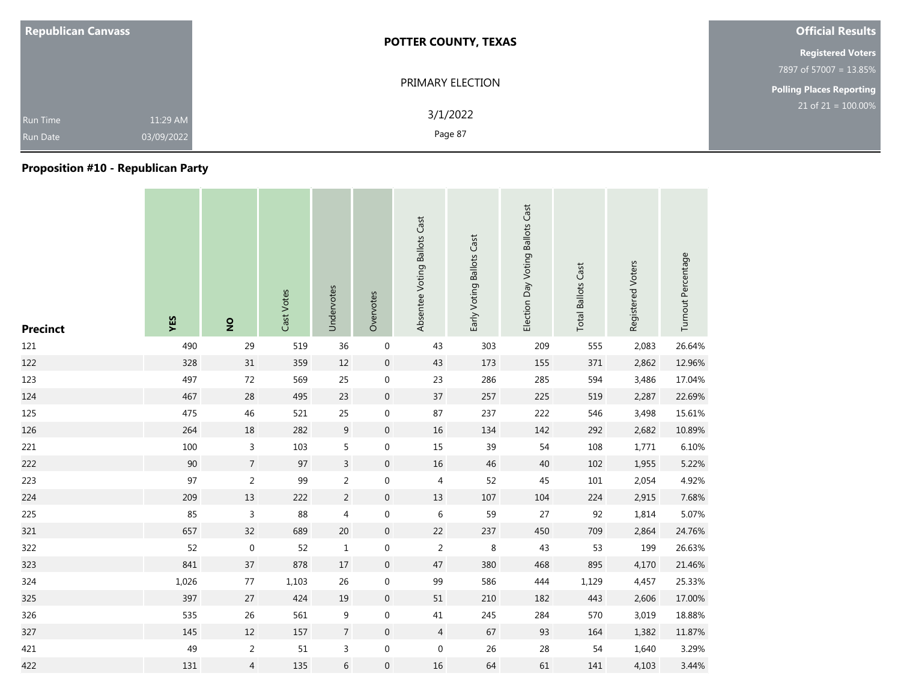| <b>Republican Canvass</b>                                    | <b>POTTER COUNTY, TEXAS</b> | <b>Official Results</b>  |
|--------------------------------------------------------------|-----------------------------|--------------------------|
|                                                              |                             | <b>Registered Voters</b> |
|                                                              |                             | 7897 of 57007 = 13.85%   |
|                                                              | PRIMARY ELECTION            | Polling Places Reporting |
| 11:29 AM<br><b>Run Time</b><br>03/09/2022<br><b>Run Date</b> | 3/1/2022<br>Page 87         | $21$ of $21 = 100.00\%$  |

## **Proposition #10 - Republican Party**

| <b>Precinct</b> | YES   | $\overline{2}$ | Cast Votes | Undervotes       | Overvotes        | Absentee Voting Ballots Cast | Early Voting Ballots Cast | Election Day Voting Ballots Cast | <b>Total Ballots Cast</b> | Registered Voters | Turnout Percentage |
|-----------------|-------|----------------|------------|------------------|------------------|------------------------------|---------------------------|----------------------------------|---------------------------|-------------------|--------------------|
| 121             | 490   | 29             | 519        | 36               | $\boldsymbol{0}$ | 43                           | 303                       | 209                              | 555                       | 2,083             | 26.64%             |
| 122             | 328   | 31             | 359        | $12\,$           | $\pmb{0}$        | 43                           | 173                       | 155                              | 371                       | 2,862             | 12.96%             |
| 123             | 497   | 72             | 569        | 25               | $\boldsymbol{0}$ | 23                           | 286                       | 285                              | 594                       | 3,486             | 17.04%             |
| 124             | 467   | 28             | 495        | 23               | $\boldsymbol{0}$ | 37                           | 257                       | 225                              | 519                       | 2,287             | 22.69%             |
| 125             | 475   | 46             | 521        | 25               | 0                | 87                           | 237                       | 222                              | 546                       | 3,498             | 15.61%             |
| 126             | 264   | 18             | 282        | $\boldsymbol{9}$ | $\pmb{0}$        | $16\,$                       | 134                       | 142                              | 292                       | 2,682             | 10.89%             |
| 221             | 100   | 3              | 103        | 5                | $\boldsymbol{0}$ | $15\,$                       | 39                        | 54                               | 108                       | 1,771             | 6.10%              |
| 222             | 90    | $\overline{7}$ | 97         | $\mathsf{3}$     | $\pmb{0}$        | 16                           | $46\,$                    | $40\,$                           | 102                       | 1,955             | 5.22%              |
| 223             | 97    | $\overline{2}$ | 99         | $\overline{2}$   | $\boldsymbol{0}$ | $\overline{4}$               | 52                        | 45                               | 101                       | 2,054             | 4.92%              |
| 224             | 209   | 13             | 222        | $\overline{2}$   | $\pmb{0}$        | 13                           | 107                       | 104                              | 224                       | 2,915             | 7.68%              |
| 225             | 85    | $\mathsf{3}$   | 88         | 4                | $\boldsymbol{0}$ | $\,6\,$                      | 59                        | 27                               | 92                        | 1,814             | 5.07%              |
| 321             | 657   | 32             | 689        | $20\,$           | $\pmb{0}$        | 22                           | 237                       | 450                              | 709                       | 2,864             | 24.76%             |
| 322             | 52    | $\mathbf 0$    | 52         | $\mathbf{1}$     | $\boldsymbol{0}$ | 2                            | 8                         | 43                               | 53                        | 199               | 26.63%             |
| 323             | 841   | 37             | 878        | $17\,$           | $\pmb{0}$        | 47                           | 380                       | 468                              | 895                       | 4,170             | 21.46%             |
| 324             | 1,026 | 77             | 1,103      | 26               | 0                | 99                           | 586                       | 444                              | 1,129                     | 4,457             | 25.33%             |
| 325             | 397   | 27             | 424        | $19\,$           | $\overline{0}$   | 51                           | 210                       | 182                              | 443                       | 2,606             | 17.00%             |
| 326             | 535   | 26             | 561        | 9                | $\boldsymbol{0}$ | $41\,$                       | 245                       | 284                              | 570                       | 3,019             | 18.88%             |
| 327             | 145   | 12             | 157        | $\overline{7}$   | $\overline{0}$   | $\overline{4}$               | 67                        | 93                               | 164                       | 1,382             | 11.87%             |
| 421             | 49    | $\overline{2}$ | $51\,$     | $\mathsf{3}$     | $\boldsymbol{0}$ | $\boldsymbol{0}$             | 26                        | 28                               | 54                        | 1,640             | 3.29%              |
| 422             | 131   | 4              | 135        | 6                | $\boldsymbol{0}$ | $16\,$                       | 64                        | 61                               | 141                       | 4,103             | 3.44%              |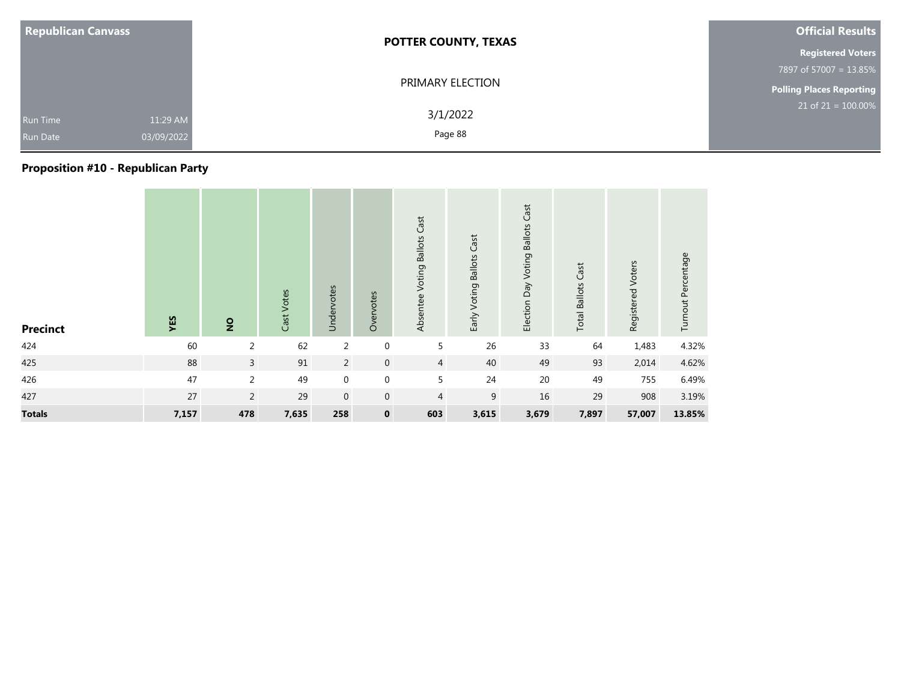| <b>Republican Canvass</b> |                                                              | <b>POTTER COUNTY, TEXAS</b> | <b>Official Results</b>  |
|---------------------------|--------------------------------------------------------------|-----------------------------|--------------------------|
|                           |                                                              |                             | <b>Registered Voters</b> |
|                           |                                                              |                             | 7897 of 57007 = 13.85%   |
|                           |                                                              | PRIMARY ELECTION            |                          |
|                           | 11:29 AM<br><b>Run Time</b><br>03/09/2022<br><b>Run Date</b> | 3/1/2022<br>Page 88         | $21$ of $21 = 100.00\%$  |

### **Proposition #10 - Republican Party**

| <b>Precinct</b> | YES   | $\overline{2}$ | Cast Votes | Undervotes     | Overvotes        | Absentee Voting Ballots Cast | Early Voting Ballots Cast | Election Day Voting Ballots Cast | <b>Total Ballots Cast</b> | Registered Voters | Turnout Percentage |
|-----------------|-------|----------------|------------|----------------|------------------|------------------------------|---------------------------|----------------------------------|---------------------------|-------------------|--------------------|
| 424             | 60    | 2              | 62         | $\overline{2}$ | $\boldsymbol{0}$ | 5                            | 26                        | 33                               | 64                        | 1,483             | 4.32%              |
| 425             | 88    | $\overline{3}$ | 91         | $\overline{2}$ | $\mathbf 0$      | $\overline{4}$               | 40                        | 49                               | 93                        | 2,014             | 4.62%              |
| 426             | 47    | 2              | 49         | $\mathbf 0$    | $\mathbf 0$      | 5                            | 24                        | 20                               | 49                        | 755               | 6.49%              |
| 427             | 27    | $\overline{2}$ | 29         | $\mathbf{0}$   | $\mathbf 0$      | $\overline{4}$               | 9                         | 16                               | 29                        | 908               | 3.19%              |
| <b>Totals</b>   | 7,157 | 478            | 7,635      | 258            | $\mathbf 0$      | 603                          | 3,615                     | 3,679                            | 7,897                     | 57,007            | 13.85%             |